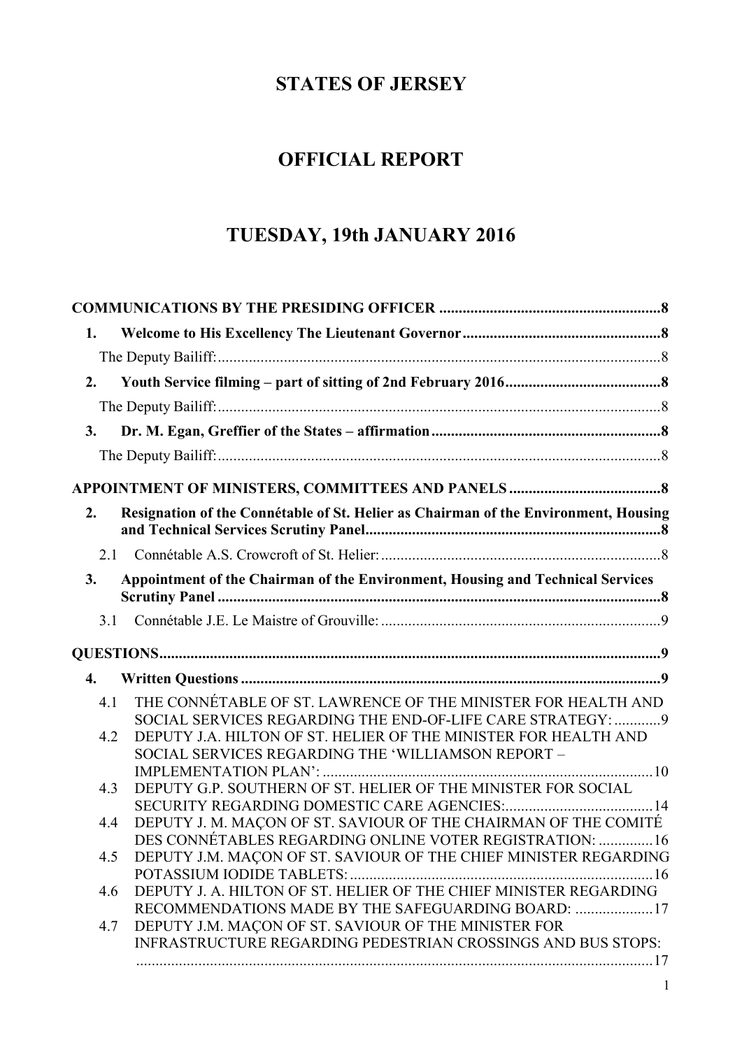# **STATES OF JERSEY**

# **OFFICIAL REPORT**

# **TUESDAY, 19th JANUARY 2016**

| 1.  |                                                                                                            |  |
|-----|------------------------------------------------------------------------------------------------------------|--|
|     |                                                                                                            |  |
| 2.  |                                                                                                            |  |
|     |                                                                                                            |  |
|     |                                                                                                            |  |
| 3.  |                                                                                                            |  |
|     |                                                                                                            |  |
|     |                                                                                                            |  |
| 2.  | Resignation of the Connétable of St. Helier as Chairman of the Environment, Housing                        |  |
| 2.1 |                                                                                                            |  |
| 3.  | Appointment of the Chairman of the Environment, Housing and Technical Services                             |  |
| 3.1 |                                                                                                            |  |
|     |                                                                                                            |  |
| 4.  |                                                                                                            |  |
| 4.1 | THE CONNÉTABLE OF ST. LAWRENCE OF THE MINISTER FOR HEALTH AND                                              |  |
|     | SOCIAL SERVICES REGARDING THE END-OF-LIFE CARE STRATEGY:  9                                                |  |
| 4.2 | DEPUTY J.A. HILTON OF ST. HELIER OF THE MINISTER FOR HEALTH AND                                            |  |
|     | SOCIAL SERVICES REGARDING THE 'WILLIAMSON REPORT -                                                         |  |
| 4.3 | DEPUTY G.P. SOUTHERN OF ST. HELIER OF THE MINISTER FOR SOCIAL                                              |  |
|     |                                                                                                            |  |
| 4.4 | DEPUTY J. M. MACON OF ST. SAVIOUR OF THE CHAIRMAN OF THE COMITÉ                                            |  |
|     | DES CONNÉTABLES REGARDING ONLINE VOTER REGISTRATION:  16                                                   |  |
| 4.5 | DEPUTY J.M. MAÇON OF ST. SAVIOUR OF THE CHIEF MINISTER REGARDING                                           |  |
|     |                                                                                                            |  |
| 4.6 | DEPUTY J. A. HILTON OF ST. HELIER OF THE CHIEF MINISTER REGARDING                                          |  |
| 4.7 | RECOMMENDATIONS MADE BY THE SAFEGUARDING BOARD: 17<br>DEPUTY J.M. MAÇON OF ST. SAVIOUR OF THE MINISTER FOR |  |
|     | INFRASTRUCTURE REGARDING PEDESTRIAN CROSSINGS AND BUS STOPS:                                               |  |
|     |                                                                                                            |  |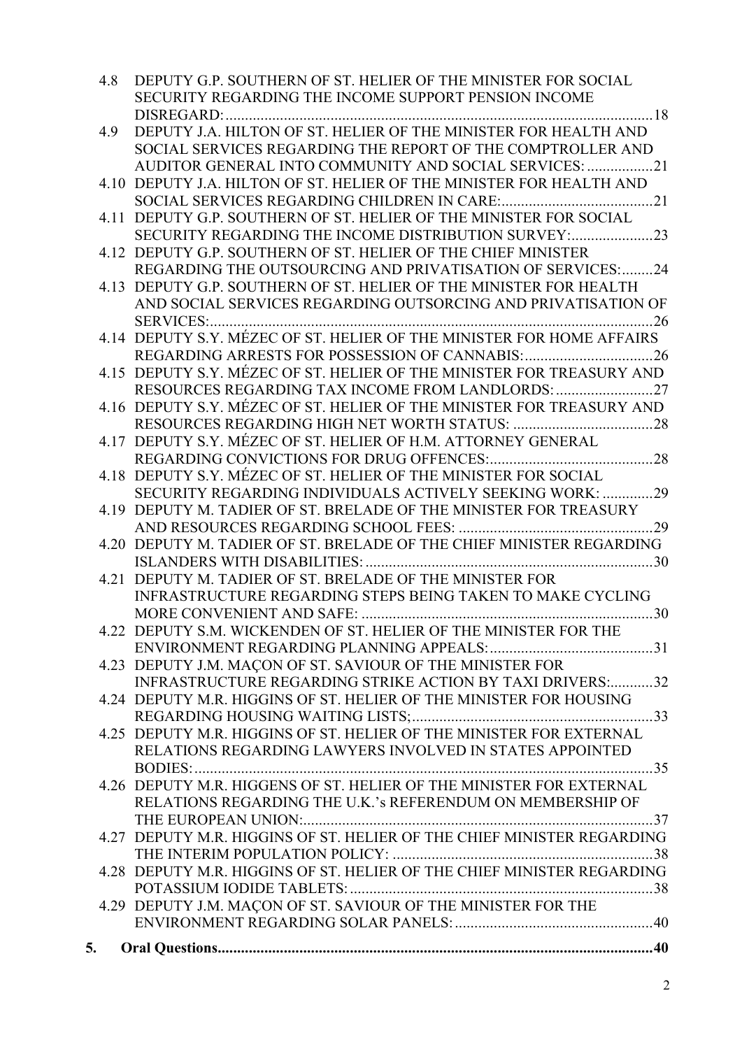| 4.8 | DEPUTY G.P. SOUTHERN OF ST. HELIER OF THE MINISTER FOR SOCIAL<br>SECURITY REGARDING THE INCOME SUPPORT PENSION INCOME |
|-----|-----------------------------------------------------------------------------------------------------------------------|
|     | DISREGARD:                                                                                                            |
| 4.9 | DEPUTY J.A. HILTON OF ST. HELIER OF THE MINISTER FOR HEALTH AND                                                       |
|     | SOCIAL SERVICES REGARDING THE REPORT OF THE COMPTROLLER AND                                                           |
|     | AUDITOR GENERAL INTO COMMUNITY AND SOCIAL SERVICES: 21                                                                |
|     |                                                                                                                       |
|     | 4.10 DEPUTY J.A. HILTON OF ST. HELIER OF THE MINISTER FOR HEALTH AND                                                  |
|     |                                                                                                                       |
|     | 4.11 DEPUTY G.P. SOUTHERN OF ST. HELIER OF THE MINISTER FOR SOCIAL                                                    |
|     | SECURITY REGARDING THE INCOME DISTRIBUTION SURVEY:23                                                                  |
|     | 4.12 DEPUTY G.P. SOUTHERN OF ST. HELIER OF THE CHIEF MINISTER                                                         |
|     | REGARDING THE OUTSOURCING AND PRIVATISATION OF SERVICES:24                                                            |
|     | 4.13 DEPUTY G.P. SOUTHERN OF ST. HELIER OF THE MINISTER FOR HEALTH                                                    |
|     | AND SOCIAL SERVICES REGARDING OUTSORCING AND PRIVATISATION OF                                                         |
|     |                                                                                                                       |
|     | 4.14 DEPUTY S.Y. MÉZEC OF ST. HELIER OF THE MINISTER FOR HOME AFFAIRS                                                 |
|     |                                                                                                                       |
|     | 4.15 DEPUTY S.Y. MÉZEC OF ST. HELIER OF THE MINISTER FOR TREASURY AND                                                 |
|     | RESOURCES REGARDING TAX INCOME FROM LANDLORDS:                                                                        |
|     | 4.16 DEPUTY S.Y. MÉZEC OF ST. HELIER OF THE MINISTER FOR TREASURY AND                                                 |
|     |                                                                                                                       |
|     | 4.17 DEPUTY S.Y. MÉZEC OF ST. HELIER OF H.M. ATTORNEY GENERAL                                                         |
|     |                                                                                                                       |
|     | 4.18 DEPUTY S.Y. MEZEC OF ST. HELIER OF THE MINISTER FOR SOCIAL                                                       |
|     | SECURITY REGARDING INDIVIDUALS ACTIVELY SEEKING WORK: 29                                                              |
|     | 4.19 DEPUTY M. TADIER OF ST. BRELADE OF THE MINISTER FOR TREASURY                                                     |
|     | 29                                                                                                                    |
|     | 4.20 DEPUTY M. TADIER OF ST. BRELADE OF THE CHIEF MINISTER REGARDING                                                  |
|     |                                                                                                                       |
|     | 4.21 DEPUTY M. TADIER OF ST. BRELADE OF THE MINISTER FOR                                                              |
|     | <b>INFRASTRUCTURE REGARDING STEPS BEING TAKEN TO MAKE CYCLING</b>                                                     |
|     |                                                                                                                       |
|     | 4.22 DEPUTY S.M. WICKENDEN OF ST. HELIER OF THE MINISTER FOR THE                                                      |
|     |                                                                                                                       |
|     | 4.23 DEPUTY J.M. MAÇON OF ST. SAVIOUR OF THE MINISTER FOR                                                             |
|     | INFRASTRUCTURE REGARDING STRIKE ACTION BY TAXI DRIVERS:32                                                             |
|     | 4.24 DEPUTY M.R. HIGGINS OF ST. HELIER OF THE MINISTER FOR HOUSING                                                    |
|     |                                                                                                                       |
|     | 4.25 DEPUTY M.R. HIGGINS OF ST. HELIER OF THE MINISTER FOR EXTERNAL                                                   |
|     | RELATIONS REGARDING LAWYERS INVOLVED IN STATES APPOINTED                                                              |
|     |                                                                                                                       |
|     | 4.26 DEPUTY M.R. HIGGENS OF ST. HELIER OF THE MINISTER FOR EXTERNAL                                                   |
|     | RELATIONS REGARDING THE U.K.'s REFERENDUM ON MEMBERSHIP OF                                                            |
|     |                                                                                                                       |
|     | 4.27 DEPUTY M.R. HIGGINS OF ST. HELIER OF THE CHIEF MINISTER REGARDING                                                |
|     |                                                                                                                       |
|     | 4.28 DEPUTY M.R. HIGGINS OF ST. HELIER OF THE CHIEF MINISTER REGARDING                                                |
|     |                                                                                                                       |
|     | 4.29 DEPUTY J.M. MAÇON OF ST. SAVIOUR OF THE MINISTER FOR THE                                                         |
|     |                                                                                                                       |
|     |                                                                                                                       |
| 5.  |                                                                                                                       |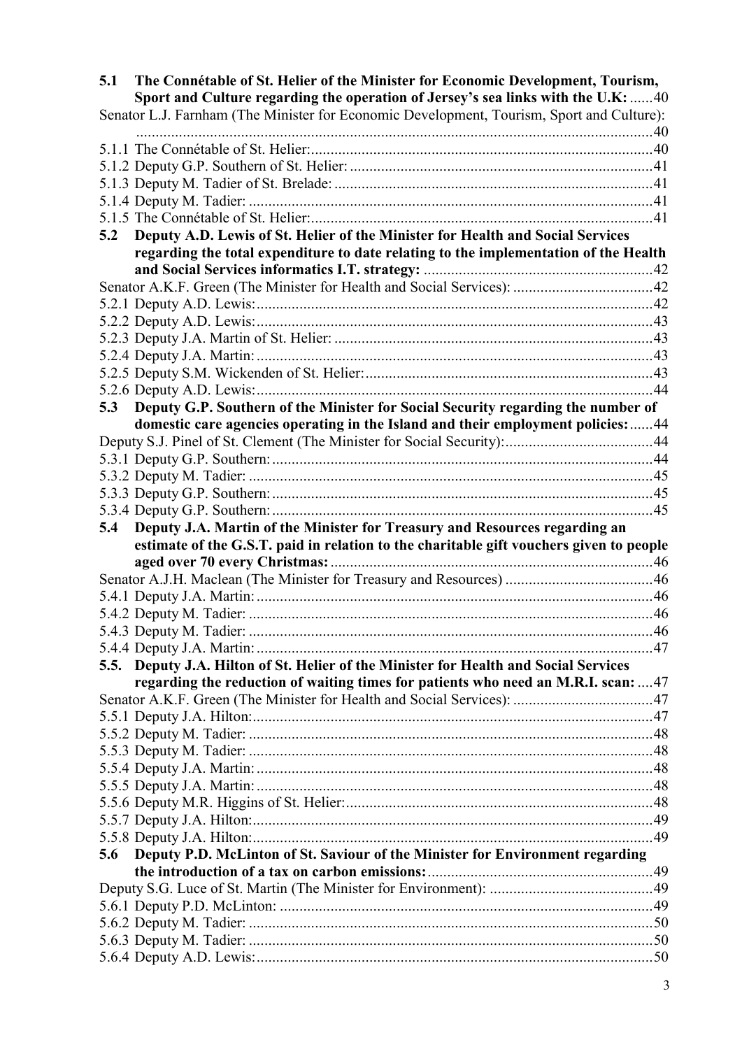| 5.1 | The Connétable of St. Helier of the Minister for Economic Development, Tourism,<br>Sport and Culture regarding the operation of Jersey's sea links with the U.K:  40 |  |
|-----|----------------------------------------------------------------------------------------------------------------------------------------------------------------------|--|
|     | Senator L.J. Farnham (The Minister for Economic Development, Tourism, Sport and Culture):                                                                            |  |
|     |                                                                                                                                                                      |  |
|     |                                                                                                                                                                      |  |
|     |                                                                                                                                                                      |  |
|     |                                                                                                                                                                      |  |
|     |                                                                                                                                                                      |  |
| 5.2 | Deputy A.D. Lewis of St. Helier of the Minister for Health and Social Services                                                                                       |  |
|     | regarding the total expenditure to date relating to the implementation of the Health                                                                                 |  |
|     |                                                                                                                                                                      |  |
|     |                                                                                                                                                                      |  |
|     |                                                                                                                                                                      |  |
|     |                                                                                                                                                                      |  |
|     |                                                                                                                                                                      |  |
|     |                                                                                                                                                                      |  |
|     |                                                                                                                                                                      |  |
|     |                                                                                                                                                                      |  |
| 5.3 | Deputy G.P. Southern of the Minister for Social Security regarding the number of                                                                                     |  |
|     | domestic care agencies operating in the Island and their employment policies:  44                                                                                    |  |
|     |                                                                                                                                                                      |  |
|     |                                                                                                                                                                      |  |
|     |                                                                                                                                                                      |  |
|     |                                                                                                                                                                      |  |
|     |                                                                                                                                                                      |  |
|     |                                                                                                                                                                      |  |
|     |                                                                                                                                                                      |  |
| 5.4 | Deputy J.A. Martin of the Minister for Treasury and Resources regarding an                                                                                           |  |
|     | estimate of the G.S.T. paid in relation to the charitable gift vouchers given to people                                                                              |  |
|     |                                                                                                                                                                      |  |
|     |                                                                                                                                                                      |  |
|     |                                                                                                                                                                      |  |
|     |                                                                                                                                                                      |  |
|     |                                                                                                                                                                      |  |
|     |                                                                                                                                                                      |  |
|     | 5.5. Deputy J.A. Hilton of St. Helier of the Minister for Health and Social Services                                                                                 |  |
|     | regarding the reduction of waiting times for patients who need an M.R.I. scan: 47                                                                                    |  |
|     |                                                                                                                                                                      |  |
|     |                                                                                                                                                                      |  |
|     |                                                                                                                                                                      |  |
|     |                                                                                                                                                                      |  |
|     |                                                                                                                                                                      |  |
|     |                                                                                                                                                                      |  |
|     |                                                                                                                                                                      |  |
|     |                                                                                                                                                                      |  |
|     |                                                                                                                                                                      |  |
| 5.6 | Deputy P.D. McLinton of St. Saviour of the Minister for Environment regarding                                                                                        |  |
|     |                                                                                                                                                                      |  |
|     |                                                                                                                                                                      |  |
|     |                                                                                                                                                                      |  |
|     |                                                                                                                                                                      |  |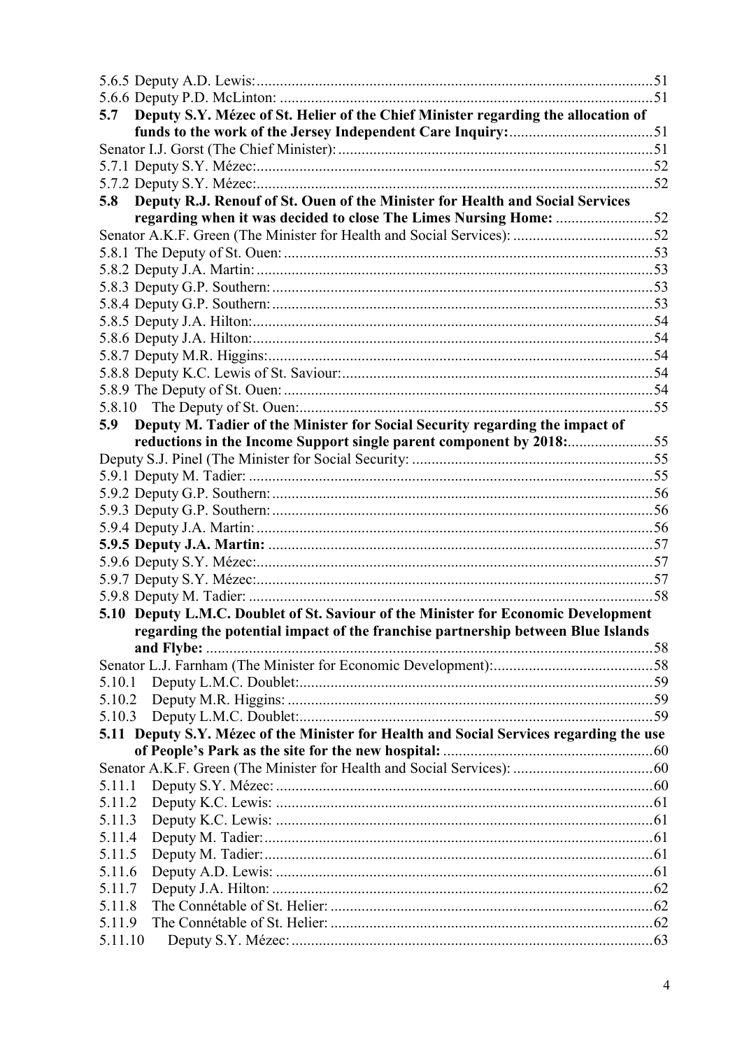| 5.7              | Deputy S.Y. Mézec of St. Helier of the Chief Minister regarding the allocation of       |  |
|------------------|-----------------------------------------------------------------------------------------|--|
|                  |                                                                                         |  |
|                  |                                                                                         |  |
|                  |                                                                                         |  |
|                  |                                                                                         |  |
| 5.8              | Deputy R.J. Renouf of St. Ouen of the Minister for Health and Social Services           |  |
|                  | regarding when it was decided to close The Limes Nursing Home: 52                       |  |
|                  |                                                                                         |  |
|                  |                                                                                         |  |
|                  |                                                                                         |  |
|                  |                                                                                         |  |
|                  |                                                                                         |  |
|                  |                                                                                         |  |
|                  |                                                                                         |  |
|                  |                                                                                         |  |
|                  |                                                                                         |  |
|                  |                                                                                         |  |
|                  |                                                                                         |  |
| 5.9              | Deputy M. Tadier of the Minister for Social Security regarding the impact of            |  |
|                  | reductions in the Income Support single parent component by 2018: 55                    |  |
|                  |                                                                                         |  |
|                  |                                                                                         |  |
|                  |                                                                                         |  |
|                  |                                                                                         |  |
|                  |                                                                                         |  |
|                  |                                                                                         |  |
|                  |                                                                                         |  |
|                  |                                                                                         |  |
|                  | 5.10 Deputy L.M.C. Doublet of St. Saviour of the Minister for Economic Development      |  |
|                  | regarding the potential impact of the franchise partnership between Blue Islands        |  |
|                  |                                                                                         |  |
|                  |                                                                                         |  |
| 5.10.1           |                                                                                         |  |
| 5.10.2           |                                                                                         |  |
|                  |                                                                                         |  |
|                  | 5.11 Deputy S.Y. Mézec of the Minister for Health and Social Services regarding the use |  |
|                  |                                                                                         |  |
|                  |                                                                                         |  |
| 5.11.1           |                                                                                         |  |
| 5.11.2           |                                                                                         |  |
| 5.11.3           |                                                                                         |  |
| 5.11.4           |                                                                                         |  |
| 5.11.5           |                                                                                         |  |
| 5.11.6           |                                                                                         |  |
| 5.11.7           |                                                                                         |  |
| 5.11.8<br>5.11.9 |                                                                                         |  |
| 5.11.10          |                                                                                         |  |
|                  |                                                                                         |  |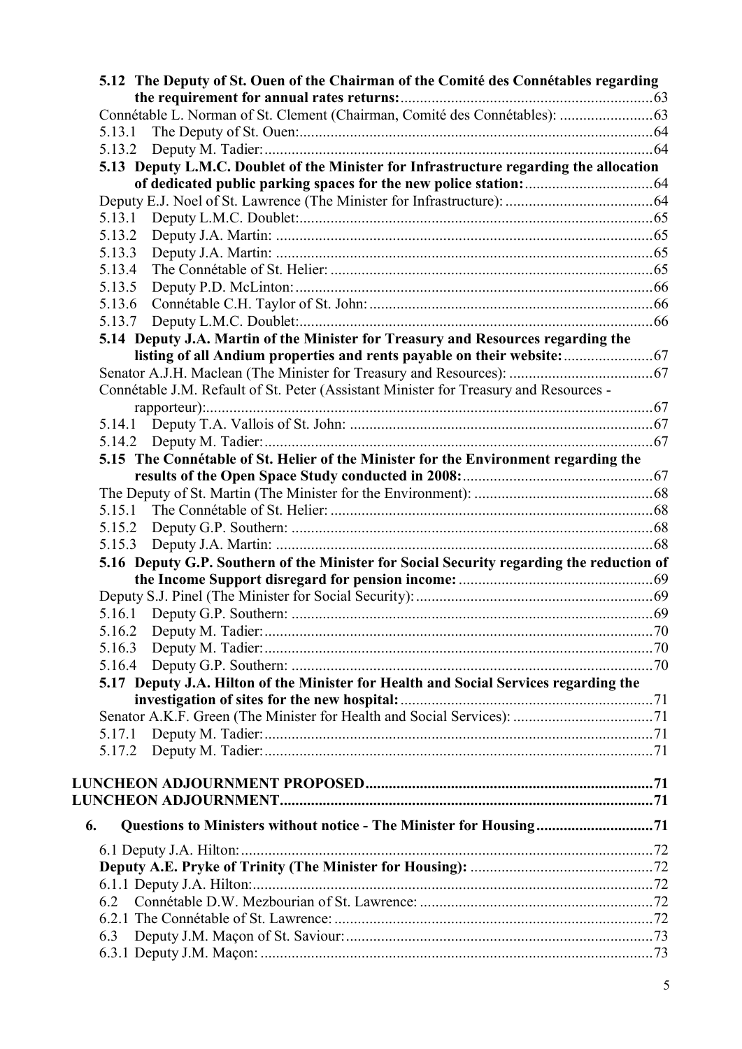|        | 5.12 The Deputy of St. Ouen of the Chairman of the Comité des Connétables regarding      |  |
|--------|------------------------------------------------------------------------------------------|--|
|        | Connétable L. Norman of St. Clement (Chairman, Comité des Connétables):  63              |  |
|        |                                                                                          |  |
|        |                                                                                          |  |
|        | 5.13 Deputy L.M.C. Doublet of the Minister for Infrastructure regarding the allocation   |  |
|        |                                                                                          |  |
|        |                                                                                          |  |
|        |                                                                                          |  |
| 5.13.2 |                                                                                          |  |
| 5.13.3 |                                                                                          |  |
| 5.13.4 |                                                                                          |  |
| 5.13.5 |                                                                                          |  |
| 5.13.6 |                                                                                          |  |
| 5.13.7 |                                                                                          |  |
|        | 5.14 Deputy J.A. Martin of the Minister for Treasury and Resources regarding the         |  |
|        |                                                                                          |  |
|        |                                                                                          |  |
|        | Connétable J.M. Refault of St. Peter (Assistant Minister for Treasury and Resources -    |  |
|        |                                                                                          |  |
| 5.14.1 |                                                                                          |  |
|        |                                                                                          |  |
|        | 5.15 The Connétable of St. Helier of the Minister for the Environment regarding the      |  |
|        |                                                                                          |  |
|        |                                                                                          |  |
|        |                                                                                          |  |
| 5.15.2 |                                                                                          |  |
|        |                                                                                          |  |
|        | 5.16 Deputy G.P. Southern of the Minister for Social Security regarding the reduction of |  |
|        |                                                                                          |  |
|        |                                                                                          |  |
|        |                                                                                          |  |
|        |                                                                                          |  |
| 5.16.3 |                                                                                          |  |
|        |                                                                                          |  |
|        | 5.17 Deputy J.A. Hilton of the Minister for Health and Social Services regarding the     |  |
|        |                                                                                          |  |
|        |                                                                                          |  |
|        |                                                                                          |  |
|        |                                                                                          |  |
|        |                                                                                          |  |
|        |                                                                                          |  |
|        |                                                                                          |  |
|        |                                                                                          |  |
| 6.     | Questions to Ministers without notice - The Minister for Housing71                       |  |
|        |                                                                                          |  |
|        |                                                                                          |  |
|        |                                                                                          |  |
| 6.2    |                                                                                          |  |
|        |                                                                                          |  |
| 6.3    |                                                                                          |  |
|        |                                                                                          |  |
|        |                                                                                          |  |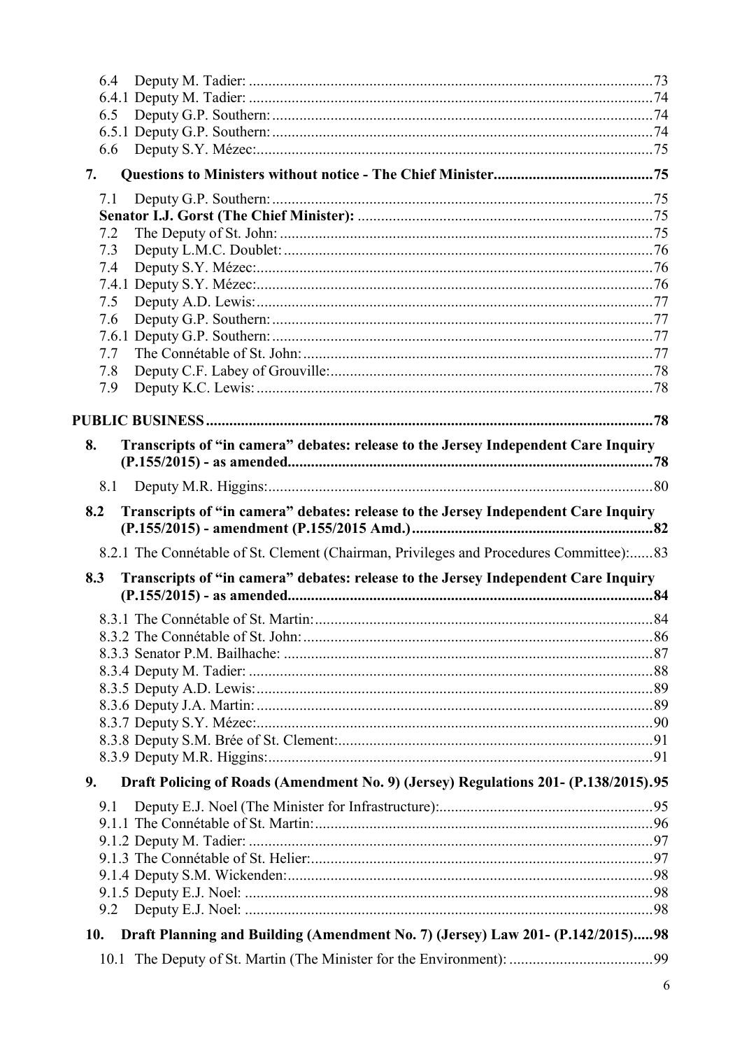| 6.4                                                                                       |  |
|-------------------------------------------------------------------------------------------|--|
|                                                                                           |  |
| 6.5                                                                                       |  |
|                                                                                           |  |
| 6.6                                                                                       |  |
| 7.                                                                                        |  |
| 7.1                                                                                       |  |
|                                                                                           |  |
| 7.2                                                                                       |  |
| 7.3                                                                                       |  |
| 7.4                                                                                       |  |
|                                                                                           |  |
| 7.5                                                                                       |  |
| 7.6                                                                                       |  |
|                                                                                           |  |
| 7.7                                                                                       |  |
| 7.8<br>7.9                                                                                |  |
|                                                                                           |  |
|                                                                                           |  |
| Transcripts of "in camera" debates: release to the Jersey Independent Care Inquiry<br>8.  |  |
|                                                                                           |  |
| 8.1                                                                                       |  |
| Transcripts of "in camera" debates: release to the Jersey Independent Care Inquiry<br>8.2 |  |
|                                                                                           |  |
| 8.2.1 The Connétable of St. Clement (Chairman, Privileges and Procedures Committee):83    |  |
| Transcripts of "in camera" debates: release to the Jersey Independent Care Inquiry<br>8.3 |  |
|                                                                                           |  |
|                                                                                           |  |
|                                                                                           |  |
|                                                                                           |  |
|                                                                                           |  |
|                                                                                           |  |
|                                                                                           |  |
|                                                                                           |  |
|                                                                                           |  |
|                                                                                           |  |
| Draft Policing of Roads (Amendment No. 9) (Jersey) Regulations 201- (P.138/2015).95<br>9. |  |
| 9.1                                                                                       |  |
|                                                                                           |  |
|                                                                                           |  |
|                                                                                           |  |
|                                                                                           |  |
|                                                                                           |  |
|                                                                                           |  |
| 9.2                                                                                       |  |
| Draft Planning and Building (Amendment No. 7) (Jersey) Law 201- (P.142/2015)98<br>10.     |  |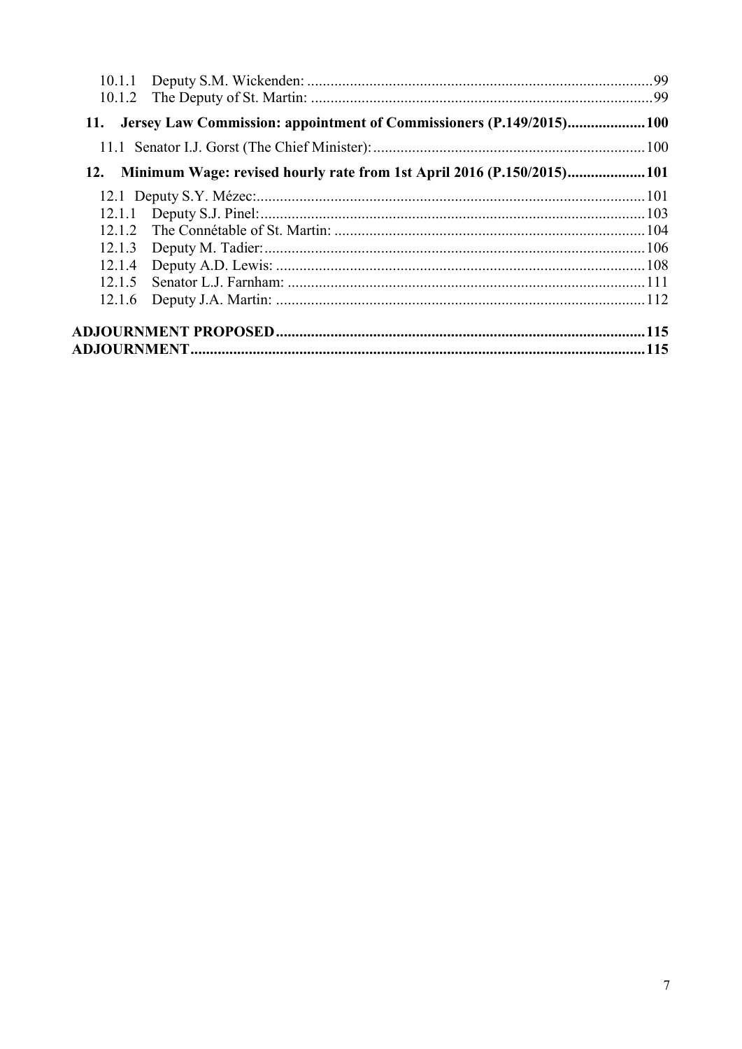| Jersey Law Commission: appointment of Commissioners (P.149/2015)100<br>11.   |  |
|------------------------------------------------------------------------------|--|
|                                                                              |  |
| Minimum Wage: revised hourly rate from 1st April 2016 (P.150/2015)101<br>12. |  |
|                                                                              |  |
| 12.1.1                                                                       |  |
| 12 1 2                                                                       |  |
| 12.1.3                                                                       |  |
| 12.1.4                                                                       |  |
| 12 1 5                                                                       |  |
| 12.1.6                                                                       |  |
|                                                                              |  |
|                                                                              |  |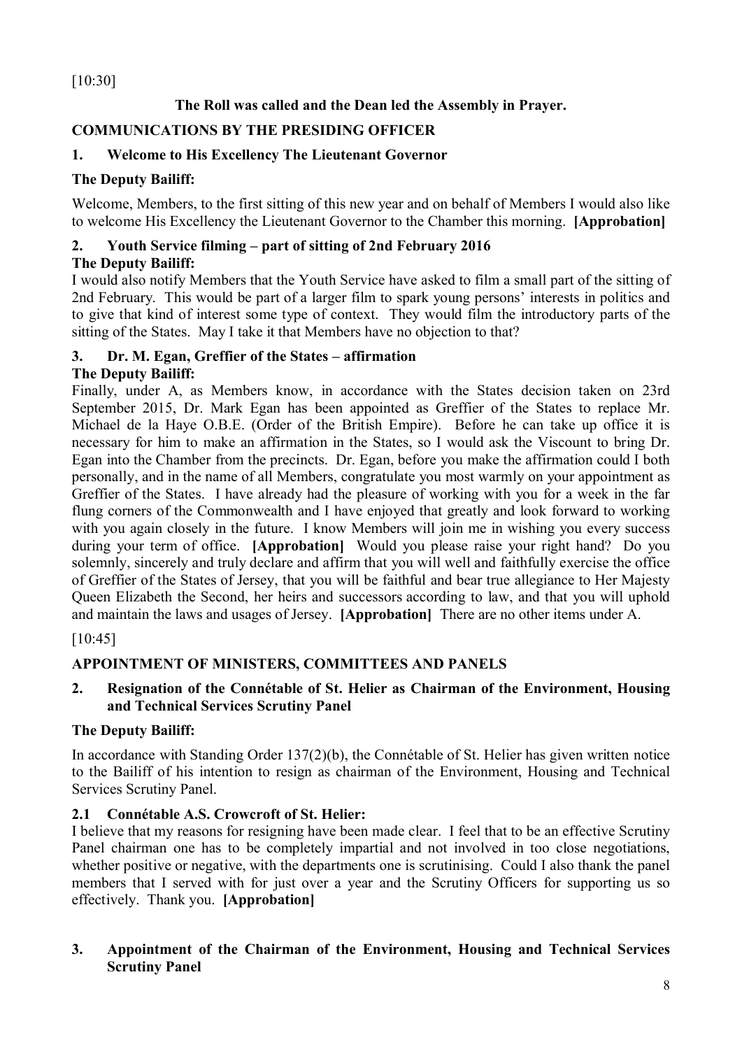[10:30]

# **The Roll was called and the Dean led the Assembly in Prayer.**

# **COMMUNICATIONS BY THE PRESIDING OFFICER**

# **1. Welcome to His Excellency The Lieutenant Governor**

# **The Deputy Bailiff:**

Welcome, Members, to the first sitting of this new year and on behalf of Members I would also like to welcome His Excellency the Lieutenant Governor to the Chamber this morning. **[Approbation]**

# **2. Youth Service filming – part of sitting of 2nd February 2016**

# **The Deputy Bailiff:**

I would also notify Members that the Youth Service have asked to film a small part of the sitting of 2nd February. This would be part of a larger film to spark young persons' interests in politics and to give that kind of interest some type of context. They would film the introductory parts of the sitting of the States. May I take it that Members have no objection to that?

# **3. Dr. M. Egan, Greffier of the States – affirmation**

# **The Deputy Bailiff:**

Finally, under A, as Members know, in accordance with the States decision taken on 23rd September 2015, Dr. Mark Egan has been appointed as Greffier of the States to replace Mr. Michael de la Haye O.B.E. (Order of the British Empire). Before he can take up office it is necessary for him to make an affirmation in the States, so I would ask the Viscount to bring Dr. Egan into the Chamber from the precincts. Dr. Egan, before you make the affirmation could I both personally, and in the name of all Members, congratulate you most warmly on your appointment as Greffier of the States. I have already had the pleasure of working with you for a week in the far flung corners of the Commonwealth and I have enjoyed that greatly and look forward to working with you again closely in the future. I know Members will join me in wishing you every success during your term of office. **[Approbation]** Would you please raise your right hand? Do you solemnly, sincerely and truly declare and affirm that you will well and faithfully exercise the office of Greffier of the States of Jersey, that you will be faithful and bear true allegiance to Her Majesty Queen Elizabeth the Second, her heirs and successors according to law, and that you will uphold and maintain the laws and usages of Jersey. **[Approbation]** There are no other items under A.

[10:45]

# **APPOINTMENT OF MINISTERS, COMMITTEES AND PANELS**

# **2. Resignation of the Connétable of St. Helier as Chairman of the Environment, Housing and Technical Services Scrutiny Panel**

# **The Deputy Bailiff:**

In accordance with Standing Order 137(2)(b), the Connétable of St. Helier has given written notice to the Bailiff of his intention to resign as chairman of the Environment, Housing and Technical Services Scrutiny Panel.

# **2.1 Connétable A.S. Crowcroft of St. Helier:**

I believe that my reasons for resigning have been made clear. I feel that to be an effective Scrutiny Panel chairman one has to be completely impartial and not involved in too close negotiations, whether positive or negative, with the departments one is scrutinising. Could I also thank the panel members that I served with for just over a year and the Scrutiny Officers for supporting us so effectively. Thank you. **[Approbation]**

# **3. Appointment of the Chairman of the Environment, Housing and Technical Services Scrutiny Panel**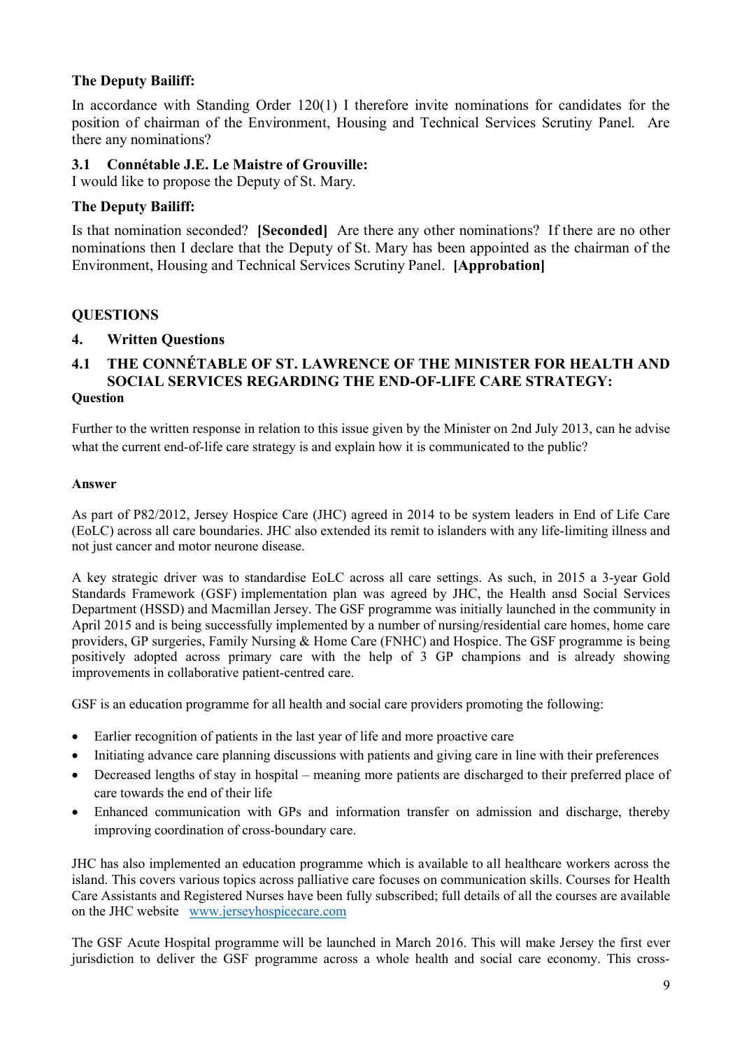# **The Deputy Bailiff:**

In accordance with Standing Order 120(1) I therefore invite nominations for candidates for the position of chairman of the Environment, Housing and Technical Services Scrutiny Panel. Are there any nominations?

# **3.1 Connétable J.E. Le Maistre of Grouville:**

I would like to propose the Deputy of St. Mary.

# **The Deputy Bailiff:**

Is that nomination seconded? **[Seconded]** Are there any other nominations? If there are no other nominations then I declare that the Deputy of St. Mary has been appointed as the chairman of the Environment, Housing and Technical Services Scrutiny Panel. **[Approbation]**

## **QUESTIONS**

## **4. Written Questions**

### **4.1 THE CONNÉTABLE OF ST. LAWRENCE OF THE MINISTER FOR HEALTH AND SOCIAL SERVICES REGARDING THE END-OF-LIFE CARE STRATEGY: Question**

Further to the written response in relation to this issue given by the Minister on 2nd July 2013, can he advise what the current end-of-life care strategy is and explain how it is communicated to the public?

#### **Answer**

As part of P82/2012, Jersey Hospice Care (JHC) agreed in 2014 to be system leaders in End of Life Care (EoLC) across all care boundaries. JHC also extended its remit to islanders with any life-limiting illness and not just cancer and motor neurone disease.

A key strategic driver was to standardise EoLC across all care settings. As such, in 2015 a 3-year Gold Standards Framework (GSF) implementation plan was agreed by JHC, the Health ansd Social Services Department (HSSD) and Macmillan Jersey. The GSF programme was initially launched in the community in April 2015 and is being successfully implemented by a number of nursing/residential care homes, home care providers, GP surgeries, Family Nursing & Home Care (FNHC) and Hospice. The GSF programme is being positively adopted across primary care with the help of 3 GP champions and is already showing improvements in collaborative patient-centred care.

GSF is an education programme for all health and social care providers promoting the following:

- Earlier recognition of patients in the last year of life and more proactive care
- Initiating advance care planning discussions with patients and giving care in line with their preferences
- Decreased lengths of stay in hospital meaning more patients are discharged to their preferred place of care towards the end of their life
- Enhanced communication with GPs and information transfer on admission and discharge, thereby improving coordination of cross-boundary care.

JHC has also implemented an education programme which is available to all healthcare workers across the island. This covers various topics across palliative care focuses on communication skills. Courses for Health Care Assistants and Registered Nurses have been fully subscribed; full details of all the courses are available on the JHC website www.jerseyhospicecare.com

The GSF Acute Hospital programme will be launched in March 2016. This will make Jersey the first ever jurisdiction to deliver the GSF programme across a whole health and social care economy. This cross-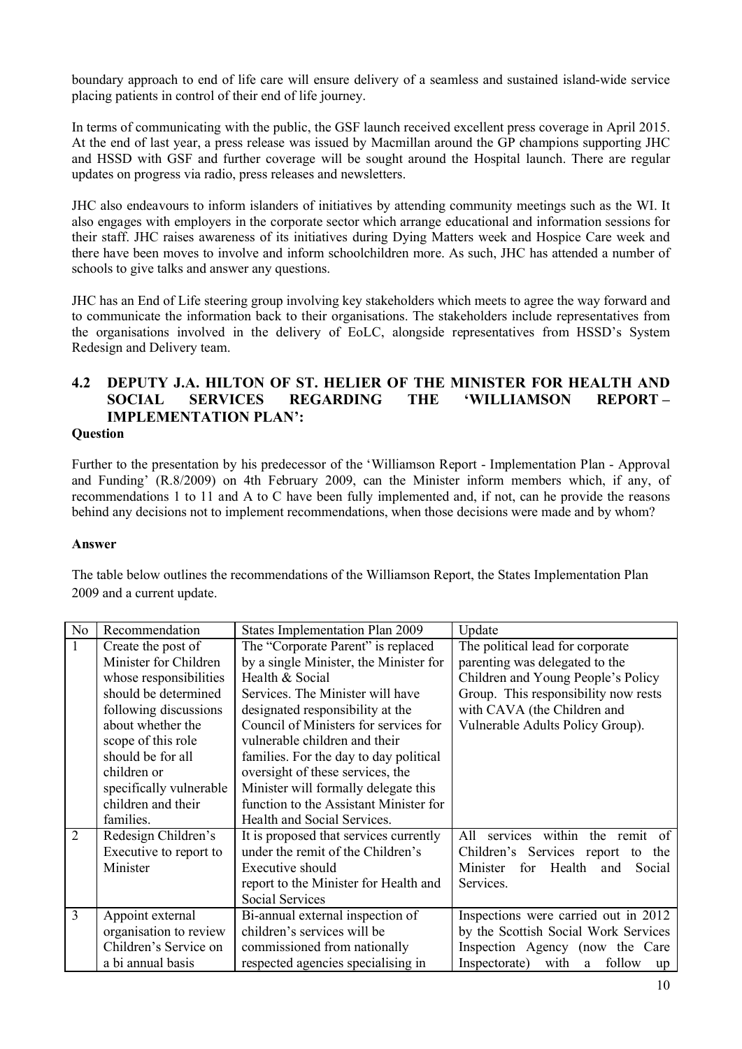boundary approach to end of life care will ensure delivery of a seamless and sustained island-wide service placing patients in control of their end of life journey.

In terms of communicating with the public, the GSF launch received excellent press coverage in April 2015. At the end of last year, a press release was issued by Macmillan around the GP champions supporting JHC and HSSD with GSF and further coverage will be sought around the Hospital launch. There are regular updates on progress via radio, press releases and newsletters.

JHC also endeavours to inform islanders of initiatives by attending community meetings such as the WI. It also engages with employers in the corporate sector which arrange educational and information sessions for their staff. JHC raises awareness of its initiatives during Dying Matters week and Hospice Care week and there have been moves to involve and inform schoolchildren more. As such, JHC has attended a number of schools to give talks and answer any questions.

JHC has an End of Life steering group involving key stakeholders which meets to agree the way forward and to communicate the information back to their organisations. The stakeholders include representatives from the organisations involved in the delivery of EoLC, alongside representatives from HSSD's System Redesign and Delivery team.

# **4.2 DEPUTY J.A. HILTON OF ST. HELIER OF THE MINISTER FOR HEALTH AND SOCIAL SERVICES REGARDING THE 'WILLIAMSON REPORT – IMPLEMENTATION PLAN':**

#### **Question**

Further to the presentation by his predecessor of the 'Williamson Report - Implementation Plan - Approval and Funding' (R.8/2009) on 4th February 2009, can the Minister inform members which, if any, of recommendations 1 to 11 and A to C have been fully implemented and, if not, can he provide the reasons behind any decisions not to implement recommendations, when those decisions were made and by whom?

### **Answer**

The table below outlines the recommendations of the Williamson Report, the States Implementation Plan 2009 and a current update.

| N <sub>0</sub> | Recommendation          | <b>States Implementation Plan 2009</b> | Update                                     |
|----------------|-------------------------|----------------------------------------|--------------------------------------------|
| $\mathbf{1}$   | Create the post of      | The "Corporate Parent" is replaced     | The political lead for corporate           |
|                | Minister for Children   | by a single Minister, the Minister for | parenting was delegated to the             |
|                | whose responsibilities  | Health & Social                        | Children and Young People's Policy         |
|                | should be determined    | Services. The Minister will have       | Group. This responsibility now rests       |
|                | following discussions   | designated responsibility at the       | with CAVA (the Children and                |
|                | about whether the       | Council of Ministers for services for  | Vulnerable Adults Policy Group).           |
|                | scope of this role      | vulnerable children and their          |                                            |
|                | should be for all       | families. For the day to day political |                                            |
|                | children or             | oversight of these services, the       |                                            |
|                | specifically vulnerable | Minister will formally delegate this   |                                            |
|                | children and their      | function to the Assistant Minister for |                                            |
|                | families.               | Health and Social Services.            |                                            |
| $\overline{2}$ | Redesign Children's     | It is proposed that services currently | within the remit of<br>All<br>services     |
|                | Executive to report to  | under the remit of the Children's      | Children's Services report<br>the<br>to    |
|                | Minister                | Executive should                       | Minister<br>Health<br>for<br>Social<br>and |
|                |                         | report to the Minister for Health and  | Services.                                  |
|                |                         | <b>Social Services</b>                 |                                            |
| $\overline{3}$ | Appoint external        | Bi-annual external inspection of       | Inspections were carried out in 2012       |
|                | organisation to review  | children's services will be            | by the Scottish Social Work Services       |
|                | Children's Service on   | commissioned from nationally           | Inspection Agency (now the Care            |
|                | a bi annual basis       | respected agencies specialising in     | Inspectorate)<br>with<br>a follow<br>up    |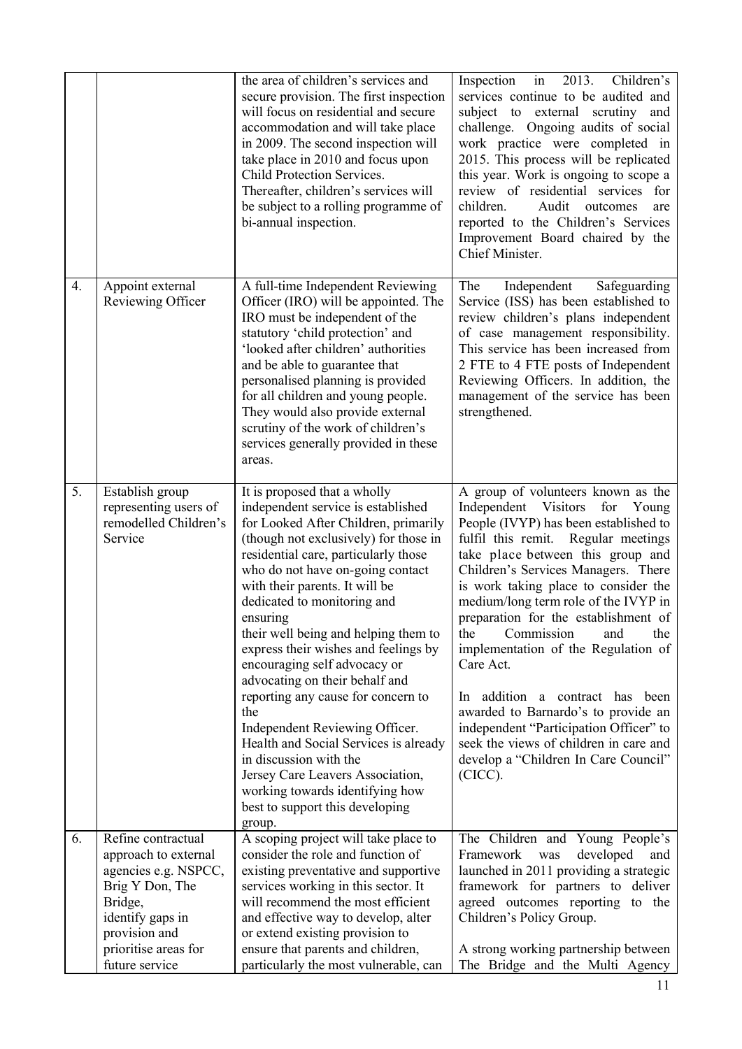|                  |                                                                                                                                                                                 | the area of children's services and<br>secure provision. The first inspection<br>will focus on residential and secure<br>accommodation and will take place<br>in 2009. The second inspection will<br>take place in 2010 and focus upon<br>Child Protection Services.<br>Thereafter, children's services will<br>be subject to a rolling programme of<br>bi-annual inspection.                                                                                                                                                                                                                                                                                                                                                        | 2013.<br>Inspection<br>$\overline{\text{in}}$<br>Children's<br>services continue to be audited and<br>subject to external scrutiny and<br>challenge. Ongoing audits of social<br>work practice were completed in<br>2015. This process will be replicated<br>this year. Work is ongoing to scope a<br>review of residential services for<br>Audit<br>children.<br>outcomes<br>are<br>reported to the Children's Services<br>Improvement Board chaired by the<br>Chief Minister.                                                                                                                                                                                                  |
|------------------|---------------------------------------------------------------------------------------------------------------------------------------------------------------------------------|--------------------------------------------------------------------------------------------------------------------------------------------------------------------------------------------------------------------------------------------------------------------------------------------------------------------------------------------------------------------------------------------------------------------------------------------------------------------------------------------------------------------------------------------------------------------------------------------------------------------------------------------------------------------------------------------------------------------------------------|----------------------------------------------------------------------------------------------------------------------------------------------------------------------------------------------------------------------------------------------------------------------------------------------------------------------------------------------------------------------------------------------------------------------------------------------------------------------------------------------------------------------------------------------------------------------------------------------------------------------------------------------------------------------------------|
| $\overline{4}$ . | Appoint external<br>Reviewing Officer                                                                                                                                           | A full-time Independent Reviewing<br>Officer (IRO) will be appointed. The<br>IRO must be independent of the<br>statutory 'child protection' and<br>'looked after children' authorities<br>and be able to guarantee that<br>personalised planning is provided<br>for all children and young people.<br>They would also provide external<br>scrutiny of the work of children's<br>services generally provided in these<br>areas.                                                                                                                                                                                                                                                                                                       | The<br>Independent<br>Safeguarding<br>Service (ISS) has been established to<br>review children's plans independent<br>of case management responsibility.<br>This service has been increased from<br>2 FTE to 4 FTE posts of Independent<br>Reviewing Officers. In addition, the<br>management of the service has been<br>strengthened.                                                                                                                                                                                                                                                                                                                                           |
| 5.               | Establish group<br>representing users of<br>remodelled Children's<br>Service                                                                                                    | It is proposed that a wholly<br>independent service is established<br>for Looked After Children, primarily<br>(though not exclusively) for those in<br>residential care, particularly those<br>who do not have on-going contact<br>with their parents. It will be<br>dedicated to monitoring and<br>ensuring<br>their well being and helping them to<br>express their wishes and feelings by<br>encouraging self advocacy or<br>advocating on their behalf and<br>reporting any cause for concern to<br>the<br>Independent Reviewing Officer.<br>Health and Social Services is already<br>in discussion with the<br>Jersey Care Leavers Association,<br>working towards identifying how<br>best to support this developing<br>group. | A group of volunteers known as the<br>Independent<br>Visitors<br>for<br>Young<br>People (IVYP) has been established to<br>fulfil this remit. Regular meetings<br>take place between this group and<br>Children's Services Managers. There<br>is work taking place to consider the<br>medium/long term role of the IVYP in<br>preparation for the establishment of<br>the<br>Commission<br>and<br>the<br>implementation of the Regulation of<br>Care Act.<br>addition a contract has<br>been<br>In.<br>awarded to Barnardo's to provide an<br>independent "Participation Officer" to<br>seek the views of children in care and<br>develop a "Children In Care Council"<br>(CICC). |
| 6.               | Refine contractual<br>approach to external<br>agencies e.g. NSPCC,<br>Brig Y Don, The<br>Bridge,<br>identify gaps in<br>provision and<br>prioritise areas for<br>future service | A scoping project will take place to<br>consider the role and function of<br>existing preventative and supportive<br>services working in this sector. It<br>will recommend the most efficient<br>and effective way to develop, alter<br>or extend existing provision to<br>ensure that parents and children,<br>particularly the most vulnerable, can                                                                                                                                                                                                                                                                                                                                                                                | The Children and Young People's<br>developed<br>Framework<br>was<br>and<br>launched in 2011 providing a strategic<br>framework for partners to deliver<br>agreed outcomes reporting<br>to the<br>Children's Policy Group.<br>A strong working partnership between<br>The Bridge and the Multi Agency                                                                                                                                                                                                                                                                                                                                                                             |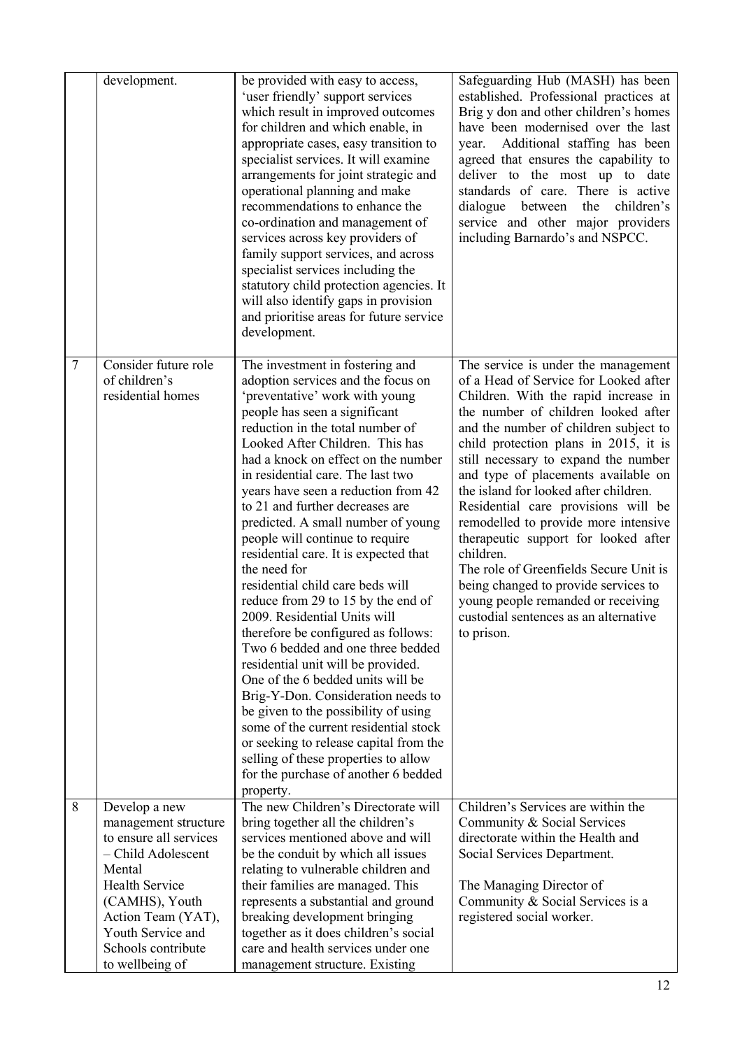|        | development.                                                                                                                                                                                                                   | be provided with easy to access,<br>'user friendly' support services<br>which result in improved outcomes<br>for children and which enable, in<br>appropriate cases, easy transition to<br>specialist services. It will examine<br>arrangements for joint strategic and<br>operational planning and make<br>recommendations to enhance the<br>co-ordination and management of<br>services across key providers of<br>family support services, and across<br>specialist services including the<br>statutory child protection agencies. It<br>will also identify gaps in provision<br>and prioritise areas for future service<br>development.                                                                                                                                                                                                                                                                                                                                                                                            | Safeguarding Hub (MASH) has been<br>established. Professional practices at<br>Brig y don and other children's homes<br>have been modernised over the last<br>Additional staffing has been<br>year.<br>agreed that ensures the capability to<br>deliver to the most up to date<br>standards of care. There is active<br>dialogue<br>between<br>the<br>children's<br>service and other major providers<br>including Barnardo's and NSPCC.                                                                                                                                                                                                                                                  |
|--------|--------------------------------------------------------------------------------------------------------------------------------------------------------------------------------------------------------------------------------|----------------------------------------------------------------------------------------------------------------------------------------------------------------------------------------------------------------------------------------------------------------------------------------------------------------------------------------------------------------------------------------------------------------------------------------------------------------------------------------------------------------------------------------------------------------------------------------------------------------------------------------------------------------------------------------------------------------------------------------------------------------------------------------------------------------------------------------------------------------------------------------------------------------------------------------------------------------------------------------------------------------------------------------|------------------------------------------------------------------------------------------------------------------------------------------------------------------------------------------------------------------------------------------------------------------------------------------------------------------------------------------------------------------------------------------------------------------------------------------------------------------------------------------------------------------------------------------------------------------------------------------------------------------------------------------------------------------------------------------|
| $\tau$ | Consider future role<br>of children's<br>residential homes                                                                                                                                                                     | The investment in fostering and<br>adoption services and the focus on<br>'preventative' work with young<br>people has seen a significant<br>reduction in the total number of<br>Looked After Children. This has<br>had a knock on effect on the number<br>in residential care. The last two<br>years have seen a reduction from 42<br>to 21 and further decreases are<br>predicted. A small number of young<br>people will continue to require<br>residential care. It is expected that<br>the need for<br>residential child care beds will<br>reduce from 29 to 15 by the end of<br>2009. Residential Units will<br>therefore be configured as follows:<br>Two 6 bedded and one three bedded<br>residential unit will be provided.<br>One of the 6 bedded units will be<br>Brig-Y-Don. Consideration needs to<br>be given to the possibility of using<br>some of the current residential stock<br>or seeking to release capital from the<br>selling of these properties to allow<br>for the purchase of another 6 bedded<br>property. | The service is under the management<br>of a Head of Service for Looked after<br>Children. With the rapid increase in<br>the number of children looked after<br>and the number of children subject to<br>child protection plans in 2015, it is<br>still necessary to expand the number<br>and type of placements available on<br>the island for looked after children.<br>Residential care provisions will be<br>remodelled to provide more intensive<br>therapeutic support for looked after<br>children.<br>The role of Greenfields Secure Unit is<br>being changed to provide services to<br>young people remanded or receiving<br>custodial sentences as an alternative<br>to prison. |
| 8      | Develop a new<br>management structure<br>to ensure all services<br>- Child Adolescent<br>Mental<br><b>Health Service</b><br>(CAMHS), Youth<br>Action Team (YAT),<br>Youth Service and<br>Schools contribute<br>to wellbeing of | The new Children's Directorate will<br>bring together all the children's<br>services mentioned above and will<br>be the conduit by which all issues<br>relating to vulnerable children and<br>their families are managed. This<br>represents a substantial and ground<br>breaking development bringing<br>together as it does children's social<br>care and health services under one<br>management structure. Existing                                                                                                                                                                                                                                                                                                                                                                                                                                                                                                                                                                                                                | Children's Services are within the<br>Community & Social Services<br>directorate within the Health and<br>Social Services Department.<br>The Managing Director of<br>Community & Social Services is a<br>registered social worker.                                                                                                                                                                                                                                                                                                                                                                                                                                                       |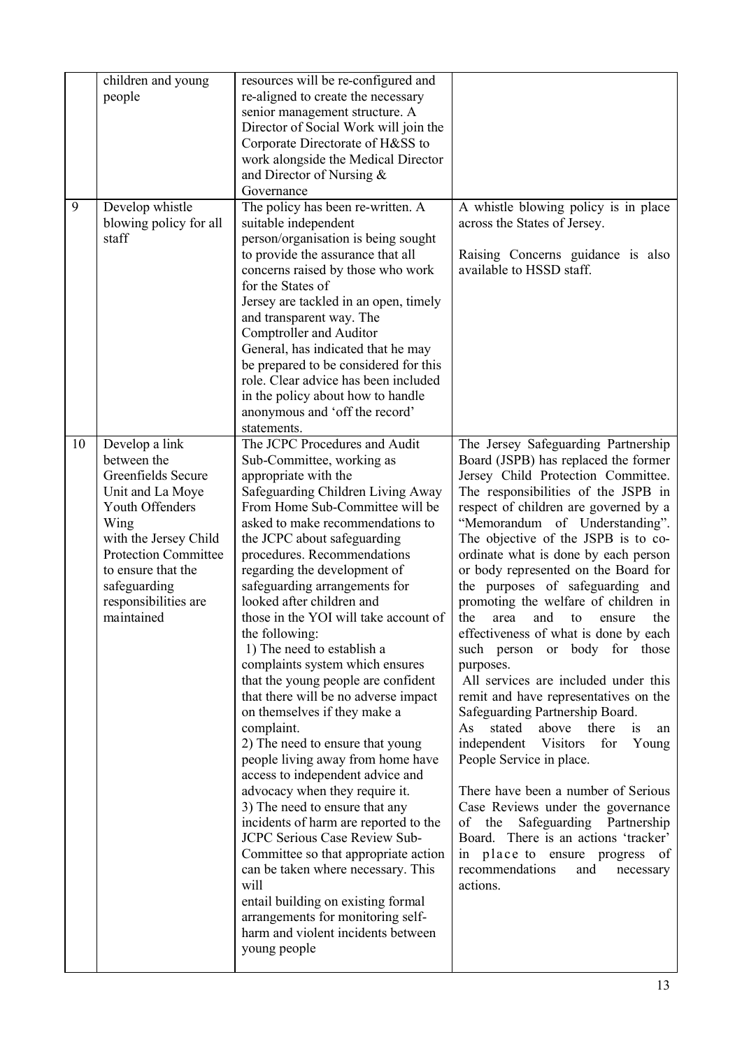|    | children and young<br>people                                                                                                                                                                                                           | resources will be re-configured and<br>re-aligned to create the necessary<br>senior management structure. A<br>Director of Social Work will join the<br>Corporate Directorate of H&SS to<br>work alongside the Medical Director<br>and Director of Nursing &<br>Governance                                                                                                                                                                                                                                                                                                                                                                                                                                                                                                                                                                                                                                                                                                                                                                                                                            |                                                                                                                                                                                                                                                                                                                                                                                                                                                                                                                                                                                                                                                                                                                                                                                                                                                                                                                                                                                                                                                              |
|----|----------------------------------------------------------------------------------------------------------------------------------------------------------------------------------------------------------------------------------------|-------------------------------------------------------------------------------------------------------------------------------------------------------------------------------------------------------------------------------------------------------------------------------------------------------------------------------------------------------------------------------------------------------------------------------------------------------------------------------------------------------------------------------------------------------------------------------------------------------------------------------------------------------------------------------------------------------------------------------------------------------------------------------------------------------------------------------------------------------------------------------------------------------------------------------------------------------------------------------------------------------------------------------------------------------------------------------------------------------|--------------------------------------------------------------------------------------------------------------------------------------------------------------------------------------------------------------------------------------------------------------------------------------------------------------------------------------------------------------------------------------------------------------------------------------------------------------------------------------------------------------------------------------------------------------------------------------------------------------------------------------------------------------------------------------------------------------------------------------------------------------------------------------------------------------------------------------------------------------------------------------------------------------------------------------------------------------------------------------------------------------------------------------------------------------|
| 9  | Develop whistle<br>blowing policy for all<br>staff                                                                                                                                                                                     | The policy has been re-written. A<br>suitable independent<br>person/organisation is being sought<br>to provide the assurance that all<br>concerns raised by those who work<br>for the States of<br>Jersey are tackled in an open, timely<br>and transparent way. The<br>Comptroller and Auditor<br>General, has indicated that he may<br>be prepared to be considered for this<br>role. Clear advice has been included<br>in the policy about how to handle<br>anonymous and 'off the record'<br>statements.                                                                                                                                                                                                                                                                                                                                                                                                                                                                                                                                                                                          | A whistle blowing policy is in place<br>across the States of Jersey.<br>Raising Concerns guidance is also<br>available to HSSD staff.                                                                                                                                                                                                                                                                                                                                                                                                                                                                                                                                                                                                                                                                                                                                                                                                                                                                                                                        |
| 10 | Develop a link<br>between the<br>Greenfields Secure<br>Unit and La Moye<br>Youth Offenders<br>Wing<br>with the Jersey Child<br><b>Protection Committee</b><br>to ensure that the<br>safeguarding<br>responsibilities are<br>maintained | The JCPC Procedures and Audit<br>Sub-Committee, working as<br>appropriate with the<br>Safeguarding Children Living Away<br>From Home Sub-Committee will be<br>asked to make recommendations to<br>the JCPC about safeguarding<br>procedures. Recommendations<br>regarding the development of<br>safeguarding arrangements for<br>looked after children and<br>those in the YOI will take account of<br>the following:<br>1) The need to establish a<br>complaints system which ensures<br>that the young people are confident<br>that there will be no adverse impact<br>on themselves if they make a<br>complaint.<br>2) The need to ensure that young<br>people living away from home have<br>access to independent advice and<br>advocacy when they require it.<br>3) The need to ensure that any<br>incidents of harm are reported to the<br>JCPC Serious Case Review Sub-<br>Committee so that appropriate action<br>can be taken where necessary. This<br>will<br>entail building on existing formal<br>arrangements for monitoring self-<br>harm and violent incidents between<br>young people | The Jersey Safeguarding Partnership<br>Board (JSPB) has replaced the former<br>Jersey Child Protection Committee.<br>The responsibilities of the JSPB in<br>respect of children are governed by a<br>"Memorandum of Understanding".<br>The objective of the JSPB is to co-<br>ordinate what is done by each person<br>or body represented on the Board for<br>the purposes of safeguarding and<br>promoting the welfare of children in<br>the<br>area<br>and<br>to<br>the<br>ensure<br>effectiveness of what is done by each<br>such person or body for those<br>purposes.<br>All services are included under this<br>remit and have representatives on the<br>Safeguarding Partnership Board.<br>As<br>stated<br>above<br>there<br>is<br>an<br>independent Visitors<br>for<br>Young<br>People Service in place.<br>There have been a number of Serious<br>Case Reviews under the governance<br>of the Safeguarding Partnership<br>Board. There is an actions 'tracker'<br>in place to ensure progress of<br>recommendations<br>and<br>necessary<br>actions. |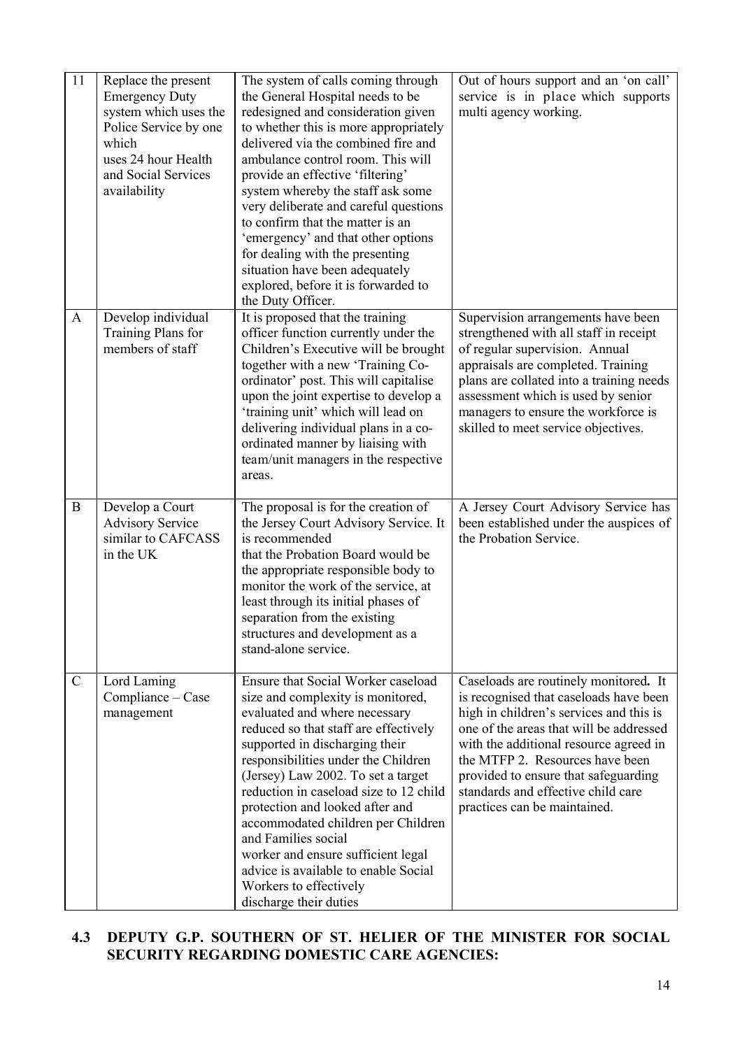| 11            | Replace the present<br><b>Emergency Duty</b><br>system which uses the<br>Police Service by one<br>which<br>uses 24 hour Health<br>and Social Services<br>availability | The system of calls coming through<br>the General Hospital needs to be<br>redesigned and consideration given<br>to whether this is more appropriately<br>delivered via the combined fire and<br>ambulance control room. This will<br>provide an effective 'filtering'<br>system whereby the staff ask some<br>very deliberate and careful questions<br>to confirm that the matter is an<br>'emergency' and that other options<br>for dealing with the presenting<br>situation have been adequately<br>explored, before it is forwarded to<br>the Duty Officer. | Out of hours support and an 'on call'<br>service is in place which supports<br>multi agency working.                                                                                                                                                                                                                                                             |
|---------------|-----------------------------------------------------------------------------------------------------------------------------------------------------------------------|----------------------------------------------------------------------------------------------------------------------------------------------------------------------------------------------------------------------------------------------------------------------------------------------------------------------------------------------------------------------------------------------------------------------------------------------------------------------------------------------------------------------------------------------------------------|------------------------------------------------------------------------------------------------------------------------------------------------------------------------------------------------------------------------------------------------------------------------------------------------------------------------------------------------------------------|
| $\mathbf{A}$  | Develop individual<br>Training Plans for<br>members of staff                                                                                                          | It is proposed that the training<br>officer function currently under the<br>Children's Executive will be brought<br>together with a new 'Training Co-<br>ordinator' post. This will capitalise<br>upon the joint expertise to develop a<br>'training unit' which will lead on<br>delivering individual plans in a co-<br>ordinated manner by liaising with<br>team/unit managers in the respective<br>areas.                                                                                                                                                   | Supervision arrangements have been<br>strengthened with all staff in receipt<br>of regular supervision. Annual<br>appraisals are completed. Training<br>plans are collated into a training needs<br>assessment which is used by senior<br>managers to ensure the workforce is<br>skilled to meet service objectives.                                             |
| $\bf{B}$      | Develop a Court<br><b>Advisory Service</b><br>similar to CAFCASS<br>in the UK                                                                                         | The proposal is for the creation of<br>the Jersey Court Advisory Service. It<br>is recommended<br>that the Probation Board would be<br>the appropriate responsible body to<br>monitor the work of the service, at<br>least through its initial phases of<br>separation from the existing<br>structures and development as a<br>stand-alone service.                                                                                                                                                                                                            | A Jersey Court Advisory Service has<br>been established under the auspices of<br>the Probation Service.                                                                                                                                                                                                                                                          |
| $\mathcal{C}$ | Lord Laming<br>Compliance - Case<br>management                                                                                                                        | <b>Ensure that Social Worker caseload</b><br>size and complexity is monitored,<br>evaluated and where necessary<br>reduced so that staff are effectively<br>supported in discharging their<br>responsibilities under the Children<br>(Jersey) Law 2002. To set a target<br>reduction in caseload size to 12 child<br>protection and looked after and<br>accommodated children per Children<br>and Families social<br>worker and ensure sufficient legal<br>advice is available to enable Social<br>Workers to effectively<br>discharge their duties            | Caseloads are routinely monitored. It<br>is recognised that caseloads have been<br>high in children's services and this is<br>one of the areas that will be addressed<br>with the additional resource agreed in<br>the MTFP 2. Resources have been<br>provided to ensure that safeguarding<br>standards and effective child care<br>practices can be maintained. |

# **4.3 DEPUTY G.P. SOUTHERN OF ST. HELIER OF THE MINISTER FOR SOCIAL SECURITY REGARDING DOMESTIC CARE AGENCIES:**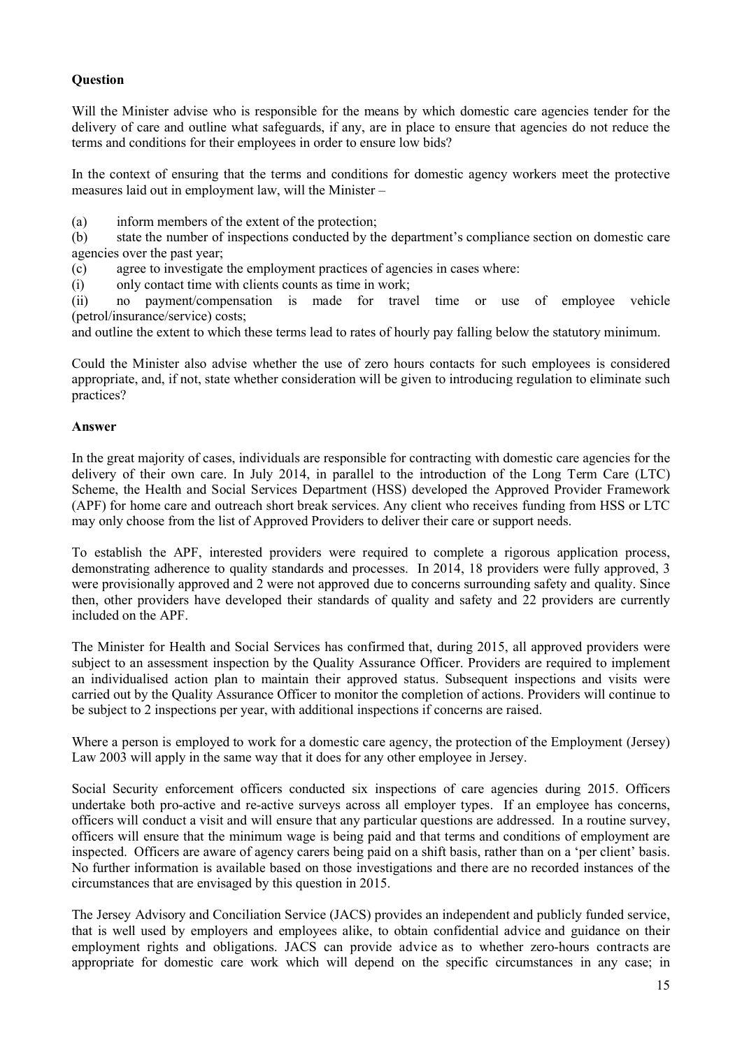### **Question**

Will the Minister advise who is responsible for the means by which domestic care agencies tender for the delivery of care and outline what safeguards, if any, are in place to ensure that agencies do not reduce the terms and conditions for their employees in order to ensure low bids?

In the context of ensuring that the terms and conditions for domestic agency workers meet the protective measures laid out in employment law, will the Minister –

(a) inform members of the extent of the protection;

(b) state the number of inspections conducted by the department's compliance section on domestic care agencies over the past year;

(c) agree to investigate the employment practices of agencies in cases where:

(i) only contact time with clients counts as time in work;

(ii) no payment/compensation is made for travel time or use of employee vehicle (petrol/insurance/service) costs;

and outline the extent to which these terms lead to rates of hourly pay falling below the statutory minimum.

Could the Minister also advise whether the use of zero hours contacts for such employees is considered appropriate, and, if not, state whether consideration will be given to introducing regulation to eliminate such practices?

#### **Answer**

In the great majority of cases, individuals are responsible for contracting with domestic care agencies for the delivery of their own care. In July 2014, in parallel to the introduction of the Long Term Care (LTC) Scheme, the Health and Social Services Department (HSS) developed the Approved Provider Framework (APF) for home care and outreach short break services. Any client who receives funding from HSS or LTC may only choose from the list of Approved Providers to deliver their care or support needs.

To establish the APF, interested providers were required to complete a rigorous application process, demonstrating adherence to quality standards and processes. In 2014, 18 providers were fully approved, 3 were provisionally approved and 2 were not approved due to concerns surrounding safety and quality. Since then, other providers have developed their standards of quality and safety and 22 providers are currently included on the APF.

The Minister for Health and Social Services has confirmed that, during 2015, all approved providers were subject to an assessment inspection by the Quality Assurance Officer. Providers are required to implement an individualised action plan to maintain their approved status. Subsequent inspections and visits were carried out by the Quality Assurance Officer to monitor the completion of actions. Providers will continue to be subject to 2 inspections per year, with additional inspections if concerns are raised.

Where a person is employed to work for a domestic care agency, the protection of the Employment (Jersey) Law 2003 will apply in the same way that it does for any other employee in Jersey.

Social Security enforcement officers conducted six inspections of care agencies during 2015. Officers undertake both pro-active and re-active surveys across all employer types. If an employee has concerns, officers will conduct a visit and will ensure that any particular questions are addressed. In a routine survey, officers will ensure that the minimum wage is being paid and that terms and conditions of employment are inspected. Officers are aware of agency carers being paid on a shift basis, rather than on a 'per client' basis. No further information is available based on those investigations and there are no recorded instances of the circumstances that are envisaged by this question in 2015.

The Jersey Advisory and Conciliation Service (JACS) provides an independent and publicly funded service, that is well used by employers and employees alike, to obtain confidential advice and guidance on their employment rights and obligations. JACS can provide advice as to whether zero-hours contracts are appropriate for domestic care work which will depend on the specific circumstances in any case; in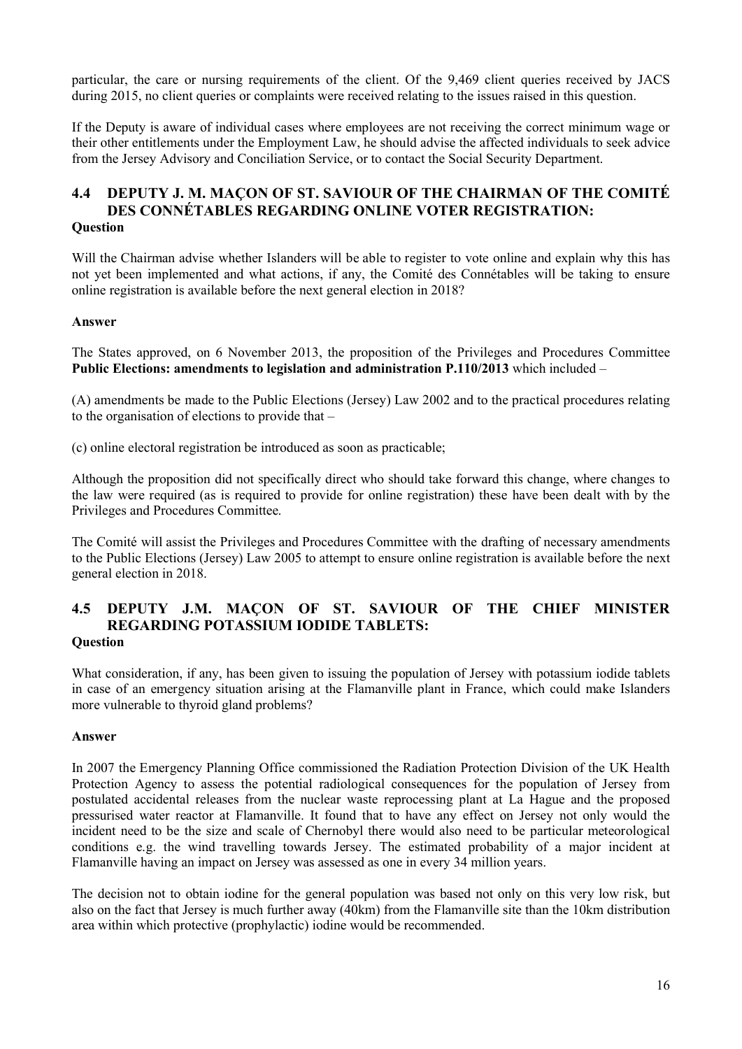particular, the care or nursing requirements of the client. Of the 9,469 client queries received by JACS during 2015, no client queries or complaints were received relating to the issues raised in this question.

If the Deputy is aware of individual cases where employees are not receiving the correct minimum wage or their other entitlements under the Employment Law, he should advise the affected individuals to seek advice from the Jersey Advisory and Conciliation Service, or to contact the Social Security Department.

#### **4.4 DEPUTY J. M. MAÇON OF ST. SAVIOUR OF THE CHAIRMAN OF THE COMITÉ DES CONNÉTABLES REGARDING ONLINE VOTER REGISTRATION: Question**

Will the Chairman advise whether Islanders will be able to register to vote online and explain why this has not yet been implemented and what actions, if any, the Comité des Connétables will be taking to ensure online registration is available before the next general election in 2018?

#### **Answer**

The States approved, on 6 November 2013, the proposition of the Privileges and Procedures Committee **Public Elections: amendments to legislation and administration P.110/2013** which included –

(A) amendments be made to the Public Elections (Jersey) Law 2002 and to the practical procedures relating to the organisation of elections to provide that –

(c) online electoral registration be introduced as soon as practicable;

Although the proposition did not specifically direct who should take forward this change, where changes to the law were required (as is required to provide for online registration) these have been dealt with by the Privileges and Procedures Committee.

The Comité will assist the Privileges and Procedures Committee with the drafting of necessary amendments to the Public Elections (Jersey) Law 2005 to attempt to ensure online registration is available before the next general election in 2018.

#### **4.5 DEPUTY J.M. MAÇON OF ST. SAVIOUR OF THE CHIEF MINISTER REGARDING POTASSIUM IODIDE TABLETS: Question**

What consideration, if any, has been given to issuing the population of Jersey with potassium iodide tablets in case of an emergency situation arising at the Flamanville plant in France, which could make Islanders more vulnerable to thyroid gland problems?

#### **Answer**

In 2007 the Emergency Planning Office commissioned the Radiation Protection Division of the UK Health Protection Agency to assess the potential radiological consequences for the population of Jersey from postulated accidental releases from the nuclear waste reprocessing plant at La Hague and the proposed pressurised water reactor at Flamanville. It found that to have any effect on Jersey not only would the incident need to be the size and scale of Chernobyl there would also need to be particular meteorological conditions e.g. the wind travelling towards Jersey. The estimated probability of a major incident at Flamanville having an impact on Jersey was assessed as one in every 34 million years.

The decision not to obtain iodine for the general population was based not only on this very low risk, but also on the fact that Jersey is much further away (40km) from the Flamanville site than the 10km distribution area within which protective (prophylactic) iodine would be recommended.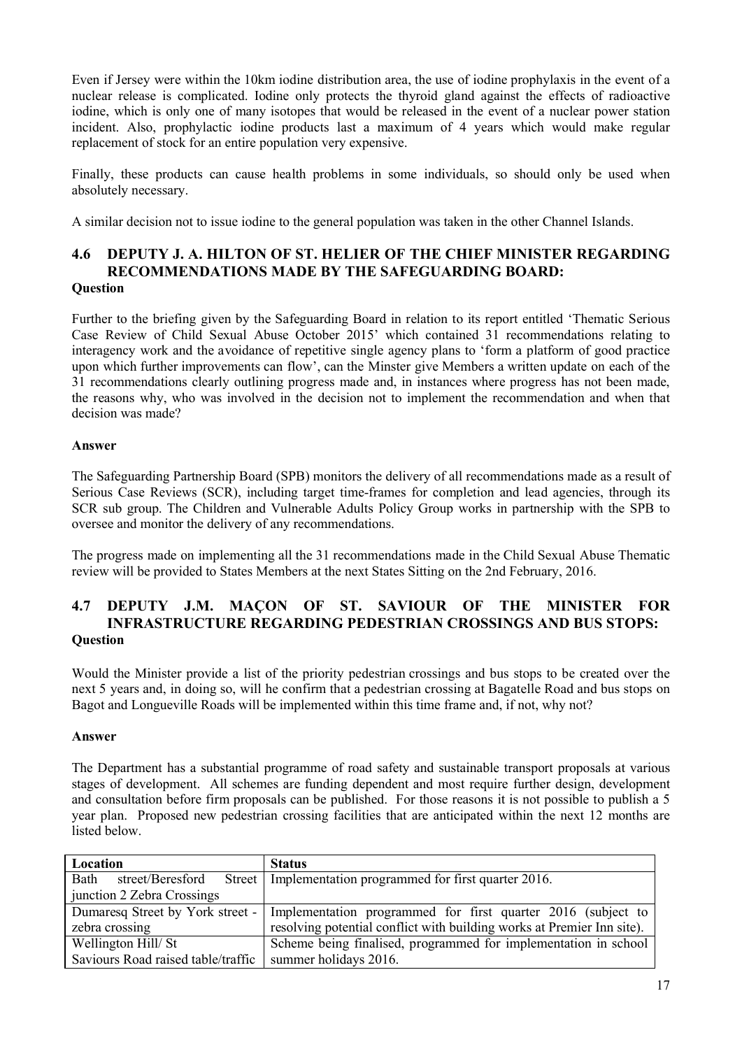Even if Jersey were within the 10km iodine distribution area, the use of iodine prophylaxis in the event of a nuclear release is complicated. Iodine only protects the thyroid gland against the effects of radioactive iodine, which is only one of many isotopes that would be released in the event of a nuclear power station incident. Also, prophylactic iodine products last a maximum of 4 years which would make regular replacement of stock for an entire population very expensive.

Finally, these products can cause health problems in some individuals, so should only be used when absolutely necessary.

A similar decision not to issue iodine to the general population was taken in the other Channel Islands.

### **4.6 DEPUTY J. A. HILTON OF ST. HELIER OF THE CHIEF MINISTER REGARDING RECOMMENDATIONS MADE BY THE SAFEGUARDING BOARD: Question**

Further to the briefing given by the Safeguarding Board in relation to its report entitled 'Thematic Serious Case Review of Child Sexual Abuse October 2015' which contained 31 recommendations relating to interagency work and the avoidance of repetitive single agency plans to 'form a platform of good practice upon which further improvements can flow', can the Minster give Members a written update on each of the 31 recommendations clearly outlining progress made and, in instances where progress has not been made, the reasons why, who was involved in the decision not to implement the recommendation and when that decision was made?

### **Answer**

The Safeguarding Partnership Board (SPB) monitors the delivery of all recommendations made as a result of Serious Case Reviews (SCR), including target time-frames for completion and lead agencies, through its SCR sub group. The Children and Vulnerable Adults Policy Group works in partnership with the SPB to oversee and monitor the delivery of any recommendations.

The progress made on implementing all the 31 recommendations made in the Child Sexual Abuse Thematic review will be provided to States Members at the next States Sitting on the 2nd February, 2016.

# **4.7 DEPUTY J.M. MAÇON OF ST. SAVIOUR OF THE MINISTER FOR INFRASTRUCTURE REGARDING PEDESTRIAN CROSSINGS AND BUS STOPS: Question**

Would the Minister provide a list of the priority pedestrian crossings and bus stops to be created over the next 5 years and, in doing so, will he confirm that a pedestrian crossing at Bagatelle Road and bus stops on Bagot and Longueville Roads will be implemented within this time frame and, if not, why not?

### **Answer**

The Department has a substantial programme of road safety and sustainable transport proposals at various stages of development. All schemes are funding dependent and most require further design, development and consultation before firm proposals can be published. For those reasons it is not possible to publish a 5 year plan. Proposed new pedestrian crossing facilities that are anticipated within the next 12 months are listed below.

| Location                           | <b>Status</b>                                                                                   |
|------------------------------------|-------------------------------------------------------------------------------------------------|
| Bath                               | street/Beresford Street   Implementation programmed for first quarter 2016.                     |
| junction 2 Zebra Crossings         |                                                                                                 |
|                                    | Dumaresq Street by York street -   Implementation programmed for first quarter 2016 (subject to |
| zebra crossing                     | resolving potential conflict with building works at Premier Inn site).                          |
| Wellington Hill/St                 | Scheme being finalised, programmed for implementation in school                                 |
| Saviours Road raised table/traffic | summer holidays 2016.                                                                           |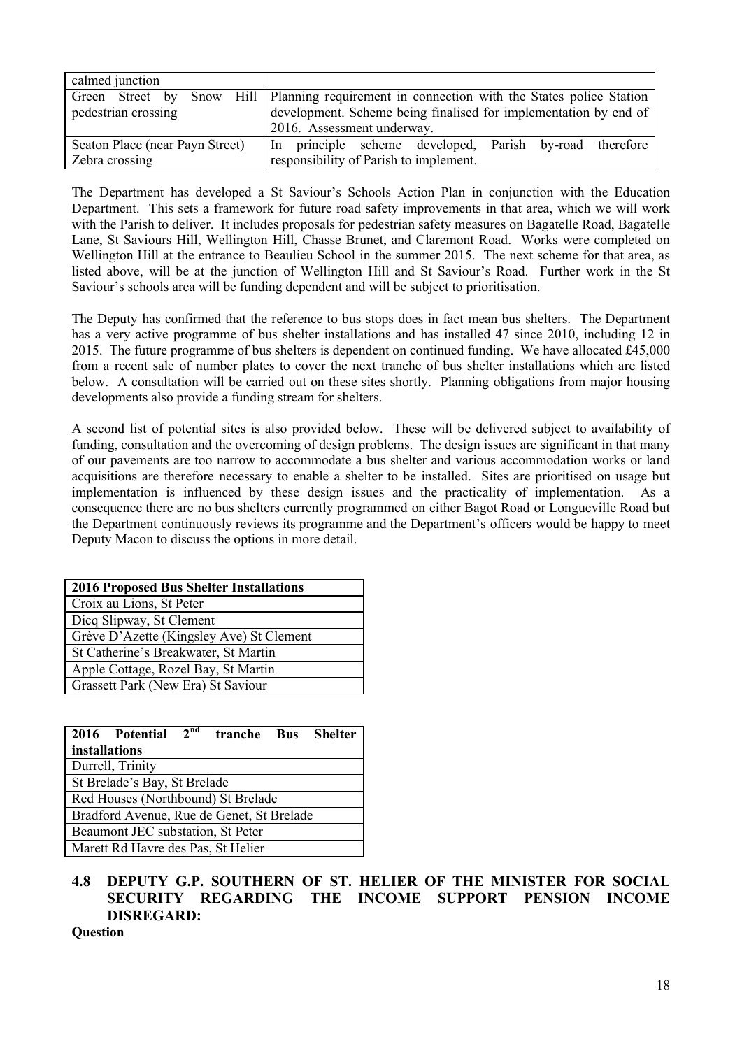| calmed junction                 |                                                                                             |  |  |  |
|---------------------------------|---------------------------------------------------------------------------------------------|--|--|--|
|                                 | Green Street by Snow Hill Planning requirement in connection with the States police Station |  |  |  |
| pedestrian crossing             | development. Scheme being finalised for implementation by end of                            |  |  |  |
|                                 | 2016. Assessment underway.                                                                  |  |  |  |
| Seaton Place (near Payn Street) | In principle scheme developed, Parish by-road therefore                                     |  |  |  |
| Zebra crossing                  | responsibility of Parish to implement.                                                      |  |  |  |

The Department has developed a St Saviour's Schools Action Plan in conjunction with the Education Department. This sets a framework for future road safety improvements in that area, which we will work with the Parish to deliver. It includes proposals for pedestrian safety measures on Bagatelle Road, Bagatelle Lane, St Saviours Hill, Wellington Hill, Chasse Brunet, and Claremont Road. Works were completed on Wellington Hill at the entrance to Beaulieu School in the summer 2015. The next scheme for that area, as listed above, will be at the junction of Wellington Hill and St Saviour's Road. Further work in the St Saviour's schools area will be funding dependent and will be subject to prioritisation.

The Deputy has confirmed that the reference to bus stops does in fact mean bus shelters. The Department has a very active programme of bus shelter installations and has installed 47 since 2010, including 12 in 2015. The future programme of bus shelters is dependent on continued funding. We have allocated £45,000 from a recent sale of number plates to cover the next tranche of bus shelter installations which are listed below. A consultation will be carried out on these sites shortly. Planning obligations from major housing developments also provide a funding stream for shelters.

A second list of potential sites is also provided below. These will be delivered subject to availability of funding, consultation and the overcoming of design problems. The design issues are significant in that many of our pavements are too narrow to accommodate a bus shelter and various accommodation works or land acquisitions are therefore necessary to enable a shelter to be installed. Sites are prioritised on usage but implementation is influenced by these design issues and the practicality of implementation. As a consequence there are no bus shelters currently programmed on either Bagot Road or Longueville Road but the Department continuously reviews its programme and the Department's officers would be happy to meet Deputy Macon to discuss the options in more detail.

| <b>2016 Proposed Bus Shelter Installations</b> |
|------------------------------------------------|
| Croix au Lions, St Peter                       |
| Dicq Slipway, St Clement                       |
| Grève D'Azette (Kingsley Ave) St Clement       |
| St Catherine's Breakwater, St Martin           |
| Apple Cottage, Rozel Bay, St Martin            |
| Grassett Park (New Era) St Saviour             |

|                                    | 2016 Potential                            | 2 <sup>nd</sup> | tranche Bus |  | <b>Shelter</b> |
|------------------------------------|-------------------------------------------|-----------------|-------------|--|----------------|
| installations                      |                                           |                 |             |  |                |
|                                    | Durrell, Trinity                          |                 |             |  |                |
|                                    | St Brelade's Bay, St Brelade              |                 |             |  |                |
| Red Houses (Northbound) St Brelade |                                           |                 |             |  |                |
|                                    | Bradford Avenue, Rue de Genet, St Brelade |                 |             |  |                |
|                                    | Beaumont JEC substation, St Peter         |                 |             |  |                |
|                                    | Marett Rd Havre des Pas, St Helier        |                 |             |  |                |

# **4.8 DEPUTY G.P. SOUTHERN OF ST. HELIER OF THE MINISTER FOR SOCIAL SECURITY REGARDING THE INCOME SUPPORT PENSION INCOME DISREGARD:**

**Question**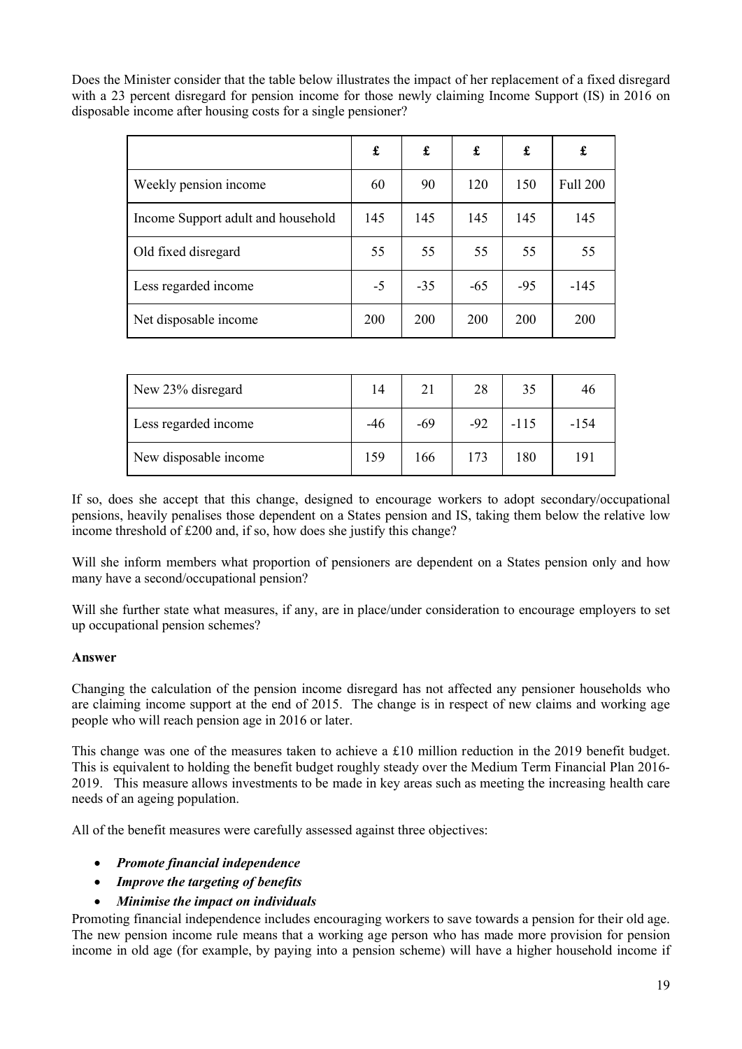Does the Minister consider that the table below illustrates the impact of her replacement of a fixed disregard with a 23 percent disregard for pension income for those newly claiming Income Support (IS) in 2016 on disposable income after housing costs for a single pensioner?

|                                    | £    | £     | £     | £          | £               |
|------------------------------------|------|-------|-------|------------|-----------------|
| Weekly pension income              | 60   | 90    | 120   | 150        | <b>Full 200</b> |
| Income Support adult and household | 145  | 145   | 145   | 145        | 145             |
| Old fixed disregard                | 55   | 55    | 55    | 55         | 55              |
| Less regarded income               | $-5$ | $-35$ | $-65$ | $-95$      | $-145$          |
| Net disposable income              | 200  | 200   | 200   | <b>200</b> | 200             |

| New 23% disregard     | 14    | 21    | 28    | 35     | 46     |
|-----------------------|-------|-------|-------|--------|--------|
| Less regarded income  | $-46$ | $-69$ | $-92$ | $-115$ | $-154$ |
| New disposable income | 159   | 166   | 173   | 180    | 191    |

If so, does she accept that this change, designed to encourage workers to adopt secondary/occupational pensions, heavily penalises those dependent on a States pension and IS, taking them below the relative low income threshold of £200 and, if so, how does she justify this change?

Will she inform members what proportion of pensioners are dependent on a States pension only and how many have a second/occupational pension?

Will she further state what measures, if any, are in place/under consideration to encourage employers to set up occupational pension schemes?

### **Answer**

Changing the calculation of the pension income disregard has not affected any pensioner households who are claiming income support at the end of 2015. The change is in respect of new claims and working age people who will reach pension age in 2016 or later.

This change was one of the measures taken to achieve a £10 million reduction in the 2019 benefit budget. This is equivalent to holding the benefit budget roughly steady over the Medium Term Financial Plan 2016- 2019. This measure allows investments to be made in key areas such as meeting the increasing health care needs of an ageing population.

All of the benefit measures were carefully assessed against three objectives:

### *Promote financial independence*

- *Improve the targeting of benefits*
- *Minimise the impact on individuals*

Promoting financial independence includes encouraging workers to save towards a pension for their old age. The new pension income rule means that a working age person who has made more provision for pension income in old age (for example, by paying into a pension scheme) will have a higher household income if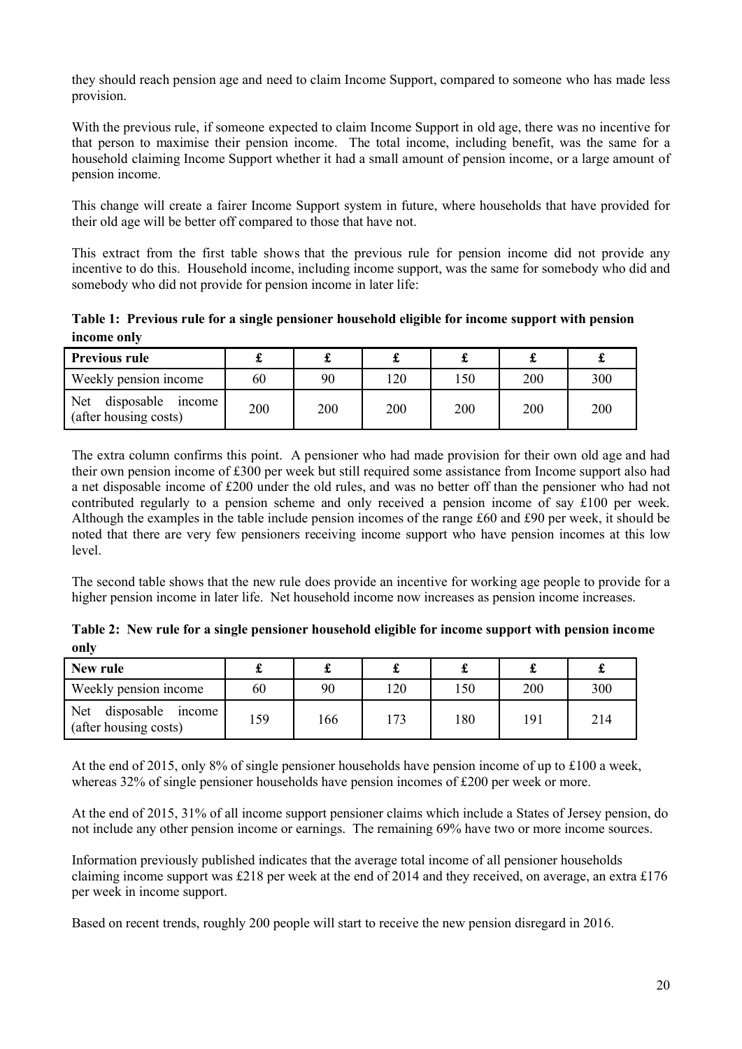they should reach pension age and need to claim Income Support, compared to someone who has made less provision.

With the previous rule, if someone expected to claim Income Support in old age, there was no incentive for that person to maximise their pension income. The total income, including benefit, was the same for a household claiming Income Support whether it had a small amount of pension income, or a large amount of pension income.

This change will create a fairer Income Support system in future, where households that have provided for their old age will be better off compared to those that have not.

This extract from the first table shows that the previous rule for pension income did not provide any incentive to do this. Household income, including income support, was the same for somebody who did and somebody who did not provide for pension income in later life:

**Table 1: Previous rule for a single pensioner household eligible for income support with pension income only**

| <b>Previous rule</b>                           |     | d.  |     |     |     |     |
|------------------------------------------------|-----|-----|-----|-----|-----|-----|
| Weekly pension income                          | 60  | 90  | 120 | 150 | 200 | 300 |
| Net disposable income<br>(after housing costs) | 200 | 200 | 200 | 200 | 200 | 200 |

The extra column confirms this point. A pensioner who had made provision for their own old age and had their own pension income of £300 per week but still required some assistance from Income support also had a net disposable income of £200 under the old rules, and was no better off than the pensioner who had not contributed regularly to a pension scheme and only received a pension income of say £100 per week. Although the examples in the table include pension incomes of the range £60 and £90 per week, it should be noted that there are very few pensioners receiving income support who have pension incomes at this low level.

The second table shows that the new rule does provide an incentive for working age people to provide for a higher pension income in later life. Net household income now increases as pension income increases.

**Table 2: New rule for a single pensioner household eligible for income support with pension income only**

| New rule                                             |     |     |               |     |     |     |
|------------------------------------------------------|-----|-----|---------------|-----|-----|-----|
| Weekly pension income                                | 60  | 90  | 120           | 150 | 200 | 300 |
| disposable<br>Net<br>income<br>(after housing costs) | 159 | 166 | $\mathcal{L}$ | 180 | 191 | 214 |

At the end of 2015, only 8% of single pensioner households have pension income of up to £100 a week, whereas 32% of single pensioner households have pension incomes of £200 per week or more.

At the end of 2015, 31% of all income support pensioner claims which include a States of Jersey pension, do not include any other pension income or earnings. The remaining 69% have two or more income sources.

Information previously published indicates that the average total income of all pensioner households claiming income support was £218 per week at the end of 2014 and they received, on average, an extra £176 per week in income support.

Based on recent trends, roughly 200 people will start to receive the new pension disregard in 2016.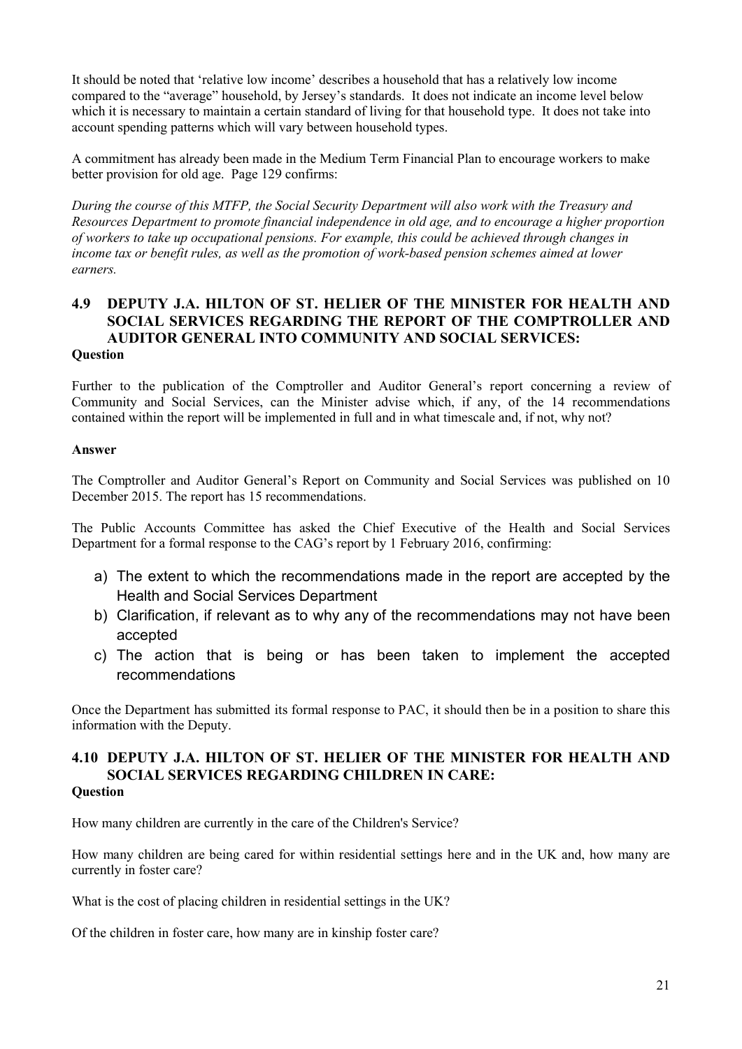It should be noted that 'relative low income' describes a household that has a relatively low income compared to the "average" household, by Jersey's standards. It does not indicate an income level below which it is necessary to maintain a certain standard of living for that household type. It does not take into account spending patterns which will vary between household types.

A commitment has already been made in the Medium Term Financial Plan to encourage workers to make better provision for old age. Page 129 confirms:

*During the course of this MTFP, the Social Security Department will also work with the Treasury and Resources Department to promote financial independence in old age, and to encourage a higher proportion of workers to take up occupational pensions. For example, this could be achieved through changes in income tax or benefit rules, as well as the promotion of work-based pension schemes aimed at lower earners.*

### **4.9 DEPUTY J.A. HILTON OF ST. HELIER OF THE MINISTER FOR HEALTH AND SOCIAL SERVICES REGARDING THE REPORT OF THE COMPTROLLER AND AUDITOR GENERAL INTO COMMUNITY AND SOCIAL SERVICES: Question**

Further to the publication of the Comptroller and Auditor General's report concerning a review of Community and Social Services, can the Minister advise which, if any, of the 14 recommendations contained within the report will be implemented in full and in what timescale and, if not, why not?

#### **Answer**

The Comptroller and Auditor General's Report on Community and Social Services was published on 10 December 2015. The report has 15 recommendations.

The Public Accounts Committee has asked the Chief Executive of the Health and Social Services Department for a formal response to the CAG's report by 1 February 2016, confirming:

- a) The extent to which the recommendations made in the report are accepted by the Health and Social Services Department
- b) Clarification, if relevant as to why any of the recommendations may not have been accepted
- c) The action that is being or has been taken to implement the accepted recommendations

Once the Department has submitted its formal response to PAC, it should then be in a position to share this information with the Deputy.

#### **4.10 DEPUTY J.A. HILTON OF ST. HELIER OF THE MINISTER FOR HEALTH AND SOCIAL SERVICES REGARDING CHILDREN IN CARE: Question**

How many children are currently in the care of the Children's Service?

How many children are being cared for within residential settings here and in the UK and, how many are currently in foster care?

What is the cost of placing children in residential settings in the UK?

Of the children in foster care, how many are in kinship foster care?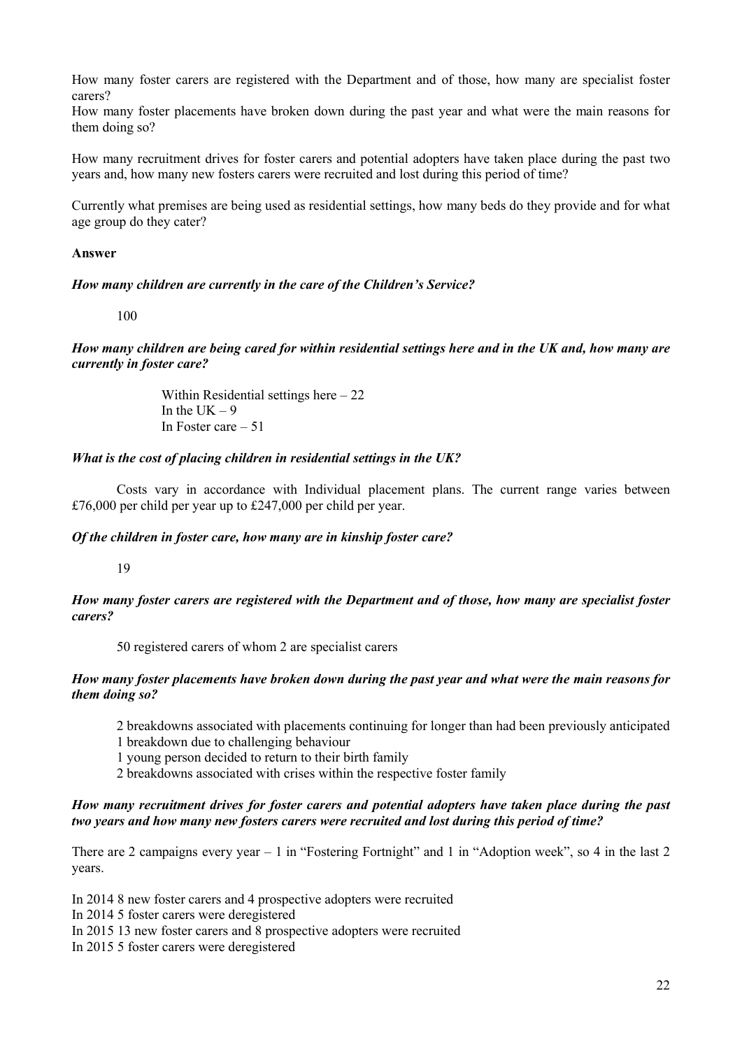How many foster carers are registered with the Department and of those, how many are specialist foster carers?

How many foster placements have broken down during the past year and what were the main reasons for them doing so?

How many recruitment drives for foster carers and potential adopters have taken place during the past two years and, how many new fosters carers were recruited and lost during this period of time?

Currently what premises are being used as residential settings, how many beds do they provide and for what age group do they cater?

#### **Answer**

#### *How many children are currently in the care of the Children's Service?*

100

*How many children are being cared for within residential settings here and in the UK and, how many are currently in foster care?* 

> Within Residential settings here – 22 In the UK  $-9$ In Foster care – 51

#### *What is the cost of placing children in residential settings in the UK?*

 Costs vary in accordance with Individual placement plans. The current range varies between £76,000 per child per year up to £247,000 per child per year.

#### *Of the children in foster care, how many are in kinship foster care?*

19

*How many foster carers are registered with the Department and of those, how many are specialist foster carers?* 

50 registered carers of whom 2 are specialist carers

#### *How many foster placements have broken down during the past year and what were the main reasons for them doing so?*

- 2 breakdowns associated with placements continuing for longer than had been previously anticipated
- 1 breakdown due to challenging behaviour
- 1 young person decided to return to their birth family
- 2 breakdowns associated with crises within the respective foster family

#### *How many recruitment drives for foster carers and potential adopters have taken place during the past two years and how many new fosters carers were recruited and lost during this period of time?*

There are 2 campaigns every year  $-1$  in "Fostering Fortnight" and 1 in "Adoption week", so 4 in the last 2 years.

In 2014 8 new foster carers and 4 prospective adopters were recruited

In 2014 5 foster carers were deregistered

In 2015 13 new foster carers and 8 prospective adopters were recruited

In 2015 5 foster carers were deregistered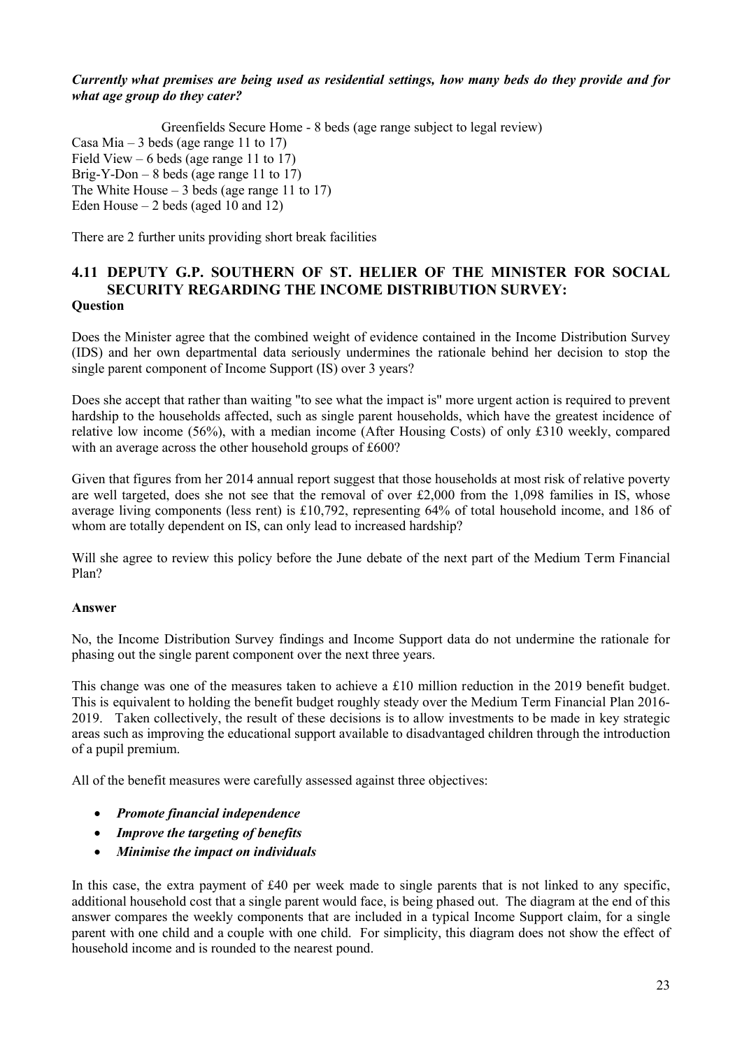#### *Currently what premises are being used as residential settings, how many beds do they provide and for what age group do they cater?*

Greenfields Secure Home - 8 beds (age range subject to legal review) Casa Mia – 3 beds (age range 11 to 17) Field View – 6 beds (age range 11 to  $17$ ) Brig-Y-Don – 8 beds (age range 11 to  $17$ ) The White House – 3 beds (age range 11 to 17) Eden House  $-2$  beds (aged 10 and 12)

There are 2 further units providing short break facilities

### **4.11 DEPUTY G.P. SOUTHERN OF ST. HELIER OF THE MINISTER FOR SOCIAL SECURITY REGARDING THE INCOME DISTRIBUTION SURVEY: Question**

Does the Minister agree that the combined weight of evidence contained in the Income Distribution Survey (IDS) and her own departmental data seriously undermines the rationale behind her decision to stop the single parent component of Income Support (IS) over 3 years?

Does she accept that rather than waiting "to see what the impact is" more urgent action is required to prevent hardship to the households affected, such as single parent households, which have the greatest incidence of relative low income (56%), with a median income (After Housing Costs) of only £310 weekly, compared with an average across the other household groups of £600?

Given that figures from her 2014 annual report suggest that those households at most risk of relative poverty are well targeted, does she not see that the removal of over  $\text{\pounds}2,000$  from the 1,098 families in IS, whose average living components (less rent) is £10,792, representing 64% of total household income, and 186 of whom are totally dependent on IS, can only lead to increased hardship?

Will she agree to review this policy before the June debate of the next part of the Medium Term Financial Plan?

#### **Answer**

No, the Income Distribution Survey findings and Income Support data do not undermine the rationale for phasing out the single parent component over the next three years.

This change was one of the measures taken to achieve a £10 million reduction in the 2019 benefit budget. This is equivalent to holding the benefit budget roughly steady over the Medium Term Financial Plan 2016- 2019. Taken collectively, the result of these decisions is to allow investments to be made in key strategic areas such as improving the educational support available to disadvantaged children through the introduction of a pupil premium.

All of the benefit measures were carefully assessed against three objectives:

- *Promote financial independence*
- *Improve the targeting of benefits*
- *Minimise the impact on individuals*

In this case, the extra payment of £40 per week made to single parents that is not linked to any specific, additional household cost that a single parent would face, is being phased out. The diagram at the end of this answer compares the weekly components that are included in a typical Income Support claim, for a single parent with one child and a couple with one child. For simplicity, this diagram does not show the effect of household income and is rounded to the nearest pound.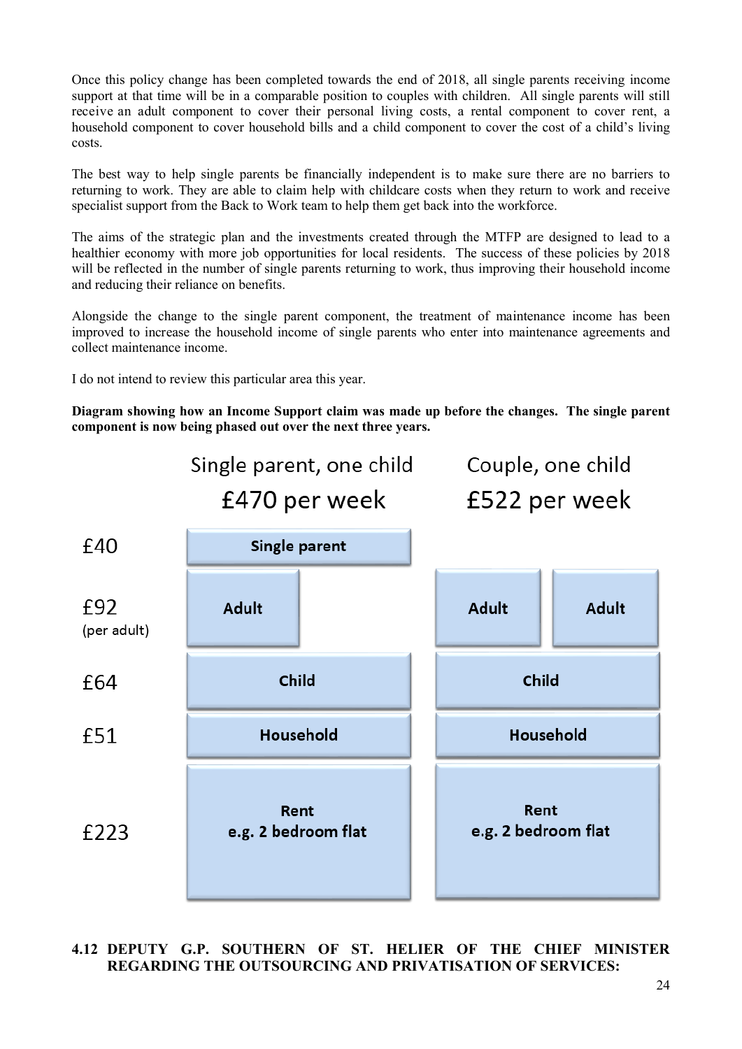Once this policy change has been completed towards the end of 2018, all single parents receiving income support at that time will be in a comparable position to couples with children. All single parents will still receive an adult component to cover their personal living costs, a rental component to cover rent, a household component to cover household bills and a child component to cover the cost of a child's living costs.

The best way to help single parents be financially independent is to make sure there are no barriers to returning to work. They are able to claim help with childcare costs when they return to work and receive specialist support from the Back to Work team to help them get back into the workforce.

The aims of the strategic plan and the investments created through the MTFP are designed to lead to a healthier economy with more job opportunities for local residents. The success of these policies by 2018 will be reflected in the number of single parents returning to work, thus improving their household income and reducing their reliance on benefits.

Alongside the change to the single parent component, the treatment of maintenance income has been improved to increase the household income of single parents who enter into maintenance agreements and collect maintenance income.

I do not intend to review this particular area this year.

**Diagram showing how an Income Support claim was made up before the changes. The single parent component is now being phased out over the next three years.**



# **4.12 DEPUTY G.P. SOUTHERN OF ST. HELIER OF THE CHIEF MINISTER REGARDING THE OUTSOURCING AND PRIVATISATION OF SERVICES:**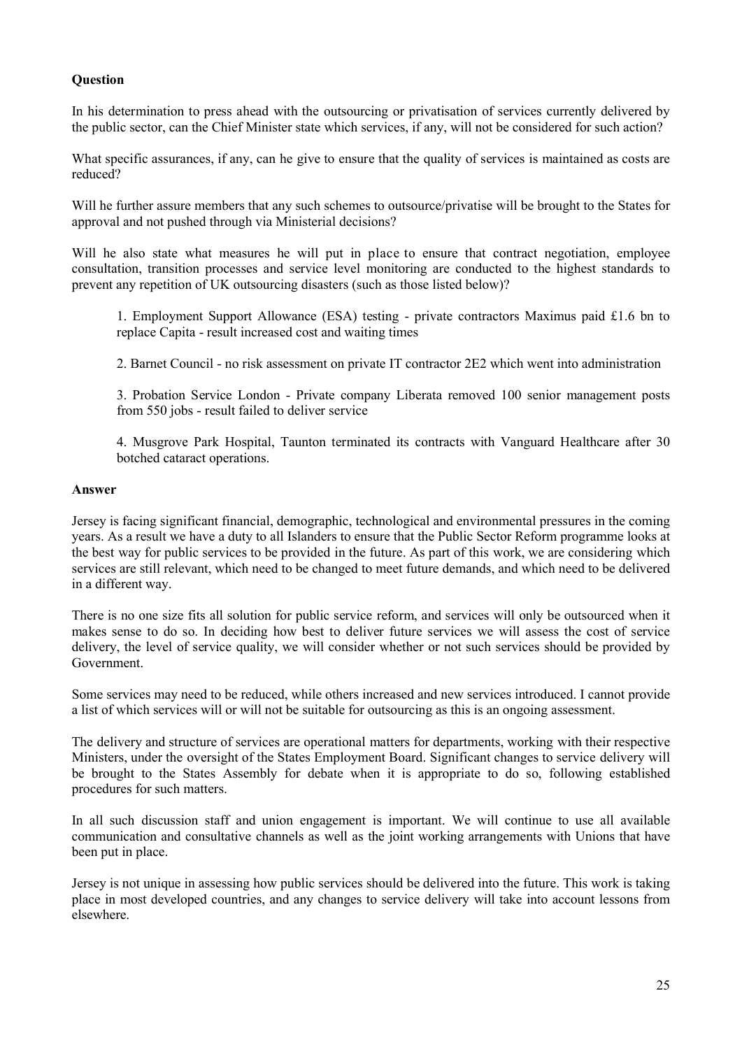### **Question**

In his determination to press ahead with the outsourcing or privatisation of services currently delivered by the public sector, can the Chief Minister state which services, if any, will not be considered for such action?

What specific assurances, if any, can he give to ensure that the quality of services is maintained as costs are reduced?

Will he further assure members that any such schemes to outsource/privatise will be brought to the States for approval and not pushed through via Ministerial decisions?

Will he also state what measures he will put in place to ensure that contract negotiation, employee consultation, transition processes and service level monitoring are conducted to the highest standards to prevent any repetition of UK outsourcing disasters (such as those listed below)?

1. Employment Support Allowance (ESA) testing - private contractors Maximus paid £1.6 bn to replace Capita - result increased cost and waiting times

2. Barnet Council - no risk assessment on private IT contractor 2E2 which went into administration

3. Probation Service London - Private company Liberata removed 100 senior management posts from 550 jobs - result failed to deliver service

4. Musgrove Park Hospital, Taunton terminated its contracts with Vanguard Healthcare after 30 botched cataract operations.

#### **Answer**

Jersey is facing significant financial, demographic, technological and environmental pressures in the coming years. As a result we have a duty to all Islanders to ensure that the Public Sector Reform programme looks at the best way for public services to be provided in the future. As part of this work, we are considering which services are still relevant, which need to be changed to meet future demands, and which need to be delivered in a different way.

There is no one size fits all solution for public service reform, and services will only be outsourced when it makes sense to do so. In deciding how best to deliver future services we will assess the cost of service delivery, the level of service quality, we will consider whether or not such services should be provided by Government.

Some services may need to be reduced, while others increased and new services introduced. I cannot provide a list of which services will or will not be suitable for outsourcing as this is an ongoing assessment.

The delivery and structure of services are operational matters for departments, working with their respective Ministers, under the oversight of the States Employment Board. Significant changes to service delivery will be brought to the States Assembly for debate when it is appropriate to do so, following established procedures for such matters.

In all such discussion staff and union engagement is important. We will continue to use all available communication and consultative channels as well as the joint working arrangements with Unions that have been put in place.

Jersey is not unique in assessing how public services should be delivered into the future. This work is taking place in most developed countries, and any changes to service delivery will take into account lessons from elsewhere.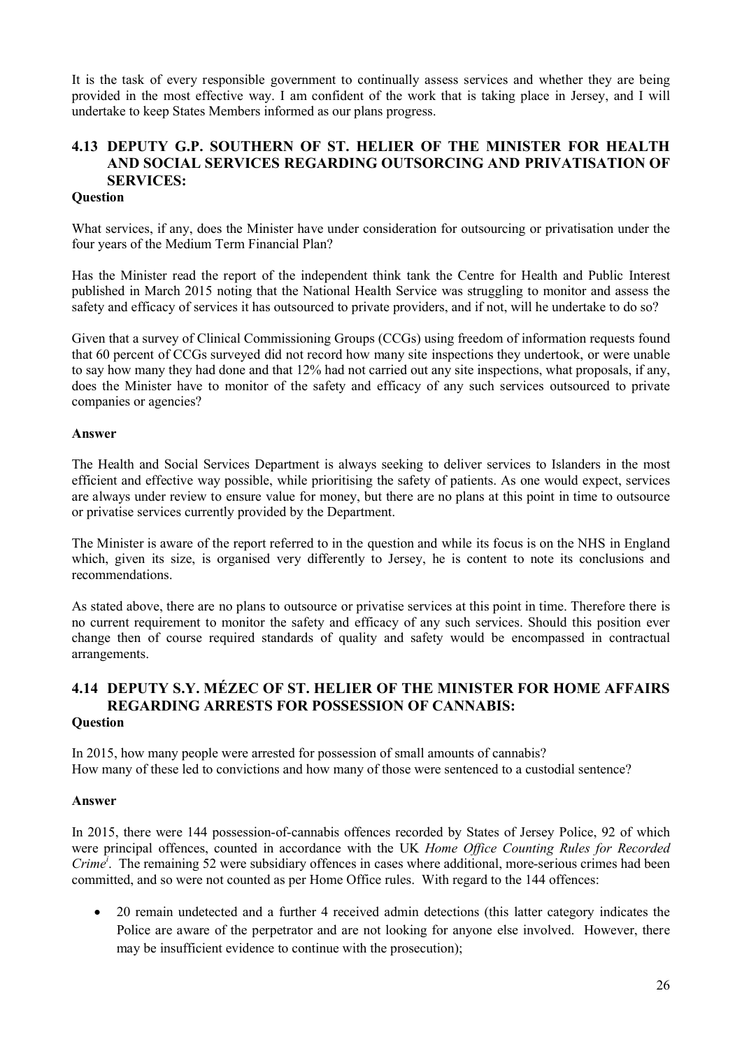It is the task of every responsible government to continually assess services and whether they are being provided in the most effective way. I am confident of the work that is taking place in Jersey, and I will undertake to keep States Members informed as our plans progress.

# **4.13 DEPUTY G.P. SOUTHERN OF ST. HELIER OF THE MINISTER FOR HEALTH AND SOCIAL SERVICES REGARDING OUTSORCING AND PRIVATISATION OF SERVICES:**

### **Question**

What services, if any, does the Minister have under consideration for outsourcing or privatisation under the four years of the Medium Term Financial Plan?

Has the Minister read the report of the independent think tank the Centre for Health and Public Interest published in March 2015 noting that the National Health Service was struggling to monitor and assess the safety and efficacy of services it has outsourced to private providers, and if not, will he undertake to do so?

Given that a survey of Clinical Commissioning Groups (CCGs) using freedom of information requests found that 60 percent of CCGs surveyed did not record how many site inspections they undertook, or were unable to say how many they had done and that 12% had not carried out any site inspections, what proposals, if any, does the Minister have to monitor of the safety and efficacy of any such services outsourced to private companies or agencies?

#### **Answer**

The Health and Social Services Department is always seeking to deliver services to Islanders in the most efficient and effective way possible, while prioritising the safety of patients. As one would expect, services are always under review to ensure value for money, but there are no plans at this point in time to outsource or privatise services currently provided by the Department.

The Minister is aware of the report referred to in the question and while its focus is on the NHS in England which, given its size, is organised very differently to Jersey, he is content to note its conclusions and recommendations.

As stated above, there are no plans to outsource or privatise services at this point in time. Therefore there is no current requirement to monitor the safety and efficacy of any such services. Should this position ever change then of course required standards of quality and safety would be encompassed in contractual arrangements.

### **4.14 DEPUTY S.Y. MÉZEC OF ST. HELIER OF THE MINISTER FOR HOME AFFAIRS REGARDING ARRESTS FOR POSSESSION OF CANNABIS: Question**

In 2015, how many people were arrested for possession of small amounts of cannabis? How many of these led to convictions and how many of those were sentenced to a custodial sentence?

#### **Answer**

In 2015, there were 144 possession-of-cannabis offences recorded by States of Jersey Police, 92 of which were principal offences, counted in accordance with the UK *Home Office Counting Rules for Recorded Crime<sup>i</sup>* . The remaining 52 were subsidiary offences in cases where additional, more-serious crimes had been committed, and so were not counted as per Home Office rules. With regard to the 144 offences:

• 20 remain undetected and a further 4 received admin detections (this latter category indicates the Police are aware of the perpetrator and are not looking for anyone else involved. However, there may be insufficient evidence to continue with the prosecution);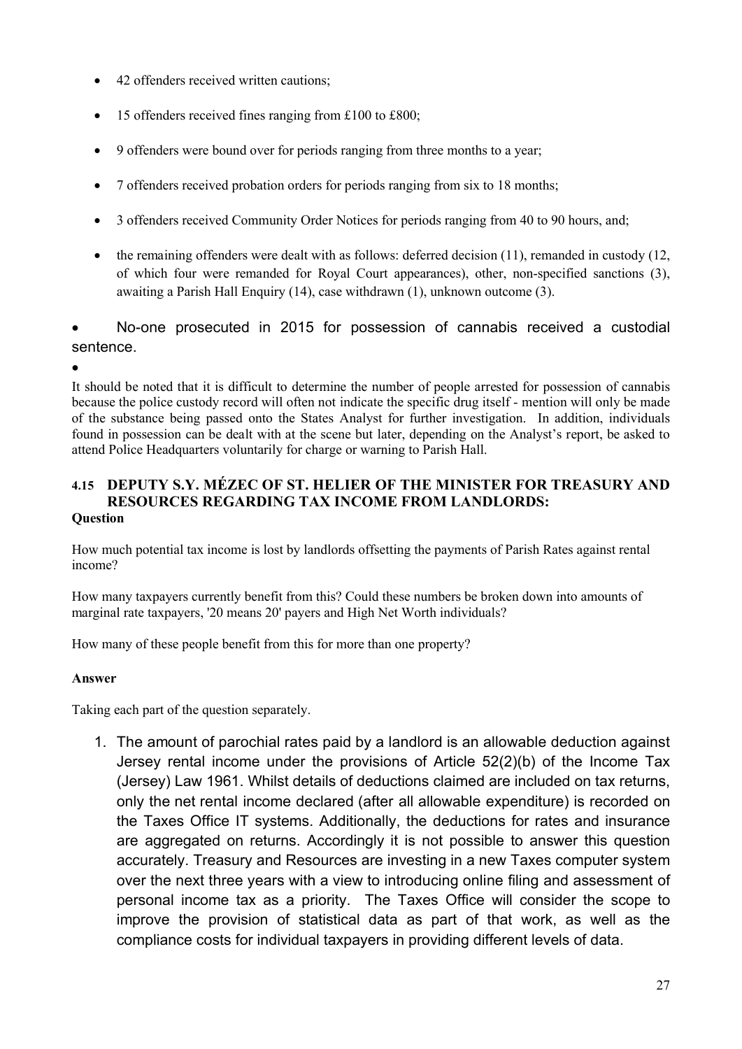- 42 offenders received written cautions;
- 15 offenders received fines ranging from £100 to £800;
- 9 offenders were bound over for periods ranging from three months to a year;
- 7 offenders received probation orders for periods ranging from six to 18 months;
- 3 offenders received Community Order Notices for periods ranging from 40 to 90 hours, and;
- $\bullet$  the remaining offenders were dealt with as follows: deferred decision (11), remanded in custody (12, of which four were remanded for Royal Court appearances), other, non-specified sanctions (3), awaiting a Parish Hall Enquiry (14), case withdrawn (1), unknown outcome (3).

# No-one prosecuted in 2015 for possession of cannabis received a custodial sentence.

 $\bullet$ 

It should be noted that it is difficult to determine the number of people arrested for possession of cannabis because the police custody record will often not indicate the specific drug itself - mention will only be made of the substance being passed onto the States Analyst for further investigation. In addition, individuals found in possession can be dealt with at the scene but later, depending on the Analyst's report, be asked to attend Police Headquarters voluntarily for charge or warning to Parish Hall.

### **4.15 DEPUTY S.Y. MÉZEC OF ST. HELIER OF THE MINISTER FOR TREASURY AND RESOURCES REGARDING TAX INCOME FROM LANDLORDS: Question**

How much potential tax income is lost by landlords offsetting the payments of Parish Rates against rental income?

How many taxpayers currently benefit from this? Could these numbers be broken down into amounts of marginal rate taxpayers, '20 means 20' payers and High Net Worth individuals?

How many of these people benefit from this for more than one property?

# **Answer**

Taking each part of the question separately.

1. The amount of parochial rates paid by a landlord is an allowable deduction against Jersey rental income under the provisions of Article 52(2)(b) of the Income Tax (Jersey) Law 1961. Whilst details of deductions claimed are included on tax returns, only the net rental income declared (after all allowable expenditure) is recorded on the Taxes Office IT systems. Additionally, the deductions for rates and insurance are aggregated on returns. Accordingly it is not possible to answer this question accurately. Treasury and Resources are investing in a new Taxes computer system over the next three years with a view to introducing online filing and assessment of personal income tax as a priority. The Taxes Office will consider the scope to improve the provision of statistical data as part of that work, as well as the compliance costs for individual taxpayers in providing different levels of data.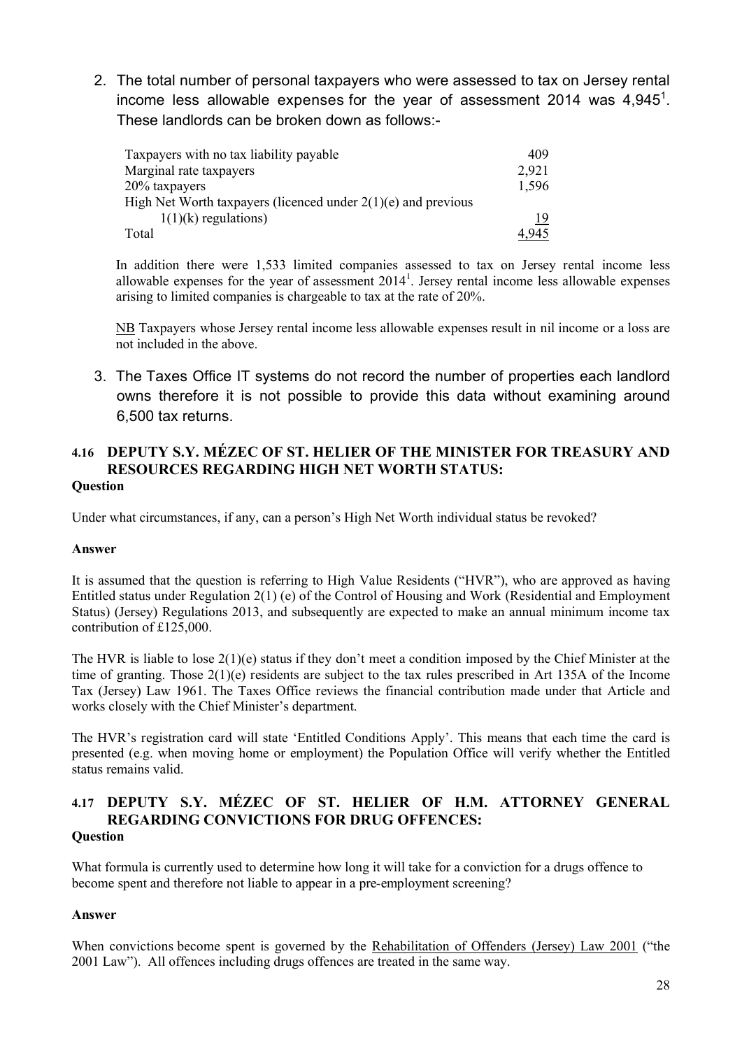2. The total number of personal taxpayers who were assessed to tax on Jersey rental income less allowable expenses for the year of assessment 2014 was 4,945<sup>1</sup>. These landlords can be broken down as follows:-

| Taxpayers with no tax liability payable                         | 409   |
|-----------------------------------------------------------------|-------|
| Marginal rate taxpayers                                         | 2,921 |
| 20% taxpayers                                                   | 1,596 |
| High Net Worth taxpayers (licenced under $2(1)(e)$ and previous |       |
| $1(1)(k)$ regulations)                                          | 19    |
| Total                                                           | 4.945 |

In addition there were 1,533 limited companies assessed to tax on Jersey rental income less allowable expenses for the year of assessment  $2014<sup>1</sup>$ . Jersey rental income less allowable expenses arising to limited companies is chargeable to tax at the rate of 20%.

NB Taxpayers whose Jersey rental income less allowable expenses result in nil income or a loss are not included in the above.

3. The Taxes Office IT systems do not record the number of properties each landlord owns therefore it is not possible to provide this data without examining around 6,500 tax returns.

# **4.16 DEPUTY S.Y. MÉZEC OF ST. HELIER OF THE MINISTER FOR TREASURY AND RESOURCES REGARDING HIGH NET WORTH STATUS: Question**

Under what circumstances, if any, can a person's High Net Worth individual status be revoked?

### **Answer**

It is assumed that the question is referring to High Value Residents ("HVR"), who are approved as having Entitled status under Regulation 2(1) (e) of the Control of Housing and Work (Residential and Employment Status) (Jersey) Regulations 2013, and subsequently are expected to make an annual minimum income tax contribution of £125,000.

The HVR is liable to lose  $2(1)(e)$  status if they don't meet a condition imposed by the Chief Minister at the time of granting. Those 2(1)(e) residents are subject to the tax rules prescribed in Art 135A of the Income Tax (Jersey) Law 1961. The Taxes Office reviews the financial contribution made under that Article and works closely with the Chief Minister's department.

The HVR's registration card will state 'Entitled Conditions Apply'. This means that each time the card is presented (e.g. when moving home or employment) the Population Office will verify whether the Entitled status remains valid.

### **4.17 DEPUTY S.Y. MÉZEC OF ST. HELIER OF H.M. ATTORNEY GENERAL REGARDING CONVICTIONS FOR DRUG OFFENCES: Question**

What formula is currently used to determine how long it will take for a conviction for a drugs offence to become spent and therefore not liable to appear in a pre-employment screening?

# **Answer**

When convictions become spent is governed by the Rehabilitation of Offenders (Jersey) Law 2001 ("the 2001 Law"). All offences including drugs offences are treated in the same way.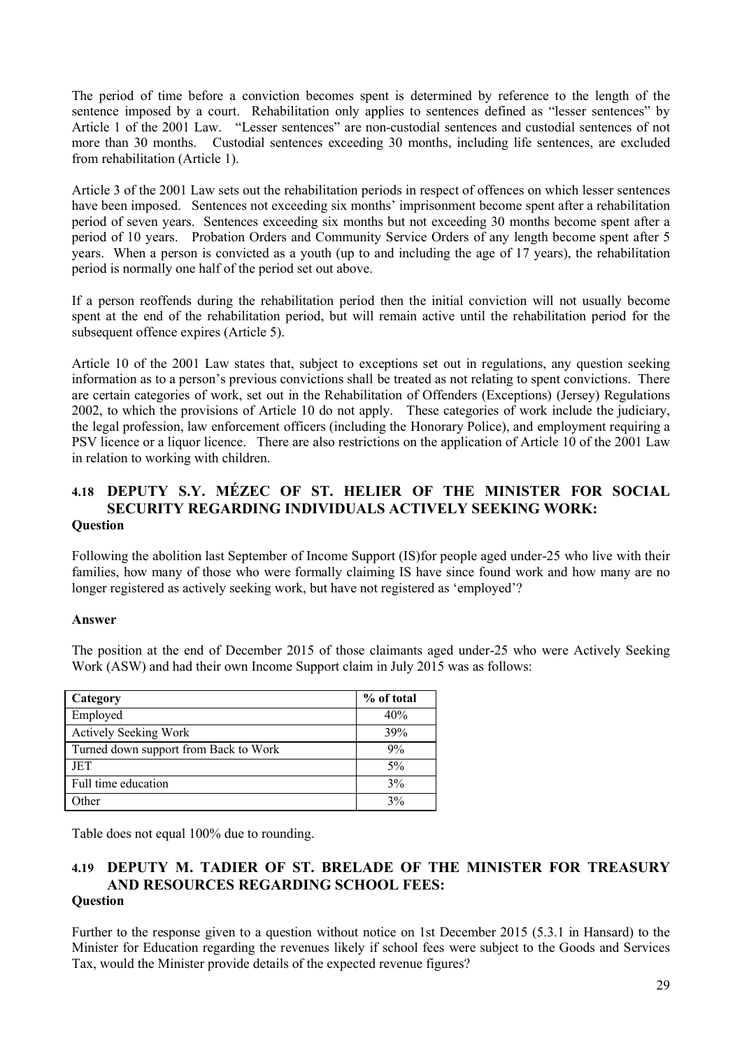The period of time before a conviction becomes spent is determined by reference to the length of the sentence imposed by a court. Rehabilitation only applies to sentences defined as "lesser sentences" by Article 1 of the 2001 Law. "Lesser sentences" are non-custodial sentences and custodial sentences of not more than 30 months. Custodial sentences exceeding 30 months, including life sentences, are excluded from rehabilitation (Article 1).

Article 3 of the 2001 Law sets out the rehabilitation periods in respect of offences on which lesser sentences have been imposed. Sentences not exceeding six months' imprisonment become spent after a rehabilitation period of seven years. Sentences exceeding six months but not exceeding 30 months become spent after a period of 10 years. Probation Orders and Community Service Orders of any length become spent after 5 years. When a person is convicted as a youth (up to and including the age of 17 years), the rehabilitation period is normally one half of the period set out above.

If a person reoffends during the rehabilitation period then the initial conviction will not usually become spent at the end of the rehabilitation period, but will remain active until the rehabilitation period for the subsequent offence expires (Article 5).

Article 10 of the 2001 Law states that, subject to exceptions set out in regulations, any question seeking information as to a person's previous convictions shall be treated as not relating to spent convictions. There are certain categories of work, set out in the Rehabilitation of Offenders (Exceptions) (Jersey) Regulations 2002, to which the provisions of Article 10 do not apply. These categories of work include the judiciary, the legal profession, law enforcement officers (including the Honorary Police), and employment requiring a PSV licence or a liquor licence. There are also restrictions on the application of Article 10 of the 2001 Law in relation to working with children.

### **4.18 DEPUTY S.Y. MÉZEC OF ST. HELIER OF THE MINISTER FOR SOCIAL SECURITY REGARDING INDIVIDUALS ACTIVELY SEEKING WORK: Question**

Following the abolition last September of Income Support (IS)for people aged under-25 who live with their families, how many of those who were formally claiming IS have since found work and how many are no longer registered as actively seeking work, but have not registered as 'employed'?

### **Answer**

The position at the end of December 2015 of those claimants aged under-25 who were Actively Seeking Work (ASW) and had their own Income Support claim in July 2015 was as follows:

| Category                              | % of total |
|---------------------------------------|------------|
| Employed                              | 40%        |
| <b>Actively Seeking Work</b>          | 39%        |
| Turned down support from Back to Work | 9%         |
| JET                                   | $5\%$      |
| Full time education                   | 3%         |
| Other                                 | 3%         |

Table does not equal 100% due to rounding.

#### **4.19 DEPUTY M. TADIER OF ST. BRELADE OF THE MINISTER FOR TREASURY AND RESOURCES REGARDING SCHOOL FEES: Question**

Further to the response given to a question without notice on 1st December 2015 (5.3.1 in Hansard) to the Minister for Education regarding the revenues likely if school fees were subject to the Goods and Services Tax, would the Minister provide details of the expected revenue figures?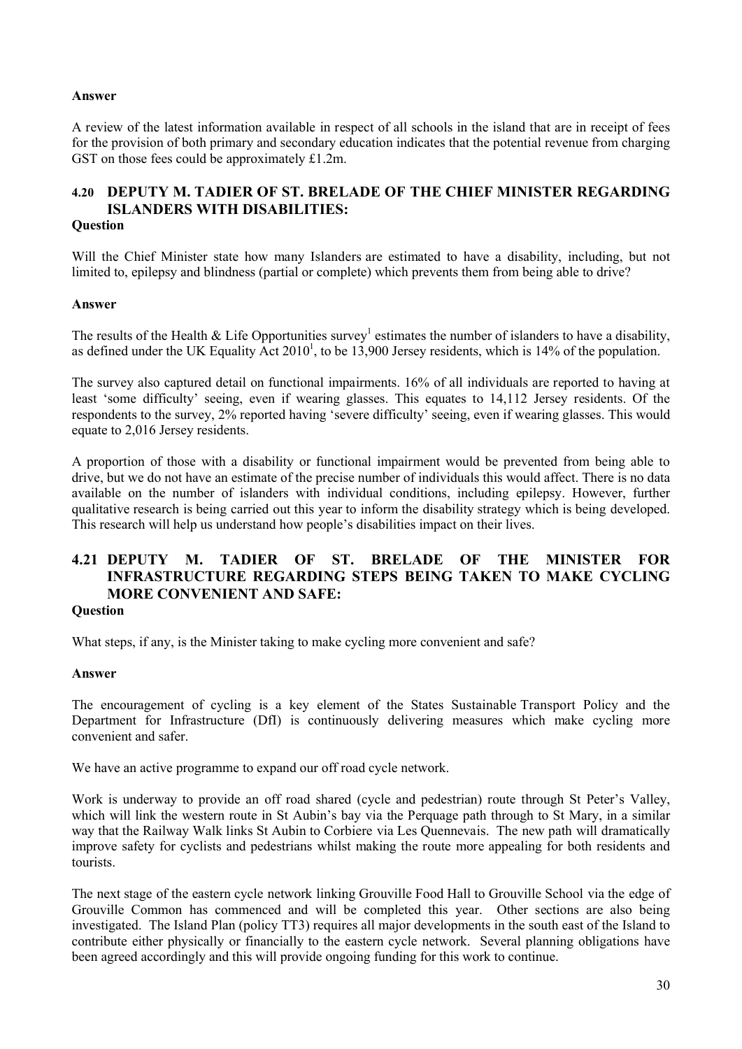#### **Answer**

A review of the latest information available in respect of all schools in the island that are in receipt of fees for the provision of both primary and secondary education indicates that the potential revenue from charging GST on those fees could be approximately £1.2m.

# **4.20 DEPUTY M. TADIER OF ST. BRELADE OF THE CHIEF MINISTER REGARDING ISLANDERS WITH DISABILITIES:**

## **Question**

Will the Chief Minister state how many Islanders are estimated to have a disability, including, but not limited to, epilepsy and blindness (partial or complete) which prevents them from being able to drive?

#### **Answer**

The results of the Health & Life Opportunities survey<sup>1</sup> estimates the number of islanders to have a disability, as defined under the UK Equality  $\widehat{Act}$  2010<sup>1</sup>, to be 13,900 Jersey residents, which is 14% of the population.

The survey also captured detail on functional impairments. 16% of all individuals are reported to having at least 'some difficulty' seeing, even if wearing glasses. This equates to 14,112 Jersey residents. Of the respondents to the survey, 2% reported having 'severe difficulty' seeing, even if wearing glasses. This would equate to 2,016 Jersey residents.

A proportion of those with a disability or functional impairment would be prevented from being able to drive, but we do not have an estimate of the precise number of individuals this would affect. There is no data available on the number of islanders with individual conditions, including epilepsy. However, further qualitative research is being carried out this year to inform the disability strategy which is being developed. This research will help us understand how people's disabilities impact on their lives.

# **4.21 DEPUTY M. TADIER OF ST. BRELADE OF THE MINISTER FOR INFRASTRUCTURE REGARDING STEPS BEING TAKEN TO MAKE CYCLING MORE CONVENIENT AND SAFE:**

#### **Question**

What steps, if any, is the Minister taking to make cycling more convenient and safe?

### **Answer**

The encouragement of cycling is a key element of the States Sustainable Transport Policy and the Department for Infrastructure (DfI) is continuously delivering measures which make cycling more convenient and safer.

We have an active programme to expand our off road cycle network.

Work is underway to provide an off road shared (cycle and pedestrian) route through St Peter's Valley, which will link the western route in St Aubin's bay via the Perquage path through to St Mary, in a similar way that the Railway Walk links St Aubin to Corbiere via Les Quennevais. The new path will dramatically improve safety for cyclists and pedestrians whilst making the route more appealing for both residents and tourists.

The next stage of the eastern cycle network linking Grouville Food Hall to Grouville School via the edge of Grouville Common has commenced and will be completed this year. Other sections are also being investigated. The Island Plan (policy TT3) requires all major developments in the south east of the Island to contribute either physically or financially to the eastern cycle network. Several planning obligations have been agreed accordingly and this will provide ongoing funding for this work to continue.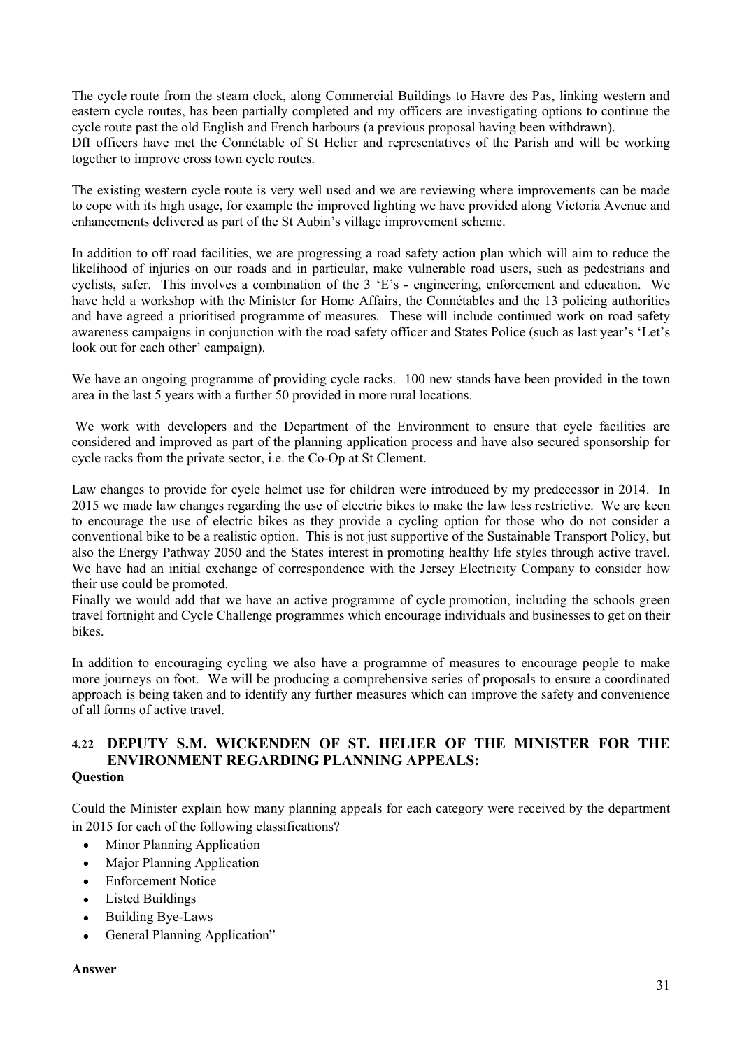The cycle route from the steam clock, along Commercial Buildings to Havre des Pas, linking western and eastern cycle routes, has been partially completed and my officers are investigating options to continue the cycle route past the old English and French harbours (a previous proposal having been withdrawn). DfI officers have met the Connétable of St Helier and representatives of the Parish and will be working together to improve cross town cycle routes.

The existing western cycle route is very well used and we are reviewing where improvements can be made to cope with its high usage, for example the improved lighting we have provided along Victoria Avenue and enhancements delivered as part of the St Aubin's village improvement scheme.

In addition to off road facilities, we are progressing a road safety action plan which will aim to reduce the likelihood of injuries on our roads and in particular, make vulnerable road users, such as pedestrians and cyclists, safer. This involves a combination of the 3 'E's - engineering, enforcement and education. We have held a workshop with the Minister for Home Affairs, the Connétables and the 13 policing authorities and have agreed a prioritised programme of measures. These will include continued work on road safety awareness campaigns in conjunction with the road safety officer and States Police (such as last year's 'Let's look out for each other' campaign).

We have an ongoing programme of providing cycle racks. 100 new stands have been provided in the town area in the last 5 years with a further 50 provided in more rural locations.

We work with developers and the Department of the Environment to ensure that cycle facilities are considered and improved as part of the planning application process and have also secured sponsorship for cycle racks from the private sector, i.e. the Co-Op at St Clement.

Law changes to provide for cycle helmet use for children were introduced by my predecessor in 2014. In 2015 we made law changes regarding the use of electric bikes to make the law less restrictive. We are keen to encourage the use of electric bikes as they provide a cycling option for those who do not consider a conventional bike to be a realistic option. This is not just supportive of the Sustainable Transport Policy, but also the Energy Pathway 2050 and the States interest in promoting healthy life styles through active travel. We have had an initial exchange of correspondence with the Jersey Electricity Company to consider how their use could be promoted.

Finally we would add that we have an active programme of cycle promotion, including the schools green travel fortnight and Cycle Challenge programmes which encourage individuals and businesses to get on their bikes.

In addition to encouraging cycling we also have a programme of measures to encourage people to make more journeys on foot. We will be producing a comprehensive series of proposals to ensure a coordinated approach is being taken and to identify any further measures which can improve the safety and convenience of all forms of active travel.

#### **4.22 DEPUTY S.M. WICKENDEN OF ST. HELIER OF THE MINISTER FOR THE ENVIRONMENT REGARDING PLANNING APPEALS: Question**

Could the Minister explain how many planning appeals for each category were received by the department in 2015 for each of the following classifications?

- Minor Planning Application
- Major Planning Application
- Enforcement Notice
- Listed Buildings
- Building Bye-Laws
- General Planning Application"

#### **Answer**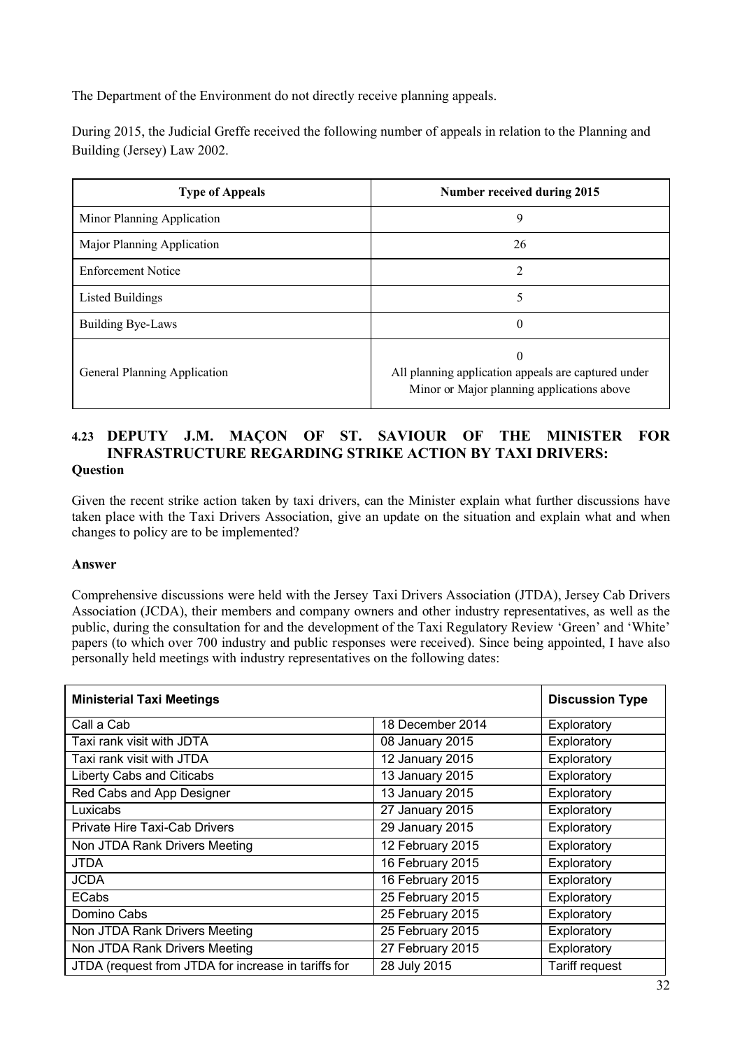The Department of the Environment do not directly receive planning appeals.

During 2015, the Judicial Greffe received the following number of appeals in relation to the Planning and Building (Jersey) Law 2002.

| <b>Type of Appeals</b>       | Number received during 2015                                                                                   |
|------------------------------|---------------------------------------------------------------------------------------------------------------|
| Minor Planning Application   | 9                                                                                                             |
| Major Planning Application   | 26                                                                                                            |
| <b>Enforcement Notice</b>    | 2                                                                                                             |
| Listed Buildings             | 5                                                                                                             |
| Building Bye-Laws            | $\theta$                                                                                                      |
| General Planning Application | $\Omega$<br>All planning application appeals are captured under<br>Minor or Major planning applications above |

## **4.23 DEPUTY J.M. MAÇON OF ST. SAVIOUR OF THE MINISTER FOR INFRASTRUCTURE REGARDING STRIKE ACTION BY TAXI DRIVERS: Question**

Given the recent strike action taken by taxi drivers, can the Minister explain what further discussions have taken place with the Taxi Drivers Association, give an update on the situation and explain what and when changes to policy are to be implemented?

### **Answer**

Comprehensive discussions were held with the Jersey Taxi Drivers Association (JTDA), Jersey Cab Drivers Association (JCDA), their members and company owners and other industry representatives, as well as the public, during the consultation for and the development of the Taxi Regulatory Review 'Green' and 'White' papers (to which over 700 industry and public responses were received). Since being appointed, I have also personally held meetings with industry representatives on the following dates:

| <b>Ministerial Taxi Meetings</b>                    |                  | <b>Discussion Type</b> |
|-----------------------------------------------------|------------------|------------------------|
| Call a Cab                                          | 18 December 2014 | Exploratory            |
| Taxi rank visit with JDTA                           | 08 January 2015  | Exploratory            |
| Taxi rank visit with JTDA                           | 12 January 2015  | Exploratory            |
| Liberty Cabs and Citicabs                           | 13 January 2015  | Exploratory            |
| Red Cabs and App Designer                           | 13 January 2015  | Exploratory            |
| Luxicabs                                            | 27 January 2015  | Exploratory            |
| <b>Private Hire Taxi-Cab Drivers</b>                | 29 January 2015  | Exploratory            |
| Non JTDA Rank Drivers Meeting                       | 12 February 2015 | Exploratory            |
| <b>JTDA</b>                                         | 16 February 2015 | Exploratory            |
| <b>JCDA</b>                                         | 16 February 2015 | Exploratory            |
| <b>ECabs</b>                                        | 25 February 2015 | Exploratory            |
| Domino Cabs                                         | 25 February 2015 | Exploratory            |
| Non JTDA Rank Drivers Meeting                       | 25 February 2015 | Exploratory            |
| Non JTDA Rank Drivers Meeting                       | 27 February 2015 | Exploratory            |
| JTDA (request from JTDA for increase in tariffs for | 28 July 2015     | <b>Tariff request</b>  |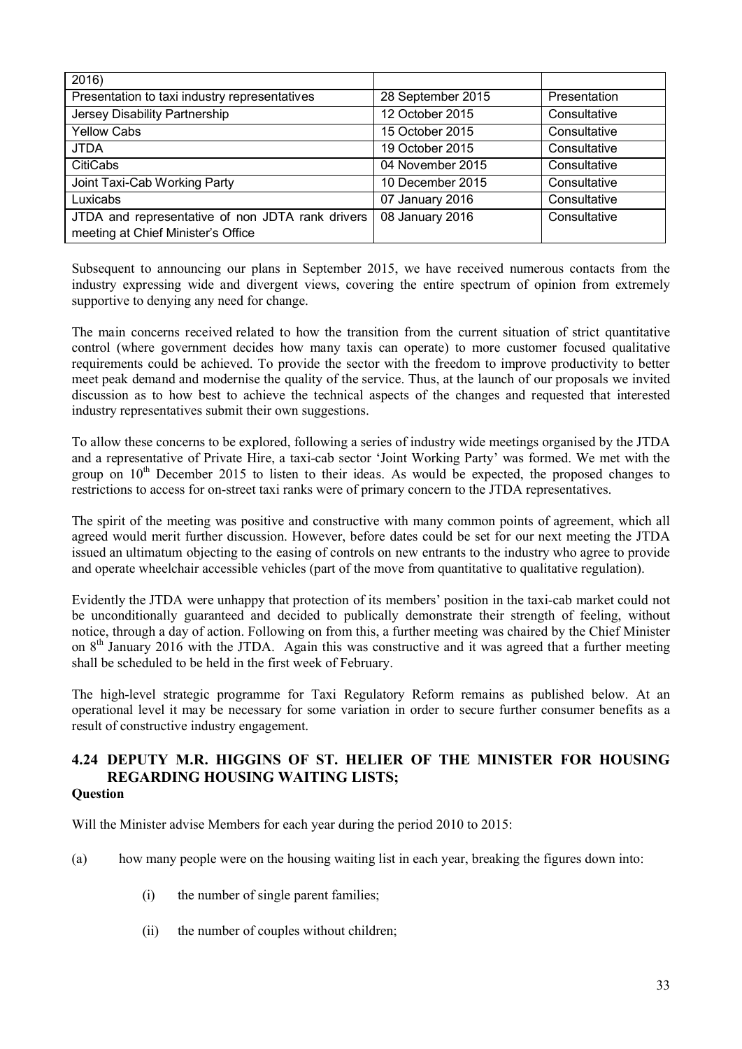| 2016                                             |                   |              |
|--------------------------------------------------|-------------------|--------------|
| Presentation to taxi industry representatives    | 28 September 2015 | Presentation |
| Jersey Disability Partnership                    | 12 October 2015   | Consultative |
| <b>Yellow Cabs</b>                               | 15 October 2015   | Consultative |
| <b>JTDA</b>                                      | 19 October 2015   | Consultative |
| <b>CitiCabs</b>                                  | 04 November 2015  | Consultative |
| Joint Taxi-Cab Working Party                     | 10 December 2015  | Consultative |
| Luxicabs                                         | 07 January 2016   | Consultative |
| JTDA and representative of non JDTA rank drivers | 08 January 2016   | Consultative |
| meeting at Chief Minister's Office               |                   |              |

Subsequent to announcing our plans in September 2015, we have received numerous contacts from the industry expressing wide and divergent views, covering the entire spectrum of opinion from extremely supportive to denying any need for change.

The main concerns received related to how the transition from the current situation of strict quantitative control (where government decides how many taxis can operate) to more customer focused qualitative requirements could be achieved. To provide the sector with the freedom to improve productivity to better meet peak demand and modernise the quality of the service. Thus, at the launch of our proposals we invited discussion as to how best to achieve the technical aspects of the changes and requested that interested industry representatives submit their own suggestions.

To allow these concerns to be explored, following a series of industry wide meetings organised by the JTDA and a representative of Private Hire, a taxi-cab sector 'Joint Working Party' was formed. We met with the group on  $10<sup>th</sup>$  December 2015 to listen to their ideas. As would be expected, the proposed changes to restrictions to access for on-street taxi ranks were of primary concern to the JTDA representatives.

The spirit of the meeting was positive and constructive with many common points of agreement, which all agreed would merit further discussion. However, before dates could be set for our next meeting the JTDA issued an ultimatum objecting to the easing of controls on new entrants to the industry who agree to provide and operate wheelchair accessible vehicles (part of the move from quantitative to qualitative regulation).

Evidently the JTDA were unhappy that protection of its members' position in the taxi-cab market could not be unconditionally guaranteed and decided to publically demonstrate their strength of feeling, without notice, through a day of action. Following on from this, a further meeting was chaired by the Chief Minister on 8<sup>th</sup> January 2016 with the JTDA. Again this was constructive and it was agreed that a further meeting shall be scheduled to be held in the first week of February.

The high-level strategic programme for Taxi Regulatory Reform remains as published below. At an operational level it may be necessary for some variation in order to secure further consumer benefits as a result of constructive industry engagement.

#### **4.24 DEPUTY M.R. HIGGINS OF ST. HELIER OF THE MINISTER FOR HOUSING REGARDING HOUSING WAITING LISTS; Question**

Will the Minister advise Members for each year during the period 2010 to 2015:

- (a) how many people were on the housing waiting list in each year, breaking the figures down into:
	- (i) the number of single parent families;
	- (ii) the number of couples without children;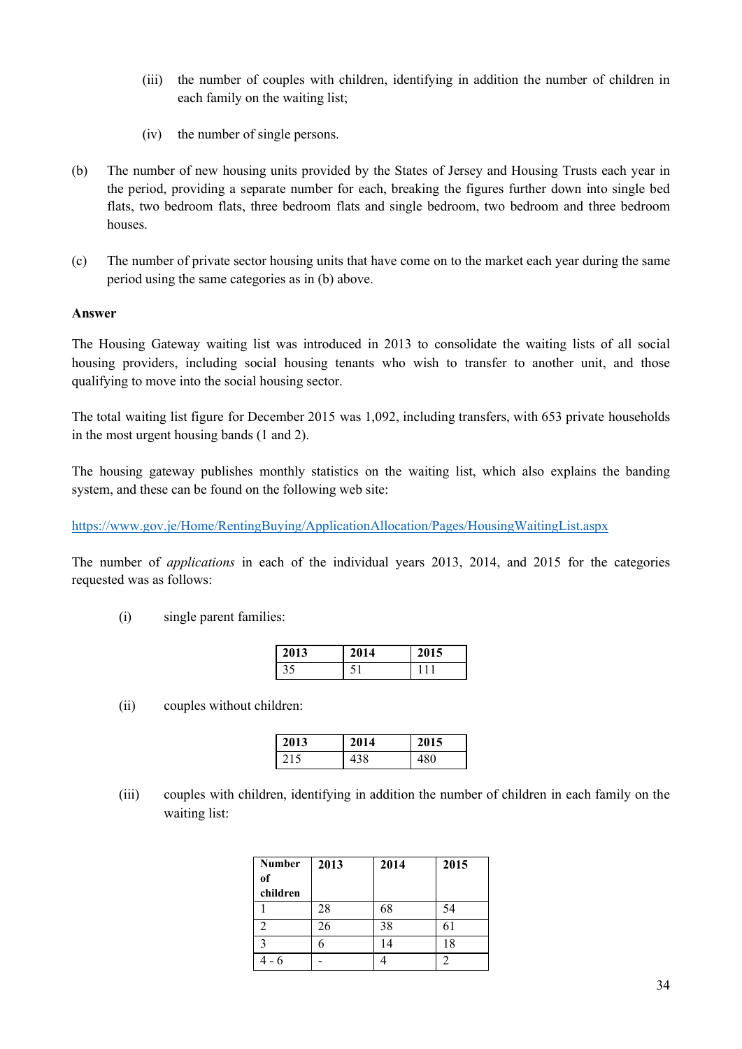- (iii) the number of couples with children, identifying in addition the number of children in each family on the waiting list;
- (iv) the number of single persons.
- (b) The number of new housing units provided by the States of Jersey and Housing Trusts each year in the period, providing a separate number for each, breaking the figures further down into single bed flats, two bedroom flats, three bedroom flats and single bedroom, two bedroom and three bedroom houses.
- (c) The number of private sector housing units that have come on to the market each year during the same period using the same categories as in (b) above.

#### **Answer**

The Housing Gateway waiting list was introduced in 2013 to consolidate the waiting lists of all social housing providers, including social housing tenants who wish to transfer to another unit, and those qualifying to move into the social housing sector.

The total waiting list figure for December 2015 was 1,092, including transfers, with 653 private households in the most urgent housing bands (1 and 2).

The housing gateway publishes monthly statistics on the waiting list, which also explains the banding system, and these can be found on the following web site:

https://www.gov.je/Home/RentingBuying/ApplicationAllocation/Pages/HousingWaitingList.aspx

The number of *applications* in each of the individual years 2013, 2014, and 2015 for the categories requested was as follows:

(i) single parent families:

| 2013 | 2014 | 2015 |
|------|------|------|
| 35   |      |      |

(ii) couples without children:

| 2013 | 2014 | 2015 |
|------|------|------|
| 215  | I38  | 180  |

(iii) couples with children, identifying in addition the number of children in each family on the waiting list:

| <b>Number</b> | 2013 | 2014 | 2015 |
|---------------|------|------|------|
| of            |      |      |      |
| children      |      |      |      |
|               | 28   | 68   | 54   |
|               | 26   | 38   | 61   |
|               |      | 14   | 18   |
|               |      |      |      |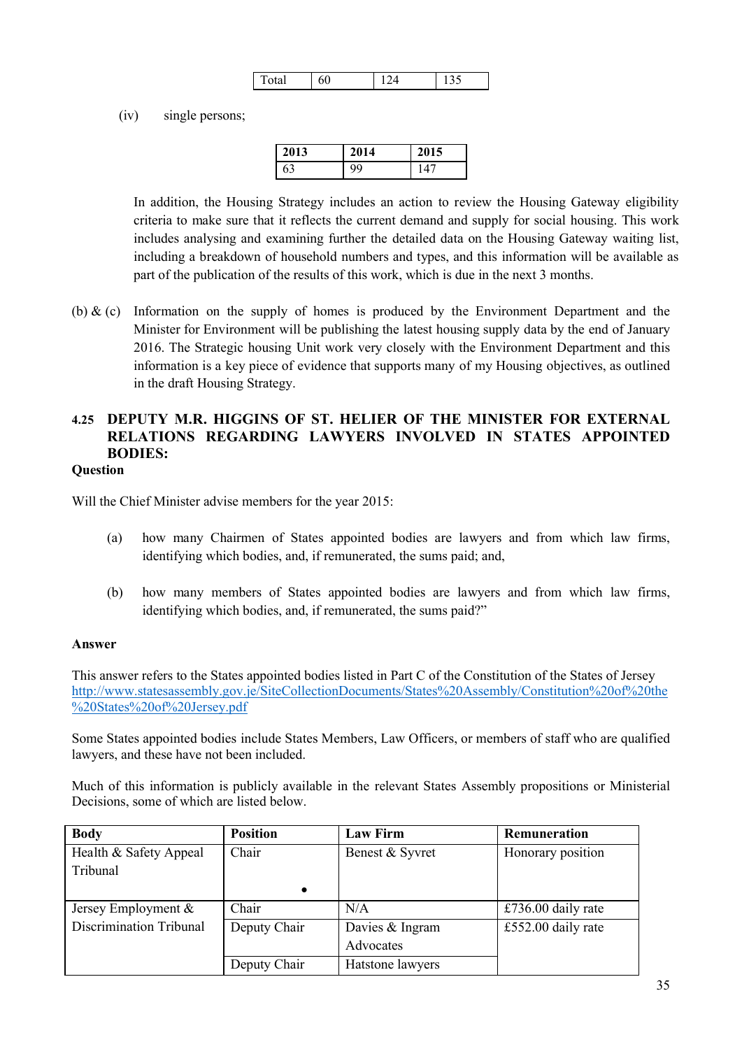| `otal | ov |  |
|-------|----|--|

(iv) single persons;

| 2013 | 2014 | 2015 |
|------|------|------|
| 63   |      |      |

In addition, the Housing Strategy includes an action to review the Housing Gateway eligibility criteria to make sure that it reflects the current demand and supply for social housing. This work includes analysing and examining further the detailed data on the Housing Gateway waiting list, including a breakdown of household numbers and types, and this information will be available as part of the publication of the results of this work, which is due in the next 3 months.

(b)  $\&$  (c) Information on the supply of homes is produced by the Environment Department and the Minister for Environment will be publishing the latest housing supply data by the end of January 2016. The Strategic housing Unit work very closely with the Environment Department and this information is a key piece of evidence that supports many of my Housing objectives, as outlined in the draft Housing Strategy.

# **4.25 DEPUTY M.R. HIGGINS OF ST. HELIER OF THE MINISTER FOR EXTERNAL RELATIONS REGARDING LAWYERS INVOLVED IN STATES APPOINTED BODIES:**

#### **Question**

Will the Chief Minister advise members for the year 2015:

- (a) how many Chairmen of States appointed bodies are lawyers and from which law firms, identifying which bodies, and, if remunerated, the sums paid; and,
- (b) how many members of States appointed bodies are lawyers and from which law firms, identifying which bodies, and, if remunerated, the sums paid?"

#### **Answer**

This answer refers to the States appointed bodies listed in Part C of the Constitution of the States of Jersey http://www.statesassembly.gov.je/SiteCollectionDocuments/States%20Assembly/Constitution%20of%20the %20States%20of%20Jersey.pdf

Some States appointed bodies include States Members, Law Officers, or members of staff who are qualified lawyers, and these have not been included.

Much of this information is publicly available in the relevant States Assembly propositions or Ministerial Decisions, some of which are listed below.

| <b>Body</b>                    | <b>Position</b> | <b>Law Firm</b>  | Remuneration       |
|--------------------------------|-----------------|------------------|--------------------|
| Health & Safety Appeal         | Chair           | Benest & Syvret  | Honorary position  |
| Tribunal                       |                 |                  |                    |
|                                | $\bullet$       |                  |                    |
| Jersey Employment &            | Chair           | N/A              | £736.00 daily rate |
| <b>Discrimination Tribunal</b> | Deputy Chair    | Davies & Ingram  | £552.00 daily rate |
|                                |                 | Advocates        |                    |
|                                | Deputy Chair    | Hatstone lawyers |                    |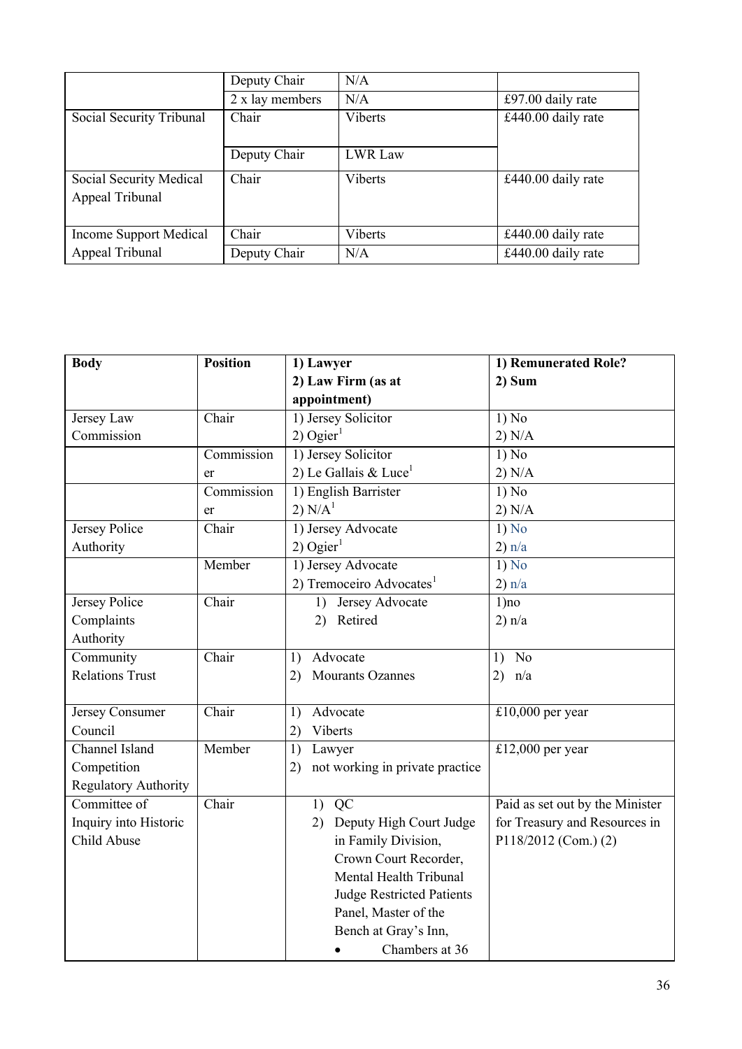|                                            | Deputy Chair    | N/A            |                    |
|--------------------------------------------|-----------------|----------------|--------------------|
|                                            | 2 x lay members | N/A            | £97.00 daily rate  |
| Social Security Tribunal                   | Chair           | <b>Viberts</b> | £440.00 daily rate |
|                                            | Deputy Chair    | <b>LWR Law</b> |                    |
| Social Security Medical<br>Appeal Tribunal | Chair           | <b>Viberts</b> | £440.00 daily rate |
| Income Support Medical                     | Chair           | <b>Viberts</b> | £440.00 daily rate |
| Appeal Tribunal                            | Deputy Chair    | N/A            | £440.00 daily rate |

| <b>Body</b>                 | <b>Position</b> | 1) Lawyer                             | 1) Remunerated Role?            |
|-----------------------------|-----------------|---------------------------------------|---------------------------------|
|                             |                 | 2) Law Firm (as at                    | 2) Sum                          |
|                             |                 | appointment)                          |                                 |
| Jersey Law                  | Chair           | 1) Jersey Solicitor                   | 1) No                           |
| Commission                  |                 | $2)$ Ogier <sup>1</sup>               | 2) N/A                          |
|                             | Commission      | 1) Jersey Solicitor                   | 1) No                           |
|                             | er              | 2) Le Gallais & Luce <sup>1</sup>     | 2) N/A                          |
|                             | Commission      | 1) English Barrister                  | 1) No                           |
|                             | er              | 2) $N/A^1$                            | 2) N/A                          |
| Jersey Police               | Chair           | 1) Jersey Advocate                    | $1)\overline{No}$               |
| Authority                   |                 | $2)$ Ogier <sup>1</sup>               | 2) n/a                          |
|                             | Member          | 1) Jersey Advocate                    | 1) No                           |
|                             |                 | 2) Tremoceiro Advocates <sup>1</sup>  | 2) n/a                          |
| Jersey Police               | Chair           | 1) Jersey Advocate                    | $1)$ no                         |
| Complaints                  |                 | 2) Retired                            | 2) n/a                          |
| Authority                   |                 |                                       |                                 |
| Community                   | Chair           | Advocate<br>1)                        | N <sub>o</sub><br>1)            |
| <b>Relations Trust</b>      |                 | <b>Mourants Ozannes</b><br>2)         | 2) $n/a$                        |
|                             |                 |                                       |                                 |
| Jersey Consumer             | Chair           | Advocate<br>1)                        | £10,000 per year                |
| Council                     |                 | Viberts<br>2)                         |                                 |
| Channel Island              | Member          | 1)<br>Lawyer                          | £12,000 per year                |
| Competition                 |                 | not working in private practice<br>2) |                                 |
| <b>Regulatory Authority</b> |                 |                                       |                                 |
| Committee of                | Chair           | $1)$ QC                               | Paid as set out by the Minister |
| Inquiry into Historic       |                 | Deputy High Court Judge<br>2)         | for Treasury and Resources in   |
| Child Abuse                 |                 | in Family Division,                   | P118/2012 (Com.) (2)            |
|                             |                 | Crown Court Recorder,                 |                                 |
|                             |                 | Mental Health Tribunal                |                                 |
|                             |                 | <b>Judge Restricted Patients</b>      |                                 |
|                             |                 | Panel, Master of the                  |                                 |
|                             |                 | Bench at Gray's Inn,                  |                                 |
|                             |                 | Chambers at 36<br>$\bullet$           |                                 |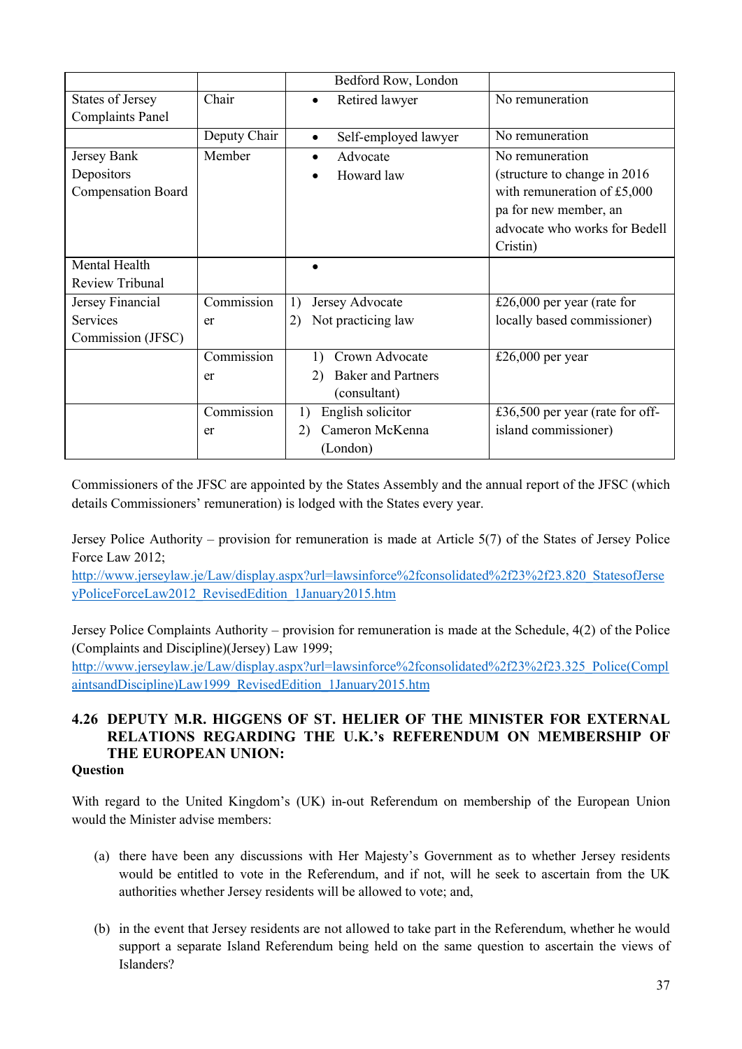|                           |              | Bedford Row, London               |                                 |
|---------------------------|--------------|-----------------------------------|---------------------------------|
| <b>States of Jersey</b>   | Chair        | Retired lawyer<br>$\bullet$       | No remuneration                 |
| <b>Complaints Panel</b>   |              |                                   |                                 |
|                           | Deputy Chair | Self-employed lawyer<br>$\bullet$ | No remuneration                 |
| Jersey Bank               | Member       | Advocate<br>$\bullet$             | No remuneration                 |
| Depositors                |              | Howard law                        | (structure to change in 2016)   |
| <b>Compensation Board</b> |              |                                   | with remuneration of $£5,000$   |
|                           |              |                                   | pa for new member, an           |
|                           |              |                                   | advocate who works for Bedell   |
|                           |              |                                   | Cristin)                        |
| Mental Health             |              |                                   |                                 |
| Review Tribunal           |              |                                   |                                 |
| Jersey Financial          | Commission   | Jersey Advocate<br>1)             | £26,000 per year (rate for      |
| <b>Services</b>           | er           | Not practicing law<br>2)          | locally based commissioner)     |
| Commission (JFSC)         |              |                                   |                                 |
|                           | Commission   | Crown Advocate                    | £26,000 per year                |
|                           | er           | <b>Baker and Partners</b><br>2)   |                                 |
|                           |              | (consultant)                      |                                 |
|                           | Commission   | English solicitor<br>1)           | £36,500 per year (rate for off- |
|                           | er           | Cameron McKenna<br>2)             | island commissioner)            |
|                           |              | (London)                          |                                 |

Commissioners of the JFSC are appointed by the States Assembly and the annual report of the JFSC (which details Commissioners' remuneration) is lodged with the States every year.

Jersey Police Authority – provision for remuneration is made at Article 5(7) of the States of Jersey Police Force Law 2012;

http://www.jerseylaw.je/Law/display.aspx?url=lawsinforce%2fconsolidated%2f23%2f23.820\_StatesofJerse yPoliceForceLaw2012\_RevisedEdition\_1January2015.htm

Jersey Police Complaints Authority – provision for remuneration is made at the Schedule, 4(2) of the Police (Complaints and Discipline)(Jersey) Law 1999;

http://www.jerseylaw.je/Law/display.aspx?url=lawsinforce%2fconsolidated%2f23%2f23.325\_Police(Compl aintsandDiscipline)Law1999\_RevisedEdition\_1January2015.htm

# **4.26 DEPUTY M.R. HIGGENS OF ST. HELIER OF THE MINISTER FOR EXTERNAL RELATIONS REGARDING THE U.K.'s REFERENDUM ON MEMBERSHIP OF THE EUROPEAN UNION:**

#### **Question**

With regard to the United Kingdom's (UK) in-out Referendum on membership of the European Union would the Minister advise members:

- (a) there have been any discussions with Her Majesty's Government as to whether Jersey residents would be entitled to vote in the Referendum, and if not, will he seek to ascertain from the UK authorities whether Jersey residents will be allowed to vote; and,
- (b) in the event that Jersey residents are not allowed to take part in the Referendum, whether he would support a separate Island Referendum being held on the same question to ascertain the views of Islanders?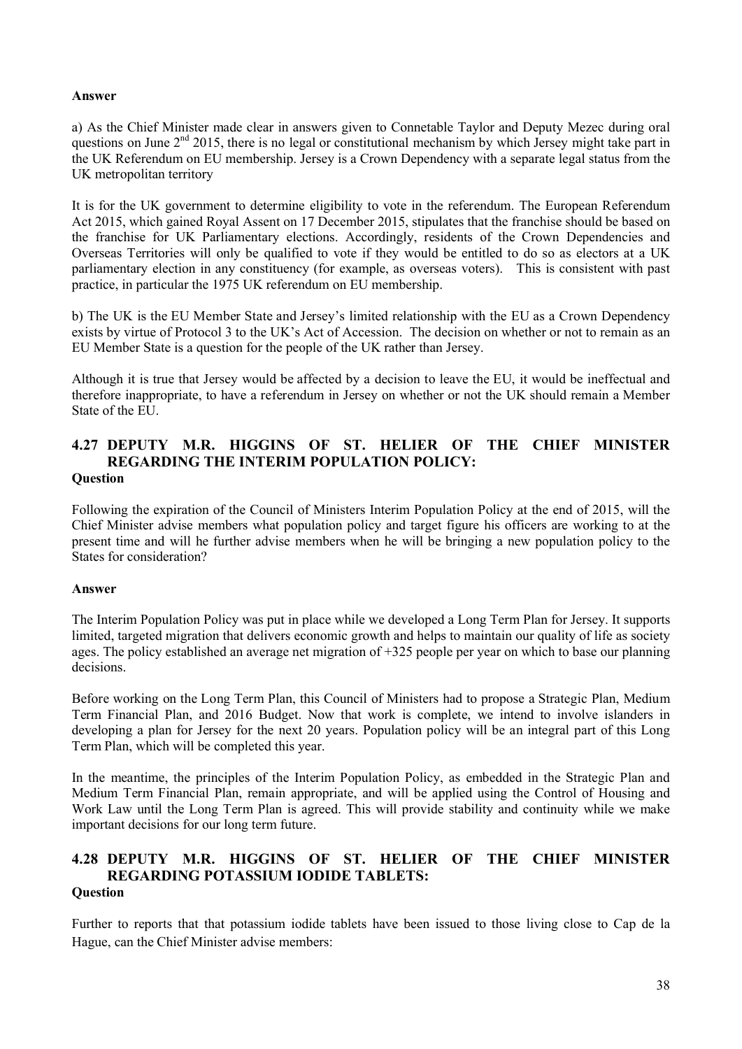#### **Answer**

a) As the Chief Minister made clear in answers given to Connetable Taylor and Deputy Mezec during oral questions on June  $2<sup>nd</sup>$  2015, there is no legal or constitutional mechanism by which Jersey might take part in the UK Referendum on EU membership. Jersey is a Crown Dependency with a separate legal status from the UK metropolitan territory

It is for the UK government to determine eligibility to vote in the referendum. The European Referendum Act 2015, which gained Royal Assent on 17 December 2015, stipulates that the franchise should be based on the franchise for UK Parliamentary elections. Accordingly, residents of the Crown Dependencies and Overseas Territories will only be qualified to vote if they would be entitled to do so as electors at a UK parliamentary election in any constituency (for example, as overseas voters). This is consistent with past practice, in particular the 1975 UK referendum on EU membership.

b) The UK is the EU Member State and Jersey's limited relationship with the EU as a Crown Dependency exists by virtue of Protocol 3 to the UK's Act of Accession. The decision on whether or not to remain as an EU Member State is a question for the people of the UK rather than Jersey.

Although it is true that Jersey would be affected by a decision to leave the EU, it would be ineffectual and therefore inappropriate, to have a referendum in Jersey on whether or not the UK should remain a Member State of the EU.

#### **4.27 DEPUTY M.R. HIGGINS OF ST. HELIER OF THE CHIEF MINISTER REGARDING THE INTERIM POPULATION POLICY: Question**

Following the expiration of the Council of Ministers Interim Population Policy at the end of 2015, will the Chief Minister advise members what population policy and target figure his officers are working to at the present time and will he further advise members when he will be bringing a new population policy to the States for consideration?

#### **Answer**

The Interim Population Policy was put in place while we developed a Long Term Plan for Jersey. It supports limited, targeted migration that delivers economic growth and helps to maintain our quality of life as society ages. The policy established an average net migration of +325 people per year on which to base our planning decisions.

Before working on the Long Term Plan, this Council of Ministers had to propose a Strategic Plan, Medium Term Financial Plan, and 2016 Budget. Now that work is complete, we intend to involve islanders in developing a plan for Jersey for the next 20 years. Population policy will be an integral part of this Long Term Plan, which will be completed this year.

In the meantime, the principles of the Interim Population Policy, as embedded in the Strategic Plan and Medium Term Financial Plan, remain appropriate, and will be applied using the Control of Housing and Work Law until the Long Term Plan is agreed. This will provide stability and continuity while we make important decisions for our long term future.

#### **4.28 DEPUTY M.R. HIGGINS OF ST. HELIER OF THE CHIEF MINISTER REGARDING POTASSIUM IODIDE TABLETS: Question**

Further to reports that that potassium iodide tablets have been issued to those living close to Cap de la Hague, can the Chief Minister advise members: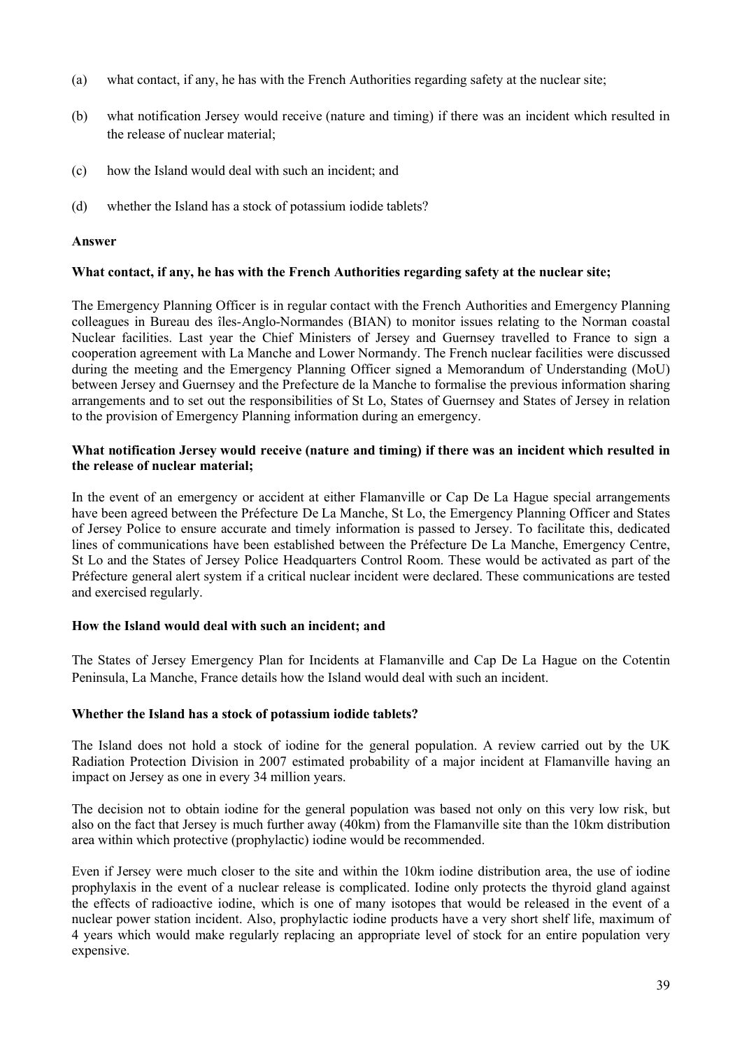- (a) what contact, if any, he has with the French Authorities regarding safety at the nuclear site;
- (b) what notification Jersey would receive (nature and timing) if there was an incident which resulted in the release of nuclear material;
- (c) how the Island would deal with such an incident; and
- (d) whether the Island has a stock of potassium iodide tablets?

#### **Answer**

#### **What contact, if any, he has with the French Authorities regarding safety at the nuclear site;**

The Emergency Planning Officer is in regular contact with the French Authorities and Emergency Planning colleagues in Bureau des îles-Anglo-Normandes (BIAN) to monitor issues relating to the Norman coastal Nuclear facilities. Last year the Chief Ministers of Jersey and Guernsey travelled to France to sign a cooperation agreement with La Manche and Lower Normandy. The French nuclear facilities were discussed during the meeting and the Emergency Planning Officer signed a Memorandum of Understanding (MoU) between Jersey and Guernsey and the Prefecture de la Manche to formalise the previous information sharing arrangements and to set out the responsibilities of St Lo, States of Guernsey and States of Jersey in relation to the provision of Emergency Planning information during an emergency.

#### **What notification Jersey would receive (nature and timing) if there was an incident which resulted in the release of nuclear material;**

In the event of an emergency or accident at either Flamanville or Cap De La Hague special arrangements have been agreed between the Préfecture De La Manche, St Lo, the Emergency Planning Officer and States of Jersey Police to ensure accurate and timely information is passed to Jersey. To facilitate this, dedicated lines of communications have been established between the Préfecture De La Manche, Emergency Centre, St Lo and the States of Jersey Police Headquarters Control Room. These would be activated as part of the Préfecture general alert system if a critical nuclear incident were declared. These communications are tested and exercised regularly.

#### **How the Island would deal with such an incident; and**

The States of Jersey Emergency Plan for Incidents at Flamanville and Cap De La Hague on the Cotentin Peninsula, La Manche, France details how the Island would deal with such an incident.

#### **Whether the Island has a stock of potassium iodide tablets?**

The Island does not hold a stock of iodine for the general population. A review carried out by the UK Radiation Protection Division in 2007 estimated probability of a major incident at Flamanville having an impact on Jersey as one in every 34 million years.

The decision not to obtain iodine for the general population was based not only on this very low risk, but also on the fact that Jersey is much further away (40km) from the Flamanville site than the 10km distribution area within which protective (prophylactic) iodine would be recommended.

Even if Jersey were much closer to the site and within the 10km iodine distribution area, the use of iodine prophylaxis in the event of a nuclear release is complicated. Iodine only protects the thyroid gland against the effects of radioactive iodine, which is one of many isotopes that would be released in the event of a nuclear power station incident. Also, prophylactic iodine products have a very short shelf life, maximum of 4 years which would make regularly replacing an appropriate level of stock for an entire population very expensive.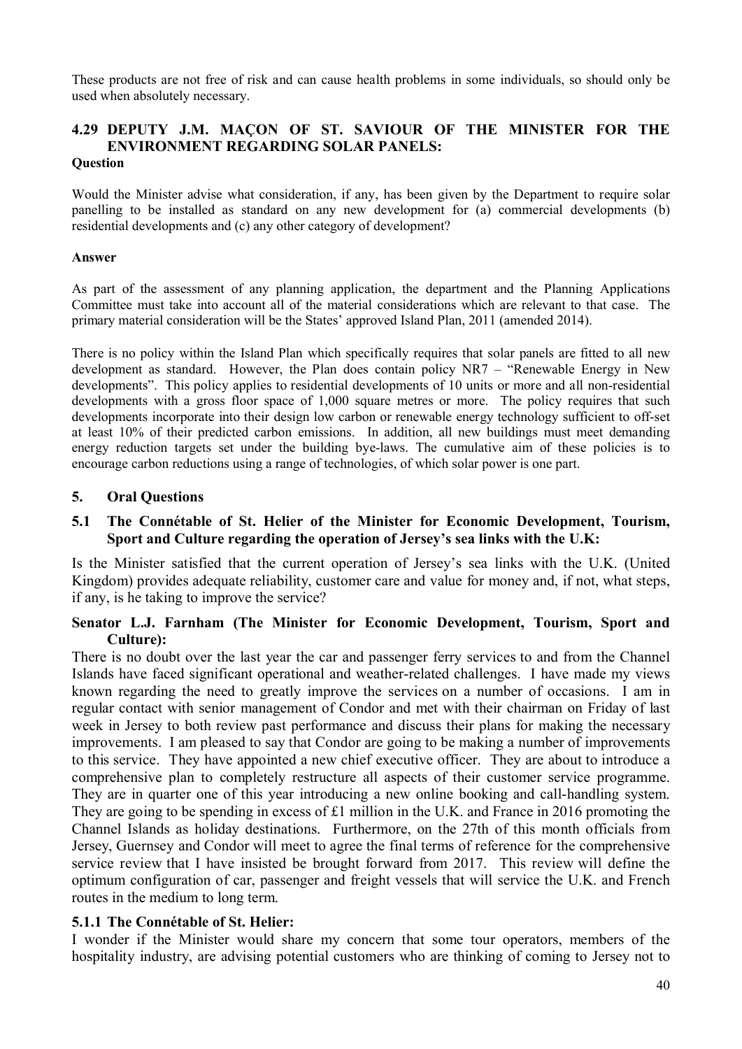These products are not free of risk and can cause health problems in some individuals, so should only be used when absolutely necessary.

#### **4.29 DEPUTY J.M. MAÇON OF ST. SAVIOUR OF THE MINISTER FOR THE ENVIRONMENT REGARDING SOLAR PANELS: Question**

Would the Minister advise what consideration, if any, has been given by the Department to require solar panelling to be installed as standard on any new development for (a) commercial developments (b) residential developments and (c) any other category of development?

#### **Answer**

As part of the assessment of any planning application, the department and the Planning Applications Committee must take into account all of the material considerations which are relevant to that case. The primary material consideration will be the States' approved Island Plan, 2011 (amended 2014).

There is no policy within the Island Plan which specifically requires that solar panels are fitted to all new development as standard. However, the Plan does contain policy NR7 – "Renewable Energy in New developments". This policy applies to residential developments of 10 units or more and all non-residential developments with a gross floor space of 1,000 square metres or more. The policy requires that such developments incorporate into their design low carbon or renewable energy technology sufficient to off-set at least 10% of their predicted carbon emissions. In addition, all new buildings must meet demanding energy reduction targets set under the building bye-laws. The cumulative aim of these policies is to encourage carbon reductions using a range of technologies, of which solar power is one part.

### **5. Oral Questions**

### **5.1 The Connétable of St. Helier of the Minister for Economic Development, Tourism, Sport and Culture regarding the operation of Jersey's sea links with the U.K:**

Is the Minister satisfied that the current operation of Jersey's sea links with the U.K. (United Kingdom) provides adequate reliability, customer care and value for money and, if not, what steps, if any, is he taking to improve the service?

### **Senator L.J. Farnham (The Minister for Economic Development, Tourism, Sport and Culture):**

There is no doubt over the last year the car and passenger ferry services to and from the Channel Islands have faced significant operational and weather-related challenges. I have made my views known regarding the need to greatly improve the services on a number of occasions. I am in regular contact with senior management of Condor and met with their chairman on Friday of last week in Jersey to both review past performance and discuss their plans for making the necessary improvements. I am pleased to say that Condor are going to be making a number of improvements to this service. They have appointed a new chief executive officer. They are about to introduce a comprehensive plan to completely restructure all aspects of their customer service programme. They are in quarter one of this year introducing a new online booking and call-handling system. They are going to be spending in excess of £1 million in the U.K. and France in 2016 promoting the Channel Islands as holiday destinations. Furthermore, on the 27th of this month officials from Jersey, Guernsey and Condor will meet to agree the final terms of reference for the comprehensive service review that I have insisted be brought forward from 2017. This review will define the optimum configuration of car, passenger and freight vessels that will service the U.K. and French routes in the medium to long term.

#### **5.1.1 The Connétable of St. Helier:**

I wonder if the Minister would share my concern that some tour operators, members of the hospitality industry, are advising potential customers who are thinking of coming to Jersey not to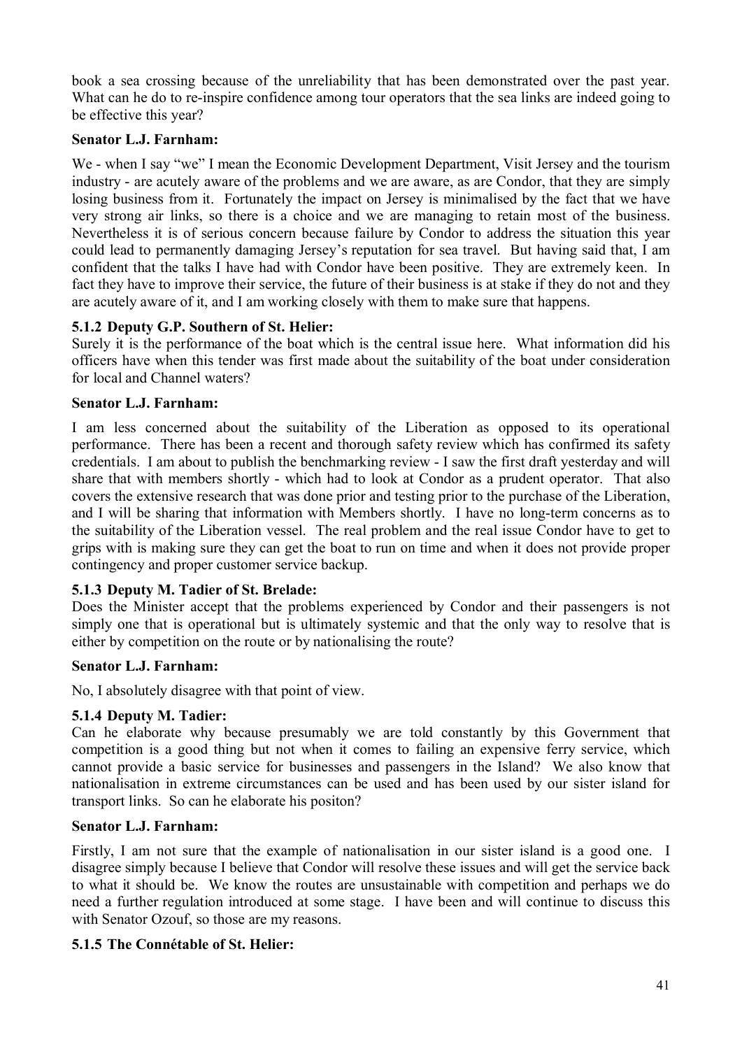book a sea crossing because of the unreliability that has been demonstrated over the past year. What can he do to re-inspire confidence among tour operators that the sea links are indeed going to be effective this year?

## **Senator L.J. Farnham:**

We - when I say "we" I mean the Economic Development Department, Visit Jersey and the tourism industry - are acutely aware of the problems and we are aware, as are Condor, that they are simply losing business from it. Fortunately the impact on Jersey is minimalised by the fact that we have very strong air links, so there is a choice and we are managing to retain most of the business. Nevertheless it is of serious concern because failure by Condor to address the situation this year could lead to permanently damaging Jersey's reputation for sea travel. But having said that, I am confident that the talks I have had with Condor have been positive. They are extremely keen. In fact they have to improve their service, the future of their business is at stake if they do not and they are acutely aware of it, and I am working closely with them to make sure that happens.

## **5.1.2 Deputy G.P. Southern of St. Helier:**

Surely it is the performance of the boat which is the central issue here. What information did his officers have when this tender was first made about the suitability of the boat under consideration for local and Channel waters?

## **Senator L.J. Farnham:**

I am less concerned about the suitability of the Liberation as opposed to its operational performance. There has been a recent and thorough safety review which has confirmed its safety credentials. I am about to publish the benchmarking review - I saw the first draft yesterday and will share that with members shortly - which had to look at Condor as a prudent operator. That also covers the extensive research that was done prior and testing prior to the purchase of the Liberation, and I will be sharing that information with Members shortly. I have no long-term concerns as to the suitability of the Liberation vessel. The real problem and the real issue Condor have to get to grips with is making sure they can get the boat to run on time and when it does not provide proper contingency and proper customer service backup.

## **5.1.3 Deputy M. Tadier of St. Brelade:**

Does the Minister accept that the problems experienced by Condor and their passengers is not simply one that is operational but is ultimately systemic and that the only way to resolve that is either by competition on the route or by nationalising the route?

#### **Senator L.J. Farnham:**

No, I absolutely disagree with that point of view.

## **5.1.4 Deputy M. Tadier:**

Can he elaborate why because presumably we are told constantly by this Government that competition is a good thing but not when it comes to failing an expensive ferry service, which cannot provide a basic service for businesses and passengers in the Island? We also know that nationalisation in extreme circumstances can be used and has been used by our sister island for transport links. So can he elaborate his positon?

## **Senator L.J. Farnham:**

Firstly, I am not sure that the example of nationalisation in our sister island is a good one. I disagree simply because I believe that Condor will resolve these issues and will get the service back to what it should be. We know the routes are unsustainable with competition and perhaps we do need a further regulation introduced at some stage. I have been and will continue to discuss this with Senator Ozouf, so those are my reasons.

## **5.1.5 The Connétable of St. Helier:**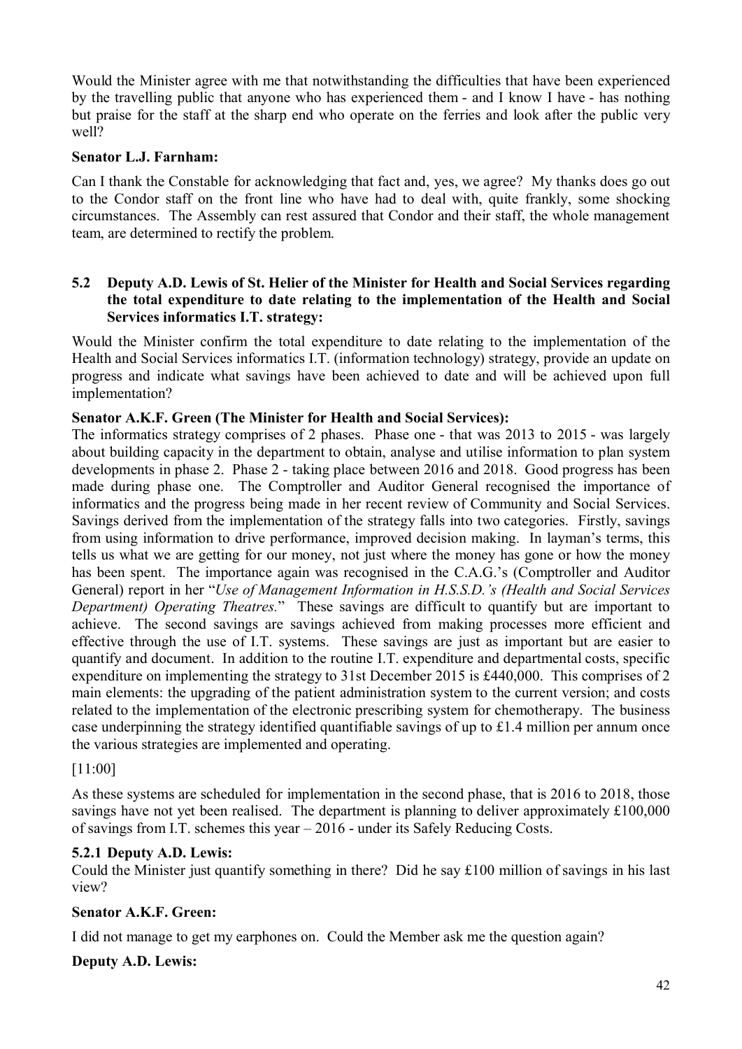Would the Minister agree with me that notwithstanding the difficulties that have been experienced by the travelling public that anyone who has experienced them - and I know I have - has nothing but praise for the staff at the sharp end who operate on the ferries and look after the public very well?

## **Senator L.J. Farnham:**

Can I thank the Constable for acknowledging that fact and, yes, we agree? My thanks does go out to the Condor staff on the front line who have had to deal with, quite frankly, some shocking circumstances. The Assembly can rest assured that Condor and their staff, the whole management team, are determined to rectify the problem.

## **5.2 Deputy A.D. Lewis of St. Helier of the Minister for Health and Social Services regarding the total expenditure to date relating to the implementation of the Health and Social Services informatics I.T. strategy:**

Would the Minister confirm the total expenditure to date relating to the implementation of the Health and Social Services informatics I.T. (information technology) strategy, provide an update on progress and indicate what savings have been achieved to date and will be achieved upon full implementation?

## **Senator A.K.F. Green (The Minister for Health and Social Services):**

The informatics strategy comprises of 2 phases. Phase one - that was 2013 to 2015 - was largely about building capacity in the department to obtain, analyse and utilise information to plan system developments in phase 2. Phase 2 - taking place between 2016 and 2018. Good progress has been made during phase one. The Comptroller and Auditor General recognised the importance of informatics and the progress being made in her recent review of Community and Social Services. Savings derived from the implementation of the strategy falls into two categories. Firstly, savings from using information to drive performance, improved decision making. In layman's terms, this tells us what we are getting for our money, not just where the money has gone or how the money has been spent. The importance again was recognised in the C.A.G.'s (Comptroller and Auditor General) report in her "*Use of Management Information in H.S.S.D.'s (Health and Social Services Department) Operating Theatres.*" These savings are difficult to quantify but are important to achieve. The second savings are savings achieved from making processes more efficient and effective through the use of I.T. systems. These savings are just as important but are easier to quantify and document. In addition to the routine I.T. expenditure and departmental costs, specific expenditure on implementing the strategy to 31st December 2015 is £440,000. This comprises of 2 main elements: the upgrading of the patient administration system to the current version; and costs related to the implementation of the electronic prescribing system for chemotherapy. The business case underpinning the strategy identified quantifiable savings of up to £1.4 million per annum once the various strategies are implemented and operating.

## [11:00]

As these systems are scheduled for implementation in the second phase, that is 2016 to 2018, those savings have not yet been realised. The department is planning to deliver approximately £100,000 of savings from I.T. schemes this year – 2016 - under its Safely Reducing Costs.

## **5.2.1 Deputy A.D. Lewis:**

Could the Minister just quantify something in there? Did he say £100 million of savings in his last view?

# **Senator A.K.F. Green:**

I did not manage to get my earphones on. Could the Member ask me the question again?

# **Deputy A.D. Lewis:**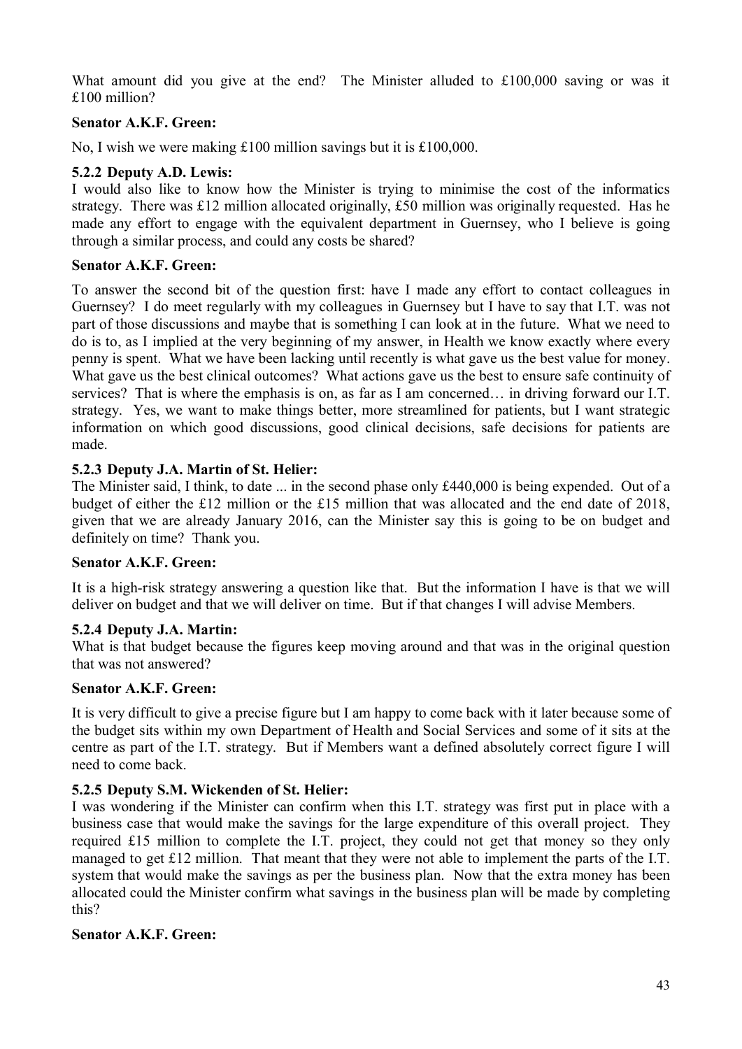What amount did you give at the end? The Minister alluded to £100,000 saving or was it £100 million?

## **Senator A.K.F. Green:**

No, I wish we were making £100 million savings but it is £100,000.

### **5.2.2 Deputy A.D. Lewis:**

I would also like to know how the Minister is trying to minimise the cost of the informatics strategy. There was £12 million allocated originally, £50 million was originally requested. Has he made any effort to engage with the equivalent department in Guernsey, who I believe is going through a similar process, and could any costs be shared?

### **Senator A.K.F. Green:**

To answer the second bit of the question first: have I made any effort to contact colleagues in Guernsey? I do meet regularly with my colleagues in Guernsey but I have to say that I.T. was not part of those discussions and maybe that is something I can look at in the future. What we need to do is to, as I implied at the very beginning of my answer, in Health we know exactly where every penny is spent. What we have been lacking until recently is what gave us the best value for money. What gave us the best clinical outcomes? What actions gave us the best to ensure safe continuity of services? That is where the emphasis is on, as far as I am concerned… in driving forward our I.T. strategy. Yes, we want to make things better, more streamlined for patients, but I want strategic information on which good discussions, good clinical decisions, safe decisions for patients are made.

### **5.2.3 Deputy J.A. Martin of St. Helier:**

The Minister said, I think, to date ... in the second phase only £440,000 is being expended. Out of a budget of either the £12 million or the £15 million that was allocated and the end date of 2018, given that we are already January 2016, can the Minister say this is going to be on budget and definitely on time? Thank you.

## **Senator A.K.F. Green:**

It is a high-risk strategy answering a question like that. But the information I have is that we will deliver on budget and that we will deliver on time. But if that changes I will advise Members.

#### **5.2.4 Deputy J.A. Martin:**

What is that budget because the figures keep moving around and that was in the original question that was not answered?

#### **Senator A.K.F. Green:**

It is very difficult to give a precise figure but I am happy to come back with it later because some of the budget sits within my own Department of Health and Social Services and some of it sits at the centre as part of the I.T. strategy. But if Members want a defined absolutely correct figure I will need to come back.

## **5.2.5 Deputy S.M. Wickenden of St. Helier:**

I was wondering if the Minister can confirm when this I.T. strategy was first put in place with a business case that would make the savings for the large expenditure of this overall project. They required £15 million to complete the I.T. project, they could not get that money so they only managed to get £12 million. That meant that they were not able to implement the parts of the I.T. system that would make the savings as per the business plan. Now that the extra money has been allocated could the Minister confirm what savings in the business plan will be made by completing this?

#### **Senator A.K.F. Green:**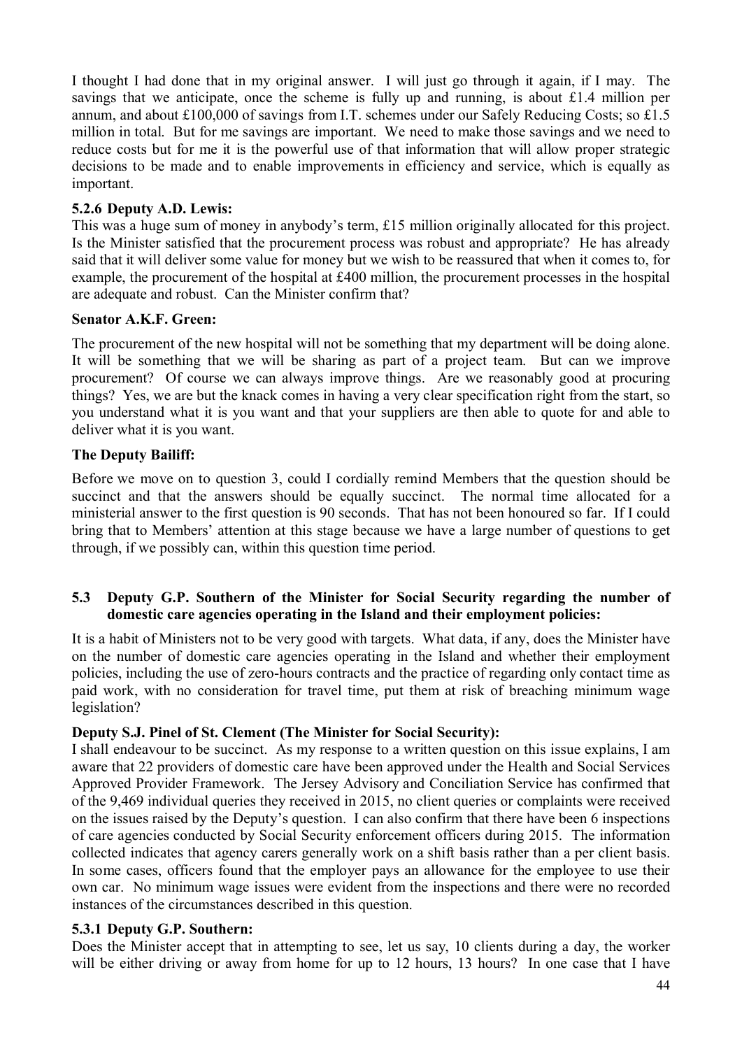I thought I had done that in my original answer. I will just go through it again, if I may. The savings that we anticipate, once the scheme is fully up and running, is about £1.4 million per annum, and about £100,000 of savings from I.T. schemes under our Safely Reducing Costs; so £1.5 million in total. But for me savings are important. We need to make those savings and we need to reduce costs but for me it is the powerful use of that information that will allow proper strategic decisions to be made and to enable improvements in efficiency and service, which is equally as important.

## **5.2.6 Deputy A.D. Lewis:**

This was a huge sum of money in anybody's term, £15 million originally allocated for this project. Is the Minister satisfied that the procurement process was robust and appropriate? He has already said that it will deliver some value for money but we wish to be reassured that when it comes to, for example, the procurement of the hospital at £400 million, the procurement processes in the hospital are adequate and robust. Can the Minister confirm that?

## **Senator A.K.F. Green:**

The procurement of the new hospital will not be something that my department will be doing alone. It will be something that we will be sharing as part of a project team. But can we improve procurement? Of course we can always improve things. Are we reasonably good at procuring things? Yes, we are but the knack comes in having a very clear specification right from the start, so you understand what it is you want and that your suppliers are then able to quote for and able to deliver what it is you want.

## **The Deputy Bailiff:**

Before we move on to question 3, could I cordially remind Members that the question should be succinct and that the answers should be equally succinct. The normal time allocated for a ministerial answer to the first question is 90 seconds. That has not been honoured so far. If I could bring that to Members' attention at this stage because we have a large number of questions to get through, if we possibly can, within this question time period.

## **5.3 Deputy G.P. Southern of the Minister for Social Security regarding the number of domestic care agencies operating in the Island and their employment policies:**

It is a habit of Ministers not to be very good with targets. What data, if any, does the Minister have on the number of domestic care agencies operating in the Island and whether their employment policies, including the use of zero-hours contracts and the practice of regarding only contact time as paid work, with no consideration for travel time, put them at risk of breaching minimum wage legislation?

## **Deputy S.J. Pinel of St. Clement (The Minister for Social Security):**

I shall endeavour to be succinct. As my response to a written question on this issue explains, I am aware that 22 providers of domestic care have been approved under the Health and Social Services Approved Provider Framework. The Jersey Advisory and Conciliation Service has confirmed that of the 9,469 individual queries they received in 2015, no client queries or complaints were received on the issues raised by the Deputy's question. I can also confirm that there have been 6 inspections of care agencies conducted by Social Security enforcement officers during 2015. The information collected indicates that agency carers generally work on a shift basis rather than a per client basis. In some cases, officers found that the employer pays an allowance for the employee to use their own car. No minimum wage issues were evident from the inspections and there were no recorded instances of the circumstances described in this question.

## **5.3.1 Deputy G.P. Southern:**

Does the Minister accept that in attempting to see, let us say, 10 clients during a day, the worker will be either driving or away from home for up to 12 hours, 13 hours? In one case that I have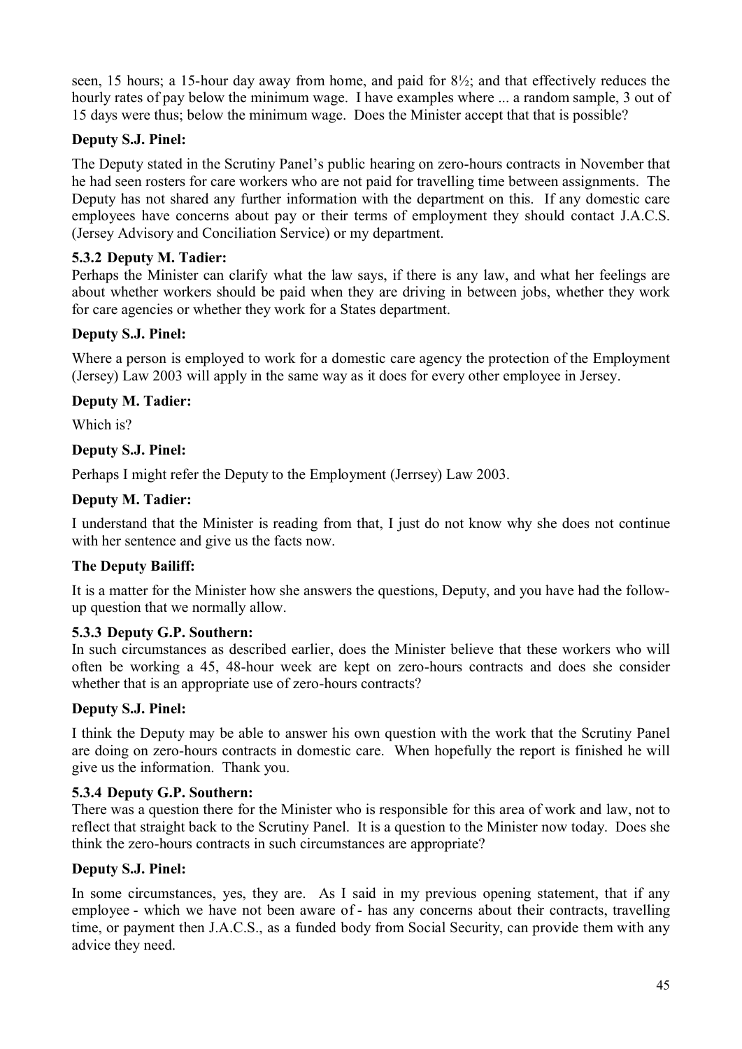seen, 15 hours; a 15-hour day away from home, and paid for 8½; and that effectively reduces the hourly rates of pay below the minimum wage. I have examples where ... a random sample, 3 out of 15 days were thus; below the minimum wage. Does the Minister accept that that is possible?

## **Deputy S.J. Pinel:**

The Deputy stated in the Scrutiny Panel's public hearing on zero-hours contracts in November that he had seen rosters for care workers who are not paid for travelling time between assignments. The Deputy has not shared any further information with the department on this. If any domestic care employees have concerns about pay or their terms of employment they should contact J.A.C.S. (Jersey Advisory and Conciliation Service) or my department.

## **5.3.2 Deputy M. Tadier:**

Perhaps the Minister can clarify what the law says, if there is any law, and what her feelings are about whether workers should be paid when they are driving in between jobs, whether they work for care agencies or whether they work for a States department.

## **Deputy S.J. Pinel:**

Where a person is employed to work for a domestic care agency the protection of the Employment (Jersey) Law 2003 will apply in the same way as it does for every other employee in Jersey.

## **Deputy M. Tadier:**

Which is?

## **Deputy S.J. Pinel:**

Perhaps I might refer the Deputy to the Employment (Jerrsey) Law 2003.

## **Deputy M. Tadier:**

I understand that the Minister is reading from that, I just do not know why she does not continue with her sentence and give us the facts now.

## **The Deputy Bailiff:**

It is a matter for the Minister how she answers the questions, Deputy, and you have had the followup question that we normally allow.

## **5.3.3 Deputy G.P. Southern:**

In such circumstances as described earlier, does the Minister believe that these workers who will often be working a 45, 48-hour week are kept on zero-hours contracts and does she consider whether that is an appropriate use of zero-hours contracts?

## **Deputy S.J. Pinel:**

I think the Deputy may be able to answer his own question with the work that the Scrutiny Panel are doing on zero-hours contracts in domestic care. When hopefully the report is finished he will give us the information. Thank you.

## **5.3.4 Deputy G.P. Southern:**

There was a question there for the Minister who is responsible for this area of work and law, not to reflect that straight back to the Scrutiny Panel. It is a question to the Minister now today. Does she think the zero-hours contracts in such circumstances are appropriate?

## **Deputy S.J. Pinel:**

In some circumstances, yes, they are. As I said in my previous opening statement, that if any employee - which we have not been aware of - has any concerns about their contracts, travelling time, or payment then J.A.C.S., as a funded body from Social Security, can provide them with any advice they need.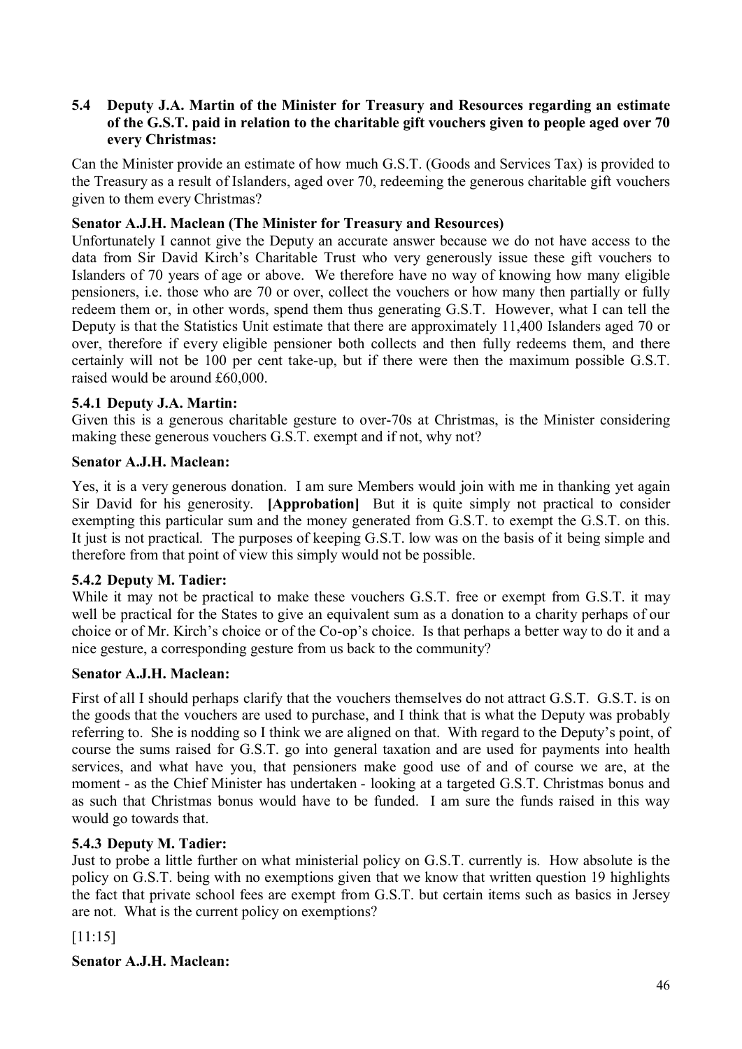## **5.4 Deputy J.A. Martin of the Minister for Treasury and Resources regarding an estimate of the G.S.T. paid in relation to the charitable gift vouchers given to people aged over 70 every Christmas:**

Can the Minister provide an estimate of how much G.S.T. (Goods and Services Tax) is provided to the Treasury as a result of Islanders, aged over 70, redeeming the generous charitable gift vouchers given to them every Christmas?

## **Senator A.J.H. Maclean (The Minister for Treasury and Resources)**

Unfortunately I cannot give the Deputy an accurate answer because we do not have access to the data from Sir David Kirch's Charitable Trust who very generously issue these gift vouchers to Islanders of 70 years of age or above. We therefore have no way of knowing how many eligible pensioners, i.e. those who are 70 or over, collect the vouchers or how many then partially or fully redeem them or, in other words, spend them thus generating G.S.T. However, what I can tell the Deputy is that the Statistics Unit estimate that there are approximately 11,400 Islanders aged 70 or over, therefore if every eligible pensioner both collects and then fully redeems them, and there certainly will not be 100 per cent take-up, but if there were then the maximum possible G.S.T. raised would be around £60,000.

## **5.4.1 Deputy J.A. Martin:**

Given this is a generous charitable gesture to over-70s at Christmas, is the Minister considering making these generous vouchers G.S.T. exempt and if not, why not?

## **Senator A.J.H. Maclean:**

Yes, it is a very generous donation. I am sure Members would join with me in thanking yet again Sir David for his generosity. **[Approbation]** But it is quite simply not practical to consider exempting this particular sum and the money generated from G.S.T. to exempt the G.S.T. on this. It just is not practical. The purposes of keeping G.S.T. low was on the basis of it being simple and therefore from that point of view this simply would not be possible.

## **5.4.2 Deputy M. Tadier:**

While it may not be practical to make these vouchers G.S.T. free or exempt from G.S.T. it may well be practical for the States to give an equivalent sum as a donation to a charity perhaps of our choice or of Mr. Kirch's choice or of the Co-op's choice. Is that perhaps a better way to do it and a nice gesture, a corresponding gesture from us back to the community?

## **Senator A.J.H. Maclean:**

First of all I should perhaps clarify that the vouchers themselves do not attract G.S.T. G.S.T. is on the goods that the vouchers are used to purchase, and I think that is what the Deputy was probably referring to. She is nodding so I think we are aligned on that. With regard to the Deputy's point, of course the sums raised for G.S.T. go into general taxation and are used for payments into health services, and what have you, that pensioners make good use of and of course we are, at the moment - as the Chief Minister has undertaken - looking at a targeted G.S.T. Christmas bonus and as such that Christmas bonus would have to be funded. I am sure the funds raised in this way would go towards that.

## **5.4.3 Deputy M. Tadier:**

Just to probe a little further on what ministerial policy on G.S.T. currently is. How absolute is the policy on G.S.T. being with no exemptions given that we know that written question 19 highlights the fact that private school fees are exempt from G.S.T. but certain items such as basics in Jersey are not. What is the current policy on exemptions?

[11:15]

## **Senator A.J.H. Maclean:**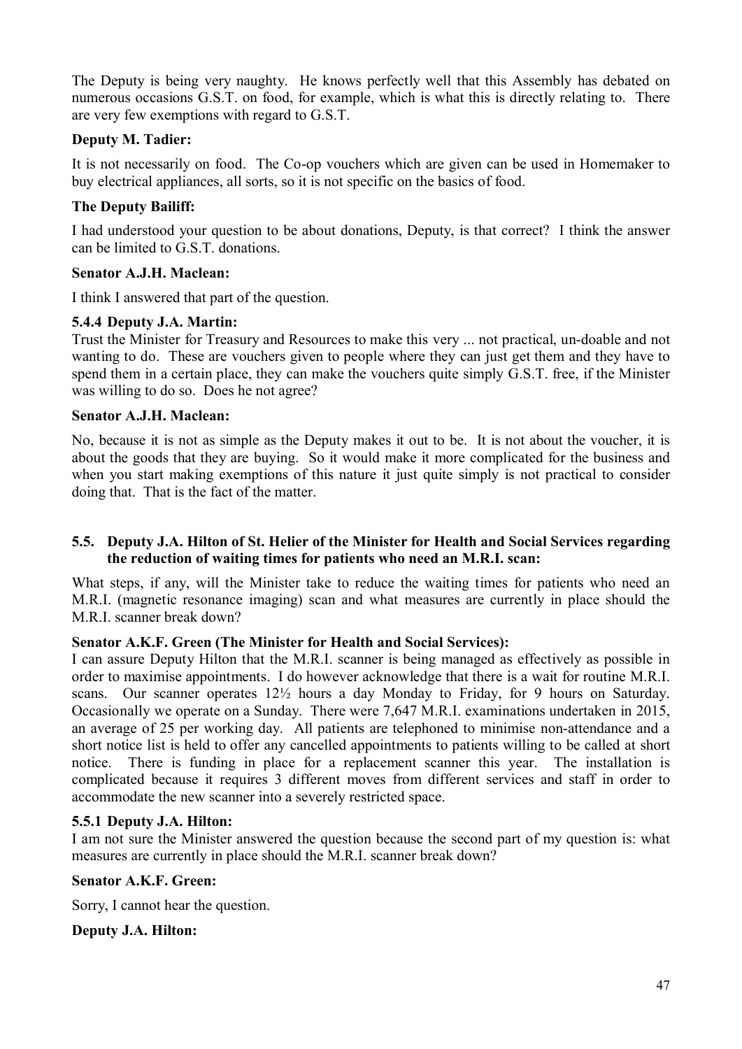The Deputy is being very naughty. He knows perfectly well that this Assembly has debated on numerous occasions G.S.T. on food, for example, which is what this is directly relating to. There are very few exemptions with regard to G.S.T.

## **Deputy M. Tadier:**

It is not necessarily on food. The Co-op vouchers which are given can be used in Homemaker to buy electrical appliances, all sorts, so it is not specific on the basics of food.

## **The Deputy Bailiff:**

I had understood your question to be about donations, Deputy, is that correct? I think the answer can be limited to G.S.T. donations.

## **Senator A.J.H. Maclean:**

I think I answered that part of the question.

## **5.4.4 Deputy J.A. Martin:**

Trust the Minister for Treasury and Resources to make this very ... not practical, un-doable and not wanting to do. These are vouchers given to people where they can just get them and they have to spend them in a certain place, they can make the vouchers quite simply G.S.T. free, if the Minister was willing to do so. Does he not agree?

### **Senator A.J.H. Maclean:**

No, because it is not as simple as the Deputy makes it out to be. It is not about the voucher, it is about the goods that they are buying. So it would make it more complicated for the business and when you start making exemptions of this nature it just quite simply is not practical to consider doing that. That is the fact of the matter.

### **5.5. Deputy J.A. Hilton of St. Helier of the Minister for Health and Social Services regarding the reduction of waiting times for patients who need an M.R.I. scan:**

What steps, if any, will the Minister take to reduce the waiting times for patients who need an M.R.I. (magnetic resonance imaging) scan and what measures are currently in place should the M.R.I. scanner break down?

## **Senator A.K.F. Green (The Minister for Health and Social Services):**

I can assure Deputy Hilton that the M.R.I. scanner is being managed as effectively as possible in order to maximise appointments. I do however acknowledge that there is a wait for routine M.R.I. scans. Our scanner operates 12½ hours a day Monday to Friday, for 9 hours on Saturday. Occasionally we operate on a Sunday. There were 7,647 M.R.I. examinations undertaken in 2015, an average of 25 per working day. All patients are telephoned to minimise non-attendance and a short notice list is held to offer any cancelled appointments to patients willing to be called at short notice. There is funding in place for a replacement scanner this year. The installation is complicated because it requires 3 different moves from different services and staff in order to accommodate the new scanner into a severely restricted space.

## **5.5.1 Deputy J.A. Hilton:**

I am not sure the Minister answered the question because the second part of my question is: what measures are currently in place should the M.R.I. scanner break down?

#### **Senator A.K.F. Green:**

Sorry, I cannot hear the question.

#### **Deputy J.A. Hilton:**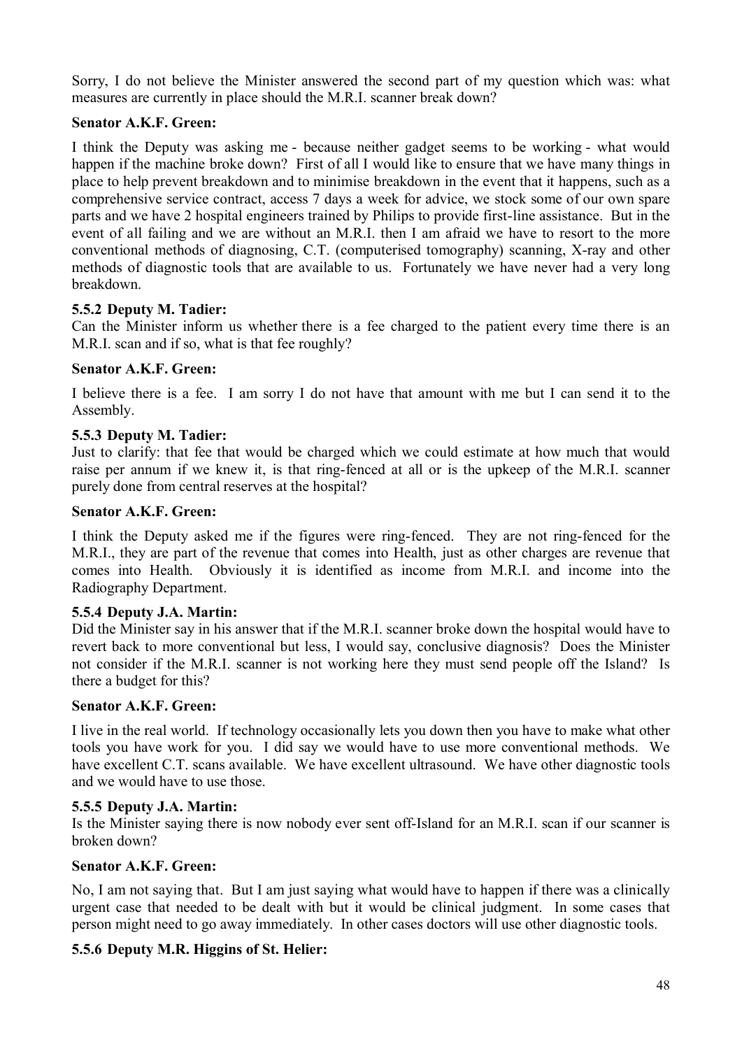Sorry, I do not believe the Minister answered the second part of my question which was: what measures are currently in place should the M.R.I. scanner break down?

## **Senator A.K.F. Green:**

I think the Deputy was asking me - because neither gadget seems to be working - what would happen if the machine broke down? First of all I would like to ensure that we have many things in place to help prevent breakdown and to minimise breakdown in the event that it happens, such as a comprehensive service contract, access 7 days a week for advice, we stock some of our own spare parts and we have 2 hospital engineers trained by Philips to provide first-line assistance. But in the event of all failing and we are without an M.R.I. then I am afraid we have to resort to the more conventional methods of diagnosing, C.T. (computerised tomography) scanning, X-ray and other methods of diagnostic tools that are available to us. Fortunately we have never had a very long breakdown.

### **5.5.2 Deputy M. Tadier:**

Can the Minister inform us whether there is a fee charged to the patient every time there is an M.R.I. scan and if so, what is that fee roughly?

### **Senator A.K.F. Green:**

I believe there is a fee. I am sorry I do not have that amount with me but I can send it to the Assembly.

### **5.5.3 Deputy M. Tadier:**

Just to clarify: that fee that would be charged which we could estimate at how much that would raise per annum if we knew it, is that ring-fenced at all or is the upkeep of the M.R.I. scanner purely done from central reserves at the hospital?

#### **Senator A.K.F. Green:**

I think the Deputy asked me if the figures were ring-fenced. They are not ring-fenced for the M.R.I., they are part of the revenue that comes into Health, just as other charges are revenue that comes into Health. Obviously it is identified as income from M.R.I. and income into the Radiography Department.

#### **5.5.4 Deputy J.A. Martin:**

Did the Minister say in his answer that if the M.R.I. scanner broke down the hospital would have to revert back to more conventional but less, I would say, conclusive diagnosis? Does the Minister not consider if the M.R.I. scanner is not working here they must send people off the Island? Is there a budget for this?

#### **Senator A.K.F. Green:**

I live in the real world. If technology occasionally lets you down then you have to make what other tools you have work for you. I did say we would have to use more conventional methods. We have excellent C.T. scans available. We have excellent ultrasound. We have other diagnostic tools and we would have to use those.

#### **5.5.5 Deputy J.A. Martin:**

Is the Minister saying there is now nobody ever sent off-Island for an M.R.I. scan if our scanner is broken down?

### **Senator A.K.F. Green:**

No, I am not saying that. But I am just saying what would have to happen if there was a clinically urgent case that needed to be dealt with but it would be clinical judgment. In some cases that person might need to go away immediately. In other cases doctors will use other diagnostic tools.

## **5.5.6 Deputy M.R. Higgins of St. Helier:**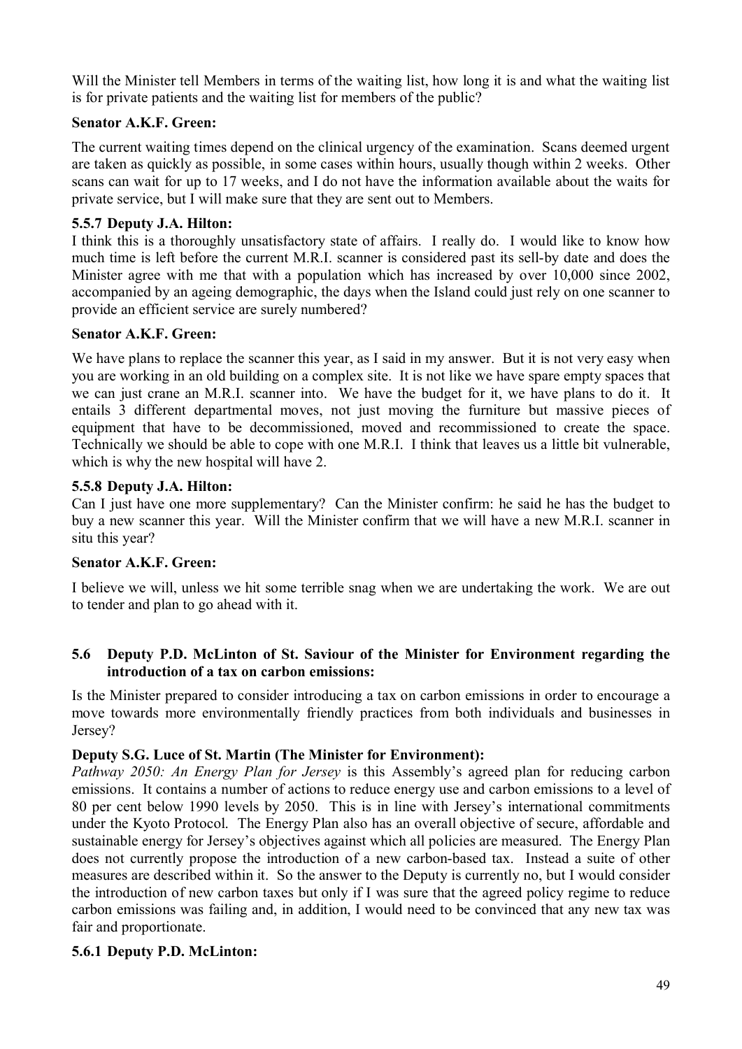Will the Minister tell Members in terms of the waiting list, how long it is and what the waiting list is for private patients and the waiting list for members of the public?

## **Senator A.K.F. Green:**

The current waiting times depend on the clinical urgency of the examination. Scans deemed urgent are taken as quickly as possible, in some cases within hours, usually though within 2 weeks. Other scans can wait for up to 17 weeks, and I do not have the information available about the waits for private service, but I will make sure that they are sent out to Members.

## **5.5.7 Deputy J.A. Hilton:**

I think this is a thoroughly unsatisfactory state of affairs. I really do. I would like to know how much time is left before the current M.R.I. scanner is considered past its sell-by date and does the Minister agree with me that with a population which has increased by over 10,000 since 2002, accompanied by an ageing demographic, the days when the Island could just rely on one scanner to provide an efficient service are surely numbered?

## **Senator A.K.F. Green:**

We have plans to replace the scanner this year, as I said in my answer. But it is not very easy when you are working in an old building on a complex site. It is not like we have spare empty spaces that we can just crane an M.R.I. scanner into. We have the budget for it, we have plans to do it. It entails 3 different departmental moves, not just moving the furniture but massive pieces of equipment that have to be decommissioned, moved and recommissioned to create the space. Technically we should be able to cope with one M.R.I. I think that leaves us a little bit vulnerable, which is why the new hospital will have 2.

## **5.5.8 Deputy J.A. Hilton:**

Can I just have one more supplementary? Can the Minister confirm: he said he has the budget to buy a new scanner this year. Will the Minister confirm that we will have a new M.R.I. scanner in situ this year?

# **Senator A.K.F. Green:**

I believe we will, unless we hit some terrible snag when we are undertaking the work. We are out to tender and plan to go ahead with it.

### **5.6 Deputy P.D. McLinton of St. Saviour of the Minister for Environment regarding the introduction of a tax on carbon emissions:**

Is the Minister prepared to consider introducing a tax on carbon emissions in order to encourage a move towards more environmentally friendly practices from both individuals and businesses in Jersey?

## **Deputy S.G. Luce of St. Martin (The Minister for Environment):**

*Pathway 2050: An Energy Plan for Jersey* is this Assembly's agreed plan for reducing carbon emissions. It contains a number of actions to reduce energy use and carbon emissions to a level of 80 per cent below 1990 levels by 2050. This is in line with Jersey's international commitments under the Kyoto Protocol. The Energy Plan also has an overall objective of secure, affordable and sustainable energy for Jersey's objectives against which all policies are measured. The Energy Plan does not currently propose the introduction of a new carbon-based tax. Instead a suite of other measures are described within it. So the answer to the Deputy is currently no, but I would consider the introduction of new carbon taxes but only if I was sure that the agreed policy regime to reduce carbon emissions was failing and, in addition, I would need to be convinced that any new tax was fair and proportionate.

## **5.6.1 Deputy P.D. McLinton:**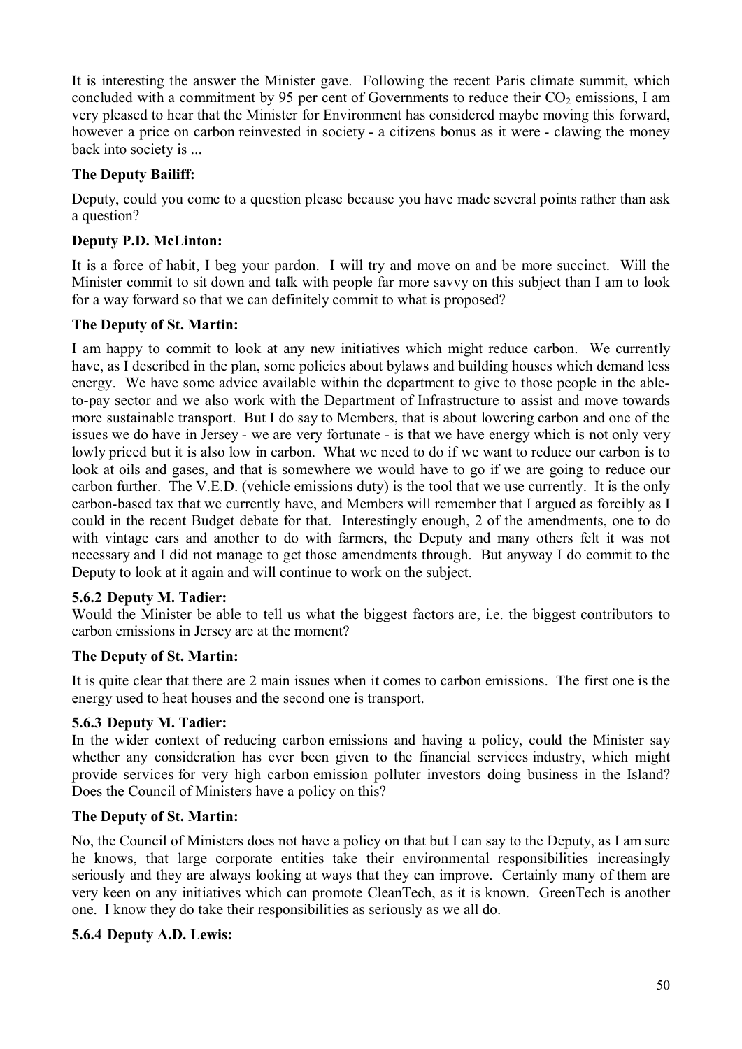It is interesting the answer the Minister gave. Following the recent Paris climate summit, which concluded with a commitment by 95 per cent of Governments to reduce their  $CO<sub>2</sub>$  emissions, I am very pleased to hear that the Minister for Environment has considered maybe moving this forward, however a price on carbon reinvested in society - a citizens bonus as it were - clawing the money back into society is ...

## **The Deputy Bailiff:**

Deputy, could you come to a question please because you have made several points rather than ask a question?

## **Deputy P.D. McLinton:**

It is a force of habit, I beg your pardon. I will try and move on and be more succinct. Will the Minister commit to sit down and talk with people far more savvy on this subject than I am to look for a way forward so that we can definitely commit to what is proposed?

## **The Deputy of St. Martin:**

I am happy to commit to look at any new initiatives which might reduce carbon. We currently have, as I described in the plan, some policies about bylaws and building houses which demand less energy. We have some advice available within the department to give to those people in the ableto-pay sector and we also work with the Department of Infrastructure to assist and move towards more sustainable transport. But I do say to Members, that is about lowering carbon and one of the issues we do have in Jersey - we are very fortunate - is that we have energy which is not only very lowly priced but it is also low in carbon. What we need to do if we want to reduce our carbon is to look at oils and gases, and that is somewhere we would have to go if we are going to reduce our carbon further. The V.E.D. (vehicle emissions duty) is the tool that we use currently. It is the only carbon-based tax that we currently have, and Members will remember that I argued as forcibly as I could in the recent Budget debate for that. Interestingly enough, 2 of the amendments, one to do with vintage cars and another to do with farmers, the Deputy and many others felt it was not necessary and I did not manage to get those amendments through. But anyway I do commit to the Deputy to look at it again and will continue to work on the subject.

## **5.6.2 Deputy M. Tadier:**

Would the Minister be able to tell us what the biggest factors are, i.e. the biggest contributors to carbon emissions in Jersey are at the moment?

## **The Deputy of St. Martin:**

It is quite clear that there are 2 main issues when it comes to carbon emissions. The first one is the energy used to heat houses and the second one is transport.

## **5.6.3 Deputy M. Tadier:**

In the wider context of reducing carbon emissions and having a policy, could the Minister say whether any consideration has ever been given to the financial services industry, which might provide services for very high carbon emission polluter investors doing business in the Island? Does the Council of Ministers have a policy on this?

## **The Deputy of St. Martin:**

No, the Council of Ministers does not have a policy on that but I can say to the Deputy, as I am sure he knows, that large corporate entities take their environmental responsibilities increasingly seriously and they are always looking at ways that they can improve. Certainly many of them are very keen on any initiatives which can promote CleanTech, as it is known. GreenTech is another one. I know they do take their responsibilities as seriously as we all do.

## **5.6.4 Deputy A.D. Lewis:**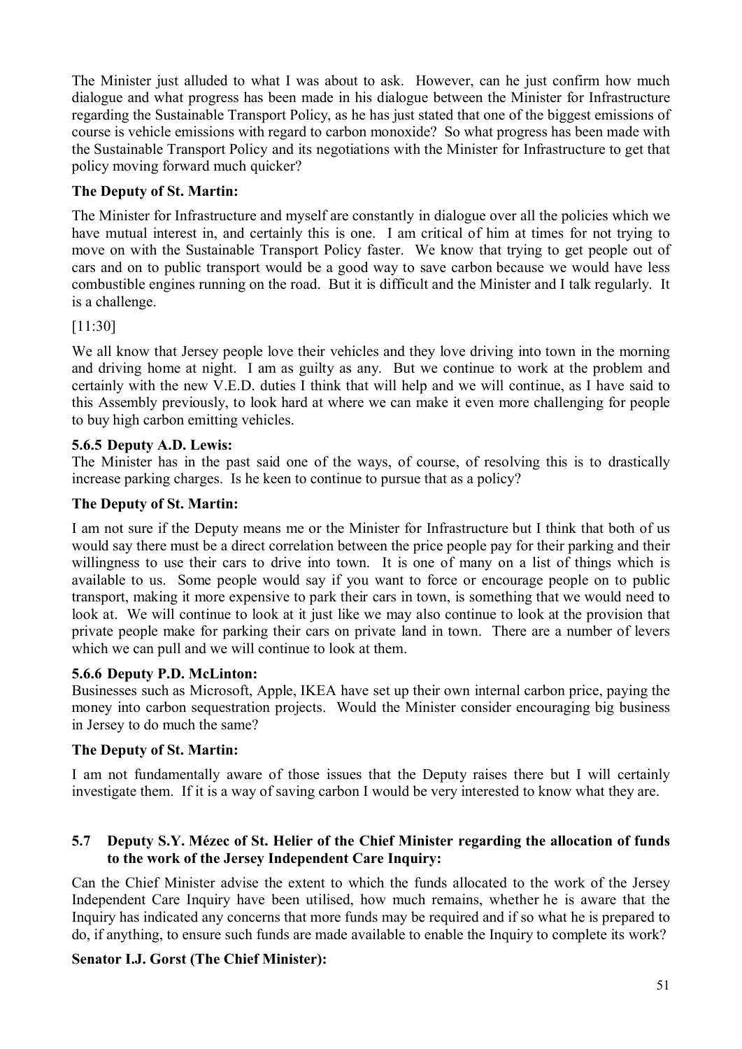The Minister just alluded to what I was about to ask. However, can he just confirm how much dialogue and what progress has been made in his dialogue between the Minister for Infrastructure regarding the Sustainable Transport Policy, as he has just stated that one of the biggest emissions of course is vehicle emissions with regard to carbon monoxide? So what progress has been made with the Sustainable Transport Policy and its negotiations with the Minister for Infrastructure to get that policy moving forward much quicker?

# **The Deputy of St. Martin:**

The Minister for Infrastructure and myself are constantly in dialogue over all the policies which we have mutual interest in, and certainly this is one. I am critical of him at times for not trying to move on with the Sustainable Transport Policy faster. We know that trying to get people out of cars and on to public transport would be a good way to save carbon because we would have less combustible engines running on the road. But it is difficult and the Minister and I talk regularly. It is a challenge.

# [11:30]

We all know that Jersey people love their vehicles and they love driving into town in the morning and driving home at night. I am as guilty as any. But we continue to work at the problem and certainly with the new V.E.D. duties I think that will help and we will continue, as I have said to this Assembly previously, to look hard at where we can make it even more challenging for people to buy high carbon emitting vehicles.

# **5.6.5 Deputy A.D. Lewis:**

The Minister has in the past said one of the ways, of course, of resolving this is to drastically increase parking charges. Is he keen to continue to pursue that as a policy?

# **The Deputy of St. Martin:**

I am not sure if the Deputy means me or the Minister for Infrastructure but I think that both of us would say there must be a direct correlation between the price people pay for their parking and their willingness to use their cars to drive into town. It is one of many on a list of things which is available to us. Some people would say if you want to force or encourage people on to public transport, making it more expensive to park their cars in town, is something that we would need to look at. We will continue to look at it just like we may also continue to look at the provision that private people make for parking their cars on private land in town. There are a number of levers which we can pull and we will continue to look at them.

# **5.6.6 Deputy P.D. McLinton:**

Businesses such as Microsoft, Apple, IKEA have set up their own internal carbon price, paying the money into carbon sequestration projects. Would the Minister consider encouraging big business in Jersey to do much the same?

# **The Deputy of St. Martin:**

I am not fundamentally aware of those issues that the Deputy raises there but I will certainly investigate them. If it is a way of saving carbon I would be very interested to know what they are.

## **5.7 Deputy S.Y. Mézec of St. Helier of the Chief Minister regarding the allocation of funds to the work of the Jersey Independent Care Inquiry:**

Can the Chief Minister advise the extent to which the funds allocated to the work of the Jersey Independent Care Inquiry have been utilised, how much remains, whether he is aware that the Inquiry has indicated any concerns that more funds may be required and if so what he is prepared to do, if anything, to ensure such funds are made available to enable the Inquiry to complete its work?

# **Senator I.J. Gorst (The Chief Minister):**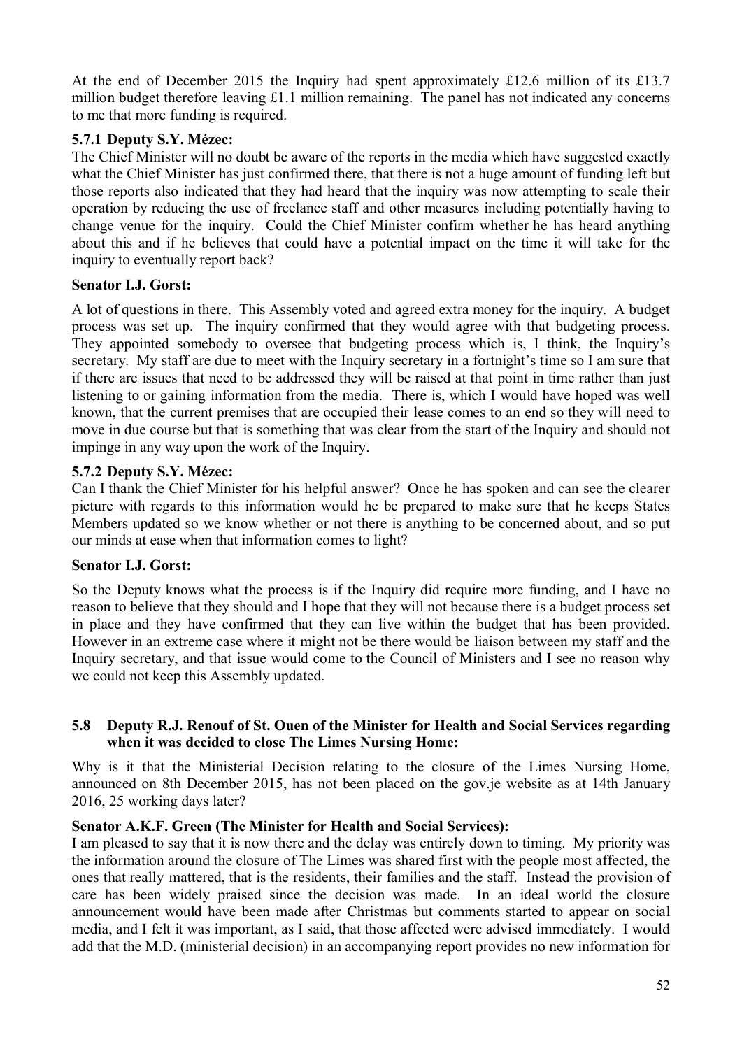At the end of December 2015 the Inquiry had spent approximately £12.6 million of its £13.7 million budget therefore leaving £1.1 million remaining. The panel has not indicated any concerns to me that more funding is required.

## **5.7.1 Deputy S.Y. Mézec:**

The Chief Minister will no doubt be aware of the reports in the media which have suggested exactly what the Chief Minister has just confirmed there, that there is not a huge amount of funding left but those reports also indicated that they had heard that the inquiry was now attempting to scale their operation by reducing the use of freelance staff and other measures including potentially having to change venue for the inquiry. Could the Chief Minister confirm whether he has heard anything about this and if he believes that could have a potential impact on the time it will take for the inquiry to eventually report back?

## **Senator I.J. Gorst:**

A lot of questions in there. This Assembly voted and agreed extra money for the inquiry. A budget process was set up. The inquiry confirmed that they would agree with that budgeting process. They appointed somebody to oversee that budgeting process which is, I think, the Inquiry's secretary. My staff are due to meet with the Inquiry secretary in a fortnight's time so I am sure that if there are issues that need to be addressed they will be raised at that point in time rather than just listening to or gaining information from the media. There is, which I would have hoped was well known, that the current premises that are occupied their lease comes to an end so they will need to move in due course but that is something that was clear from the start of the Inquiry and should not impinge in any way upon the work of the Inquiry.

### **5.7.2 Deputy S.Y. Mézec:**

Can I thank the Chief Minister for his helpful answer? Once he has spoken and can see the clearer picture with regards to this information would he be prepared to make sure that he keeps States Members updated so we know whether or not there is anything to be concerned about, and so put our minds at ease when that information comes to light?

#### **Senator I.J. Gorst:**

So the Deputy knows what the process is if the Inquiry did require more funding, and I have no reason to believe that they should and I hope that they will not because there is a budget process set in place and they have confirmed that they can live within the budget that has been provided. However in an extreme case where it might not be there would be liaison between my staff and the Inquiry secretary, and that issue would come to the Council of Ministers and I see no reason why we could not keep this Assembly updated.

### **5.8 Deputy R.J. Renouf of St. Ouen of the Minister for Health and Social Services regarding when it was decided to close The Limes Nursing Home:**

Why is it that the Ministerial Decision relating to the closure of the Limes Nursing Home, announced on 8th December 2015, has not been placed on the gov.je website as at 14th January 2016, 25 working days later?

### **Senator A.K.F. Green (The Minister for Health and Social Services):**

I am pleased to say that it is now there and the delay was entirely down to timing. My priority was the information around the closure of The Limes was shared first with the people most affected, the ones that really mattered, that is the residents, their families and the staff. Instead the provision of care has been widely praised since the decision was made. In an ideal world the closure announcement would have been made after Christmas but comments started to appear on social media, and I felt it was important, as I said, that those affected were advised immediately. I would add that the M.D. (ministerial decision) in an accompanying report provides no new information for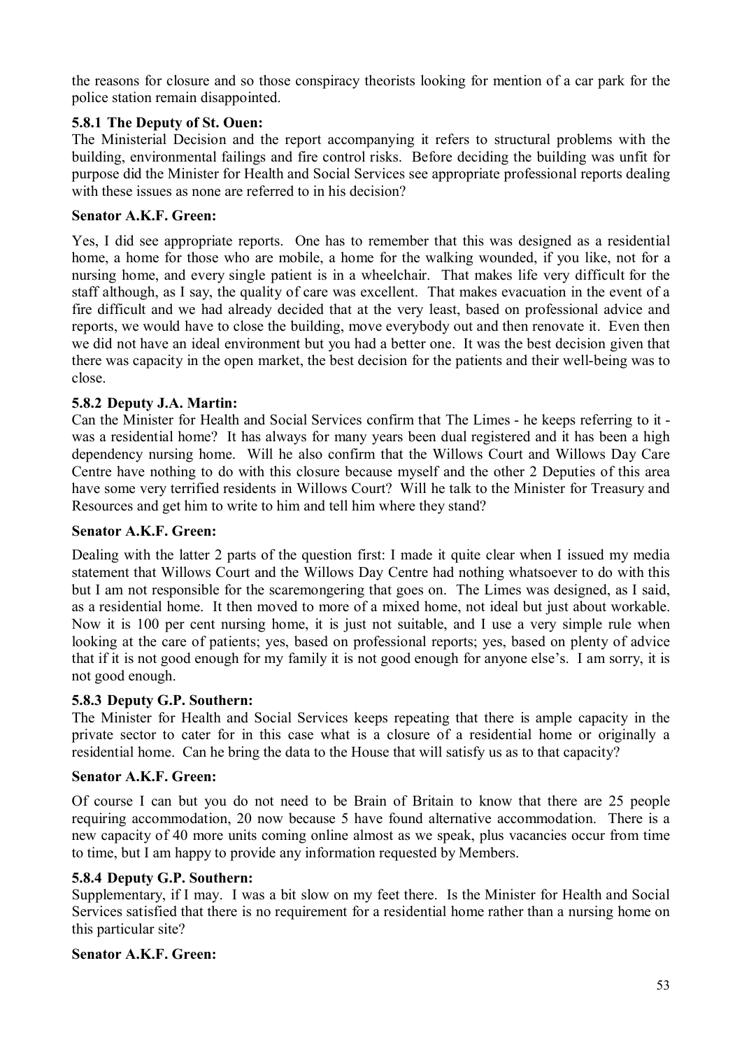the reasons for closure and so those conspiracy theorists looking for mention of a car park for the police station remain disappointed.

## **5.8.1 The Deputy of St. Ouen:**

The Ministerial Decision and the report accompanying it refers to structural problems with the building, environmental failings and fire control risks. Before deciding the building was unfit for purpose did the Minister for Health and Social Services see appropriate professional reports dealing with these issues as none are referred to in his decision?

## **Senator A.K.F. Green:**

Yes, I did see appropriate reports. One has to remember that this was designed as a residential home, a home for those who are mobile, a home for the walking wounded, if you like, not for a nursing home, and every single patient is in a wheelchair. That makes life very difficult for the staff although, as I say, the quality of care was excellent. That makes evacuation in the event of a fire difficult and we had already decided that at the very least, based on professional advice and reports, we would have to close the building, move everybody out and then renovate it. Even then we did not have an ideal environment but you had a better one. It was the best decision given that there was capacity in the open market, the best decision for the patients and their well-being was to close.

## **5.8.2 Deputy J.A. Martin:**

Can the Minister for Health and Social Services confirm that The Limes - he keeps referring to it was a residential home? It has always for many years been dual registered and it has been a high dependency nursing home. Will he also confirm that the Willows Court and Willows Day Care Centre have nothing to do with this closure because myself and the other 2 Deputies of this area have some very terrified residents in Willows Court? Will he talk to the Minister for Treasury and Resources and get him to write to him and tell him where they stand?

### **Senator A.K.F. Green:**

Dealing with the latter 2 parts of the question first: I made it quite clear when I issued my media statement that Willows Court and the Willows Day Centre had nothing whatsoever to do with this but I am not responsible for the scaremongering that goes on. The Limes was designed, as I said, as a residential home. It then moved to more of a mixed home, not ideal but just about workable. Now it is 100 per cent nursing home, it is just not suitable, and I use a very simple rule when looking at the care of patients; yes, based on professional reports; yes, based on plenty of advice that if it is not good enough for my family it is not good enough for anyone else's. I am sorry, it is not good enough.

#### **5.8.3 Deputy G.P. Southern:**

The Minister for Health and Social Services keeps repeating that there is ample capacity in the private sector to cater for in this case what is a closure of a residential home or originally a residential home. Can he bring the data to the House that will satisfy us as to that capacity?

#### **Senator A.K.F. Green:**

Of course I can but you do not need to be Brain of Britain to know that there are 25 people requiring accommodation, 20 now because 5 have found alternative accommodation. There is a new capacity of 40 more units coming online almost as we speak, plus vacancies occur from time to time, but I am happy to provide any information requested by Members.

#### **5.8.4 Deputy G.P. Southern:**

Supplementary, if I may. I was a bit slow on my feet there. Is the Minister for Health and Social Services satisfied that there is no requirement for a residential home rather than a nursing home on this particular site?

#### **Senator A.K.F. Green:**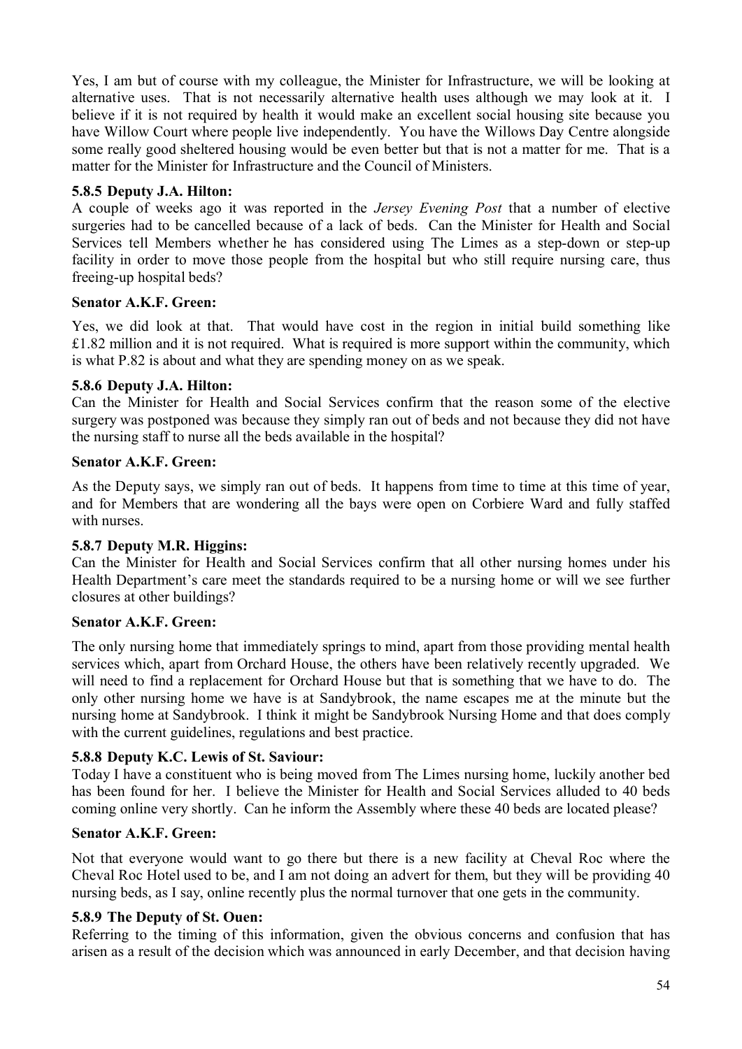Yes, I am but of course with my colleague, the Minister for Infrastructure, we will be looking at alternative uses. That is not necessarily alternative health uses although we may look at it. I believe if it is not required by health it would make an excellent social housing site because you have Willow Court where people live independently. You have the Willows Day Centre alongside some really good sheltered housing would be even better but that is not a matter for me. That is a matter for the Minister for Infrastructure and the Council of Ministers.

## **5.8.5 Deputy J.A. Hilton:**

A couple of weeks ago it was reported in the *Jersey Evening Post* that a number of elective surgeries had to be cancelled because of a lack of beds. Can the Minister for Health and Social Services tell Members whether he has considered using The Limes as a step-down or step-up facility in order to move those people from the hospital but who still require nursing care, thus freeing-up hospital beds?

## **Senator A.K.F. Green:**

Yes, we did look at that. That would have cost in the region in initial build something like £1.82 million and it is not required. What is required is more support within the community, which is what P.82 is about and what they are spending money on as we speak.

## **5.8.6 Deputy J.A. Hilton:**

Can the Minister for Health and Social Services confirm that the reason some of the elective surgery was postponed was because they simply ran out of beds and not because they did not have the nursing staff to nurse all the beds available in the hospital?

## **Senator A.K.F. Green:**

As the Deputy says, we simply ran out of beds. It happens from time to time at this time of year, and for Members that are wondering all the bays were open on Corbiere Ward and fully staffed with nurses.

## **5.8.7 Deputy M.R. Higgins:**

Can the Minister for Health and Social Services confirm that all other nursing homes under his Health Department's care meet the standards required to be a nursing home or will we see further closures at other buildings?

## **Senator A.K.F. Green:**

The only nursing home that immediately springs to mind, apart from those providing mental health services which, apart from Orchard House, the others have been relatively recently upgraded. We will need to find a replacement for Orchard House but that is something that we have to do. The only other nursing home we have is at Sandybrook, the name escapes me at the minute but the nursing home at Sandybrook. I think it might be Sandybrook Nursing Home and that does comply with the current guidelines, regulations and best practice.

## **5.8.8 Deputy K.C. Lewis of St. Saviour:**

Today I have a constituent who is being moved from The Limes nursing home, luckily another bed has been found for her. I believe the Minister for Health and Social Services alluded to 40 beds coming online very shortly. Can he inform the Assembly where these 40 beds are located please?

## **Senator A.K.F. Green:**

Not that everyone would want to go there but there is a new facility at Cheval Roc where the Cheval Roc Hotel used to be, and I am not doing an advert for them, but they will be providing 40 nursing beds, as I say, online recently plus the normal turnover that one gets in the community.

## **5.8.9 The Deputy of St. Ouen:**

Referring to the timing of this information, given the obvious concerns and confusion that has arisen as a result of the decision which was announced in early December, and that decision having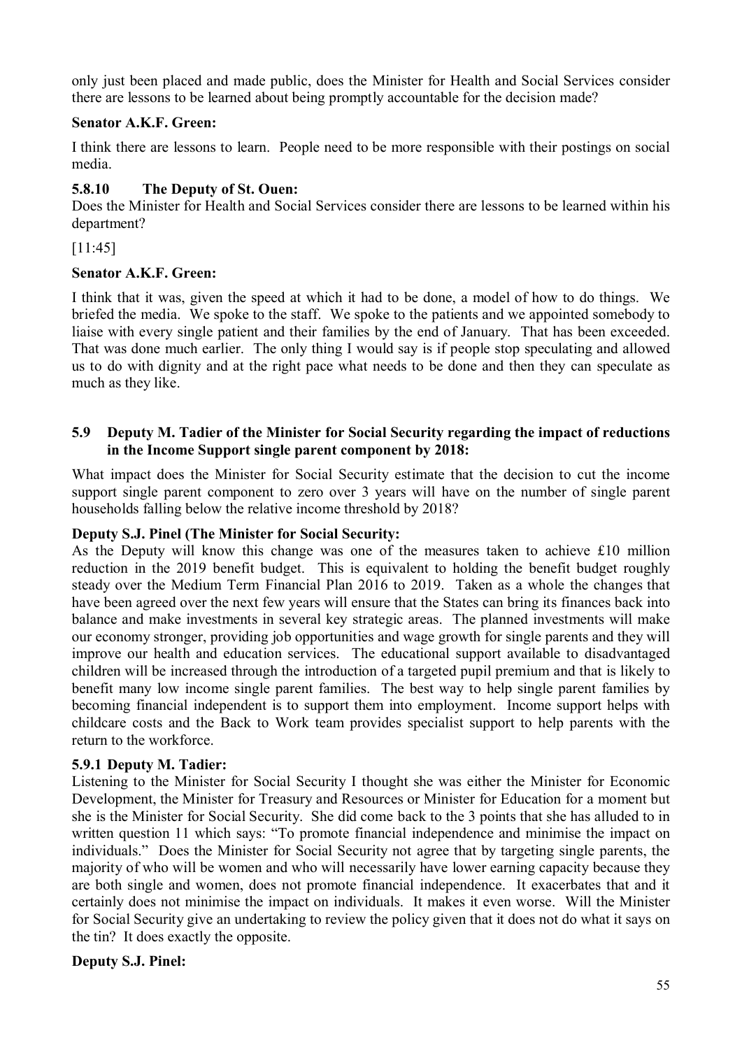only just been placed and made public, does the Minister for Health and Social Services consider there are lessons to be learned about being promptly accountable for the decision made?

## **Senator A.K.F. Green:**

I think there are lessons to learn. People need to be more responsible with their postings on social media.

## **5.8.10 The Deputy of St. Ouen:**

Does the Minister for Health and Social Services consider there are lessons to be learned within his department?

[11:45]

## **Senator A.K.F. Green:**

I think that it was, given the speed at which it had to be done, a model of how to do things. We briefed the media. We spoke to the staff. We spoke to the patients and we appointed somebody to liaise with every single patient and their families by the end of January. That has been exceeded. That was done much earlier. The only thing I would say is if people stop speculating and allowed us to do with dignity and at the right pace what needs to be done and then they can speculate as much as they like.

### **5.9 Deputy M. Tadier of the Minister for Social Security regarding the impact of reductions in the Income Support single parent component by 2018:**

What impact does the Minister for Social Security estimate that the decision to cut the income support single parent component to zero over 3 years will have on the number of single parent households falling below the relative income threshold by 2018?

## **Deputy S.J. Pinel (The Minister for Social Security:**

As the Deputy will know this change was one of the measures taken to achieve £10 million reduction in the 2019 benefit budget. This is equivalent to holding the benefit budget roughly steady over the Medium Term Financial Plan 2016 to 2019. Taken as a whole the changes that have been agreed over the next few years will ensure that the States can bring its finances back into balance and make investments in several key strategic areas. The planned investments will make our economy stronger, providing job opportunities and wage growth for single parents and they will improve our health and education services. The educational support available to disadvantaged children will be increased through the introduction of a targeted pupil premium and that is likely to benefit many low income single parent families. The best way to help single parent families by becoming financial independent is to support them into employment. Income support helps with childcare costs and the Back to Work team provides specialist support to help parents with the return to the workforce.

## **5.9.1 Deputy M. Tadier:**

Listening to the Minister for Social Security I thought she was either the Minister for Economic Development, the Minister for Treasury and Resources or Minister for Education for a moment but she is the Minister for Social Security. She did come back to the 3 points that she has alluded to in written question 11 which says: "To promote financial independence and minimise the impact on individuals." Does the Minister for Social Security not agree that by targeting single parents, the majority of who will be women and who will necessarily have lower earning capacity because they are both single and women, does not promote financial independence. It exacerbates that and it certainly does not minimise the impact on individuals. It makes it even worse. Will the Minister for Social Security give an undertaking to review the policy given that it does not do what it says on the tin? It does exactly the opposite.

## **Deputy S.J. Pinel:**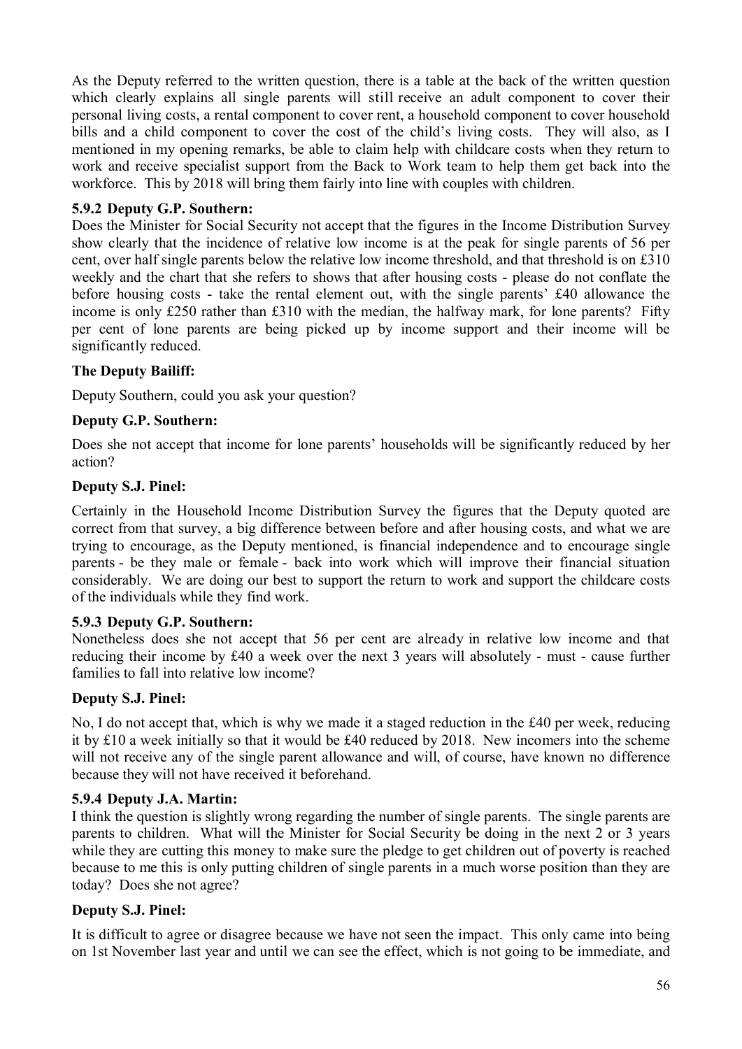As the Deputy referred to the written question, there is a table at the back of the written question which clearly explains all single parents will still receive an adult component to cover their personal living costs, a rental component to cover rent, a household component to cover household bills and a child component to cover the cost of the child's living costs. They will also, as I mentioned in my opening remarks, be able to claim help with childcare costs when they return to work and receive specialist support from the Back to Work team to help them get back into the workforce. This by 2018 will bring them fairly into line with couples with children.

## **5.9.2 Deputy G.P. Southern:**

Does the Minister for Social Security not accept that the figures in the Income Distribution Survey show clearly that the incidence of relative low income is at the peak for single parents of 56 per cent, over half single parents below the relative low income threshold, and that threshold is on £310 weekly and the chart that she refers to shows that after housing costs - please do not conflate the before housing costs - take the rental element out, with the single parents' £40 allowance the income is only £250 rather than £310 with the median, the halfway mark, for lone parents? Fifty per cent of lone parents are being picked up by income support and their income will be significantly reduced.

## **The Deputy Bailiff:**

Deputy Southern, could you ask your question?

## **Deputy G.P. Southern:**

Does she not accept that income for lone parents' households will be significantly reduced by her action?

## **Deputy S.J. Pinel:**

Certainly in the Household Income Distribution Survey the figures that the Deputy quoted are correct from that survey, a big difference between before and after housing costs, and what we are trying to encourage, as the Deputy mentioned, is financial independence and to encourage single parents - be they male or female - back into work which will improve their financial situation considerably. We are doing our best to support the return to work and support the childcare costs of the individuals while they find work.

## **5.9.3 Deputy G.P. Southern:**

Nonetheless does she not accept that 56 per cent are already in relative low income and that reducing their income by £40 a week over the next 3 years will absolutely - must - cause further families to fall into relative low income?

## **Deputy S.J. Pinel:**

No, I do not accept that, which is why we made it a staged reduction in the £40 per week, reducing it by £10 a week initially so that it would be £40 reduced by 2018. New incomers into the scheme will not receive any of the single parent allowance and will, of course, have known no difference because they will not have received it beforehand.

## **5.9.4 Deputy J.A. Martin:**

I think the question is slightly wrong regarding the number of single parents. The single parents are parents to children. What will the Minister for Social Security be doing in the next 2 or 3 years while they are cutting this money to make sure the pledge to get children out of poverty is reached because to me this is only putting children of single parents in a much worse position than they are today? Does she not agree?

## **Deputy S.J. Pinel:**

It is difficult to agree or disagree because we have not seen the impact. This only came into being on 1st November last year and until we can see the effect, which is not going to be immediate, and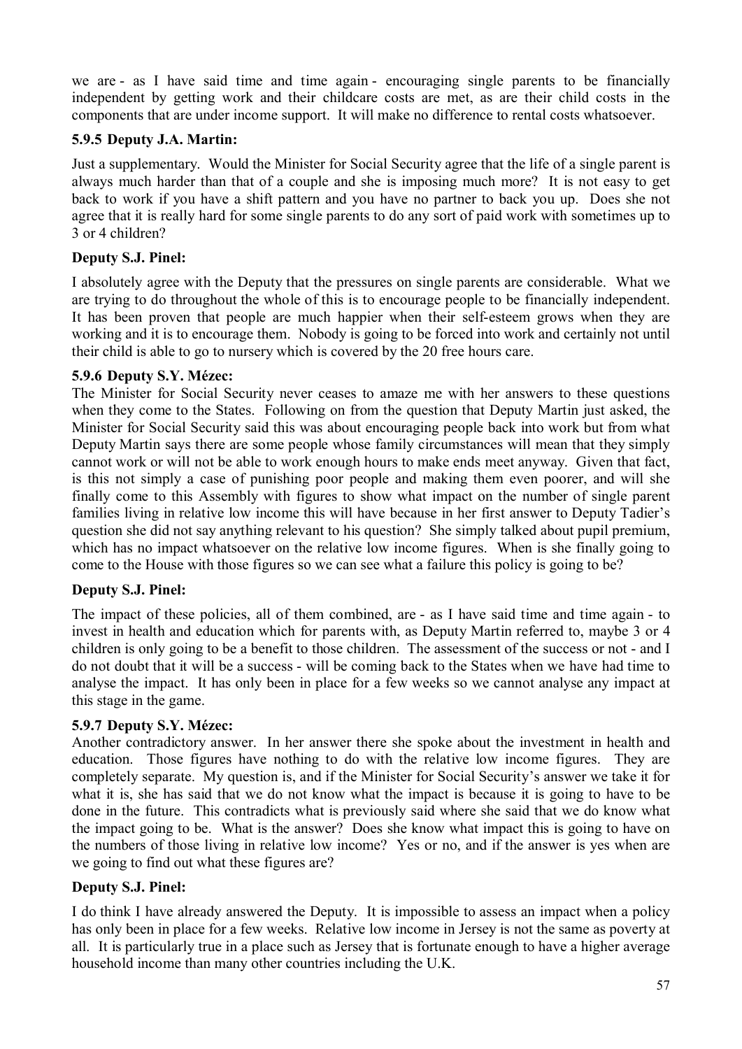we are - as I have said time and time again - encouraging single parents to be financially independent by getting work and their childcare costs are met, as are their child costs in the components that are under income support. It will make no difference to rental costs whatsoever.

## **5.9.5 Deputy J.A. Martin:**

Just a supplementary. Would the Minister for Social Security agree that the life of a single parent is always much harder than that of a couple and she is imposing much more? It is not easy to get back to work if you have a shift pattern and you have no partner to back you up. Does she not agree that it is really hard for some single parents to do any sort of paid work with sometimes up to 3 or 4 children?

## **Deputy S.J. Pinel:**

I absolutely agree with the Deputy that the pressures on single parents are considerable. What we are trying to do throughout the whole of this is to encourage people to be financially independent. It has been proven that people are much happier when their self-esteem grows when they are working and it is to encourage them. Nobody is going to be forced into work and certainly not until their child is able to go to nursery which is covered by the 20 free hours care.

### **5.9.6 Deputy S.Y. Mézec:**

The Minister for Social Security never ceases to amaze me with her answers to these questions when they come to the States. Following on from the question that Deputy Martin just asked, the Minister for Social Security said this was about encouraging people back into work but from what Deputy Martin says there are some people whose family circumstances will mean that they simply cannot work or will not be able to work enough hours to make ends meet anyway. Given that fact, is this not simply a case of punishing poor people and making them even poorer, and will she finally come to this Assembly with figures to show what impact on the number of single parent families living in relative low income this will have because in her first answer to Deputy Tadier's question she did not say anything relevant to his question? She simply talked about pupil premium, which has no impact whatsoever on the relative low income figures. When is she finally going to come to the House with those figures so we can see what a failure this policy is going to be?

## **Deputy S.J. Pinel:**

The impact of these policies, all of them combined, are - as I have said time and time again - to invest in health and education which for parents with, as Deputy Martin referred to, maybe 3 or 4 children is only going to be a benefit to those children. The assessment of the success or not - and I do not doubt that it will be a success - will be coming back to the States when we have had time to analyse the impact. It has only been in place for a few weeks so we cannot analyse any impact at this stage in the game.

## **5.9.7 Deputy S.Y. Mézec:**

Another contradictory answer. In her answer there she spoke about the investment in health and education. Those figures have nothing to do with the relative low income figures. They are completely separate. My question is, and if the Minister for Social Security's answer we take it for what it is, she has said that we do not know what the impact is because it is going to have to be done in the future. This contradicts what is previously said where she said that we do know what the impact going to be. What is the answer? Does she know what impact this is going to have on the numbers of those living in relative low income? Yes or no, and if the answer is yes when are we going to find out what these figures are?

#### **Deputy S.J. Pinel:**

I do think I have already answered the Deputy. It is impossible to assess an impact when a policy has only been in place for a few weeks. Relative low income in Jersey is not the same as poverty at all. It is particularly true in a place such as Jersey that is fortunate enough to have a higher average household income than many other countries including the U.K.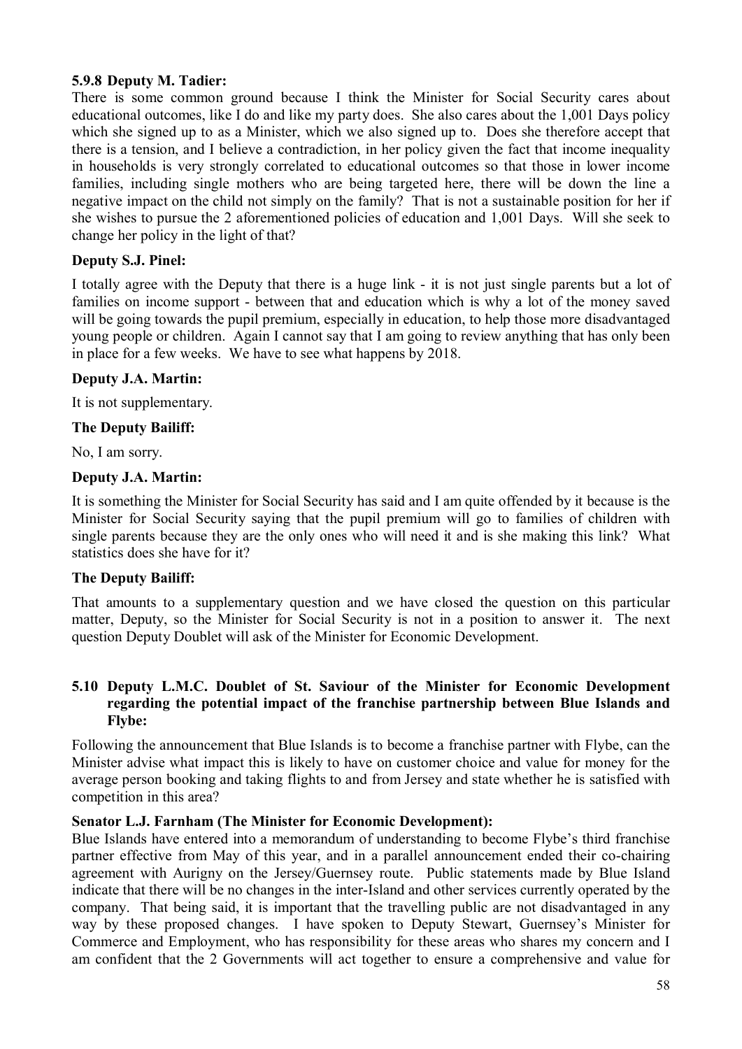## **5.9.8 Deputy M. Tadier:**

There is some common ground because I think the Minister for Social Security cares about educational outcomes, like I do and like my party does. She also cares about the 1,001 Days policy which she signed up to as a Minister, which we also signed up to. Does she therefore accept that there is a tension, and I believe a contradiction, in her policy given the fact that income inequality in households is very strongly correlated to educational outcomes so that those in lower income families, including single mothers who are being targeted here, there will be down the line a negative impact on the child not simply on the family? That is not a sustainable position for her if she wishes to pursue the 2 aforementioned policies of education and 1,001 Days. Will she seek to change her policy in the light of that?

## **Deputy S.J. Pinel:**

I totally agree with the Deputy that there is a huge link - it is not just single parents but a lot of families on income support - between that and education which is why a lot of the money saved will be going towards the pupil premium, especially in education, to help those more disadvantaged young people or children. Again I cannot say that I am going to review anything that has only been in place for a few weeks. We have to see what happens by 2018.

## **Deputy J.A. Martin:**

It is not supplementary.

## **The Deputy Bailiff:**

No, I am sorry.

## **Deputy J.A. Martin:**

It is something the Minister for Social Security has said and I am quite offended by it because is the Minister for Social Security saying that the pupil premium will go to families of children with single parents because they are the only ones who will need it and is she making this link? What statistics does she have for it?

## **The Deputy Bailiff:**

That amounts to a supplementary question and we have closed the question on this particular matter, Deputy, so the Minister for Social Security is not in a position to answer it. The next question Deputy Doublet will ask of the Minister for Economic Development.

## **5.10 Deputy L.M.C. Doublet of St. Saviour of the Minister for Economic Development regarding the potential impact of the franchise partnership between Blue Islands and Flybe:**

Following the announcement that Blue Islands is to become a franchise partner with Flybe, can the Minister advise what impact this is likely to have on customer choice and value for money for the average person booking and taking flights to and from Jersey and state whether he is satisfied with competition in this area?

## **Senator L.J. Farnham (The Minister for Economic Development):**

Blue Islands have entered into a memorandum of understanding to become Flybe's third franchise partner effective from May of this year, and in a parallel announcement ended their co-chairing agreement with Aurigny on the Jersey/Guernsey route. Public statements made by Blue Island indicate that there will be no changes in the inter-Island and other services currently operated by the company. That being said, it is important that the travelling public are not disadvantaged in any way by these proposed changes. I have spoken to Deputy Stewart, Guernsey's Minister for Commerce and Employment, who has responsibility for these areas who shares my concern and I am confident that the 2 Governments will act together to ensure a comprehensive and value for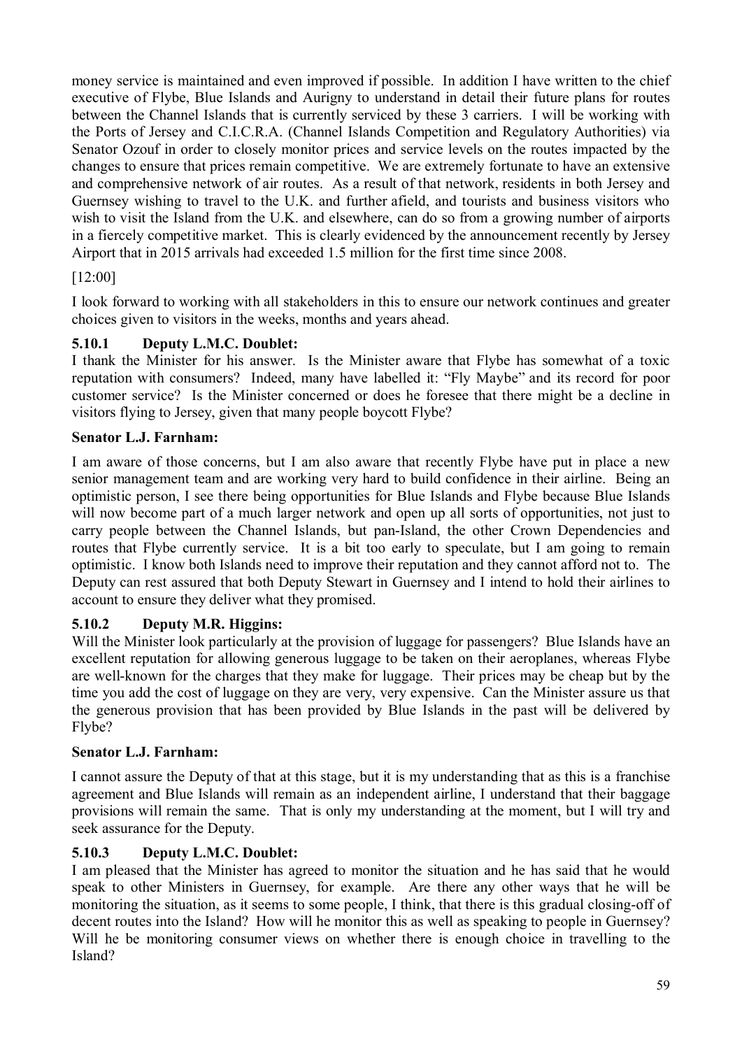money service is maintained and even improved if possible. In addition I have written to the chief executive of Flybe, Blue Islands and Aurigny to understand in detail their future plans for routes between the Channel Islands that is currently serviced by these 3 carriers. I will be working with the Ports of Jersey and C.I.C.R.A. (Channel Islands Competition and Regulatory Authorities) via Senator Ozouf in order to closely monitor prices and service levels on the routes impacted by the changes to ensure that prices remain competitive. We are extremely fortunate to have an extensive and comprehensive network of air routes. As a result of that network, residents in both Jersey and Guernsey wishing to travel to the U.K. and further afield, and tourists and business visitors who wish to visit the Island from the U.K. and elsewhere, can do so from a growing number of airports in a fiercely competitive market. This is clearly evidenced by the announcement recently by Jersey Airport that in 2015 arrivals had exceeded 1.5 million for the first time since 2008.

# [12:00]

I look forward to working with all stakeholders in this to ensure our network continues and greater choices given to visitors in the weeks, months and years ahead.

# **5.10.1 Deputy L.M.C. Doublet:**

I thank the Minister for his answer. Is the Minister aware that Flybe has somewhat of a toxic reputation with consumers? Indeed, many have labelled it: "Fly Maybe" and its record for poor customer service? Is the Minister concerned or does he foresee that there might be a decline in visitors flying to Jersey, given that many people boycott Flybe?

# **Senator L.J. Farnham:**

I am aware of those concerns, but I am also aware that recently Flybe have put in place a new senior management team and are working very hard to build confidence in their airline. Being an optimistic person, I see there being opportunities for Blue Islands and Flybe because Blue Islands will now become part of a much larger network and open up all sorts of opportunities, not just to carry people between the Channel Islands, but pan-Island, the other Crown Dependencies and routes that Flybe currently service. It is a bit too early to speculate, but I am going to remain optimistic. I know both Islands need to improve their reputation and they cannot afford not to. The Deputy can rest assured that both Deputy Stewart in Guernsey and I intend to hold their airlines to account to ensure they deliver what they promised.

# **5.10.2 Deputy M.R. Higgins:**

Will the Minister look particularly at the provision of luggage for passengers? Blue Islands have an excellent reputation for allowing generous luggage to be taken on their aeroplanes, whereas Flybe are well-known for the charges that they make for luggage. Their prices may be cheap but by the time you add the cost of luggage on they are very, very expensive. Can the Minister assure us that the generous provision that has been provided by Blue Islands in the past will be delivered by Flybe?

# **Senator L.J. Farnham:**

I cannot assure the Deputy of that at this stage, but it is my understanding that as this is a franchise agreement and Blue Islands will remain as an independent airline, I understand that their baggage provisions will remain the same. That is only my understanding at the moment, but I will try and seek assurance for the Deputy.

# **5.10.3 Deputy L.M.C. Doublet:**

I am pleased that the Minister has agreed to monitor the situation and he has said that he would speak to other Ministers in Guernsey, for example. Are there any other ways that he will be monitoring the situation, as it seems to some people, I think, that there is this gradual closing-off of decent routes into the Island? How will he monitor this as well as speaking to people in Guernsey? Will he be monitoring consumer views on whether there is enough choice in travelling to the Island?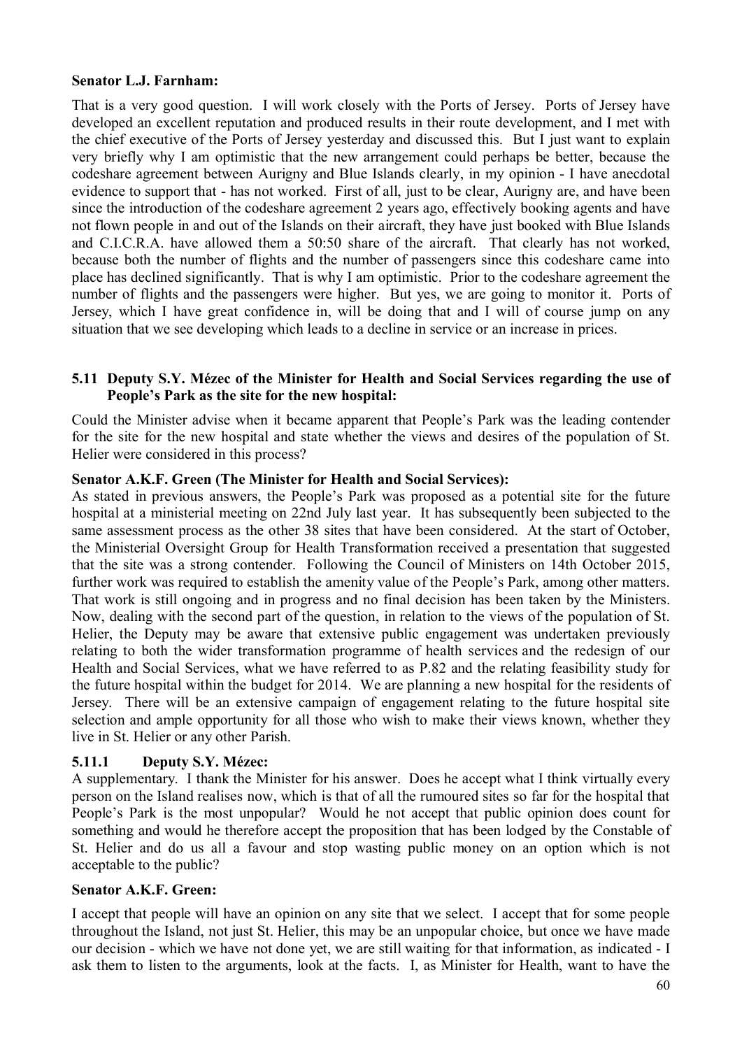### **Senator L.J. Farnham:**

That is a very good question. I will work closely with the Ports of Jersey. Ports of Jersey have developed an excellent reputation and produced results in their route development, and I met with the chief executive of the Ports of Jersey yesterday and discussed this. But I just want to explain very briefly why I am optimistic that the new arrangement could perhaps be better, because the codeshare agreement between Aurigny and Blue Islands clearly, in my opinion - I have anecdotal evidence to support that - has not worked. First of all, just to be clear, Aurigny are, and have been since the introduction of the codeshare agreement 2 years ago, effectively booking agents and have not flown people in and out of the Islands on their aircraft, they have just booked with Blue Islands and C.I.C.R.A. have allowed them a 50:50 share of the aircraft. That clearly has not worked, because both the number of flights and the number of passengers since this codeshare came into place has declined significantly. That is why I am optimistic. Prior to the codeshare agreement the number of flights and the passengers were higher. But yes, we are going to monitor it. Ports of Jersey, which I have great confidence in, will be doing that and I will of course jump on any situation that we see developing which leads to a decline in service or an increase in prices.

### **5.11 Deputy S.Y. Mézec of the Minister for Health and Social Services regarding the use of People's Park as the site for the new hospital:**

Could the Minister advise when it became apparent that People's Park was the leading contender for the site for the new hospital and state whether the views and desires of the population of St. Helier were considered in this process?

### **Senator A.K.F. Green (The Minister for Health and Social Services):**

As stated in previous answers, the People's Park was proposed as a potential site for the future hospital at a ministerial meeting on 22nd July last year. It has subsequently been subjected to the same assessment process as the other 38 sites that have been considered. At the start of October, the Ministerial Oversight Group for Health Transformation received a presentation that suggested that the site was a strong contender. Following the Council of Ministers on 14th October 2015, further work was required to establish the amenity value of the People's Park, among other matters. That work is still ongoing and in progress and no final decision has been taken by the Ministers. Now, dealing with the second part of the question, in relation to the views of the population of St. Helier, the Deputy may be aware that extensive public engagement was undertaken previously relating to both the wider transformation programme of health services and the redesign of our Health and Social Services, what we have referred to as P.82 and the relating feasibility study for the future hospital within the budget for 2014. We are planning a new hospital for the residents of Jersey. There will be an extensive campaign of engagement relating to the future hospital site selection and ample opportunity for all those who wish to make their views known, whether they live in St. Helier or any other Parish.

## **5.11.1 Deputy S.Y. Mézec:**

A supplementary. I thank the Minister for his answer. Does he accept what I think virtually every person on the Island realises now, which is that of all the rumoured sites so far for the hospital that People's Park is the most unpopular? Would he not accept that public opinion does count for something and would he therefore accept the proposition that has been lodged by the Constable of St. Helier and do us all a favour and stop wasting public money on an option which is not acceptable to the public?

#### **Senator A.K.F. Green:**

I accept that people will have an opinion on any site that we select. I accept that for some people throughout the Island, not just St. Helier, this may be an unpopular choice, but once we have made our decision - which we have not done yet, we are still waiting for that information, as indicated - I ask them to listen to the arguments, look at the facts. I, as Minister for Health, want to have the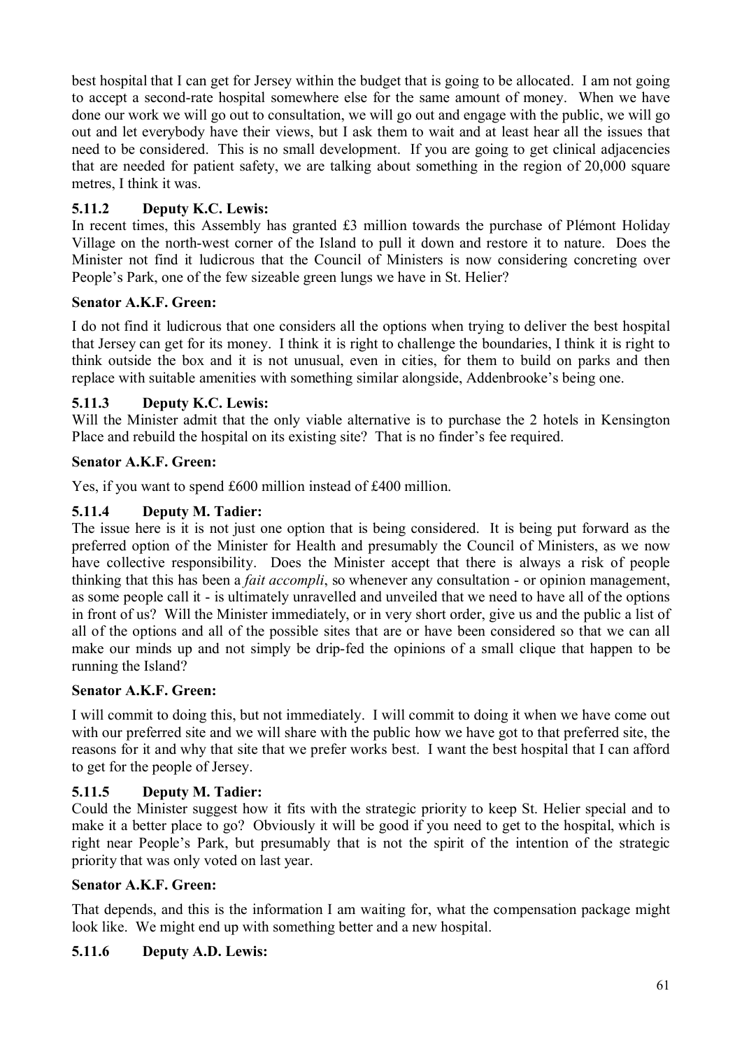best hospital that I can get for Jersey within the budget that is going to be allocated. I am not going to accept a second-rate hospital somewhere else for the same amount of money. When we have done our work we will go out to consultation, we will go out and engage with the public, we will go out and let everybody have their views, but I ask them to wait and at least hear all the issues that need to be considered. This is no small development. If you are going to get clinical adjacencies that are needed for patient safety, we are talking about something in the region of 20,000 square metres, I think it was.

## **5.11.2 Deputy K.C. Lewis:**

In recent times, this Assembly has granted £3 million towards the purchase of Plémont Holiday Village on the north-west corner of the Island to pull it down and restore it to nature. Does the Minister not find it ludicrous that the Council of Ministers is now considering concreting over People's Park, one of the few sizeable green lungs we have in St. Helier?

## **Senator A.K.F. Green:**

I do not find it ludicrous that one considers all the options when trying to deliver the best hospital that Jersey can get for its money. I think it is right to challenge the boundaries, I think it is right to think outside the box and it is not unusual, even in cities, for them to build on parks and then replace with suitable amenities with something similar alongside, Addenbrooke's being one.

## **5.11.3 Deputy K.C. Lewis:**

Will the Minister admit that the only viable alternative is to purchase the 2 hotels in Kensington Place and rebuild the hospital on its existing site? That is no finder's fee required.

### **Senator A.K.F. Green:**

Yes, if you want to spend £600 million instead of £400 million.

### **5.11.4 Deputy M. Tadier:**

The issue here is it is not just one option that is being considered. It is being put forward as the preferred option of the Minister for Health and presumably the Council of Ministers, as we now have collective responsibility. Does the Minister accept that there is always a risk of people thinking that this has been a *fait accompli*, so whenever any consultation - or opinion management, as some people call it - is ultimately unravelled and unveiled that we need to have all of the options in front of us? Will the Minister immediately, or in very short order, give us and the public a list of all of the options and all of the possible sites that are or have been considered so that we can all make our minds up and not simply be drip-fed the opinions of a small clique that happen to be running the Island?

#### **Senator A.K.F. Green:**

I will commit to doing this, but not immediately. I will commit to doing it when we have come out with our preferred site and we will share with the public how we have got to that preferred site, the reasons for it and why that site that we prefer works best. I want the best hospital that I can afford to get for the people of Jersey.

#### **5.11.5 Deputy M. Tadier:**

Could the Minister suggest how it fits with the strategic priority to keep St. Helier special and to make it a better place to go? Obviously it will be good if you need to get to the hospital, which is right near People's Park, but presumably that is not the spirit of the intention of the strategic priority that was only voted on last year.

#### **Senator A.K.F. Green:**

That depends, and this is the information I am waiting for, what the compensation package might look like. We might end up with something better and a new hospital.

#### **5.11.6 Deputy A.D. Lewis:**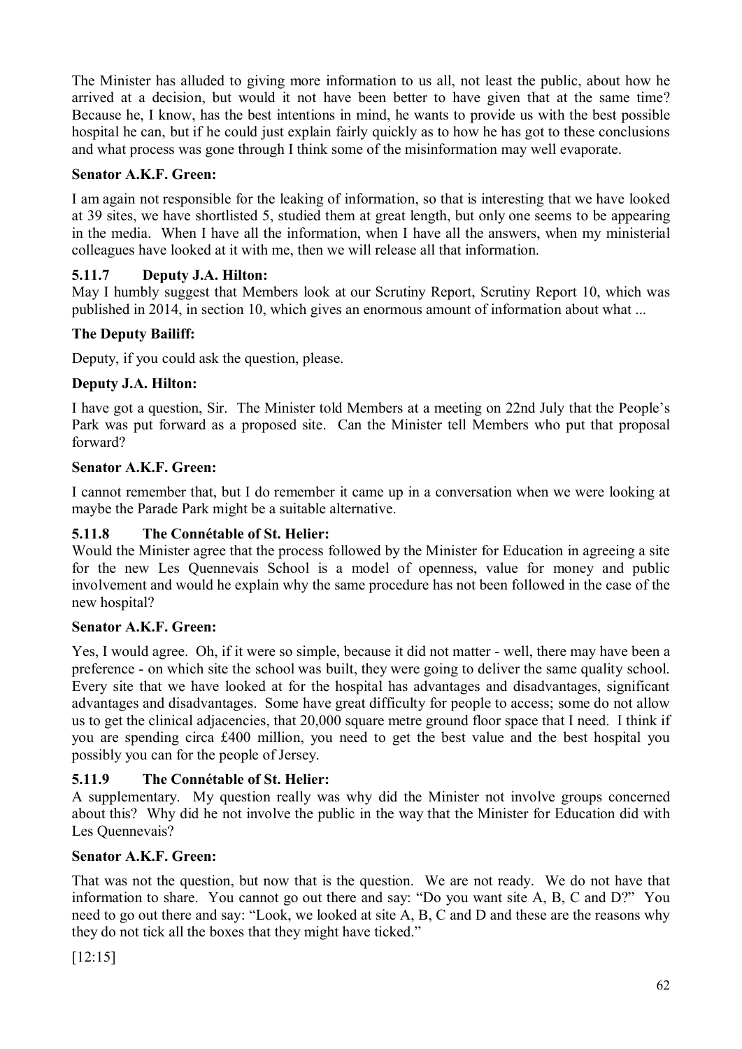The Minister has alluded to giving more information to us all, not least the public, about how he arrived at a decision, but would it not have been better to have given that at the same time? Because he, I know, has the best intentions in mind, he wants to provide us with the best possible hospital he can, but if he could just explain fairly quickly as to how he has got to these conclusions and what process was gone through I think some of the misinformation may well evaporate.

## **Senator A.K.F. Green:**

I am again not responsible for the leaking of information, so that is interesting that we have looked at 39 sites, we have shortlisted 5, studied them at great length, but only one seems to be appearing in the media. When I have all the information, when I have all the answers, when my ministerial colleagues have looked at it with me, then we will release all that information.

## **5.11.7 Deputy J.A. Hilton:**

May I humbly suggest that Members look at our Scrutiny Report, Scrutiny Report 10, which was published in 2014, in section 10, which gives an enormous amount of information about what ...

## **The Deputy Bailiff:**

Deputy, if you could ask the question, please.

## **Deputy J.A. Hilton:**

I have got a question, Sir. The Minister told Members at a meeting on 22nd July that the People's Park was put forward as a proposed site. Can the Minister tell Members who put that proposal forward?

## **Senator A.K.F. Green:**

I cannot remember that, but I do remember it came up in a conversation when we were looking at maybe the Parade Park might be a suitable alternative.

## **5.11.8 The Connétable of St. Helier:**

Would the Minister agree that the process followed by the Minister for Education in agreeing a site for the new Les Quennevais School is a model of openness, value for money and public involvement and would he explain why the same procedure has not been followed in the case of the new hospital?

## **Senator A.K.F. Green:**

Yes, I would agree. Oh, if it were so simple, because it did not matter - well, there may have been a preference - on which site the school was built, they were going to deliver the same quality school. Every site that we have looked at for the hospital has advantages and disadvantages, significant advantages and disadvantages. Some have great difficulty for people to access; some do not allow us to get the clinical adjacencies, that 20,000 square metre ground floor space that I need. I think if you are spending circa £400 million, you need to get the best value and the best hospital you possibly you can for the people of Jersey.

# **5.11.9 The Connétable of St. Helier:**

A supplementary. My question really was why did the Minister not involve groups concerned about this? Why did he not involve the public in the way that the Minister for Education did with Les Quennevais?

## **Senator A.K.F. Green:**

That was not the question, but now that is the question. We are not ready. We do not have that information to share. You cannot go out there and say: "Do you want site A, B, C and D?" You need to go out there and say: "Look, we looked at site A, B, C and D and these are the reasons why they do not tick all the boxes that they might have ticked."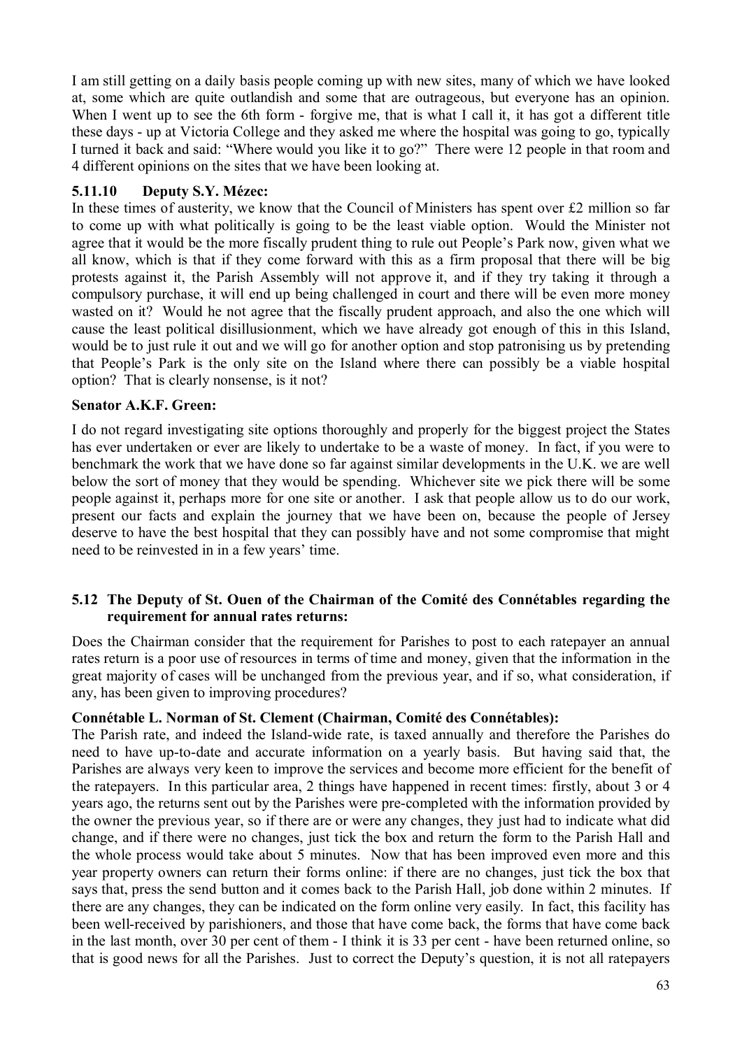I am still getting on a daily basis people coming up with new sites, many of which we have looked at, some which are quite outlandish and some that are outrageous, but everyone has an opinion. When I went up to see the 6th form - forgive me, that is what I call it, it has got a different title these days - up at Victoria College and they asked me where the hospital was going to go, typically I turned it back and said: "Where would you like it to go?" There were 12 people in that room and 4 different opinions on the sites that we have been looking at.

## **5.11.10 Deputy S.Y. Mézec:**

In these times of austerity, we know that the Council of Ministers has spent over £2 million so far to come up with what politically is going to be the least viable option. Would the Minister not agree that it would be the more fiscally prudent thing to rule out People's Park now, given what we all know, which is that if they come forward with this as a firm proposal that there will be big protests against it, the Parish Assembly will not approve it, and if they try taking it through a compulsory purchase, it will end up being challenged in court and there will be even more money wasted on it? Would he not agree that the fiscally prudent approach, and also the one which will cause the least political disillusionment, which we have already got enough of this in this Island, would be to just rule it out and we will go for another option and stop patronising us by pretending that People's Park is the only site on the Island where there can possibly be a viable hospital option? That is clearly nonsense, is it not?

### **Senator A.K.F. Green:**

I do not regard investigating site options thoroughly and properly for the biggest project the States has ever undertaken or ever are likely to undertake to be a waste of money. In fact, if you were to benchmark the work that we have done so far against similar developments in the U.K. we are well below the sort of money that they would be spending. Whichever site we pick there will be some people against it, perhaps more for one site or another. I ask that people allow us to do our work, present our facts and explain the journey that we have been on, because the people of Jersey deserve to have the best hospital that they can possibly have and not some compromise that might need to be reinvested in in a few years' time.

## **5.12 The Deputy of St. Ouen of the Chairman of the Comité des Connétables regarding the requirement for annual rates returns:**

Does the Chairman consider that the requirement for Parishes to post to each ratepayer an annual rates return is a poor use of resources in terms of time and money, given that the information in the great majority of cases will be unchanged from the previous year, and if so, what consideration, if any, has been given to improving procedures?

## **Connétable L. Norman of St. Clement (Chairman, Comité des Connétables):**

The Parish rate, and indeed the Island-wide rate, is taxed annually and therefore the Parishes do need to have up-to-date and accurate information on a yearly basis. But having said that, the Parishes are always very keen to improve the services and become more efficient for the benefit of the ratepayers. In this particular area, 2 things have happened in recent times: firstly, about 3 or 4 years ago, the returns sent out by the Parishes were pre-completed with the information provided by the owner the previous year, so if there are or were any changes, they just had to indicate what did change, and if there were no changes, just tick the box and return the form to the Parish Hall and the whole process would take about 5 minutes. Now that has been improved even more and this year property owners can return their forms online: if there are no changes, just tick the box that says that, press the send button and it comes back to the Parish Hall, job done within 2 minutes. If there are any changes, they can be indicated on the form online very easily. In fact, this facility has been well-received by parishioners, and those that have come back, the forms that have come back in the last month, over 30 per cent of them - I think it is 33 per cent - have been returned online, so that is good news for all the Parishes. Just to correct the Deputy's question, it is not all ratepayers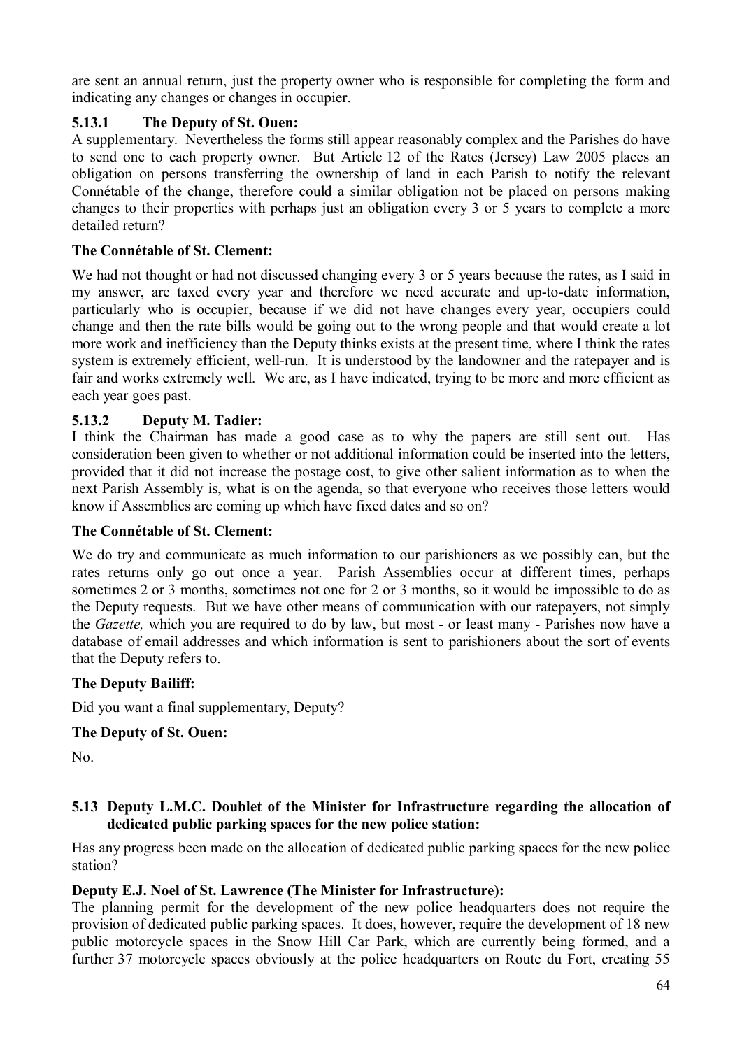are sent an annual return, just the property owner who is responsible for completing the form and indicating any changes or changes in occupier.

## **5.13.1 The Deputy of St. Ouen:**

A supplementary. Nevertheless the forms still appear reasonably complex and the Parishes do have to send one to each property owner. But Article 12 of the Rates (Jersey) Law 2005 places an obligation on persons transferring the ownership of land in each Parish to notify the relevant Connétable of the change, therefore could a similar obligation not be placed on persons making changes to their properties with perhaps just an obligation every 3 or 5 years to complete a more detailed return?

## **The Connétable of St. Clement:**

We had not thought or had not discussed changing every 3 or 5 years because the rates, as I said in my answer, are taxed every year and therefore we need accurate and up-to-date information, particularly who is occupier, because if we did not have changes every year, occupiers could change and then the rate bills would be going out to the wrong people and that would create a lot more work and inefficiency than the Deputy thinks exists at the present time, where I think the rates system is extremely efficient, well-run. It is understood by the landowner and the ratepayer and is fair and works extremely well. We are, as I have indicated, trying to be more and more efficient as each year goes past.

## **5.13.2 Deputy M. Tadier:**

I think the Chairman has made a good case as to why the papers are still sent out. Has consideration been given to whether or not additional information could be inserted into the letters, provided that it did not increase the postage cost, to give other salient information as to when the next Parish Assembly is, what is on the agenda, so that everyone who receives those letters would know if Assemblies are coming up which have fixed dates and so on?

## **The Connétable of St. Clement:**

We do try and communicate as much information to our parishioners as we possibly can, but the rates returns only go out once a year. Parish Assemblies occur at different times, perhaps sometimes 2 or 3 months, sometimes not one for 2 or 3 months, so it would be impossible to do as the Deputy requests. But we have other means of communication with our ratepayers, not simply the *Gazette,* which you are required to do by law, but most - or least many - Parishes now have a database of email addresses and which information is sent to parishioners about the sort of events that the Deputy refers to.

## **The Deputy Bailiff:**

Did you want a final supplementary, Deputy?

#### **The Deputy of St. Ouen:**

No.

### **5.13 Deputy L.M.C. Doublet of the Minister for Infrastructure regarding the allocation of dedicated public parking spaces for the new police station:**

Has any progress been made on the allocation of dedicated public parking spaces for the new police station?

## **Deputy E.J. Noel of St. Lawrence (The Minister for Infrastructure):**

The planning permit for the development of the new police headquarters does not require the provision of dedicated public parking spaces. It does, however, require the development of 18 new public motorcycle spaces in the Snow Hill Car Park, which are currently being formed, and a further 37 motorcycle spaces obviously at the police headquarters on Route du Fort, creating 55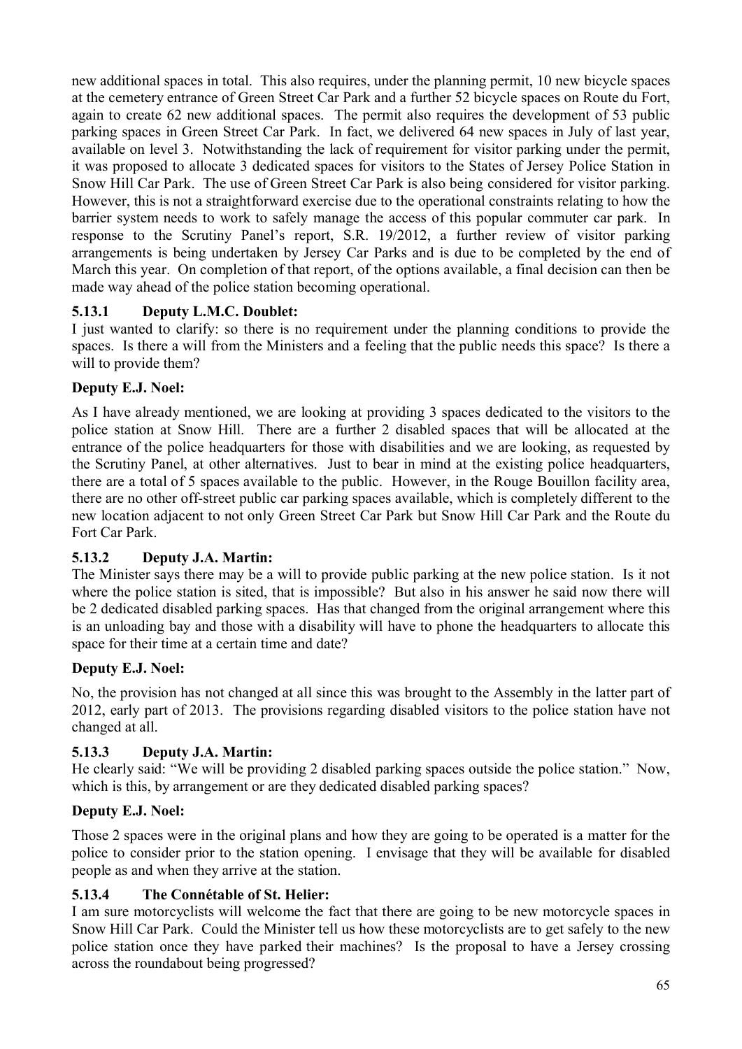new additional spaces in total. This also requires, under the planning permit, 10 new bicycle spaces at the cemetery entrance of Green Street Car Park and a further 52 bicycle spaces on Route du Fort, again to create 62 new additional spaces. The permit also requires the development of 53 public parking spaces in Green Street Car Park. In fact, we delivered 64 new spaces in July of last year, available on level 3. Notwithstanding the lack of requirement for visitor parking under the permit, it was proposed to allocate 3 dedicated spaces for visitors to the States of Jersey Police Station in Snow Hill Car Park. The use of Green Street Car Park is also being considered for visitor parking. However, this is not a straightforward exercise due to the operational constraints relating to how the barrier system needs to work to safely manage the access of this popular commuter car park. In response to the Scrutiny Panel's report, S.R. 19/2012, a further review of visitor parking arrangements is being undertaken by Jersey Car Parks and is due to be completed by the end of March this year. On completion of that report, of the options available, a final decision can then be made way ahead of the police station becoming operational.

# **5.13.1 Deputy L.M.C. Doublet:**

I just wanted to clarify: so there is no requirement under the planning conditions to provide the spaces. Is there a will from the Ministers and a feeling that the public needs this space? Is there a will to provide them?

# **Deputy E.J. Noel:**

As I have already mentioned, we are looking at providing 3 spaces dedicated to the visitors to the police station at Snow Hill. There are a further 2 disabled spaces that will be allocated at the entrance of the police headquarters for those with disabilities and we are looking, as requested by the Scrutiny Panel, at other alternatives. Just to bear in mind at the existing police headquarters, there are a total of 5 spaces available to the public. However, in the Rouge Bouillon facility area, there are no other off-street public car parking spaces available, which is completely different to the new location adjacent to not only Green Street Car Park but Snow Hill Car Park and the Route du Fort Car Park.

# **5.13.2 Deputy J.A. Martin:**

The Minister says there may be a will to provide public parking at the new police station. Is it not where the police station is sited, that is impossible? But also in his answer he said now there will be 2 dedicated disabled parking spaces. Has that changed from the original arrangement where this is an unloading bay and those with a disability will have to phone the headquarters to allocate this space for their time at a certain time and date?

# **Deputy E.J. Noel:**

No, the provision has not changed at all since this was brought to the Assembly in the latter part of 2012, early part of 2013. The provisions regarding disabled visitors to the police station have not changed at all.

# **5.13.3 Deputy J.A. Martin:**

He clearly said: "We will be providing 2 disabled parking spaces outside the police station." Now, which is this, by arrangement or are they dedicated disabled parking spaces?

# **Deputy E.J. Noel:**

Those 2 spaces were in the original plans and how they are going to be operated is a matter for the police to consider prior to the station opening. I envisage that they will be available for disabled people as and when they arrive at the station.

# **5.13.4 The Connétable of St. Helier:**

I am sure motorcyclists will welcome the fact that there are going to be new motorcycle spaces in Snow Hill Car Park. Could the Minister tell us how these motorcyclists are to get safely to the new police station once they have parked their machines? Is the proposal to have a Jersey crossing across the roundabout being progressed?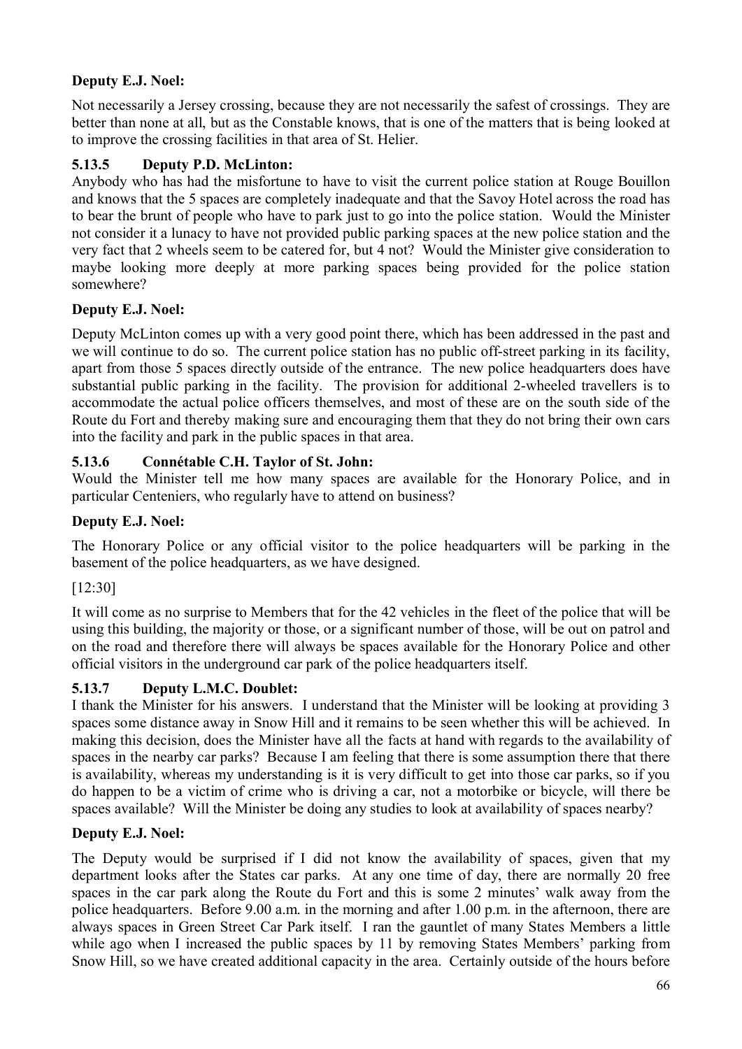# **Deputy E.J. Noel:**

Not necessarily a Jersey crossing, because they are not necessarily the safest of crossings. They are better than none at all, but as the Constable knows, that is one of the matters that is being looked at to improve the crossing facilities in that area of St. Helier.

# **5.13.5 Deputy P.D. McLinton:**

Anybody who has had the misfortune to have to visit the current police station at Rouge Bouillon and knows that the 5 spaces are completely inadequate and that the Savoy Hotel across the road has to bear the brunt of people who have to park just to go into the police station. Would the Minister not consider it a lunacy to have not provided public parking spaces at the new police station and the very fact that 2 wheels seem to be catered for, but 4 not? Would the Minister give consideration to maybe looking more deeply at more parking spaces being provided for the police station somewhere?

# **Deputy E.J. Noel:**

Deputy McLinton comes up with a very good point there, which has been addressed in the past and we will continue to do so. The current police station has no public off-street parking in its facility, apart from those 5 spaces directly outside of the entrance. The new police headquarters does have substantial public parking in the facility. The provision for additional 2-wheeled travellers is to accommodate the actual police officers themselves, and most of these are on the south side of the Route du Fort and thereby making sure and encouraging them that they do not bring their own cars into the facility and park in the public spaces in that area.

# **5.13.6 Connétable C.H. Taylor of St. John:**

Would the Minister tell me how many spaces are available for the Honorary Police, and in particular Centeniers, who regularly have to attend on business?

# **Deputy E.J. Noel:**

The Honorary Police or any official visitor to the police headquarters will be parking in the basement of the police headquarters, as we have designed.

# [12:30]

It will come as no surprise to Members that for the 42 vehicles in the fleet of the police that will be using this building, the majority or those, or a significant number of those, will be out on patrol and on the road and therefore there will always be spaces available for the Honorary Police and other official visitors in the underground car park of the police headquarters itself.

# **5.13.7 Deputy L.M.C. Doublet:**

I thank the Minister for his answers. I understand that the Minister will be looking at providing 3 spaces some distance away in Snow Hill and it remains to be seen whether this will be achieved. In making this decision, does the Minister have all the facts at hand with regards to the availability of spaces in the nearby car parks? Because I am feeling that there is some assumption there that there is availability, whereas my understanding is it is very difficult to get into those car parks, so if you do happen to be a victim of crime who is driving a car, not a motorbike or bicycle, will there be spaces available? Will the Minister be doing any studies to look at availability of spaces nearby?

# **Deputy E.J. Noel:**

The Deputy would be surprised if I did not know the availability of spaces, given that my department looks after the States car parks. At any one time of day, there are normally 20 free spaces in the car park along the Route du Fort and this is some 2 minutes' walk away from the police headquarters. Before 9.00 a.m. in the morning and after 1.00 p.m. in the afternoon, there are always spaces in Green Street Car Park itself. I ran the gauntlet of many States Members a little while ago when I increased the public spaces by 11 by removing States Members' parking from Snow Hill, so we have created additional capacity in the area. Certainly outside of the hours before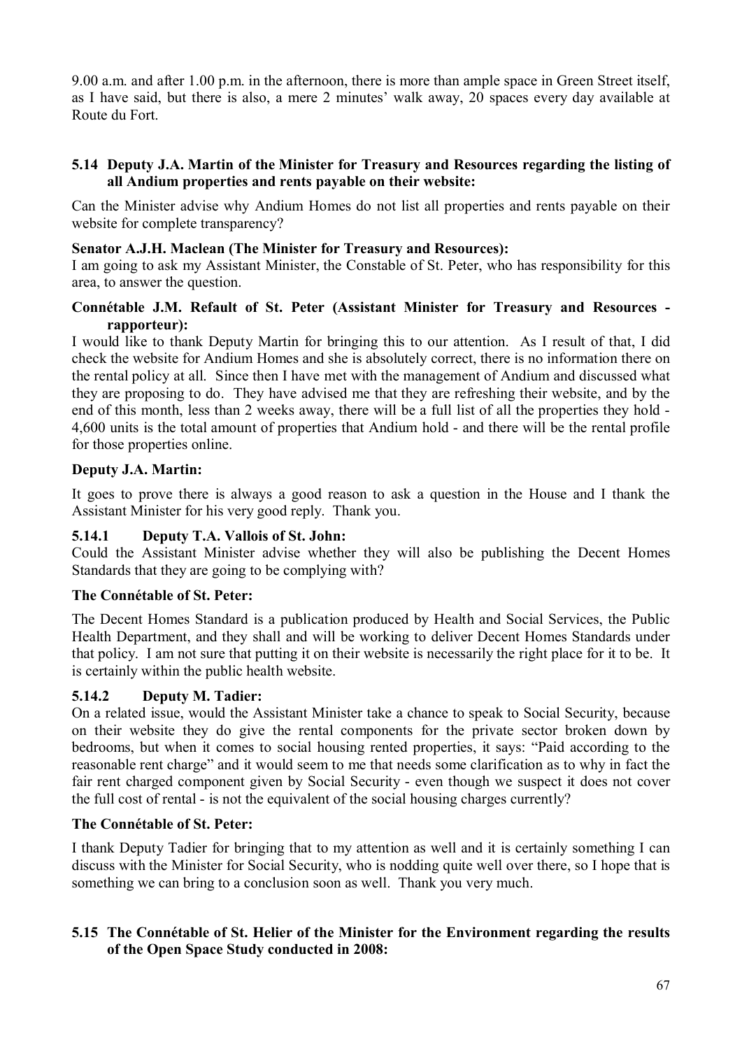9.00 a.m. and after 1.00 p.m. in the afternoon, there is more than ample space in Green Street itself, as I have said, but there is also, a mere 2 minutes' walk away, 20 spaces every day available at Route du Fort.

## **5.14 Deputy J.A. Martin of the Minister for Treasury and Resources regarding the listing of all Andium properties and rents payable on their website:**

Can the Minister advise why Andium Homes do not list all properties and rents payable on their website for complete transparency?

### **Senator A.J.H. Maclean (The Minister for Treasury and Resources):**

I am going to ask my Assistant Minister, the Constable of St. Peter, who has responsibility for this area, to answer the question.

## **Connétable J.M. Refault of St. Peter (Assistant Minister for Treasury and Resources rapporteur):**

I would like to thank Deputy Martin for bringing this to our attention. As I result of that, I did check the website for Andium Homes and she is absolutely correct, there is no information there on the rental policy at all. Since then I have met with the management of Andium and discussed what they are proposing to do. They have advised me that they are refreshing their website, and by the end of this month, less than 2 weeks away, there will be a full list of all the properties they hold - 4,600 units is the total amount of properties that Andium hold - and there will be the rental profile for those properties online.

## **Deputy J.A. Martin:**

It goes to prove there is always a good reason to ask a question in the House and I thank the Assistant Minister for his very good reply. Thank you.

## **5.14.1 Deputy T.A. Vallois of St. John:**

Could the Assistant Minister advise whether they will also be publishing the Decent Homes Standards that they are going to be complying with?

## **The Connétable of St. Peter:**

The Decent Homes Standard is a publication produced by Health and Social Services, the Public Health Department, and they shall and will be working to deliver Decent Homes Standards under that policy. I am not sure that putting it on their website is necessarily the right place for it to be. It is certainly within the public health website.

## **5.14.2 Deputy M. Tadier:**

On a related issue, would the Assistant Minister take a chance to speak to Social Security, because on their website they do give the rental components for the private sector broken down by bedrooms, but when it comes to social housing rented properties, it says: "Paid according to the reasonable rent charge" and it would seem to me that needs some clarification as to why in fact the fair rent charged component given by Social Security - even though we suspect it does not cover the full cost of rental - is not the equivalent of the social housing charges currently?

## **The Connétable of St. Peter:**

I thank Deputy Tadier for bringing that to my attention as well and it is certainly something I can discuss with the Minister for Social Security, who is nodding quite well over there, so I hope that is something we can bring to a conclusion soon as well. Thank you very much.

## **5.15 The Connétable of St. Helier of the Minister for the Environment regarding the results of the Open Space Study conducted in 2008:**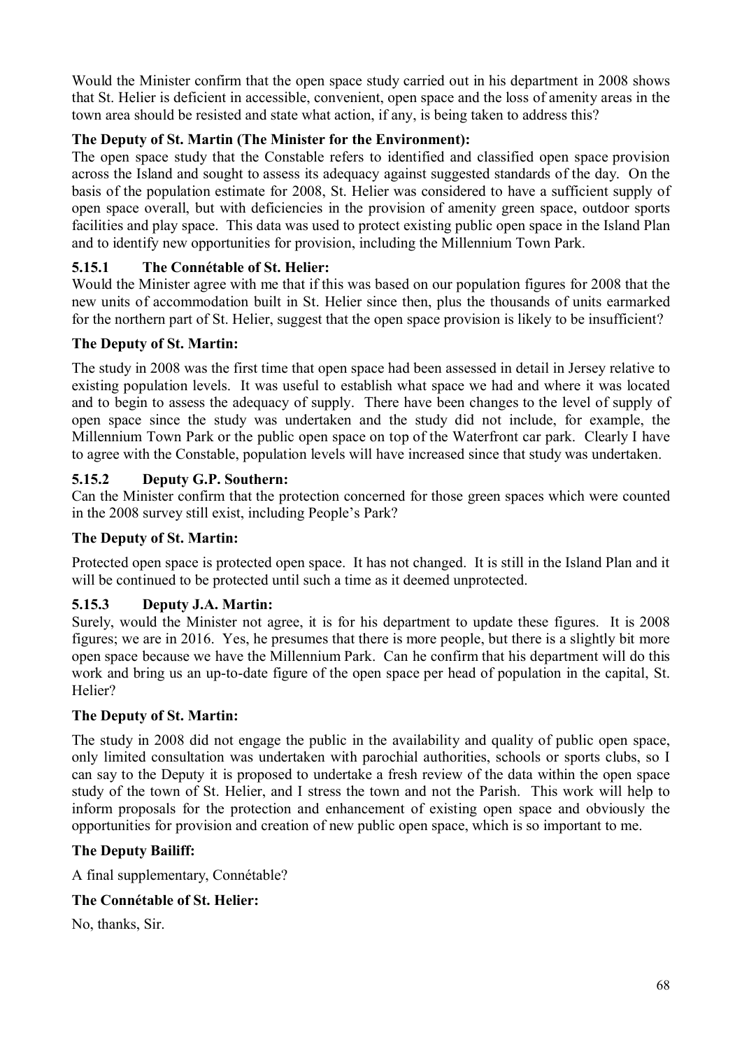Would the Minister confirm that the open space study carried out in his department in 2008 shows that St. Helier is deficient in accessible, convenient, open space and the loss of amenity areas in the town area should be resisted and state what action, if any, is being taken to address this?

# **The Deputy of St. Martin (The Minister for the Environment):**

The open space study that the Constable refers to identified and classified open space provision across the Island and sought to assess its adequacy against suggested standards of the day. On the basis of the population estimate for 2008, St. Helier was considered to have a sufficient supply of open space overall, but with deficiencies in the provision of amenity green space, outdoor sports facilities and play space. This data was used to protect existing public open space in the Island Plan and to identify new opportunities for provision, including the Millennium Town Park.

## **5.15.1 The Connétable of St. Helier:**

Would the Minister agree with me that if this was based on our population figures for 2008 that the new units of accommodation built in St. Helier since then, plus the thousands of units earmarked for the northern part of St. Helier, suggest that the open space provision is likely to be insufficient?

## **The Deputy of St. Martin:**

The study in 2008 was the first time that open space had been assessed in detail in Jersey relative to existing population levels. It was useful to establish what space we had and where it was located and to begin to assess the adequacy of supply. There have been changes to the level of supply of open space since the study was undertaken and the study did not include, for example, the Millennium Town Park or the public open space on top of the Waterfront car park. Clearly I have to agree with the Constable, population levels will have increased since that study was undertaken.

## **5.15.2 Deputy G.P. Southern:**

Can the Minister confirm that the protection concerned for those green spaces which were counted in the 2008 survey still exist, including People's Park?

## **The Deputy of St. Martin:**

Protected open space is protected open space. It has not changed. It is still in the Island Plan and it will be continued to be protected until such a time as it deemed unprotected.

## **5.15.3 Deputy J.A. Martin:**

Surely, would the Minister not agree, it is for his department to update these figures. It is 2008 figures; we are in 2016. Yes, he presumes that there is more people, but there is a slightly bit more open space because we have the Millennium Park. Can he confirm that his department will do this work and bring us an up-to-date figure of the open space per head of population in the capital, St. Helier?

## **The Deputy of St. Martin:**

The study in 2008 did not engage the public in the availability and quality of public open space, only limited consultation was undertaken with parochial authorities, schools or sports clubs, so I can say to the Deputy it is proposed to undertake a fresh review of the data within the open space study of the town of St. Helier, and I stress the town and not the Parish. This work will help to inform proposals for the protection and enhancement of existing open space and obviously the opportunities for provision and creation of new public open space, which is so important to me.

## **The Deputy Bailiff:**

A final supplementary, Connétable?

## **The Connétable of St. Helier:**

No, thanks, Sir.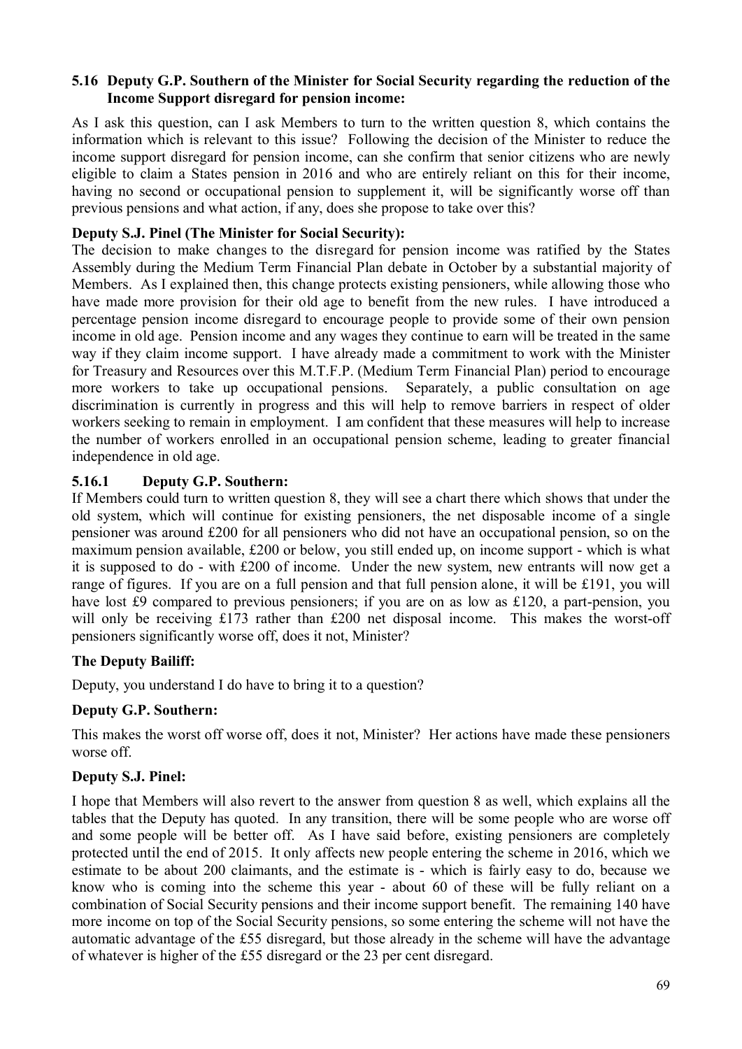### **5.16 Deputy G.P. Southern of the Minister for Social Security regarding the reduction of the Income Support disregard for pension income:**

As I ask this question, can I ask Members to turn to the written question 8, which contains the information which is relevant to this issue? Following the decision of the Minister to reduce the income support disregard for pension income, can she confirm that senior citizens who are newly eligible to claim a States pension in 2016 and who are entirely reliant on this for their income, having no second or occupational pension to supplement it, will be significantly worse off than previous pensions and what action, if any, does she propose to take over this?

## **Deputy S.J. Pinel (The Minister for Social Security):**

The decision to make changes to the disregard for pension income was ratified by the States Assembly during the Medium Term Financial Plan debate in October by a substantial majority of Members. As I explained then, this change protects existing pensioners, while allowing those who have made more provision for their old age to benefit from the new rules. I have introduced a percentage pension income disregard to encourage people to provide some of their own pension income in old age. Pension income and any wages they continue to earn will be treated in the same way if they claim income support. I have already made a commitment to work with the Minister for Treasury and Resources over this M.T.F.P. (Medium Term Financial Plan) period to encourage more workers to take up occupational pensions. Separately, a public consultation on age discrimination is currently in progress and this will help to remove barriers in respect of older workers seeking to remain in employment. I am confident that these measures will help to increase the number of workers enrolled in an occupational pension scheme, leading to greater financial independence in old age.

### **5.16.1 Deputy G.P. Southern:**

If Members could turn to written question 8, they will see a chart there which shows that under the old system, which will continue for existing pensioners, the net disposable income of a single pensioner was around £200 for all pensioners who did not have an occupational pension, so on the maximum pension available, £200 or below, you still ended up, on income support - which is what it is supposed to do - with £200 of income. Under the new system, new entrants will now get a range of figures. If you are on a full pension and that full pension alone, it will be £191, you will have lost £9 compared to previous pensioners; if you are on as low as £120, a part-pension, you will only be receiving £173 rather than £200 net disposal income. This makes the worst-off pensioners significantly worse off, does it not, Minister?

## **The Deputy Bailiff:**

Deputy, you understand I do have to bring it to a question?

## **Deputy G.P. Southern:**

This makes the worst off worse off, does it not, Minister? Her actions have made these pensioners worse off.

## **Deputy S.J. Pinel:**

I hope that Members will also revert to the answer from question 8 as well, which explains all the tables that the Deputy has quoted. In any transition, there will be some people who are worse off and some people will be better off. As I have said before, existing pensioners are completely protected until the end of 2015. It only affects new people entering the scheme in 2016, which we estimate to be about 200 claimants, and the estimate is - which is fairly easy to do, because we know who is coming into the scheme this year - about 60 of these will be fully reliant on a combination of Social Security pensions and their income support benefit. The remaining 140 have more income on top of the Social Security pensions, so some entering the scheme will not have the automatic advantage of the £55 disregard, but those already in the scheme will have the advantage of whatever is higher of the £55 disregard or the 23 per cent disregard.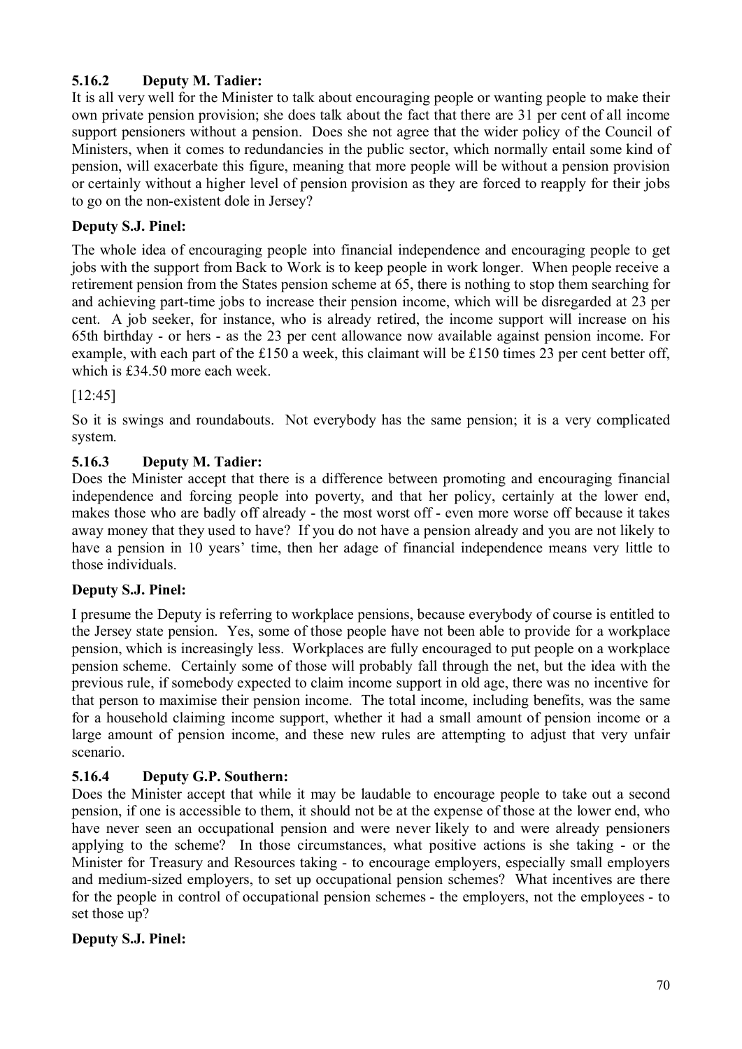# **5.16.2 Deputy M. Tadier:**

It is all very well for the Minister to talk about encouraging people or wanting people to make their own private pension provision; she does talk about the fact that there are 31 per cent of all income support pensioners without a pension. Does she not agree that the wider policy of the Council of Ministers, when it comes to redundancies in the public sector, which normally entail some kind of pension, will exacerbate this figure, meaning that more people will be without a pension provision or certainly without a higher level of pension provision as they are forced to reapply for their jobs to go on the non-existent dole in Jersey?

# **Deputy S.J. Pinel:**

The whole idea of encouraging people into financial independence and encouraging people to get jobs with the support from Back to Work is to keep people in work longer. When people receive a retirement pension from the States pension scheme at 65, there is nothing to stop them searching for and achieving part-time jobs to increase their pension income, which will be disregarded at 23 per cent. A job seeker, for instance, who is already retired, the income support will increase on his 65th birthday - or hers - as the 23 per cent allowance now available against pension income. For example, with each part of the £150 a week, this claimant will be £150 times 23 per cent better off, which is £34.50 more each week.

# [12:45]

So it is swings and roundabouts. Not everybody has the same pension; it is a very complicated system.

# **5.16.3 Deputy M. Tadier:**

Does the Minister accept that there is a difference between promoting and encouraging financial independence and forcing people into poverty, and that her policy, certainly at the lower end, makes those who are badly off already - the most worst off - even more worse off because it takes away money that they used to have? If you do not have a pension already and you are not likely to have a pension in 10 years' time, then her adage of financial independence means very little to those individuals.

# **Deputy S.J. Pinel:**

I presume the Deputy is referring to workplace pensions, because everybody of course is entitled to the Jersey state pension. Yes, some of those people have not been able to provide for a workplace pension, which is increasingly less. Workplaces are fully encouraged to put people on a workplace pension scheme. Certainly some of those will probably fall through the net, but the idea with the previous rule, if somebody expected to claim income support in old age, there was no incentive for that person to maximise their pension income. The total income, including benefits, was the same for a household claiming income support, whether it had a small amount of pension income or a large amount of pension income, and these new rules are attempting to adjust that very unfair scenario.

# **5.16.4 Deputy G.P. Southern:**

Does the Minister accept that while it may be laudable to encourage people to take out a second pension, if one is accessible to them, it should not be at the expense of those at the lower end, who have never seen an occupational pension and were never likely to and were already pensioners applying to the scheme? In those circumstances, what positive actions is she taking - or the Minister for Treasury and Resources taking - to encourage employers, especially small employers and medium-sized employers, to set up occupational pension schemes? What incentives are there for the people in control of occupational pension schemes - the employers, not the employees - to set those up?

## **Deputy S.J. Pinel:**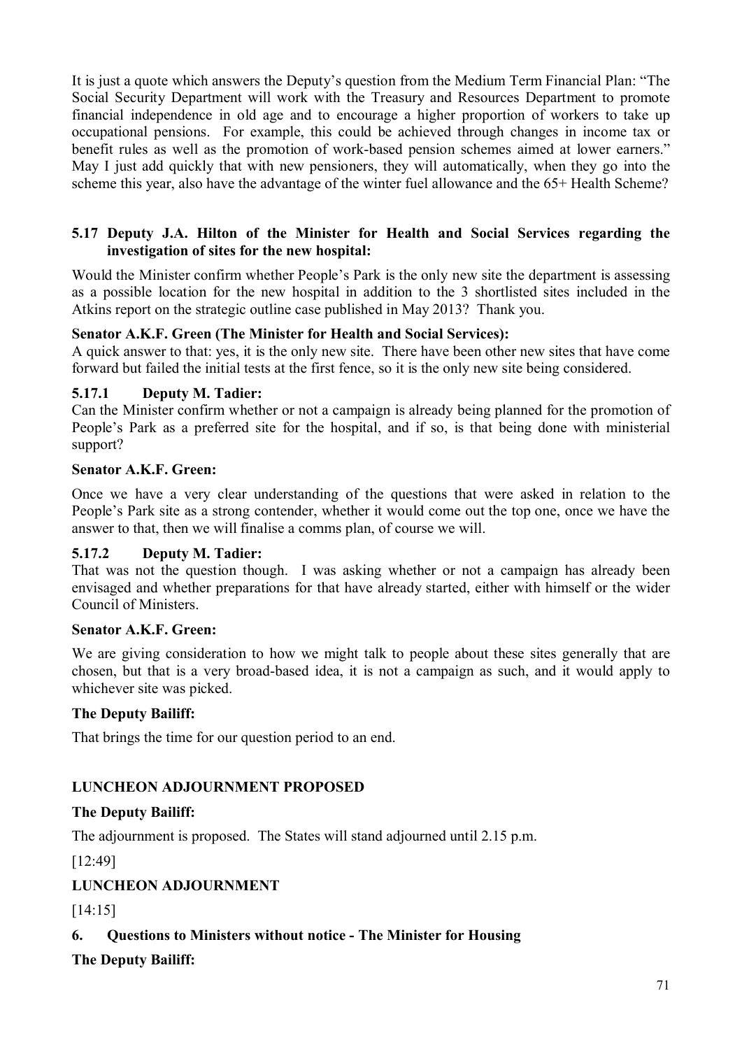It is just a quote which answers the Deputy's question from the Medium Term Financial Plan: "The Social Security Department will work with the Treasury and Resources Department to promote financial independence in old age and to encourage a higher proportion of workers to take up occupational pensions. For example, this could be achieved through changes in income tax or benefit rules as well as the promotion of work-based pension schemes aimed at lower earners." May I just add quickly that with new pensioners, they will automatically, when they go into the scheme this year, also have the advantage of the winter fuel allowance and the 65+ Health Scheme?

## **5.17 Deputy J.A. Hilton of the Minister for Health and Social Services regarding the investigation of sites for the new hospital:**

Would the Minister confirm whether People's Park is the only new site the department is assessing as a possible location for the new hospital in addition to the 3 shortlisted sites included in the Atkins report on the strategic outline case published in May 2013? Thank you.

## **Senator A.K.F. Green (The Minister for Health and Social Services):**

A quick answer to that: yes, it is the only new site. There have been other new sites that have come forward but failed the initial tests at the first fence, so it is the only new site being considered.

### **5.17.1 Deputy M. Tadier:**

Can the Minister confirm whether or not a campaign is already being planned for the promotion of People's Park as a preferred site for the hospital, and if so, is that being done with ministerial support?

### **Senator A.K.F. Green:**

Once we have a very clear understanding of the questions that were asked in relation to the People's Park site as a strong contender, whether it would come out the top one, once we have the answer to that, then we will finalise a comms plan, of course we will.

## **5.17.2 Deputy M. Tadier:**

That was not the question though. I was asking whether or not a campaign has already been envisaged and whether preparations for that have already started, either with himself or the wider Council of Ministers.

#### **Senator A.K.F. Green:**

We are giving consideration to how we might talk to people about these sites generally that are chosen, but that is a very broad-based idea, it is not a campaign as such, and it would apply to whichever site was picked.

## **The Deputy Bailiff:**

That brings the time for our question period to an end.

## **LUNCHEON ADJOURNMENT PROPOSED**

## **The Deputy Bailiff:**

The adjournment is proposed. The States will stand adjourned until 2.15 p.m.

[12:49]

## **LUNCHEON ADJOURNMENT**

## [14:15]

## **6. Questions to Ministers without notice - The Minister for Housing**

## **The Deputy Bailiff:**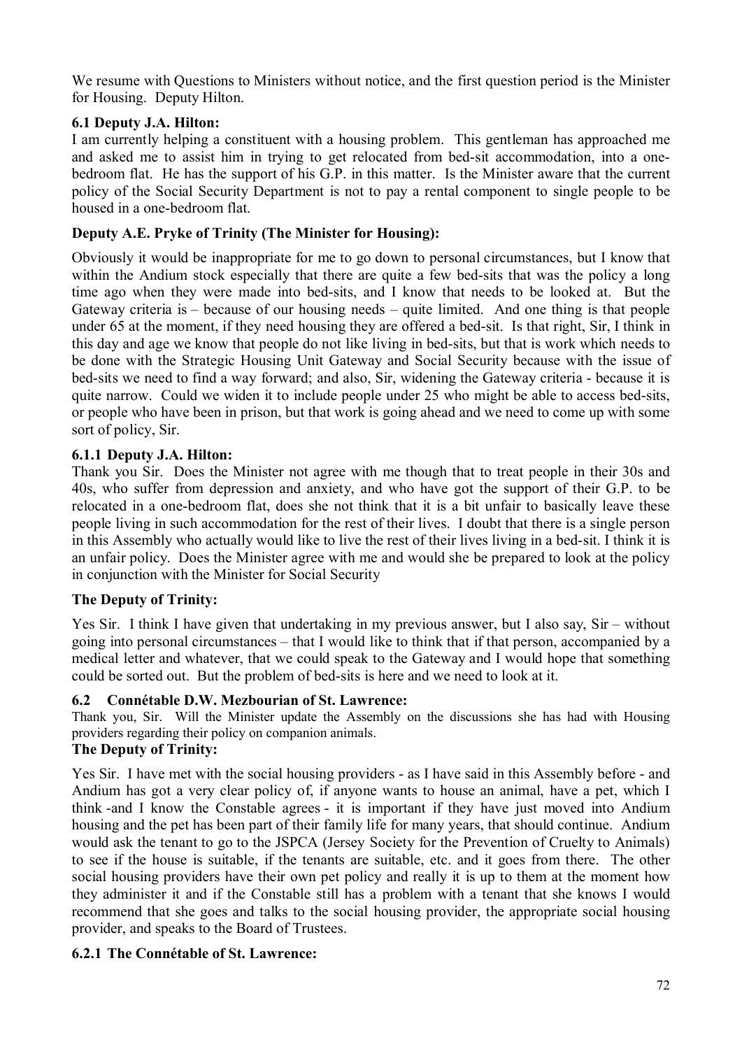We resume with Questions to Ministers without notice, and the first question period is the Minister for Housing. Deputy Hilton.

## **6.1 Deputy J.A. Hilton:**

I am currently helping a constituent with a housing problem. This gentleman has approached me and asked me to assist him in trying to get relocated from bed-sit accommodation, into a onebedroom flat. He has the support of his G.P. in this matter. Is the Minister aware that the current policy of the Social Security Department is not to pay a rental component to single people to be housed in a one-bedroom flat.

## **Deputy A.E. Pryke of Trinity (The Minister for Housing):**

Obviously it would be inappropriate for me to go down to personal circumstances, but I know that within the Andium stock especially that there are quite a few bed-sits that was the policy a long time ago when they were made into bed-sits, and I know that needs to be looked at. But the Gateway criteria is – because of our housing needs – quite limited. And one thing is that people under 65 at the moment, if they need housing they are offered a bed-sit. Is that right, Sir, I think in this day and age we know that people do not like living in bed-sits, but that is work which needs to be done with the Strategic Housing Unit Gateway and Social Security because with the issue of bed-sits we need to find a way forward; and also, Sir, widening the Gateway criteria - because it is quite narrow. Could we widen it to include people under 25 who might be able to access bed-sits, or people who have been in prison, but that work is going ahead and we need to come up with some sort of policy, Sir.

## **6.1.1 Deputy J.A. Hilton:**

Thank you Sir. Does the Minister not agree with me though that to treat people in their 30s and 40s, who suffer from depression and anxiety, and who have got the support of their G.P. to be relocated in a one-bedroom flat, does she not think that it is a bit unfair to basically leave these people living in such accommodation for the rest of their lives. I doubt that there is a single person in this Assembly who actually would like to live the rest of their lives living in a bed-sit. I think it is an unfair policy. Does the Minister agree with me and would she be prepared to look at the policy in conjunction with the Minister for Social Security

## **The Deputy of Trinity:**

Yes Sir. I think I have given that undertaking in my previous answer, but I also say, Sir – without going into personal circumstances – that I would like to think that if that person, accompanied by a medical letter and whatever, that we could speak to the Gateway and I would hope that something could be sorted out. But the problem of bed-sits is here and we need to look at it.

## **6.2 Connétable D.W. Mezbourian of St. Lawrence:**

Thank you, Sir. Will the Minister update the Assembly on the discussions she has had with Housing providers regarding their policy on companion animals.

## **The Deputy of Trinity:**

Yes Sir. I have met with the social housing providers - as I have said in this Assembly before - and Andium has got a very clear policy of, if anyone wants to house an animal, have a pet, which I think -and I know the Constable agrees - it is important if they have just moved into Andium housing and the pet has been part of their family life for many years, that should continue. Andium would ask the tenant to go to the JSPCA (Jersey Society for the Prevention of Cruelty to Animals) to see if the house is suitable, if the tenants are suitable, etc. and it goes from there. The other social housing providers have their own pet policy and really it is up to them at the moment how they administer it and if the Constable still has a problem with a tenant that she knows I would recommend that she goes and talks to the social housing provider, the appropriate social housing provider, and speaks to the Board of Trustees.

## **6.2.1 The Connétable of St. Lawrence:**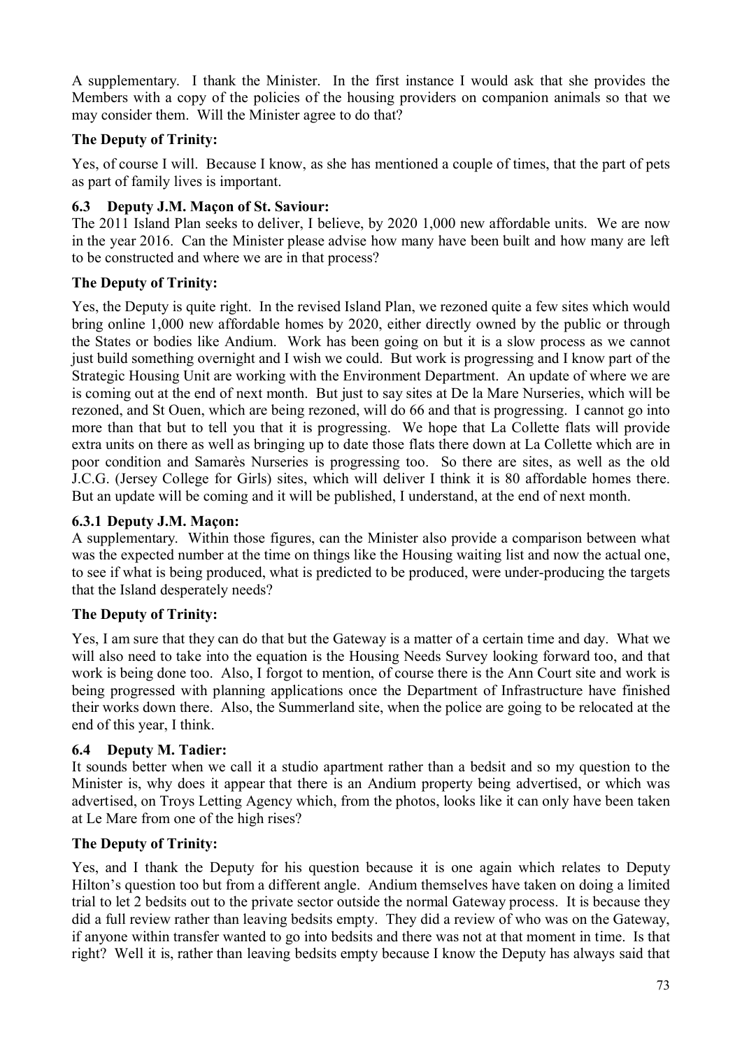A supplementary. I thank the Minister. In the first instance I would ask that she provides the Members with a copy of the policies of the housing providers on companion animals so that we may consider them. Will the Minister agree to do that?

# **The Deputy of Trinity:**

Yes, of course I will. Because I know, as she has mentioned a couple of times, that the part of pets as part of family lives is important.

# **6.3 Deputy J.M. Maçon of St. Saviour:**

The 2011 Island Plan seeks to deliver, I believe, by 2020 1,000 new affordable units. We are now in the year 2016. Can the Minister please advise how many have been built and how many are left to be constructed and where we are in that process?

# **The Deputy of Trinity:**

Yes, the Deputy is quite right. In the revised Island Plan, we rezoned quite a few sites which would bring online 1,000 new affordable homes by 2020, either directly owned by the public or through the States or bodies like Andium. Work has been going on but it is a slow process as we cannot just build something overnight and I wish we could. But work is progressing and I know part of the Strategic Housing Unit are working with the Environment Department. An update of where we are is coming out at the end of next month. But just to say sites at De la Mare Nurseries, which will be rezoned, and St Ouen, which are being rezoned, will do 66 and that is progressing. I cannot go into more than that but to tell you that it is progressing. We hope that La Collette flats will provide extra units on there as well as bringing up to date those flats there down at La Collette which are in poor condition and Samarès Nurseries is progressing too. So there are sites, as well as the old J.C.G. (Jersey College for Girls) sites, which will deliver I think it is 80 affordable homes there. But an update will be coming and it will be published, I understand, at the end of next month.

# **6.3.1 Deputy J.M. Maçon:**

A supplementary. Within those figures, can the Minister also provide a comparison between what was the expected number at the time on things like the Housing waiting list and now the actual one, to see if what is being produced, what is predicted to be produced, were under-producing the targets that the Island desperately needs?

# **The Deputy of Trinity:**

Yes, I am sure that they can do that but the Gateway is a matter of a certain time and day. What we will also need to take into the equation is the Housing Needs Survey looking forward too, and that work is being done too. Also, I forgot to mention, of course there is the Ann Court site and work is being progressed with planning applications once the Department of Infrastructure have finished their works down there. Also, the Summerland site, when the police are going to be relocated at the end of this year, I think.

### **6.4 Deputy M. Tadier:**

It sounds better when we call it a studio apartment rather than a bedsit and so my question to the Minister is, why does it appear that there is an Andium property being advertised, or which was advertised, on Troys Letting Agency which, from the photos, looks like it can only have been taken at Le Mare from one of the high rises?

### **The Deputy of Trinity:**

Yes, and I thank the Deputy for his question because it is one again which relates to Deputy Hilton's question too but from a different angle. Andium themselves have taken on doing a limited trial to let 2 bedsits out to the private sector outside the normal Gateway process. It is because they did a full review rather than leaving bedsits empty. They did a review of who was on the Gateway, if anyone within transfer wanted to go into bedsits and there was not at that moment in time. Is that right? Well it is, rather than leaving bedsits empty because I know the Deputy has always said that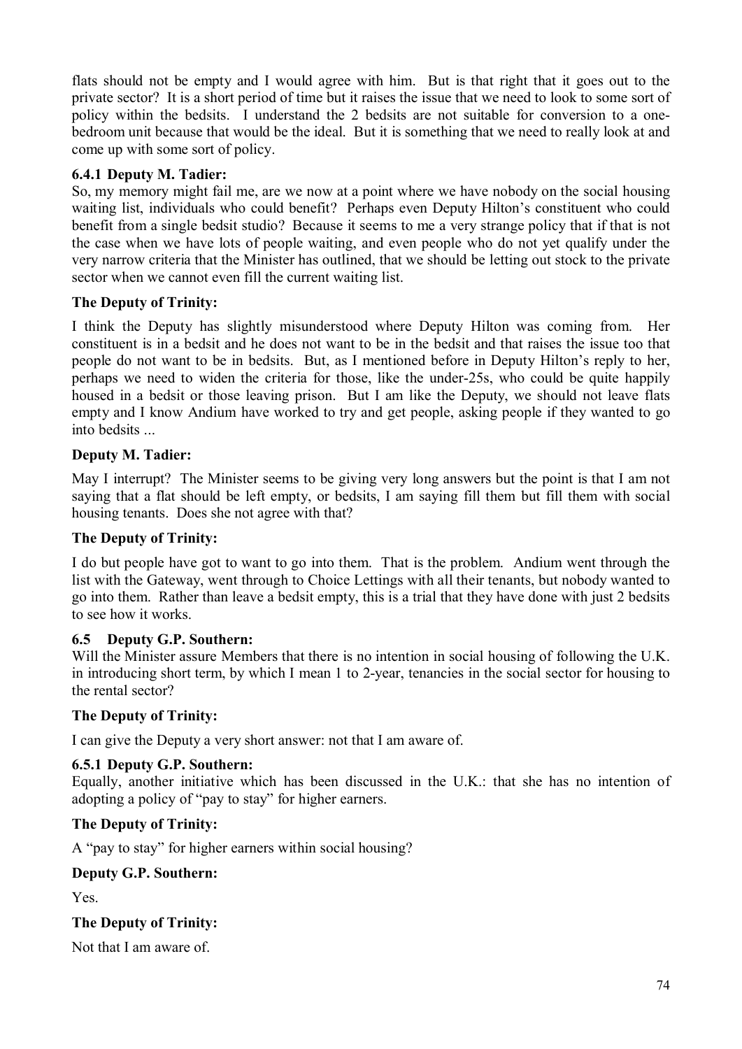flats should not be empty and I would agree with him. But is that right that it goes out to the private sector? It is a short period of time but it raises the issue that we need to look to some sort of policy within the bedsits. I understand the 2 bedsits are not suitable for conversion to a onebedroom unit because that would be the ideal. But it is something that we need to really look at and come up with some sort of policy.

# **6.4.1 Deputy M. Tadier:**

So, my memory might fail me, are we now at a point where we have nobody on the social housing waiting list, individuals who could benefit? Perhaps even Deputy Hilton's constituent who could benefit from a single bedsit studio? Because it seems to me a very strange policy that if that is not the case when we have lots of people waiting, and even people who do not yet qualify under the very narrow criteria that the Minister has outlined, that we should be letting out stock to the private sector when we cannot even fill the current waiting list.

# **The Deputy of Trinity:**

I think the Deputy has slightly misunderstood where Deputy Hilton was coming from. Her constituent is in a bedsit and he does not want to be in the bedsit and that raises the issue too that people do not want to be in bedsits. But, as I mentioned before in Deputy Hilton's reply to her, perhaps we need to widen the criteria for those, like the under-25s, who could be quite happily housed in a bedsit or those leaving prison. But I am like the Deputy, we should not leave flats empty and I know Andium have worked to try and get people, asking people if they wanted to go into bedsits ...

# **Deputy M. Tadier:**

May I interrupt? The Minister seems to be giving very long answers but the point is that I am not saying that a flat should be left empty, or bedsits, I am saying fill them but fill them with social housing tenants. Does she not agree with that?

### **The Deputy of Trinity:**

I do but people have got to want to go into them. That is the problem. Andium went through the list with the Gateway, went through to Choice Lettings with all their tenants, but nobody wanted to go into them. Rather than leave a bedsit empty, this is a trial that they have done with just 2 bedsits to see how it works.

### **6.5 Deputy G.P. Southern:**

Will the Minister assure Members that there is no intention in social housing of following the U.K. in introducing short term, by which I mean 1 to 2-year, tenancies in the social sector for housing to the rental sector?

### **The Deputy of Trinity:**

I can give the Deputy a very short answer: not that I am aware of.

### **6.5.1 Deputy G.P. Southern:**

Equally, another initiative which has been discussed in the U.K.: that she has no intention of adopting a policy of "pay to stay" for higher earners.

### **The Deputy of Trinity:**

A "pay to stay" for higher earners within social housing?

### **Deputy G.P. Southern:**

Yes.

### **The Deputy of Trinity:**

Not that I am aware of.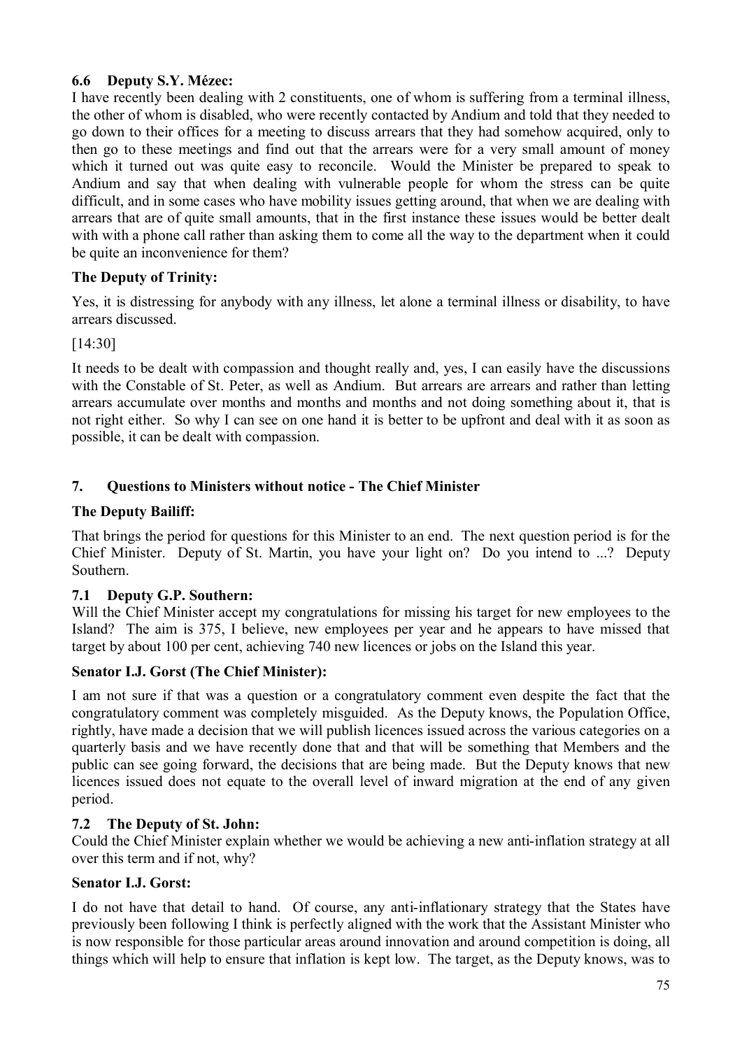# **6.6 Deputy S.Y. Mézec:**

I have recently been dealing with 2 constituents, one of whom is suffering from a terminal illness, the other of whom is disabled, who were recently contacted by Andium and told that they needed to go down to their offices for a meeting to discuss arrears that they had somehow acquired, only to then go to these meetings and find out that the arrears were for a very small amount of money which it turned out was quite easy to reconcile. Would the Minister be prepared to speak to Andium and say that when dealing with vulnerable people for whom the stress can be quite difficult, and in some cases who have mobility issues getting around, that when we are dealing with arrears that are of quite small amounts, that in the first instance these issues would be better dealt with with a phone call rather than asking them to come all the way to the department when it could be quite an inconvenience for them?

# **The Deputy of Trinity:**

Yes, it is distressing for anybody with any illness, let alone a terminal illness or disability, to have arrears discussed.

[14:30]

It needs to be dealt with compassion and thought really and, yes, I can easily have the discussions with the Constable of St. Peter, as well as Andium. But arrears are arrears and rather than letting arrears accumulate over months and months and months and not doing something about it, that is not right either. So why I can see on one hand it is better to be upfront and deal with it as soon as possible, it can be dealt with compassion.

# **7. Questions to Ministers without notice - The Chief Minister**

### **The Deputy Bailiff:**

That brings the period for questions for this Minister to an end. The next question period is for the Chief Minister. Deputy of St. Martin, you have your light on? Do you intend to ...? Deputy Southern.

### **7.1 Deputy G.P. Southern:**

Will the Chief Minister accept my congratulations for missing his target for new employees to the Island? The aim is 375, I believe, new employees per year and he appears to have missed that target by about 100 per cent, achieving 740 new licences or jobs on the Island this year.

### **Senator I.J. Gorst (The Chief Minister):**

I am not sure if that was a question or a congratulatory comment even despite the fact that the congratulatory comment was completely misguided. As the Deputy knows, the Population Office, rightly, have made a decision that we will publish licences issued across the various categories on a quarterly basis and we have recently done that and that will be something that Members and the public can see going forward, the decisions that are being made. But the Deputy knows that new licences issued does not equate to the overall level of inward migration at the end of any given period.

### **7.2 The Deputy of St. John:**

Could the Chief Minister explain whether we would be achieving a new anti-inflation strategy at all over this term and if not, why?

### **Senator I.J. Gorst:**

I do not have that detail to hand. Of course, any anti-inflationary strategy that the States have previously been following I think is perfectly aligned with the work that the Assistant Minister who is now responsible for those particular areas around innovation and around competition is doing, all things which will help to ensure that inflation is kept low. The target, as the Deputy knows, was to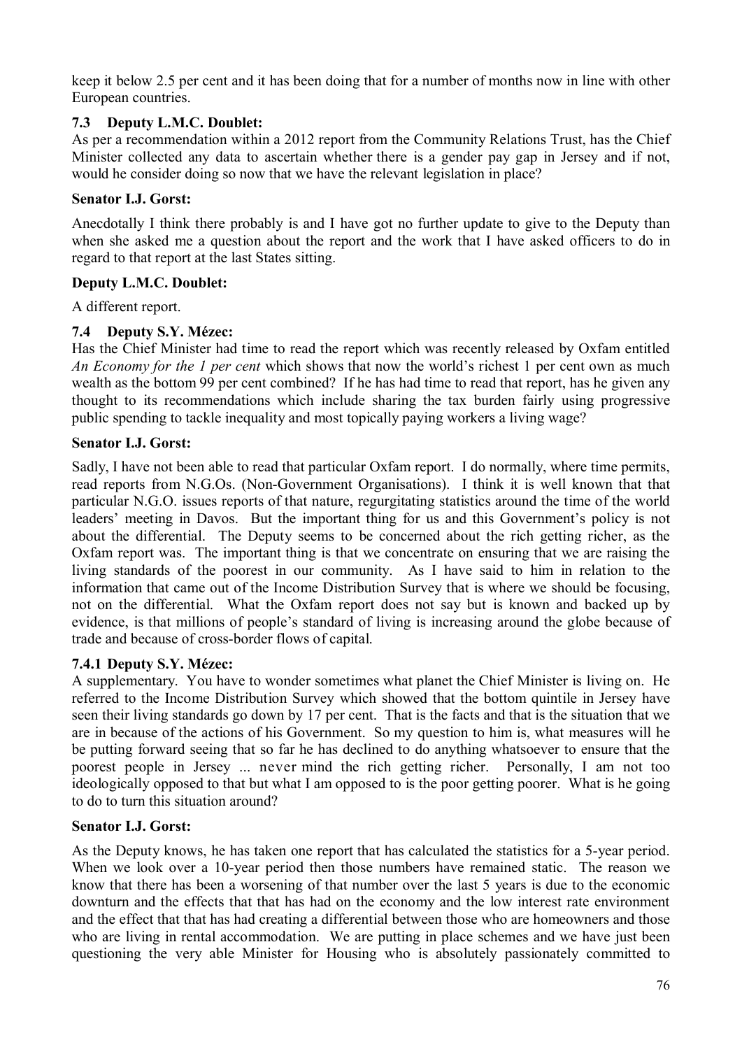keep it below 2.5 per cent and it has been doing that for a number of months now in line with other European countries.

# **7.3 Deputy L.M.C. Doublet:**

As per a recommendation within a 2012 report from the Community Relations Trust, has the Chief Minister collected any data to ascertain whether there is a gender pay gap in Jersey and if not, would he consider doing so now that we have the relevant legislation in place?

### **Senator I.J. Gorst:**

Anecdotally I think there probably is and I have got no further update to give to the Deputy than when she asked me a question about the report and the work that I have asked officers to do in regard to that report at the last States sitting.

# **Deputy L.M.C. Doublet:**

A different report.

# **7.4 Deputy S.Y. Mézec:**

Has the Chief Minister had time to read the report which was recently released by Oxfam entitled *An Economy for the 1 per cent* which shows that now the world's richest 1 per cent own as much wealth as the bottom 99 per cent combined? If he has had time to read that report, has he given any thought to its recommendations which include sharing the tax burden fairly using progressive public spending to tackle inequality and most topically paying workers a living wage?

### **Senator I.J. Gorst:**

Sadly, I have not been able to read that particular Oxfam report. I do normally, where time permits, read reports from N.G.Os. (Non-Government Organisations). I think it is well known that that particular N.G.O. issues reports of that nature, regurgitating statistics around the time of the world leaders' meeting in Davos. But the important thing for us and this Government's policy is not about the differential. The Deputy seems to be concerned about the rich getting richer, as the Oxfam report was. The important thing is that we concentrate on ensuring that we are raising the living standards of the poorest in our community. As I have said to him in relation to the information that came out of the Income Distribution Survey that is where we should be focusing, not on the differential. What the Oxfam report does not say but is known and backed up by evidence, is that millions of people's standard of living is increasing around the globe because of trade and because of cross-border flows of capital.

### **7.4.1 Deputy S.Y. Mézec:**

A supplementary. You have to wonder sometimes what planet the Chief Minister is living on. He referred to the Income Distribution Survey which showed that the bottom quintile in Jersey have seen their living standards go down by 17 per cent. That is the facts and that is the situation that we are in because of the actions of his Government. So my question to him is, what measures will he be putting forward seeing that so far he has declined to do anything whatsoever to ensure that the poorest people in Jersey ... never mind the rich getting richer. Personally, I am not too ideologically opposed to that but what I am opposed to is the poor getting poorer. What is he going to do to turn this situation around?

### **Senator I.J. Gorst:**

As the Deputy knows, he has taken one report that has calculated the statistics for a 5-year period. When we look over a 10-year period then those numbers have remained static. The reason we know that there has been a worsening of that number over the last 5 years is due to the economic downturn and the effects that that has had on the economy and the low interest rate environment and the effect that that has had creating a differential between those who are homeowners and those who are living in rental accommodation. We are putting in place schemes and we have just been questioning the very able Minister for Housing who is absolutely passionately committed to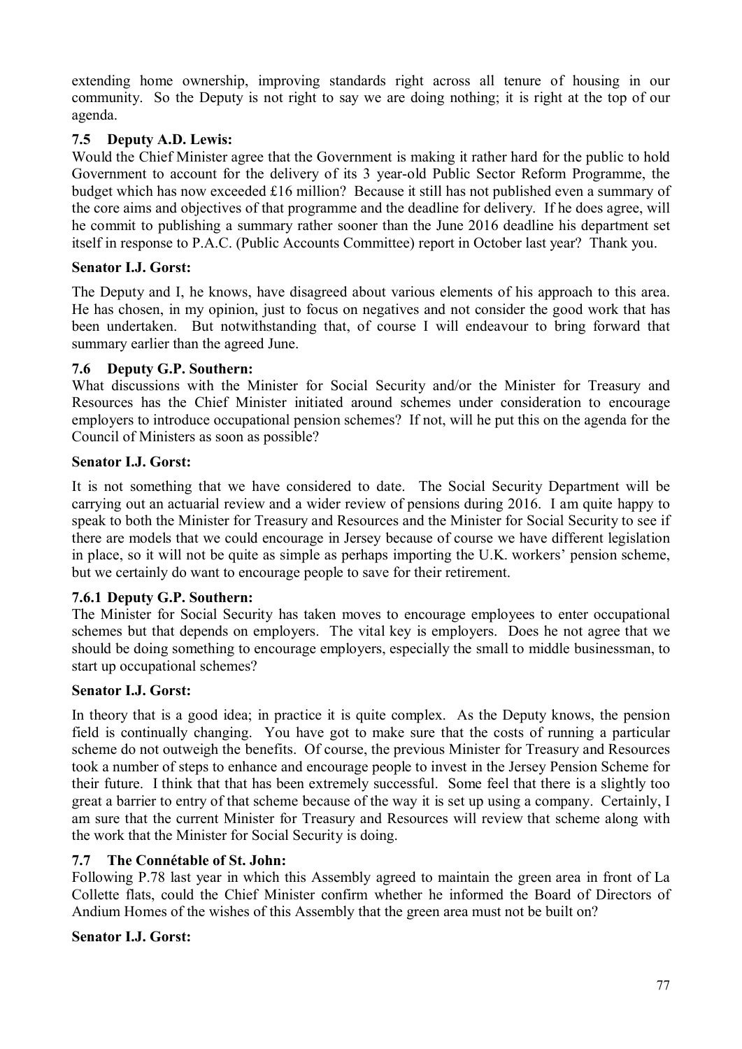extending home ownership, improving standards right across all tenure of housing in our community. So the Deputy is not right to say we are doing nothing; it is right at the top of our agenda.

### **7.5 Deputy A.D. Lewis:**

Would the Chief Minister agree that the Government is making it rather hard for the public to hold Government to account for the delivery of its 3 year-old Public Sector Reform Programme, the budget which has now exceeded £16 million? Because it still has not published even a summary of the core aims and objectives of that programme and the deadline for delivery. If he does agree, will he commit to publishing a summary rather sooner than the June 2016 deadline his department set itself in response to P.A.C. (Public Accounts Committee) report in October last year? Thank you.

### **Senator I.J. Gorst:**

The Deputy and I, he knows, have disagreed about various elements of his approach to this area. He has chosen, in my opinion, just to focus on negatives and not consider the good work that has been undertaken. But notwithstanding that, of course I will endeavour to bring forward that summary earlier than the agreed June.

### **7.6 Deputy G.P. Southern:**

What discussions with the Minister for Social Security and/or the Minister for Treasury and Resources has the Chief Minister initiated around schemes under consideration to encourage employers to introduce occupational pension schemes? If not, will he put this on the agenda for the Council of Ministers as soon as possible?

### **Senator I.J. Gorst:**

It is not something that we have considered to date. The Social Security Department will be carrying out an actuarial review and a wider review of pensions during 2016. I am quite happy to speak to both the Minister for Treasury and Resources and the Minister for Social Security to see if there are models that we could encourage in Jersey because of course we have different legislation in place, so it will not be quite as simple as perhaps importing the U.K. workers' pension scheme, but we certainly do want to encourage people to save for their retirement.

### **7.6.1 Deputy G.P. Southern:**

The Minister for Social Security has taken moves to encourage employees to enter occupational schemes but that depends on employers. The vital key is employers. Does he not agree that we should be doing something to encourage employers, especially the small to middle businessman, to start up occupational schemes?

### **Senator I.J. Gorst:**

In theory that is a good idea; in practice it is quite complex. As the Deputy knows, the pension field is continually changing. You have got to make sure that the costs of running a particular scheme do not outweigh the benefits. Of course, the previous Minister for Treasury and Resources took a number of steps to enhance and encourage people to invest in the Jersey Pension Scheme for their future. I think that that has been extremely successful. Some feel that there is a slightly too great a barrier to entry of that scheme because of the way it is set up using a company. Certainly, I am sure that the current Minister for Treasury and Resources will review that scheme along with the work that the Minister for Social Security is doing.

### **7.7 The Connétable of St. John:**

Following P.78 last year in which this Assembly agreed to maintain the green area in front of La Collette flats, could the Chief Minister confirm whether he informed the Board of Directors of Andium Homes of the wishes of this Assembly that the green area must not be built on?

### **Senator I.J. Gorst:**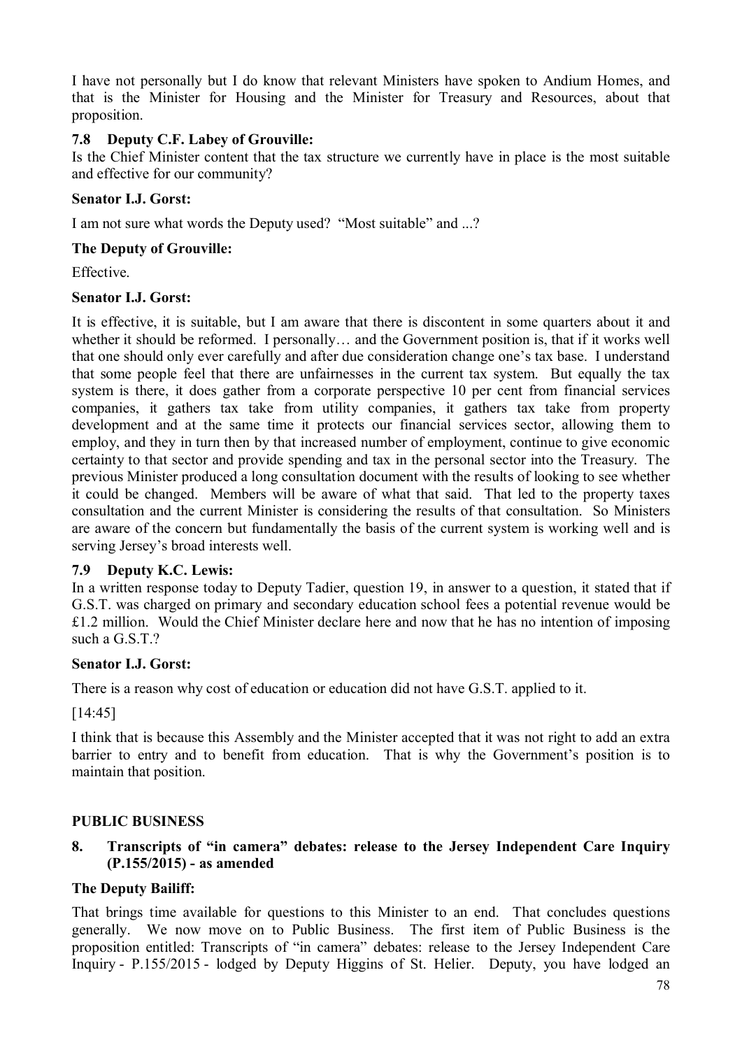I have not personally but I do know that relevant Ministers have spoken to Andium Homes, and that is the Minister for Housing and the Minister for Treasury and Resources, about that proposition.

## **7.8 Deputy C.F. Labey of Grouville:**

Is the Chief Minister content that the tax structure we currently have in place is the most suitable and effective for our community?

### **Senator I.J. Gorst:**

I am not sure what words the Deputy used? "Most suitable" and ...?

### **The Deputy of Grouville:**

**Effective** 

### **Senator I.J. Gorst:**

It is effective, it is suitable, but I am aware that there is discontent in some quarters about it and whether it should be reformed. I personally… and the Government position is, that if it works well that one should only ever carefully and after due consideration change one's tax base. I understand that some people feel that there are unfairnesses in the current tax system. But equally the tax system is there, it does gather from a corporate perspective 10 per cent from financial services companies, it gathers tax take from utility companies, it gathers tax take from property development and at the same time it protects our financial services sector, allowing them to employ, and they in turn then by that increased number of employment, continue to give economic certainty to that sector and provide spending and tax in the personal sector into the Treasury. The previous Minister produced a long consultation document with the results of looking to see whether it could be changed. Members will be aware of what that said. That led to the property taxes consultation and the current Minister is considering the results of that consultation. So Ministers are aware of the concern but fundamentally the basis of the current system is working well and is serving Jersey's broad interests well.

### **7.9 Deputy K.C. Lewis:**

In a written response today to Deputy Tadier, question 19, in answer to a question, it stated that if G.S.T. was charged on primary and secondary education school fees a potential revenue would be £1.2 million. Would the Chief Minister declare here and now that he has no intention of imposing such a G.S.T.?

### **Senator I.J. Gorst:**

There is a reason why cost of education or education did not have G.S.T. applied to it.

[14:45]

I think that is because this Assembly and the Minister accepted that it was not right to add an extra barrier to entry and to benefit from education. That is why the Government's position is to maintain that position.

### **PUBLIC BUSINESS**

# **8. Transcripts of "in camera" debates: release to the Jersey Independent Care Inquiry (P.155/2015) - as amended**

### **The Deputy Bailiff:**

That brings time available for questions to this Minister to an end. That concludes questions generally. We now move on to Public Business. The first item of Public Business is the proposition entitled: Transcripts of "in camera" debates: release to the Jersey Independent Care Inquiry - P.155/2015 - lodged by Deputy Higgins of St. Helier. Deputy, you have lodged an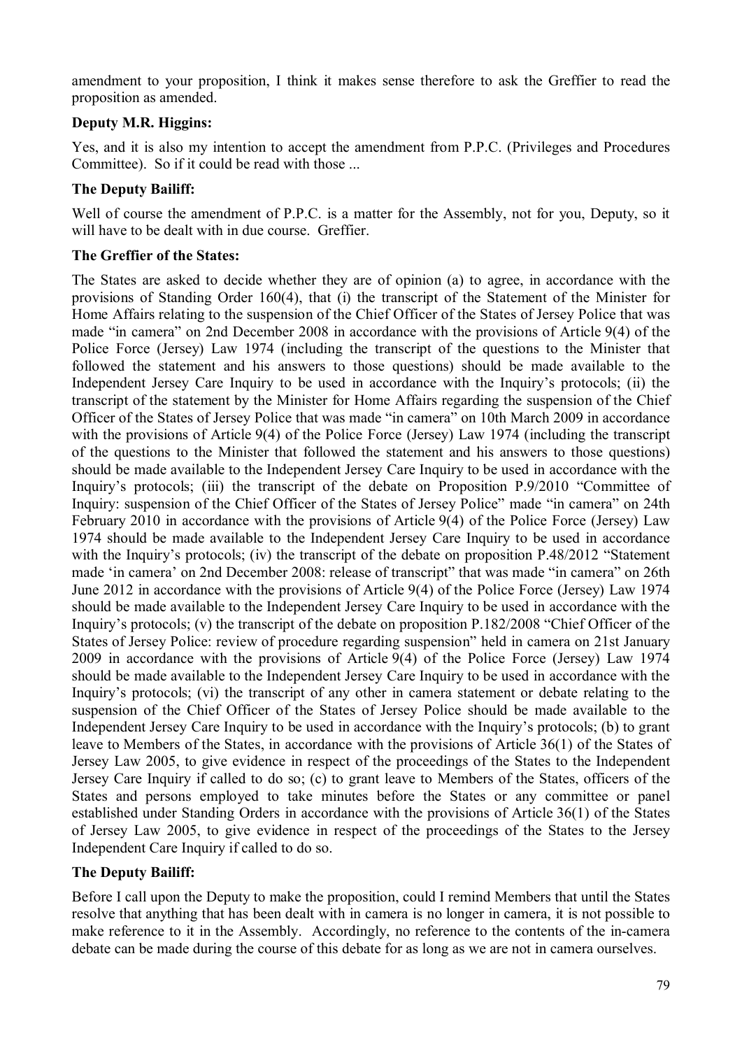amendment to your proposition, I think it makes sense therefore to ask the Greffier to read the proposition as amended.

## **Deputy M.R. Higgins:**

Yes, and it is also my intention to accept the amendment from P.P.C. (Privileges and Procedures Committee). So if it could be read with those ...

## **The Deputy Bailiff:**

Well of course the amendment of P.P.C. is a matter for the Assembly, not for you, Deputy, so it will have to be dealt with in due course. Greffier.

### **The Greffier of the States:**

The States are asked to decide whether they are of opinion (a) to agree, in accordance with the provisions of Standing Order 160(4), that (i) the transcript of the Statement of the Minister for Home Affairs relating to the suspension of the Chief Officer of the States of Jersey Police that was made "in camera" on 2nd December 2008 in accordance with the provisions of Article 9(4) of the Police Force (Jersey) Law 1974 (including the transcript of the questions to the Minister that followed the statement and his answers to those questions) should be made available to the Independent Jersey Care Inquiry to be used in accordance with the Inquiry's protocols; (ii) the transcript of the statement by the Minister for Home Affairs regarding the suspension of the Chief Officer of the States of Jersey Police that was made "in camera" on 10th March 2009 in accordance with the provisions of Article 9(4) of the Police Force (Jersey) Law 1974 (including the transcript of the questions to the Minister that followed the statement and his answers to those questions) should be made available to the Independent Jersey Care Inquiry to be used in accordance with the Inquiry's protocols; (iii) the transcript of the debate on Proposition P.9/2010 "Committee of Inquiry: suspension of the Chief Officer of the States of Jersey Police" made "in camera" on 24th February 2010 in accordance with the provisions of Article 9(4) of the Police Force (Jersey) Law 1974 should be made available to the Independent Jersey Care Inquiry to be used in accordance with the Inquiry's protocols; (iv) the transcript of the debate on proposition P.48/2012 "Statement made 'in camera' on 2nd December 2008: release of transcript" that was made "in camera" on 26th June 2012 in accordance with the provisions of Article 9(4) of the Police Force (Jersey) Law 1974 should be made available to the Independent Jersey Care Inquiry to be used in accordance with the Inquiry's protocols; (v) the transcript of the debate on proposition P.182/2008 "Chief Officer of the States of Jersey Police: review of procedure regarding suspension" held in camera on 21st January 2009 in accordance with the provisions of Article 9(4) of the Police Force (Jersey) Law 1974 should be made available to the Independent Jersey Care Inquiry to be used in accordance with the Inquiry's protocols; (vi) the transcript of any other in camera statement or debate relating to the suspension of the Chief Officer of the States of Jersey Police should be made available to the Independent Jersey Care Inquiry to be used in accordance with the Inquiry's protocols; (b) to grant leave to Members of the States, in accordance with the provisions of Article 36(1) of the States of Jersey Law 2005, to give evidence in respect of the proceedings of the States to the Independent Jersey Care Inquiry if called to do so; (c) to grant leave to Members of the States, officers of the States and persons employed to take minutes before the States or any committee or panel established under Standing Orders in accordance with the provisions of Article 36(1) of the States of Jersey Law 2005, to give evidence in respect of the proceedings of the States to the Jersey Independent Care Inquiry if called to do so.

### **The Deputy Bailiff:**

Before I call upon the Deputy to make the proposition, could I remind Members that until the States resolve that anything that has been dealt with in camera is no longer in camera, it is not possible to make reference to it in the Assembly. Accordingly, no reference to the contents of the in-camera debate can be made during the course of this debate for as long as we are not in camera ourselves.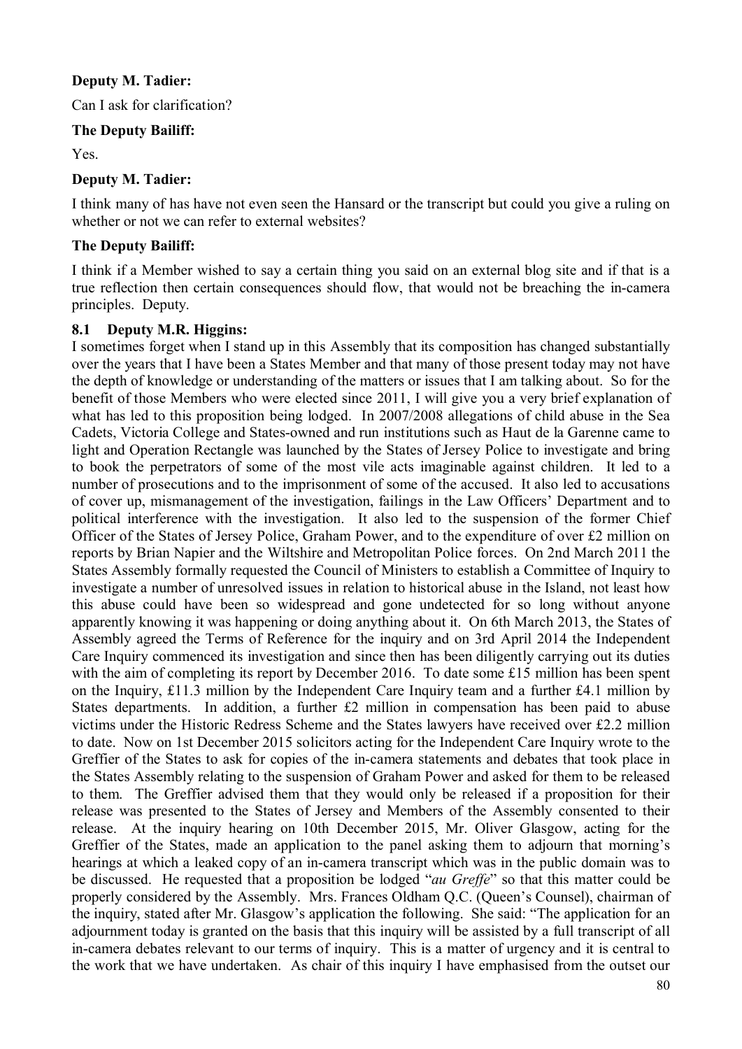# **Deputy M. Tadier:**

Can I ask for clarification?

### **The Deputy Bailiff:**

Yes.

# **Deputy M. Tadier:**

I think many of has have not even seen the Hansard or the transcript but could you give a ruling on whether or not we can refer to external websites?

# **The Deputy Bailiff:**

I think if a Member wished to say a certain thing you said on an external blog site and if that is a true reflection then certain consequences should flow, that would not be breaching the in-camera principles. Deputy.

# **8.1 Deputy M.R. Higgins:**

I sometimes forget when I stand up in this Assembly that its composition has changed substantially over the years that I have been a States Member and that many of those present today may not have the depth of knowledge or understanding of the matters or issues that I am talking about. So for the benefit of those Members who were elected since 2011, I will give you a very brief explanation of what has led to this proposition being lodged. In 2007/2008 allegations of child abuse in the Sea Cadets, Victoria College and States-owned and run institutions such as Haut de la Garenne came to light and Operation Rectangle was launched by the States of Jersey Police to investigate and bring to book the perpetrators of some of the most vile acts imaginable against children. It led to a number of prosecutions and to the imprisonment of some of the accused. It also led to accusations of cover up, mismanagement of the investigation, failings in the Law Officers' Department and to political interference with the investigation. It also led to the suspension of the former Chief Officer of the States of Jersey Police, Graham Power, and to the expenditure of over £2 million on reports by Brian Napier and the Wiltshire and Metropolitan Police forces. On 2nd March 2011 the States Assembly formally requested the Council of Ministers to establish a Committee of Inquiry to investigate a number of unresolved issues in relation to historical abuse in the Island, not least how this abuse could have been so widespread and gone undetected for so long without anyone apparently knowing it was happening or doing anything about it. On 6th March 2013, the States of Assembly agreed the Terms of Reference for the inquiry and on 3rd April 2014 the Independent Care Inquiry commenced its investigation and since then has been diligently carrying out its duties with the aim of completing its report by December 2016. To date some £15 million has been spent on the Inquiry, £11.3 million by the Independent Care Inquiry team and a further £4.1 million by States departments. In addition, a further £2 million in compensation has been paid to abuse victims under the Historic Redress Scheme and the States lawyers have received over £2.2 million to date. Now on 1st December 2015 solicitors acting for the Independent Care Inquiry wrote to the Greffier of the States to ask for copies of the in-camera statements and debates that took place in the States Assembly relating to the suspension of Graham Power and asked for them to be released to them. The Greffier advised them that they would only be released if a proposition for their release was presented to the States of Jersey and Members of the Assembly consented to their release. At the inquiry hearing on 10th December 2015, Mr. Oliver Glasgow, acting for the Greffier of the States, made an application to the panel asking them to adjourn that morning's hearings at which a leaked copy of an in-camera transcript which was in the public domain was to be discussed. He requested that a proposition be lodged "*au Greffe*" so that this matter could be properly considered by the Assembly. Mrs. Frances Oldham Q.C. (Queen's Counsel), chairman of the inquiry, stated after Mr. Glasgow's application the following. She said: "The application for an adjournment today is granted on the basis that this inquiry will be assisted by a full transcript of all in-camera debates relevant to our terms of inquiry. This is a matter of urgency and it is central to the work that we have undertaken. As chair of this inquiry I have emphasised from the outset our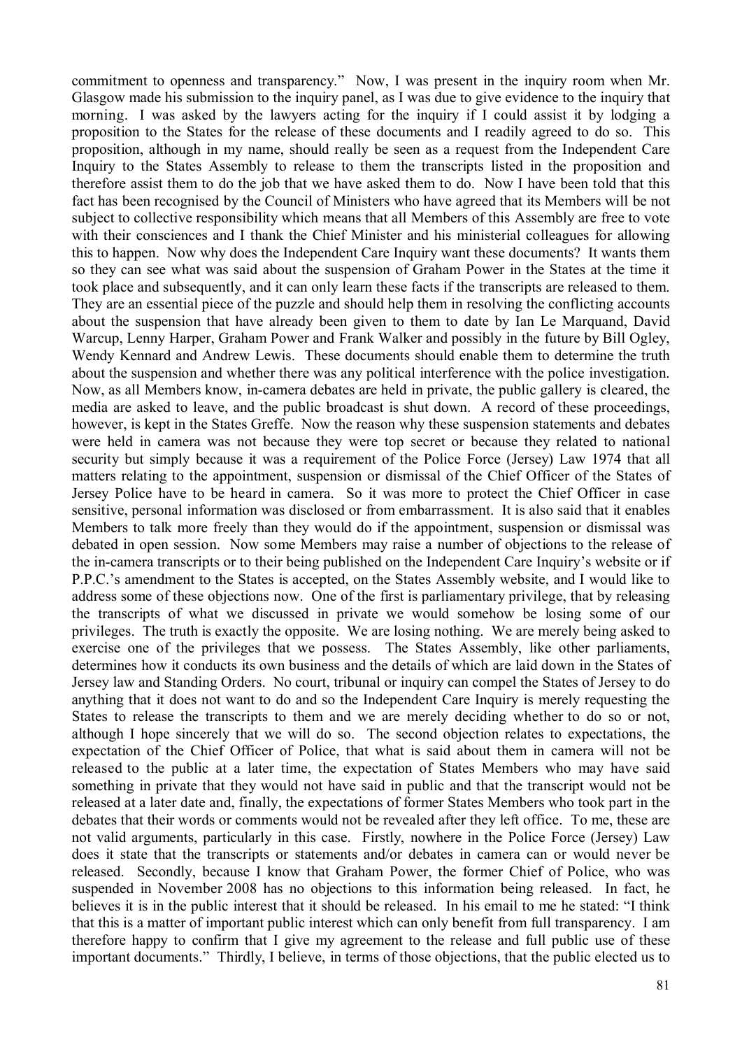commitment to openness and transparency." Now, I was present in the inquiry room when Mr. Glasgow made his submission to the inquiry panel, as I was due to give evidence to the inquiry that morning. I was asked by the lawyers acting for the inquiry if I could assist it by lodging a proposition to the States for the release of these documents and I readily agreed to do so. This proposition, although in my name, should really be seen as a request from the Independent Care Inquiry to the States Assembly to release to them the transcripts listed in the proposition and therefore assist them to do the job that we have asked them to do. Now I have been told that this fact has been recognised by the Council of Ministers who have agreed that its Members will be not subject to collective responsibility which means that all Members of this Assembly are free to vote with their consciences and I thank the Chief Minister and his ministerial colleagues for allowing this to happen. Now why does the Independent Care Inquiry want these documents? It wants them so they can see what was said about the suspension of Graham Power in the States at the time it took place and subsequently, and it can only learn these facts if the transcripts are released to them. They are an essential piece of the puzzle and should help them in resolving the conflicting accounts about the suspension that have already been given to them to date by Ian Le Marquand, David Warcup, Lenny Harper, Graham Power and Frank Walker and possibly in the future by Bill Ogley, Wendy Kennard and Andrew Lewis. These documents should enable them to determine the truth about the suspension and whether there was any political interference with the police investigation. Now, as all Members know, in-camera debates are held in private, the public gallery is cleared, the media are asked to leave, and the public broadcast is shut down. A record of these proceedings, however, is kept in the States Greffe. Now the reason why these suspension statements and debates were held in camera was not because they were top secret or because they related to national security but simply because it was a requirement of the Police Force (Jersey) Law 1974 that all matters relating to the appointment, suspension or dismissal of the Chief Officer of the States of Jersey Police have to be heard in camera. So it was more to protect the Chief Officer in case sensitive, personal information was disclosed or from embarrassment. It is also said that it enables Members to talk more freely than they would do if the appointment, suspension or dismissal was debated in open session. Now some Members may raise a number of objections to the release of the in-camera transcripts or to their being published on the Independent Care Inquiry's website or if P.P.C.'s amendment to the States is accepted, on the States Assembly website, and I would like to address some of these objections now. One of the first is parliamentary privilege, that by releasing the transcripts of what we discussed in private we would somehow be losing some of our privileges. The truth is exactly the opposite. We are losing nothing. We are merely being asked to exercise one of the privileges that we possess. The States Assembly, like other parliaments, determines how it conducts its own business and the details of which are laid down in the States of Jersey law and Standing Orders. No court, tribunal or inquiry can compel the States of Jersey to do anything that it does not want to do and so the Independent Care Inquiry is merely requesting the States to release the transcripts to them and we are merely deciding whether to do so or not. although I hope sincerely that we will do so. The second objection relates to expectations, the expectation of the Chief Officer of Police, that what is said about them in camera will not be released to the public at a later time, the expectation of States Members who may have said something in private that they would not have said in public and that the transcript would not be released at a later date and, finally, the expectations of former States Members who took part in the debates that their words or comments would not be revealed after they left office. To me, these are not valid arguments, particularly in this case. Firstly, nowhere in the Police Force (Jersey) Law does it state that the transcripts or statements and/or debates in camera can or would never be released. Secondly, because I know that Graham Power, the former Chief of Police, who was suspended in November 2008 has no objections to this information being released. In fact, he believes it is in the public interest that it should be released. In his email to me he stated: "I think that this is a matter of important public interest which can only benefit from full transparency. I am therefore happy to confirm that I give my agreement to the release and full public use of these important documents." Thirdly, I believe, in terms of those objections, that the public elected us to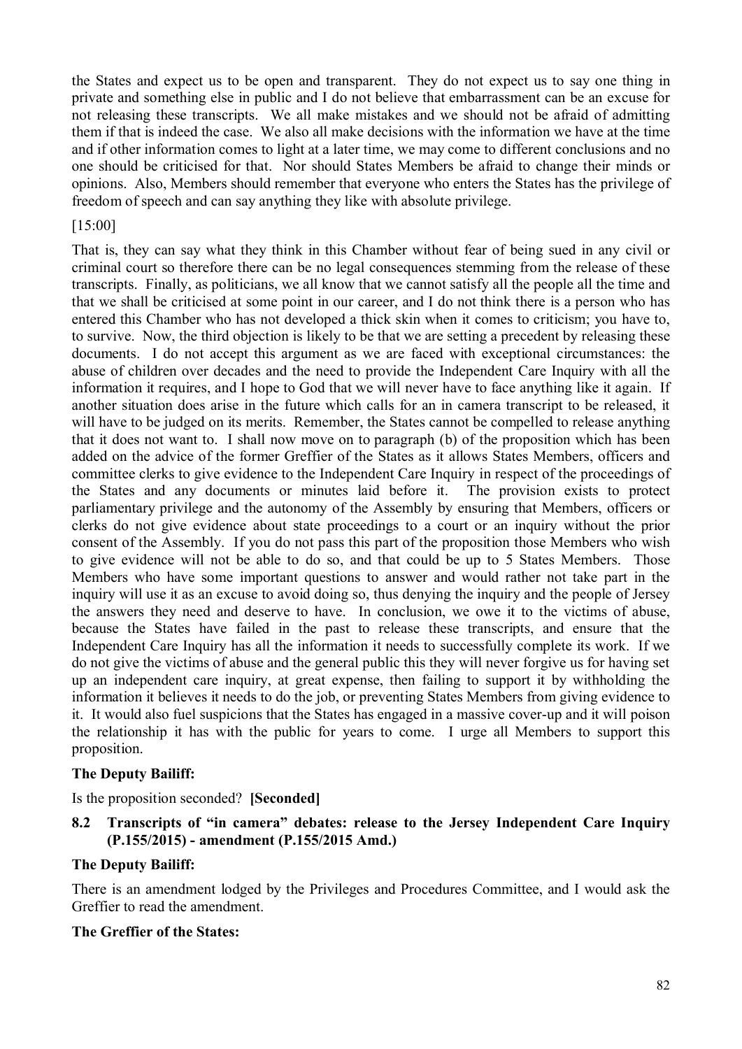the States and expect us to be open and transparent. They do not expect us to say one thing in private and something else in public and I do not believe that embarrassment can be an excuse for not releasing these transcripts. We all make mistakes and we should not be afraid of admitting them if that is indeed the case. We also all make decisions with the information we have at the time and if other information comes to light at a later time, we may come to different conclusions and no one should be criticised for that. Nor should States Members be afraid to change their minds or opinions. Also, Members should remember that everyone who enters the States has the privilege of freedom of speech and can say anything they like with absolute privilege.

### [15:00]

That is, they can say what they think in this Chamber without fear of being sued in any civil or criminal court so therefore there can be no legal consequences stemming from the release of these transcripts. Finally, as politicians, we all know that we cannot satisfy all the people all the time and that we shall be criticised at some point in our career, and I do not think there is a person who has entered this Chamber who has not developed a thick skin when it comes to criticism; you have to, to survive. Now, the third objection is likely to be that we are setting a precedent by releasing these documents. I do not accept this argument as we are faced with exceptional circumstances: the abuse of children over decades and the need to provide the Independent Care Inquiry with all the information it requires, and I hope to God that we will never have to face anything like it again. If another situation does arise in the future which calls for an in camera transcript to be released, it will have to be judged on its merits. Remember, the States cannot be compelled to release anything that it does not want to. I shall now move on to paragraph (b) of the proposition which has been added on the advice of the former Greffier of the States as it allows States Members, officers and committee clerks to give evidence to the Independent Care Inquiry in respect of the proceedings of the States and any documents or minutes laid before it. The provision exists to protect parliamentary privilege and the autonomy of the Assembly by ensuring that Members, officers or clerks do not give evidence about state proceedings to a court or an inquiry without the prior consent of the Assembly. If you do not pass this part of the proposition those Members who wish to give evidence will not be able to do so, and that could be up to 5 States Members. Those Members who have some important questions to answer and would rather not take part in the inquiry will use it as an excuse to avoid doing so, thus denying the inquiry and the people of Jersey the answers they need and deserve to have. In conclusion, we owe it to the victims of abuse, because the States have failed in the past to release these transcripts, and ensure that the Independent Care Inquiry has all the information it needs to successfully complete its work. If we do not give the victims of abuse and the general public this they will never forgive us for having set up an independent care inquiry, at great expense, then failing to support it by withholding the information it believes it needs to do the job, or preventing States Members from giving evidence to it. It would also fuel suspicions that the States has engaged in a massive cover-up and it will poison the relationship it has with the public for years to come. I urge all Members to support this proposition.

### **The Deputy Bailiff:**

Is the proposition seconded? **[Seconded]**

# **8.2 Transcripts of "in camera" debates: release to the Jersey Independent Care Inquiry (P.155/2015) - amendment (P.155/2015 Amd.)**

### **The Deputy Bailiff:**

There is an amendment lodged by the Privileges and Procedures Committee, and I would ask the Greffier to read the amendment.

### **The Greffier of the States:**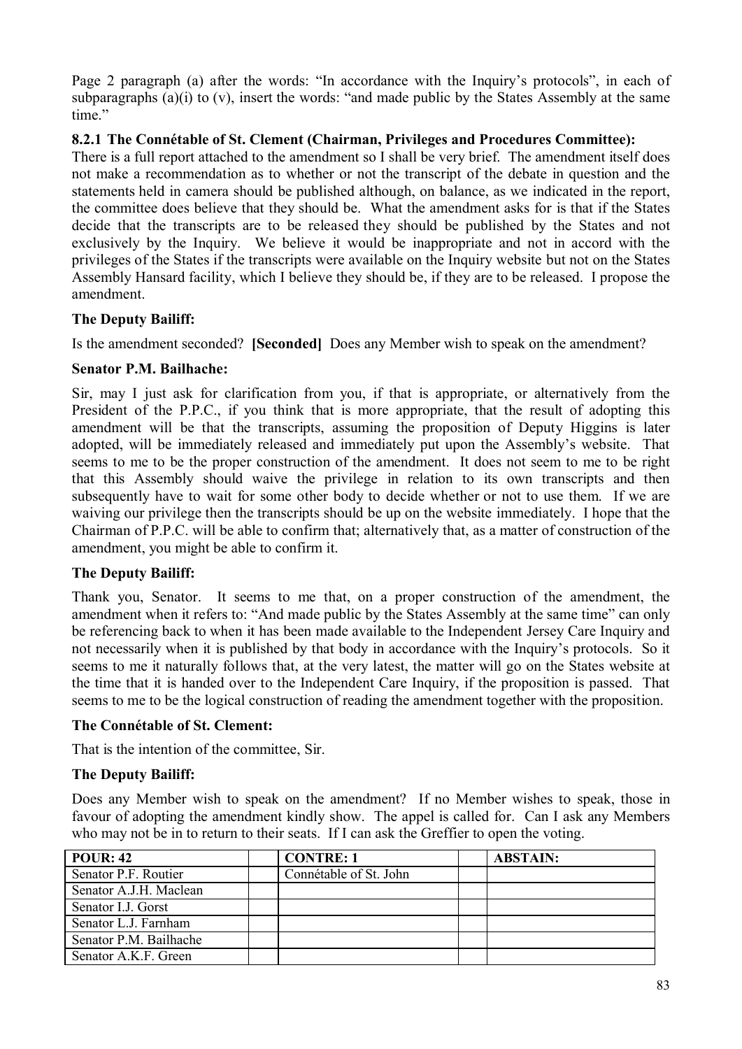Page 2 paragraph (a) after the words: "In accordance with the Inquiry's protocols", in each of subparagraphs (a)(i) to (v), insert the words: "and made public by the States Assembly at the same time"

## **8.2.1 The Connétable of St. Clement (Chairman, Privileges and Procedures Committee):**

There is a full report attached to the amendment so I shall be very brief. The amendment itself does not make a recommendation as to whether or not the transcript of the debate in question and the statements held in camera should be published although, on balance, as we indicated in the report, the committee does believe that they should be. What the amendment asks for is that if the States decide that the transcripts are to be released they should be published by the States and not exclusively by the Inquiry. We believe it would be inappropriate and not in accord with the privileges of the States if the transcripts were available on the Inquiry website but not on the States Assembly Hansard facility, which I believe they should be, if they are to be released. I propose the amendment.

# **The Deputy Bailiff:**

Is the amendment seconded? **[Seconded]** Does any Member wish to speak on the amendment?

# **Senator P.M. Bailhache:**

Sir, may I just ask for clarification from you, if that is appropriate, or alternatively from the President of the P.P.C., if you think that is more appropriate, that the result of adopting this amendment will be that the transcripts, assuming the proposition of Deputy Higgins is later adopted, will be immediately released and immediately put upon the Assembly's website. That seems to me to be the proper construction of the amendment. It does not seem to me to be right that this Assembly should waive the privilege in relation to its own transcripts and then subsequently have to wait for some other body to decide whether or not to use them. If we are waiving our privilege then the transcripts should be up on the website immediately. I hope that the Chairman of P.P.C. will be able to confirm that; alternatively that, as a matter of construction of the amendment, you might be able to confirm it.

# **The Deputy Bailiff:**

Thank you, Senator. It seems to me that, on a proper construction of the amendment, the amendment when it refers to: "And made public by the States Assembly at the same time" can only be referencing back to when it has been made available to the Independent Jersey Care Inquiry and not necessarily when it is published by that body in accordance with the Inquiry's protocols. So it seems to me it naturally follows that, at the very latest, the matter will go on the States website at the time that it is handed over to the Independent Care Inquiry, if the proposition is passed. That seems to me to be the logical construction of reading the amendment together with the proposition.

# **The Connétable of St. Clement:**

That is the intention of the committee, Sir.

# **The Deputy Bailiff:**

Does any Member wish to speak on the amendment? If no Member wishes to speak, those in favour of adopting the amendment kindly show. The appel is called for. Can I ask any Members who may not be in to return to their seats. If I can ask the Greffier to open the voting.

| <b>POUR: 42</b>        | <b>CONTRE: 1</b>       | <b>ABSTAIN:</b> |
|------------------------|------------------------|-----------------|
| Senator P.F. Routier   | Connétable of St. John |                 |
| Senator A.J.H. Maclean |                        |                 |
| Senator I.J. Gorst     |                        |                 |
| Senator L.J. Farnham   |                        |                 |
| Senator P.M. Bailhache |                        |                 |
| Senator A.K.F. Green   |                        |                 |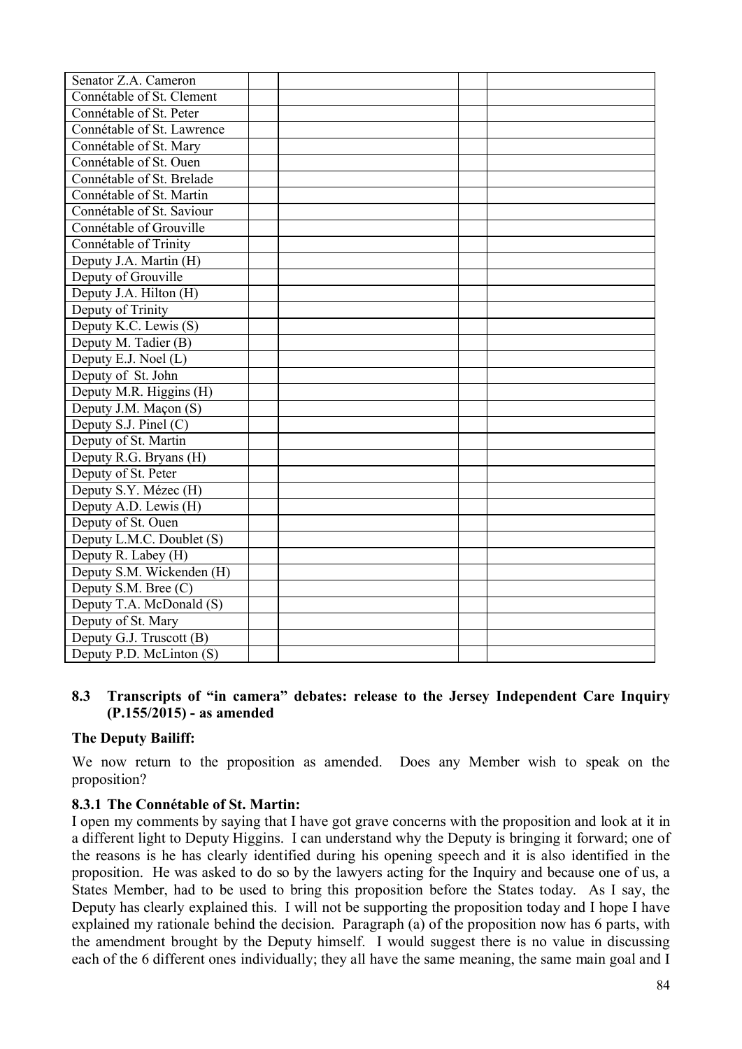| Senator Z.A. Cameron       |  |  |
|----------------------------|--|--|
| Connétable of St. Clement  |  |  |
| Connétable of St. Peter    |  |  |
| Connétable of St. Lawrence |  |  |
| Connétable of St. Mary     |  |  |
| Connétable of St. Ouen     |  |  |
| Connétable of St. Brelade  |  |  |
| Connétable of St. Martin   |  |  |
| Connétable of St. Saviour  |  |  |
| Connétable of Grouville    |  |  |
| Connétable of Trinity      |  |  |
| Deputy J.A. Martin (H)     |  |  |
| Deputy of Grouville        |  |  |
| Deputy J.A. Hilton (H)     |  |  |
| Deputy of Trinity          |  |  |
| Deputy K.C. Lewis (S)      |  |  |
| Deputy M. Tadier (B)       |  |  |
| Deputy E.J. Noel (L)       |  |  |
| Deputy of St. John         |  |  |
| Deputy M.R. Higgins (H)    |  |  |
| Deputy J.M. Maçon (S)      |  |  |
| Deputy S.J. Pinel (C)      |  |  |
| Deputy of St. Martin       |  |  |
| Deputy R.G. Bryans (H)     |  |  |
| Deputy of St. Peter        |  |  |
| Deputy S.Y. Mézec (H)      |  |  |
| Deputy A.D. Lewis (H)      |  |  |
| Deputy of St. Ouen         |  |  |
| Deputy L.M.C. Doublet (S)  |  |  |
| Deputy R. Labey $(H)$      |  |  |
| Deputy S.M. Wickenden (H)  |  |  |
| Deputy S.M. Bree (C)       |  |  |
| Deputy T.A. McDonald (S)   |  |  |
| Deputy of St. Mary         |  |  |
| Deputy G.J. Truscott (B)   |  |  |
| Deputy P.D. McLinton (S)   |  |  |

# **8.3 Transcripts of "in camera" debates: release to the Jersey Independent Care Inquiry (P.155/2015) - as amended**

### **The Deputy Bailiff:**

We now return to the proposition as amended. Does any Member wish to speak on the proposition?

### **8.3.1 The Connétable of St. Martin:**

I open my comments by saying that I have got grave concerns with the proposition and look at it in a different light to Deputy Higgins. I can understand why the Deputy is bringing it forward; one of the reasons is he has clearly identified during his opening speech and it is also identified in the proposition. He was asked to do so by the lawyers acting for the Inquiry and because one of us, a States Member, had to be used to bring this proposition before the States today. As I say, the Deputy has clearly explained this. I will not be supporting the proposition today and I hope I have explained my rationale behind the decision. Paragraph (a) of the proposition now has 6 parts, with the amendment brought by the Deputy himself. I would suggest there is no value in discussing each of the 6 different ones individually; they all have the same meaning, the same main goal and I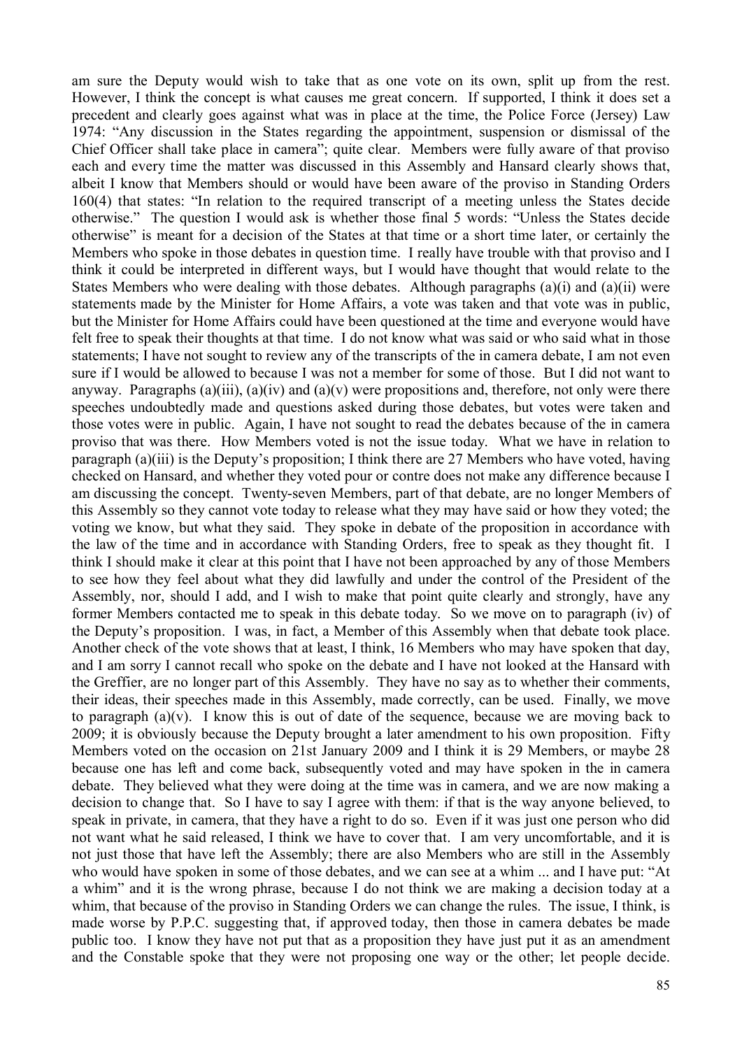am sure the Deputy would wish to take that as one vote on its own, split up from the rest. However, I think the concept is what causes me great concern. If supported, I think it does set a precedent and clearly goes against what was in place at the time, the Police Force (Jersey) Law 1974: "Any discussion in the States regarding the appointment, suspension or dismissal of the Chief Officer shall take place in camera"; quite clear. Members were fully aware of that proviso each and every time the matter was discussed in this Assembly and Hansard clearly shows that, albeit I know that Members should or would have been aware of the proviso in Standing Orders 160(4) that states: "In relation to the required transcript of a meeting unless the States decide otherwise." The question I would ask is whether those final 5 words: "Unless the States decide otherwise" is meant for a decision of the States at that time or a short time later, or certainly the Members who spoke in those debates in question time. I really have trouble with that proviso and I think it could be interpreted in different ways, but I would have thought that would relate to the States Members who were dealing with those debates. Although paragraphs (a)(i) and (a)(ii) were statements made by the Minister for Home Affairs, a vote was taken and that vote was in public, but the Minister for Home Affairs could have been questioned at the time and everyone would have felt free to speak their thoughts at that time. I do not know what was said or who said what in those statements; I have not sought to review any of the transcripts of the in camera debate, I am not even sure if I would be allowed to because I was not a member for some of those. But I did not want to anyway. Paragraphs (a)(iii), (a)(iv) and (a)(v) were propositions and, therefore, not only were there speeches undoubtedly made and questions asked during those debates, but votes were taken and those votes were in public. Again, I have not sought to read the debates because of the in camera proviso that was there. How Members voted is not the issue today. What we have in relation to paragraph (a)(iii) is the Deputy's proposition; I think there are 27 Members who have voted, having checked on Hansard, and whether they voted pour or contre does not make any difference because I am discussing the concept. Twenty-seven Members, part of that debate, are no longer Members of this Assembly so they cannot vote today to release what they may have said or how they voted; the voting we know, but what they said. They spoke in debate of the proposition in accordance with the law of the time and in accordance with Standing Orders, free to speak as they thought fit. I think I should make it clear at this point that I have not been approached by any of those Members to see how they feel about what they did lawfully and under the control of the President of the Assembly, nor, should I add, and I wish to make that point quite clearly and strongly, have any former Members contacted me to speak in this debate today. So we move on to paragraph (iv) of the Deputy's proposition. I was, in fact, a Member of this Assembly when that debate took place. Another check of the vote shows that at least, I think, 16 Members who may have spoken that day, and I am sorry I cannot recall who spoke on the debate and I have not looked at the Hansard with the Greffier, are no longer part of this Assembly. They have no say as to whether their comments, their ideas, their speeches made in this Assembly, made correctly, can be used. Finally, we move to paragraph  $(a)(v)$ . I know this is out of date of the sequence, because we are moving back to 2009; it is obviously because the Deputy brought a later amendment to his own proposition. Fifty Members voted on the occasion on 21st January 2009 and I think it is 29 Members, or maybe 28 because one has left and come back, subsequently voted and may have spoken in the in camera debate. They believed what they were doing at the time was in camera, and we are now making a decision to change that. So I have to say I agree with them: if that is the way anyone believed, to speak in private, in camera, that they have a right to do so. Even if it was just one person who did not want what he said released, I think we have to cover that. I am very uncomfortable, and it is not just those that have left the Assembly; there are also Members who are still in the Assembly who would have spoken in some of those debates, and we can see at a whim ... and I have put: "At a whim" and it is the wrong phrase, because I do not think we are making a decision today at a whim, that because of the proviso in Standing Orders we can change the rules. The issue, I think, is made worse by P.P.C. suggesting that, if approved today, then those in camera debates be made public too. I know they have not put that as a proposition they have just put it as an amendment and the Constable spoke that they were not proposing one way or the other; let people decide.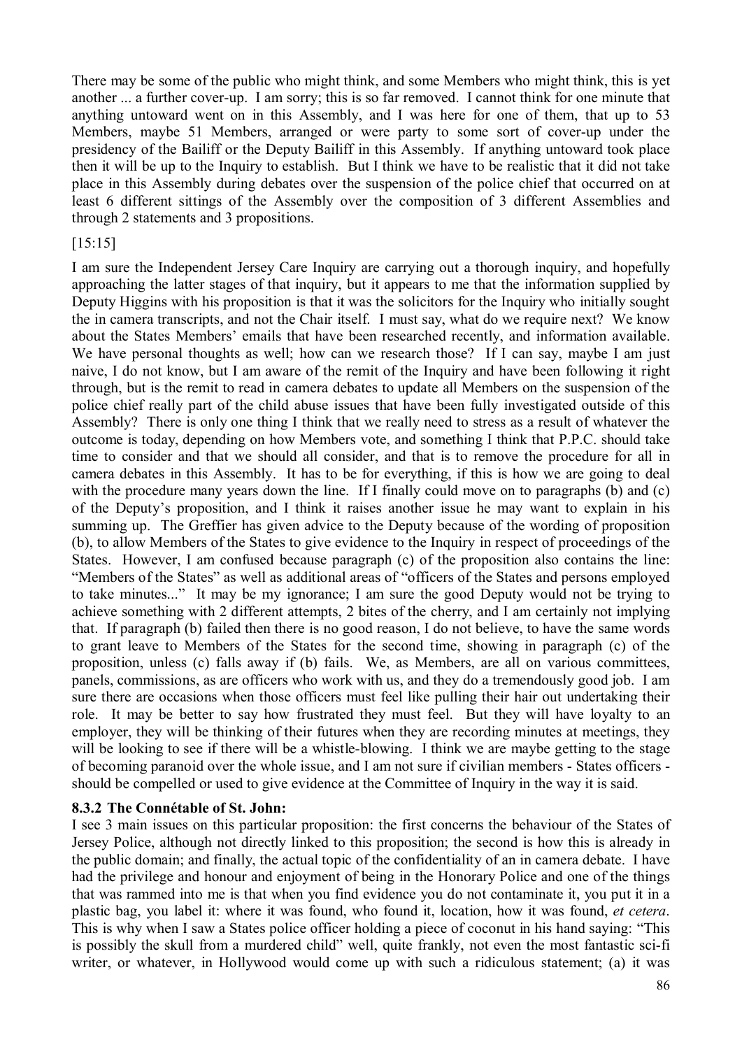There may be some of the public who might think, and some Members who might think, this is yet another ... a further cover-up. I am sorry; this is so far removed. I cannot think for one minute that anything untoward went on in this Assembly, and I was here for one of them, that up to 53 Members, maybe 51 Members, arranged or were party to some sort of cover-up under the presidency of the Bailiff or the Deputy Bailiff in this Assembly. If anything untoward took place then it will be up to the Inquiry to establish. But I think we have to be realistic that it did not take place in this Assembly during debates over the suspension of the police chief that occurred on at least 6 different sittings of the Assembly over the composition of 3 different Assemblies and through 2 statements and 3 propositions.

### [15:15]

I am sure the Independent Jersey Care Inquiry are carrying out a thorough inquiry, and hopefully approaching the latter stages of that inquiry, but it appears to me that the information supplied by Deputy Higgins with his proposition is that it was the solicitors for the Inquiry who initially sought the in camera transcripts, and not the Chair itself. I must say, what do we require next? We know about the States Members' emails that have been researched recently, and information available. We have personal thoughts as well; how can we research those? If I can say, maybe I am just naive, I do not know, but I am aware of the remit of the Inquiry and have been following it right through, but is the remit to read in camera debates to update all Members on the suspension of the police chief really part of the child abuse issues that have been fully investigated outside of this Assembly? There is only one thing I think that we really need to stress as a result of whatever the outcome is today, depending on how Members vote, and something I think that P.P.C. should take time to consider and that we should all consider, and that is to remove the procedure for all in camera debates in this Assembly. It has to be for everything, if this is how we are going to deal with the procedure many years down the line. If I finally could move on to paragraphs (b) and (c) of the Deputy's proposition, and I think it raises another issue he may want to explain in his summing up. The Greffier has given advice to the Deputy because of the wording of proposition (b), to allow Members of the States to give evidence to the Inquiry in respect of proceedings of the States. However, I am confused because paragraph (c) of the proposition also contains the line: "Members of the States" as well as additional areas of "officers of the States and persons employed to take minutes..." It may be my ignorance; I am sure the good Deputy would not be trying to achieve something with 2 different attempts, 2 bites of the cherry, and I am certainly not implying that. If paragraph (b) failed then there is no good reason, I do not believe, to have the same words to grant leave to Members of the States for the second time, showing in paragraph (c) of the proposition, unless (c) falls away if (b) fails. We, as Members, are all on various committees, panels, commissions, as are officers who work with us, and they do a tremendously good job. I am sure there are occasions when those officers must feel like pulling their hair out undertaking their role. It may be better to say how frustrated they must feel. But they will have loyalty to an employer, they will be thinking of their futures when they are recording minutes at meetings, they will be looking to see if there will be a whistle-blowing. I think we are maybe getting to the stage of becoming paranoid over the whole issue, and I am not sure if civilian members - States officers should be compelled or used to give evidence at the Committee of Inquiry in the way it is said.

### **8.3.2 The Connétable of St. John:**

I see 3 main issues on this particular proposition: the first concerns the behaviour of the States of Jersey Police, although not directly linked to this proposition; the second is how this is already in the public domain; and finally, the actual topic of the confidentiality of an in camera debate. I have had the privilege and honour and enjoyment of being in the Honorary Police and one of the things that was rammed into me is that when you find evidence you do not contaminate it, you put it in a plastic bag, you label it: where it was found, who found it, location, how it was found, *et cetera*. This is why when I saw a States police officer holding a piece of coconut in his hand saying: "This is possibly the skull from a murdered child" well, quite frankly, not even the most fantastic sci-fi writer, or whatever, in Hollywood would come up with such a ridiculous statement; (a) it was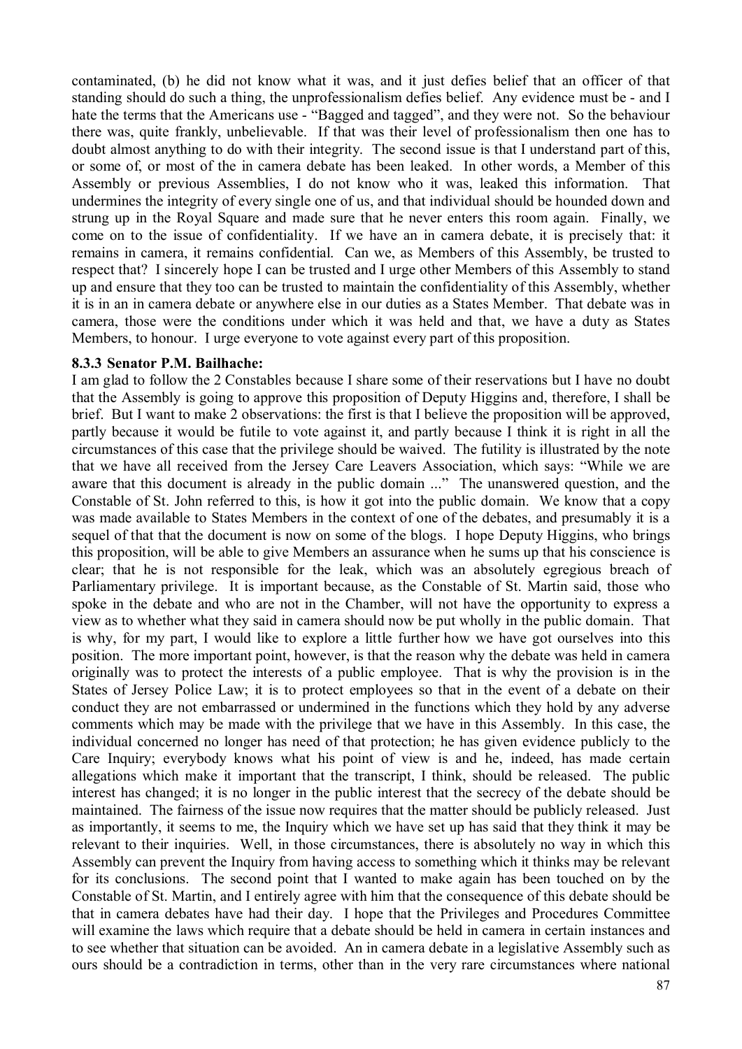contaminated, (b) he did not know what it was, and it just defies belief that an officer of that standing should do such a thing, the unprofessionalism defies belief. Any evidence must be - and I hate the terms that the Americans use - "Bagged and tagged", and they were not. So the behaviour there was, quite frankly, unbelievable. If that was their level of professionalism then one has to doubt almost anything to do with their integrity. The second issue is that I understand part of this, or some of, or most of the in camera debate has been leaked. In other words, a Member of this Assembly or previous Assemblies, I do not know who it was, leaked this information. That undermines the integrity of every single one of us, and that individual should be hounded down and strung up in the Royal Square and made sure that he never enters this room again. Finally, we come on to the issue of confidentiality. If we have an in camera debate, it is precisely that: it remains in camera, it remains confidential. Can we, as Members of this Assembly, be trusted to respect that? I sincerely hope I can be trusted and I urge other Members of this Assembly to stand up and ensure that they too can be trusted to maintain the confidentiality of this Assembly, whether it is in an in camera debate or anywhere else in our duties as a States Member. That debate was in camera, those were the conditions under which it was held and that, we have a duty as States Members, to honour. I urge everyone to vote against every part of this proposition.

#### **8.3.3 Senator P.M. Bailhache:**

I am glad to follow the 2 Constables because I share some of their reservations but I have no doubt that the Assembly is going to approve this proposition of Deputy Higgins and, therefore, I shall be brief. But I want to make 2 observations: the first is that I believe the proposition will be approved, partly because it would be futile to vote against it, and partly because I think it is right in all the circumstances of this case that the privilege should be waived. The futility is illustrated by the note that we have all received from the Jersey Care Leavers Association, which says: "While we are aware that this document is already in the public domain ..." The unanswered question, and the Constable of St. John referred to this, is how it got into the public domain. We know that a copy was made available to States Members in the context of one of the debates, and presumably it is a sequel of that that the document is now on some of the blogs. I hope Deputy Higgins, who brings this proposition, will be able to give Members an assurance when he sums up that his conscience is clear; that he is not responsible for the leak, which was an absolutely egregious breach of Parliamentary privilege. It is important because, as the Constable of St. Martin said, those who spoke in the debate and who are not in the Chamber, will not have the opportunity to express a view as to whether what they said in camera should now be put wholly in the public domain. That is why, for my part, I would like to explore a little further how we have got ourselves into this position. The more important point, however, is that the reason why the debate was held in camera originally was to protect the interests of a public employee. That is why the provision is in the States of Jersey Police Law; it is to protect employees so that in the event of a debate on their conduct they are not embarrassed or undermined in the functions which they hold by any adverse comments which may be made with the privilege that we have in this Assembly. In this case, the individual concerned no longer has need of that protection; he has given evidence publicly to the Care Inquiry; everybody knows what his point of view is and he, indeed, has made certain allegations which make it important that the transcript, I think, should be released. The public interest has changed; it is no longer in the public interest that the secrecy of the debate should be maintained. The fairness of the issue now requires that the matter should be publicly released. Just as importantly, it seems to me, the Inquiry which we have set up has said that they think it may be relevant to their inquiries. Well, in those circumstances, there is absolutely no way in which this Assembly can prevent the Inquiry from having access to something which it thinks may be relevant for its conclusions. The second point that I wanted to make again has been touched on by the Constable of St. Martin, and I entirely agree with him that the consequence of this debate should be that in camera debates have had their day. I hope that the Privileges and Procedures Committee will examine the laws which require that a debate should be held in camera in certain instances and to see whether that situation can be avoided. An in camera debate in a legislative Assembly such as ours should be a contradiction in terms, other than in the very rare circumstances where national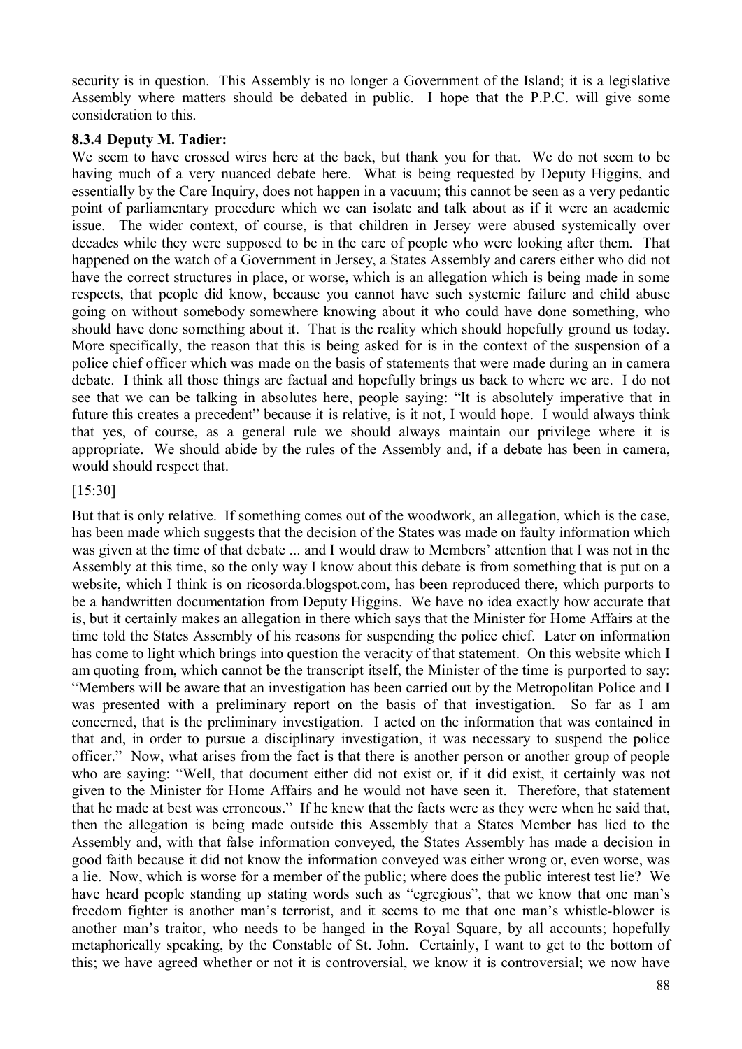security is in question. This Assembly is no longer a Government of the Island; it is a legislative Assembly where matters should be debated in public. I hope that the P.P.C. will give some consideration to this.

### **8.3.4 Deputy M. Tadier:**

We seem to have crossed wires here at the back, but thank you for that. We do not seem to be having much of a very nuanced debate here. What is being requested by Deputy Higgins, and essentially by the Care Inquiry, does not happen in a vacuum; this cannot be seen as a very pedantic point of parliamentary procedure which we can isolate and talk about as if it were an academic issue. The wider context, of course, is that children in Jersey were abused systemically over decades while they were supposed to be in the care of people who were looking after them. That happened on the watch of a Government in Jersey, a States Assembly and carers either who did not have the correct structures in place, or worse, which is an allegation which is being made in some respects, that people did know, because you cannot have such systemic failure and child abuse going on without somebody somewhere knowing about it who could have done something, who should have done something about it. That is the reality which should hopefully ground us today. More specifically, the reason that this is being asked for is in the context of the suspension of a police chief officer which was made on the basis of statements that were made during an in camera debate. I think all those things are factual and hopefully brings us back to where we are. I do not see that we can be talking in absolutes here, people saying: "It is absolutely imperative that in future this creates a precedent" because it is relative, is it not, I would hope. I would always think that yes, of course, as a general rule we should always maintain our privilege where it is appropriate. We should abide by the rules of the Assembly and, if a debate has been in camera, would should respect that.

### [15:30]

But that is only relative. If something comes out of the woodwork, an allegation, which is the case, has been made which suggests that the decision of the States was made on faulty information which was given at the time of that debate ... and I would draw to Members' attention that I was not in the Assembly at this time, so the only way I know about this debate is from something that is put on a website, which I think is on ricosorda.blogspot.com, has been reproduced there, which purports to be a handwritten documentation from Deputy Higgins. We have no idea exactly how accurate that is, but it certainly makes an allegation in there which says that the Minister for Home Affairs at the time told the States Assembly of his reasons for suspending the police chief. Later on information has come to light which brings into question the veracity of that statement. On this website which I am quoting from, which cannot be the transcript itself, the Minister of the time is purported to say: "Members will be aware that an investigation has been carried out by the Metropolitan Police and I was presented with a preliminary report on the basis of that investigation. So far as I am concerned, that is the preliminary investigation. I acted on the information that was contained in that and, in order to pursue a disciplinary investigation, it was necessary to suspend the police officer." Now, what arises from the fact is that there is another person or another group of people who are saying: "Well, that document either did not exist or, if it did exist, it certainly was not given to the Minister for Home Affairs and he would not have seen it. Therefore, that statement that he made at best was erroneous." If he knew that the facts were as they were when he said that, then the allegation is being made outside this Assembly that a States Member has lied to the Assembly and, with that false information conveyed, the States Assembly has made a decision in good faith because it did not know the information conveyed was either wrong or, even worse, was a lie. Now, which is worse for a member of the public; where does the public interest test lie? We have heard people standing up stating words such as "egregious", that we know that one man's freedom fighter is another man's terrorist, and it seems to me that one man's whistle-blower is another man's traitor, who needs to be hanged in the Royal Square, by all accounts; hopefully metaphorically speaking, by the Constable of St. John. Certainly, I want to get to the bottom of this; we have agreed whether or not it is controversial, we know it is controversial; we now have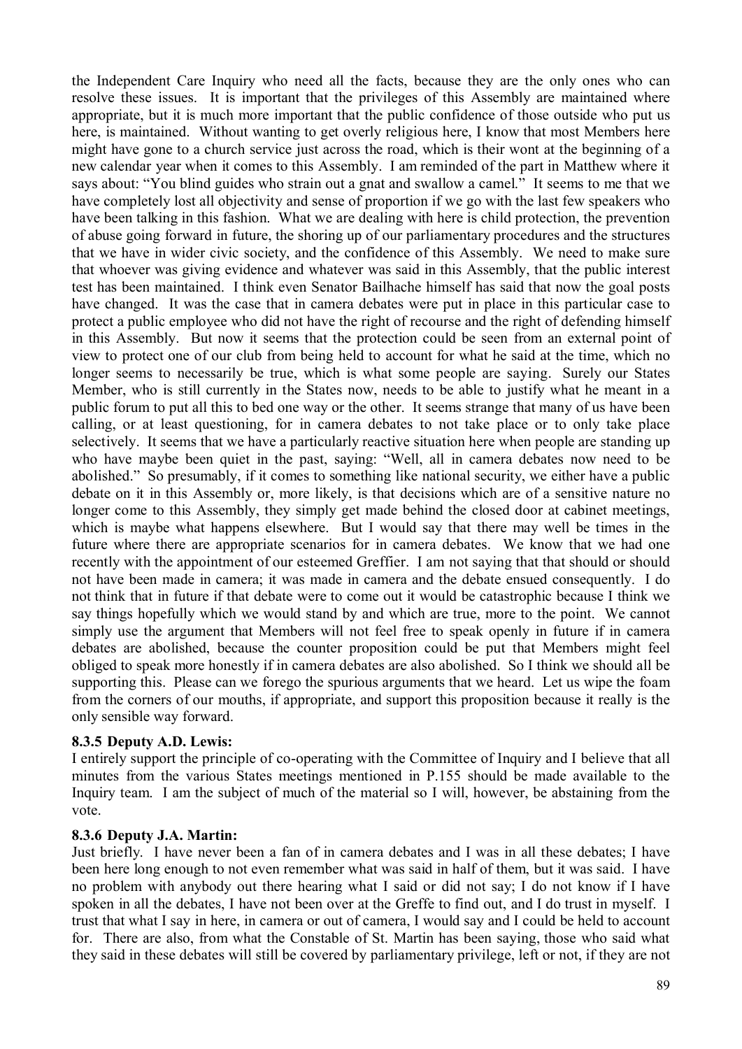the Independent Care Inquiry who need all the facts, because they are the only ones who can resolve these issues. It is important that the privileges of this Assembly are maintained where appropriate, but it is much more important that the public confidence of those outside who put us here, is maintained. Without wanting to get overly religious here, I know that most Members here might have gone to a church service just across the road, which is their wont at the beginning of a new calendar year when it comes to this Assembly. I am reminded of the part in Matthew where it says about: "You blind guides who strain out a gnat and swallow a camel." It seems to me that we have completely lost all objectivity and sense of proportion if we go with the last few speakers who have been talking in this fashion. What we are dealing with here is child protection, the prevention of abuse going forward in future, the shoring up of our parliamentary procedures and the structures that we have in wider civic society, and the confidence of this Assembly. We need to make sure that whoever was giving evidence and whatever was said in this Assembly, that the public interest test has been maintained. I think even Senator Bailhache himself has said that now the goal posts have changed. It was the case that in camera debates were put in place in this particular case to protect a public employee who did not have the right of recourse and the right of defending himself in this Assembly. But now it seems that the protection could be seen from an external point of view to protect one of our club from being held to account for what he said at the time, which no longer seems to necessarily be true, which is what some people are saying. Surely our States Member, who is still currently in the States now, needs to be able to justify what he meant in a public forum to put all this to bed one way or the other. It seems strange that many of us have been calling, or at least questioning, for in camera debates to not take place or to only take place selectively. It seems that we have a particularly reactive situation here when people are standing up who have maybe been quiet in the past, saying: "Well, all in camera debates now need to be abolished." So presumably, if it comes to something like national security, we either have a public debate on it in this Assembly or, more likely, is that decisions which are of a sensitive nature no longer come to this Assembly, they simply get made behind the closed door at cabinet meetings, which is maybe what happens elsewhere. But I would say that there may well be times in the future where there are appropriate scenarios for in camera debates. We know that we had one recently with the appointment of our esteemed Greffier. I am not saying that that should or should not have been made in camera; it was made in camera and the debate ensued consequently. I do not think that in future if that debate were to come out it would be catastrophic because I think we say things hopefully which we would stand by and which are true, more to the point. We cannot simply use the argument that Members will not feel free to speak openly in future if in camera debates are abolished, because the counter proposition could be put that Members might feel obliged to speak more honestly if in camera debates are also abolished. So I think we should all be supporting this. Please can we forego the spurious arguments that we heard. Let us wipe the foam from the corners of our mouths, if appropriate, and support this proposition because it really is the only sensible way forward.

### **8.3.5 Deputy A.D. Lewis:**

I entirely support the principle of co-operating with the Committee of Inquiry and I believe that all minutes from the various States meetings mentioned in P.155 should be made available to the Inquiry team. I am the subject of much of the material so I will, however, be abstaining from the vote.

#### **8.3.6 Deputy J.A. Martin:**

Just briefly. I have never been a fan of in camera debates and I was in all these debates; I have been here long enough to not even remember what was said in half of them, but it was said. I have no problem with anybody out there hearing what I said or did not say; I do not know if I have spoken in all the debates, I have not been over at the Greffe to find out, and I do trust in myself. I trust that what I say in here, in camera or out of camera, I would say and I could be held to account for. There are also, from what the Constable of St. Martin has been saying, those who said what they said in these debates will still be covered by parliamentary privilege, left or not, if they are not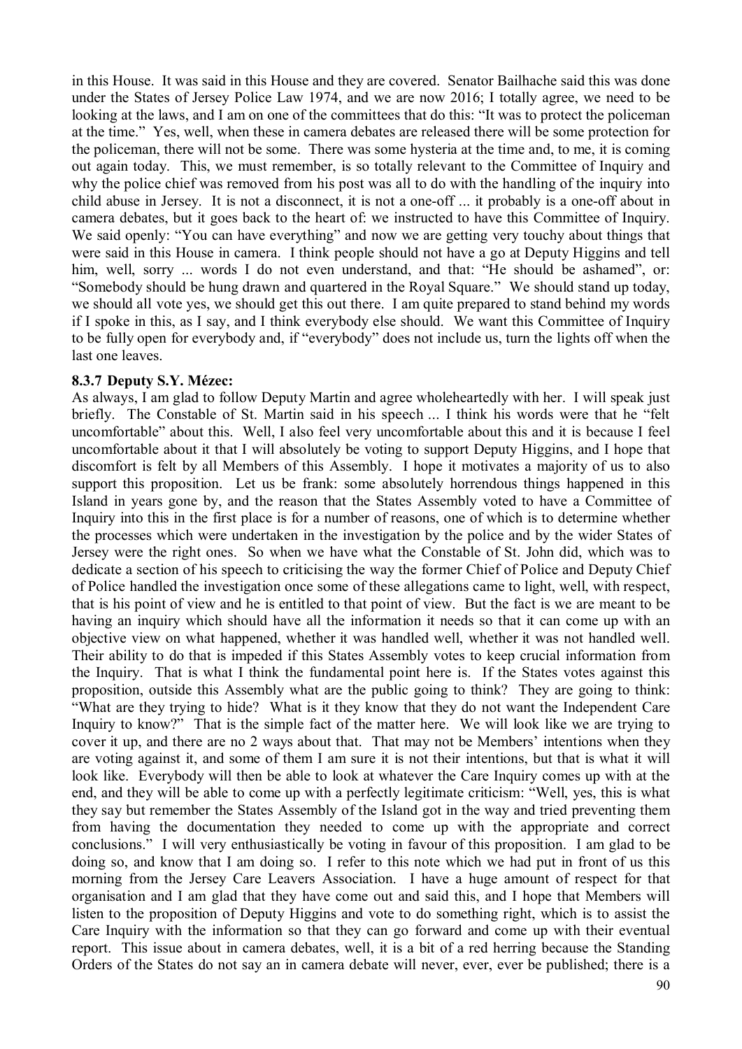in this House. It was said in this House and they are covered. Senator Bailhache said this was done under the States of Jersey Police Law 1974, and we are now 2016; I totally agree, we need to be looking at the laws, and I am on one of the committees that do this: "It was to protect the policeman at the time." Yes, well, when these in camera debates are released there will be some protection for the policeman, there will not be some. There was some hysteria at the time and, to me, it is coming out again today. This, we must remember, is so totally relevant to the Committee of Inquiry and why the police chief was removed from his post was all to do with the handling of the inquiry into child abuse in Jersey. It is not a disconnect, it is not a one-off ... it probably is a one-off about in camera debates, but it goes back to the heart of: we instructed to have this Committee of Inquiry. We said openly: "You can have everything" and now we are getting very touchy about things that were said in this House in camera. I think people should not have a go at Deputy Higgins and tell him, well, sorry ... words I do not even understand, and that: "He should be ashamed", or: "Somebody should be hung drawn and quartered in the Royal Square." We should stand up today, we should all vote yes, we should get this out there. I am quite prepared to stand behind my words if I spoke in this, as I say, and I think everybody else should. We want this Committee of Inquiry to be fully open for everybody and, if "everybody" does not include us, turn the lights off when the last one leaves.

### **8.3.7 Deputy S.Y. Mézec:**

As always, I am glad to follow Deputy Martin and agree wholeheartedly with her. I will speak just briefly. The Constable of St. Martin said in his speech ... I think his words were that he "felt uncomfortable" about this. Well, I also feel very uncomfortable about this and it is because I feel uncomfortable about it that I will absolutely be voting to support Deputy Higgins, and I hope that discomfort is felt by all Members of this Assembly. I hope it motivates a majority of us to also support this proposition. Let us be frank: some absolutely horrendous things happened in this Island in years gone by, and the reason that the States Assembly voted to have a Committee of Inquiry into this in the first place is for a number of reasons, one of which is to determine whether the processes which were undertaken in the investigation by the police and by the wider States of Jersey were the right ones. So when we have what the Constable of St. John did, which was to dedicate a section of his speech to criticising the way the former Chief of Police and Deputy Chief of Police handled the investigation once some of these allegations came to light, well, with respect, that is his point of view and he is entitled to that point of view. But the fact is we are meant to be having an inquiry which should have all the information it needs so that it can come up with an objective view on what happened, whether it was handled well, whether it was not handled well. Their ability to do that is impeded if this States Assembly votes to keep crucial information from the Inquiry. That is what I think the fundamental point here is. If the States votes against this proposition, outside this Assembly what are the public going to think? They are going to think: "What are they trying to hide? What is it they know that they do not want the Independent Care Inquiry to know?" That is the simple fact of the matter here. We will look like we are trying to cover it up, and there are no 2 ways about that. That may not be Members' intentions when they are voting against it, and some of them I am sure it is not their intentions, but that is what it will look like. Everybody will then be able to look at whatever the Care Inquiry comes up with at the end, and they will be able to come up with a perfectly legitimate criticism: "Well, yes, this is what they say but remember the States Assembly of the Island got in the way and tried preventing them from having the documentation they needed to come up with the appropriate and correct conclusions." I will very enthusiastically be voting in favour of this proposition. I am glad to be doing so, and know that I am doing so. I refer to this note which we had put in front of us this morning from the Jersey Care Leavers Association. I have a huge amount of respect for that organisation and I am glad that they have come out and said this, and I hope that Members will listen to the proposition of Deputy Higgins and vote to do something right, which is to assist the Care Inquiry with the information so that they can go forward and come up with their eventual report. This issue about in camera debates, well, it is a bit of a red herring because the Standing Orders of the States do not say an in camera debate will never, ever, ever be published; there is a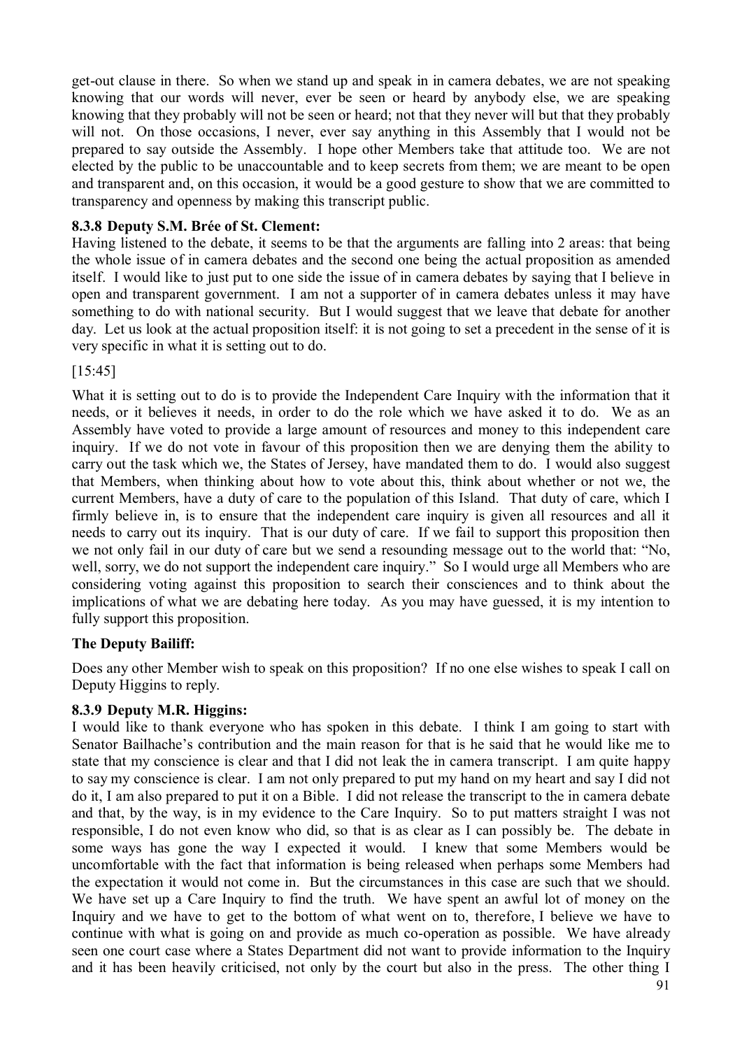get-out clause in there. So when we stand up and speak in in camera debates, we are not speaking knowing that our words will never, ever be seen or heard by anybody else, we are speaking knowing that they probably will not be seen or heard; not that they never will but that they probably will not. On those occasions, I never, ever say anything in this Assembly that I would not be prepared to say outside the Assembly. I hope other Members take that attitude too. We are not elected by the public to be unaccountable and to keep secrets from them; we are meant to be open and transparent and, on this occasion, it would be a good gesture to show that we are committed to transparency and openness by making this transcript public.

# **8.3.8 Deputy S.M. Brée of St. Clement:**

Having listened to the debate, it seems to be that the arguments are falling into 2 areas: that being the whole issue of in camera debates and the second one being the actual proposition as amended itself. I would like to just put to one side the issue of in camera debates by saying that I believe in open and transparent government. I am not a supporter of in camera debates unless it may have something to do with national security. But I would suggest that we leave that debate for another day. Let us look at the actual proposition itself: it is not going to set a precedent in the sense of it is very specific in what it is setting out to do.

# [15:45]

What it is setting out to do is to provide the Independent Care Inquiry with the information that it needs, or it believes it needs, in order to do the role which we have asked it to do. We as an Assembly have voted to provide a large amount of resources and money to this independent care inquiry. If we do not vote in favour of this proposition then we are denying them the ability to carry out the task which we, the States of Jersey, have mandated them to do. I would also suggest that Members, when thinking about how to vote about this, think about whether or not we, the current Members, have a duty of care to the population of this Island. That duty of care, which I firmly believe in, is to ensure that the independent care inquiry is given all resources and all it needs to carry out its inquiry. That is our duty of care. If we fail to support this proposition then we not only fail in our duty of care but we send a resounding message out to the world that: "No, well, sorry, we do not support the independent care inquiry." So I would urge all Members who are considering voting against this proposition to search their consciences and to think about the implications of what we are debating here today. As you may have guessed, it is my intention to fully support this proposition.

### **The Deputy Bailiff:**

Does any other Member wish to speak on this proposition? If no one else wishes to speak I call on Deputy Higgins to reply.

### **8.3.9 Deputy M.R. Higgins:**

I would like to thank everyone who has spoken in this debate. I think I am going to start with Senator Bailhache's contribution and the main reason for that is he said that he would like me to state that my conscience is clear and that I did not leak the in camera transcript. I am quite happy to say my conscience is clear. I am not only prepared to put my hand on my heart and say I did not do it, I am also prepared to put it on a Bible. I did not release the transcript to the in camera debate and that, by the way, is in my evidence to the Care Inquiry. So to put matters straight I was not responsible, I do not even know who did, so that is as clear as I can possibly be. The debate in some ways has gone the way I expected it would. I knew that some Members would be uncomfortable with the fact that information is being released when perhaps some Members had the expectation it would not come in. But the circumstances in this case are such that we should. We have set up a Care Inquiry to find the truth. We have spent an awful lot of money on the Inquiry and we have to get to the bottom of what went on to, therefore, I believe we have to continue with what is going on and provide as much co-operation as possible. We have already seen one court case where a States Department did not want to provide information to the Inquiry and it has been heavily criticised, not only by the court but also in the press. The other thing I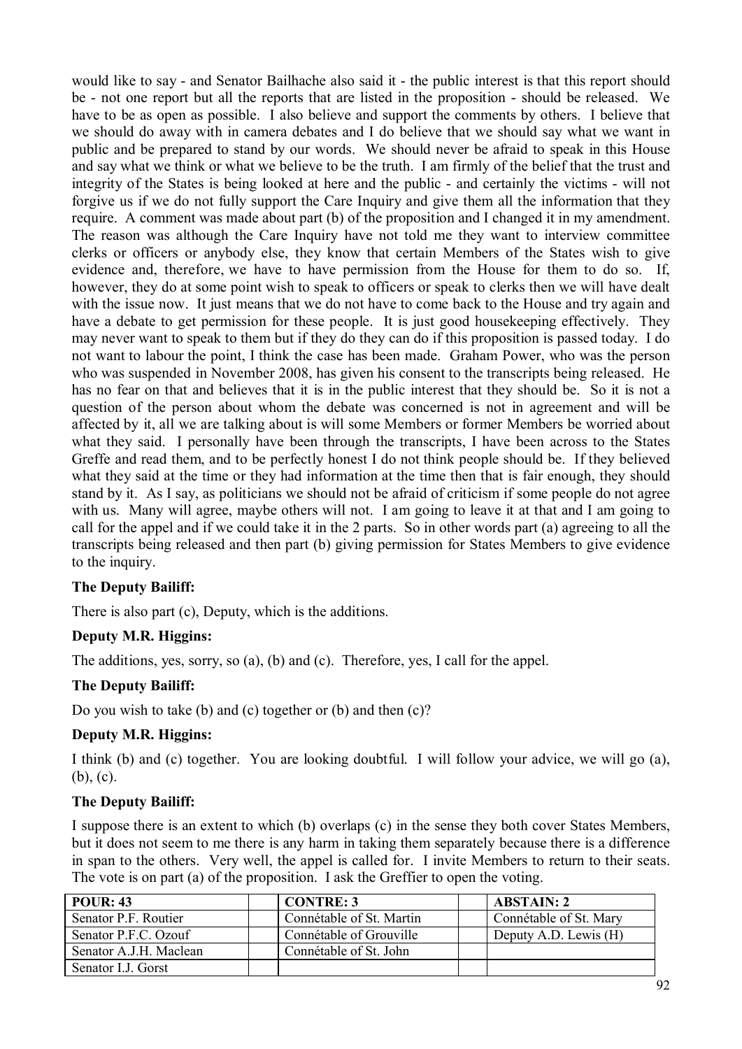would like to say - and Senator Bailhache also said it - the public interest is that this report should be - not one report but all the reports that are listed in the proposition - should be released. We have to be as open as possible. I also believe and support the comments by others. I believe that we should do away with in camera debates and I do believe that we should say what we want in public and be prepared to stand by our words. We should never be afraid to speak in this House and say what we think or what we believe to be the truth. I am firmly of the belief that the trust and integrity of the States is being looked at here and the public - and certainly the victims - will not forgive us if we do not fully support the Care Inquiry and give them all the information that they require. A comment was made about part (b) of the proposition and I changed it in my amendment. The reason was although the Care Inquiry have not told me they want to interview committee clerks or officers or anybody else, they know that certain Members of the States wish to give evidence and, therefore, we have to have permission from the House for them to do so. If, however, they do at some point wish to speak to officers or speak to clerks then we will have dealt with the issue now. It just means that we do not have to come back to the House and try again and have a debate to get permission for these people. It is just good housekeeping effectively. They may never want to speak to them but if they do they can do if this proposition is passed today. I do not want to labour the point, I think the case has been made. Graham Power, who was the person who was suspended in November 2008, has given his consent to the transcripts being released. He has no fear on that and believes that it is in the public interest that they should be. So it is not a question of the person about whom the debate was concerned is not in agreement and will be affected by it, all we are talking about is will some Members or former Members be worried about what they said. I personally have been through the transcripts, I have been across to the States Greffe and read them, and to be perfectly honest I do not think people should be. If they believed what they said at the time or they had information at the time then that is fair enough, they should stand by it. As I say, as politicians we should not be afraid of criticism if some people do not agree with us. Many will agree, maybe others will not. I am going to leave it at that and I am going to call for the appel and if we could take it in the 2 parts. So in other words part (a) agreeing to all the transcripts being released and then part (b) giving permission for States Members to give evidence to the inquiry.

### **The Deputy Bailiff:**

There is also part (c), Deputy, which is the additions.

### **Deputy M.R. Higgins:**

The additions, yes, sorry, so (a), (b) and (c). Therefore, yes, I call for the appel.

### **The Deputy Bailiff:**

Do you wish to take (b) and (c) together or (b) and then (c)?

### **Deputy M.R. Higgins:**

I think (b) and (c) together. You are looking doubtful. I will follow your advice, we will go (a), (b), (c).

### **The Deputy Bailiff:**

I suppose there is an extent to which (b) overlaps (c) in the sense they both cover States Members, but it does not seem to me there is any harm in taking them separately because there is a difference in span to the others. Very well, the appel is called for. I invite Members to return to their seats. The vote is on part (a) of the proposition. I ask the Greffier to open the voting.

| POUR: 43               | <b>CONTRE: 3</b>         | <b>ABSTAIN: 2</b>      |
|------------------------|--------------------------|------------------------|
| Senator P.F. Routier   | Connétable of St. Martin | Connétable of St. Mary |
| Senator P.F.C. Ozouf   | Connétable of Grouville  | Deputy A.D. Lewis (H)  |
| Senator A.J.H. Maclean | Connétable of St. John   |                        |
| Senator I.J. Gorst     |                          |                        |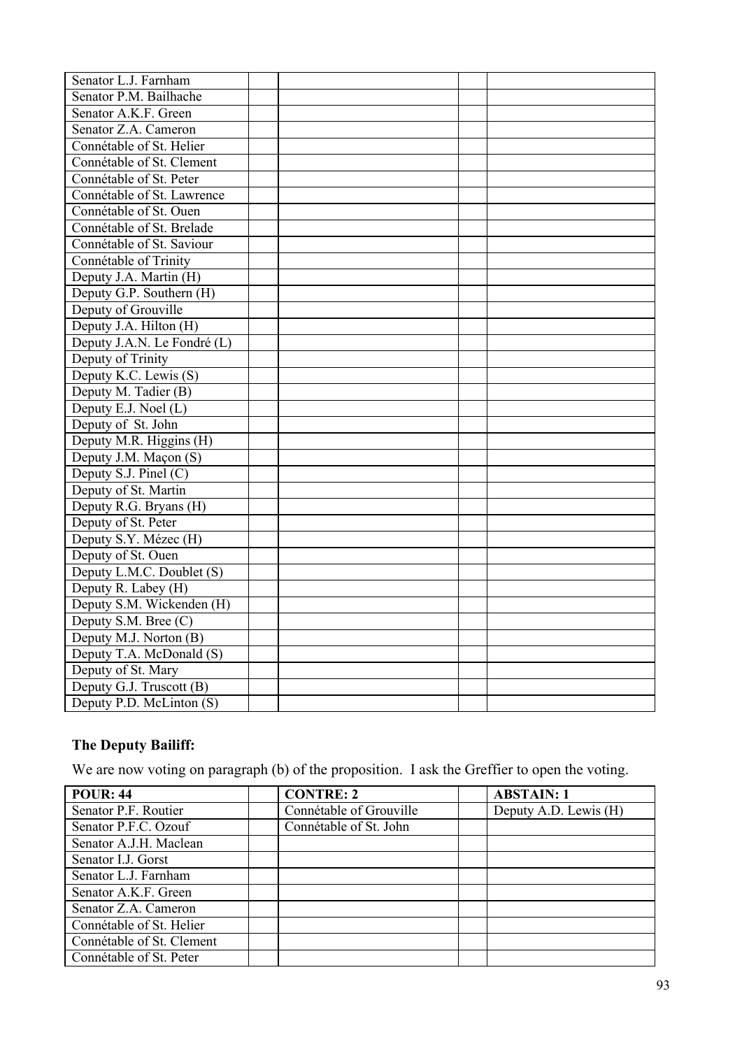| Senator L.J. Farnham        |  |  |
|-----------------------------|--|--|
| Senator P.M. Bailhache      |  |  |
| Senator A.K.F. Green        |  |  |
| Senator Z.A. Cameron        |  |  |
| Connétable of St. Helier    |  |  |
| Connétable of St. Clement   |  |  |
| Connétable of St. Peter     |  |  |
| Connétable of St. Lawrence  |  |  |
| Connétable of St. Ouen      |  |  |
| Connétable of St. Brelade   |  |  |
| Connétable of St. Saviour   |  |  |
| Connétable of Trinity       |  |  |
| Deputy J.A. Martin (H)      |  |  |
| Deputy G.P. Southern (H)    |  |  |
| Deputy of Grouville         |  |  |
| Deputy J.A. Hilton (H)      |  |  |
| Deputy J.A.N. Le Fondré (L) |  |  |
| Deputy of Trinity           |  |  |
| Deputy K.C. Lewis (S)       |  |  |
| Deputy M. Tadier (B)        |  |  |
| Deputy E.J. Noel $(L)$      |  |  |
| Deputy of St. John          |  |  |
| Deputy M.R. Higgins (H)     |  |  |
| Deputy J.M. Maçon (S)       |  |  |
| Deputy S.J. Pinel $(C)$     |  |  |
| Deputy of St. Martin        |  |  |
| Deputy R.G. Bryans (H)      |  |  |
| Deputy of St. Peter         |  |  |
| Deputy S.Y. Mézec (H)       |  |  |
| Deputy of St. Ouen          |  |  |
| Deputy L.M.C. Doublet (S)   |  |  |
| Deputy R. Labey (H)         |  |  |
| Deputy S.M. Wickenden (H)   |  |  |
| Deputy S.M. Bree (C)        |  |  |
| Deputy M.J. Norton (B)      |  |  |
| Deputy T.A. McDonald (S)    |  |  |
| Deputy of St. Mary          |  |  |
| Deputy G.J. Truscott (B)    |  |  |
| Deputy P.D. McLinton (S)    |  |  |

# **The Deputy Bailiff:**

We are now voting on paragraph (b) of the proposition. I ask the Greffier to open the voting.

| <b>POUR: 44</b>           | <b>CONTRE: 2</b>        | <b>ABSTAIN: 1</b>     |
|---------------------------|-------------------------|-----------------------|
| Senator P.F. Routier      | Connétable of Grouville | Deputy A.D. Lewis (H) |
| Senator P.F.C. Ozouf      | Connétable of St. John  |                       |
| Senator A.J.H. Maclean    |                         |                       |
| Senator I.J. Gorst        |                         |                       |
| Senator L.J. Farnham      |                         |                       |
| Senator A.K.F. Green      |                         |                       |
| Senator Z.A. Cameron      |                         |                       |
| Connétable of St. Helier  |                         |                       |
| Connétable of St. Clement |                         |                       |
| Connétable of St. Peter   |                         |                       |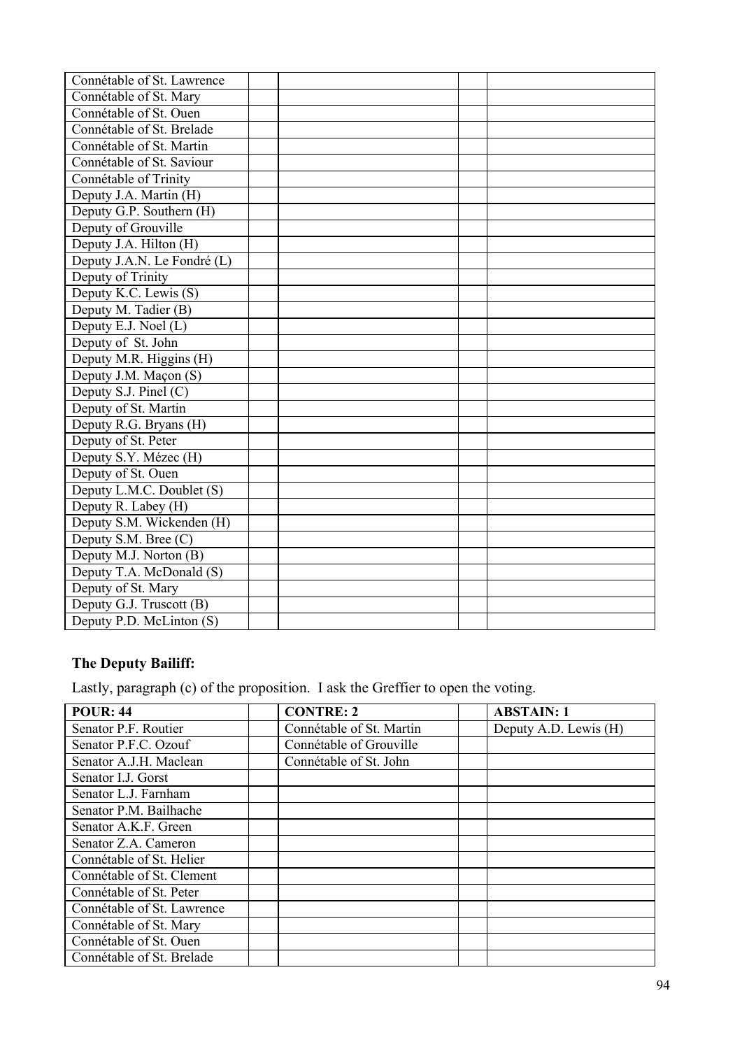# **The Deputy Bailiff:**

Lastly, paragraph (c) of the proposition. I ask the Greffier to open the voting.

| <b>POUR: 44</b>            | <b>CONTRE: 2</b>         | <b>ABSTAIN: 1</b>     |
|----------------------------|--------------------------|-----------------------|
| Senator P.F. Routier       | Connétable of St. Martin | Deputy A.D. Lewis (H) |
| Senator P.F.C. Ozouf       | Connétable of Grouville  |                       |
| Senator A.J.H. Maclean     | Connétable of St. John   |                       |
| Senator I.J. Gorst         |                          |                       |
| Senator L.J. Farnham       |                          |                       |
| Senator P.M. Bailhache     |                          |                       |
| Senator A.K.F. Green       |                          |                       |
| Senator Z.A. Cameron       |                          |                       |
| Connétable of St. Helier   |                          |                       |
| Connétable of St. Clement  |                          |                       |
| Connétable of St. Peter    |                          |                       |
| Connétable of St. Lawrence |                          |                       |
| Connétable of St. Mary     |                          |                       |
| Connétable of St. Ouen     |                          |                       |
| Connétable of St. Brelade  |                          |                       |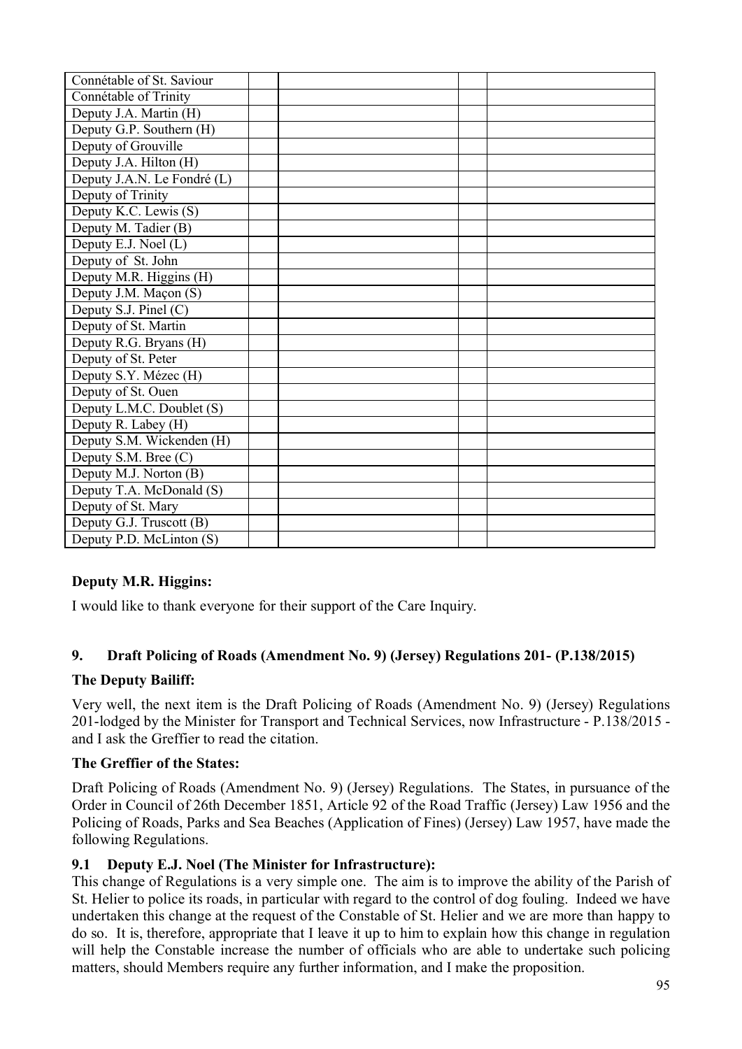| Connétable of St. Saviour   |  |  |
|-----------------------------|--|--|
| Connétable of Trinity       |  |  |
| Deputy J.A. Martin (H)      |  |  |
| Deputy G.P. Southern (H)    |  |  |
| Deputy of Grouville         |  |  |
| Deputy J.A. Hilton (H)      |  |  |
| Deputy J.A.N. Le Fondré (L) |  |  |
| Deputy of Trinity           |  |  |
| Deputy K.C. Lewis (S)       |  |  |
| Deputy M. Tadier (B)        |  |  |
| Deputy E.J. Noel (L)        |  |  |
| Deputy of St. John          |  |  |
| Deputy M.R. Higgins (H)     |  |  |
| Deputy J.M. Maçon (S)       |  |  |
| Deputy S.J. Pinel (C)       |  |  |
| Deputy of St. Martin        |  |  |
| Deputy R.G. Bryans (H)      |  |  |
| Deputy of St. Peter         |  |  |
| Deputy S.Y. Mézec (H)       |  |  |
| Deputy of St. Ouen          |  |  |
| Deputy L.M.C. Doublet (S)   |  |  |
| Deputy R. Labey (H)         |  |  |
| Deputy S.M. Wickenden (H)   |  |  |
| Deputy S.M. Bree (C)        |  |  |
| Deputy M.J. Norton (B)      |  |  |
| Deputy T.A. McDonald (S)    |  |  |
| Deputy of St. Mary          |  |  |
| Deputy G.J. Truscott (B)    |  |  |
| Deputy P.D. McLinton (S)    |  |  |

# **Deputy M.R. Higgins:**

I would like to thank everyone for their support of the Care Inquiry.

# **9. Draft Policing of Roads (Amendment No. 9) (Jersey) Regulations 201- (P.138/2015)**

### **The Deputy Bailiff:**

Very well, the next item is the Draft Policing of Roads (Amendment No. 9) (Jersey) Regulations 201-lodged by the Minister for Transport and Technical Services, now Infrastructure - P.138/2015 and I ask the Greffier to read the citation.

### **The Greffier of the States:**

Draft Policing of Roads (Amendment No. 9) (Jersey) Regulations. The States, in pursuance of the Order in Council of 26th December 1851, Article 92 of the Road Traffic (Jersey) Law 1956 and the Policing of Roads, Parks and Sea Beaches (Application of Fines) (Jersey) Law 1957, have made the following Regulations.

### **9.1 Deputy E.J. Noel (The Minister for Infrastructure):**

This change of Regulations is a very simple one. The aim is to improve the ability of the Parish of St. Helier to police its roads, in particular with regard to the control of dog fouling. Indeed we have undertaken this change at the request of the Constable of St. Helier and we are more than happy to do so. It is, therefore, appropriate that I leave it up to him to explain how this change in regulation will help the Constable increase the number of officials who are able to undertake such policing matters, should Members require any further information, and I make the proposition.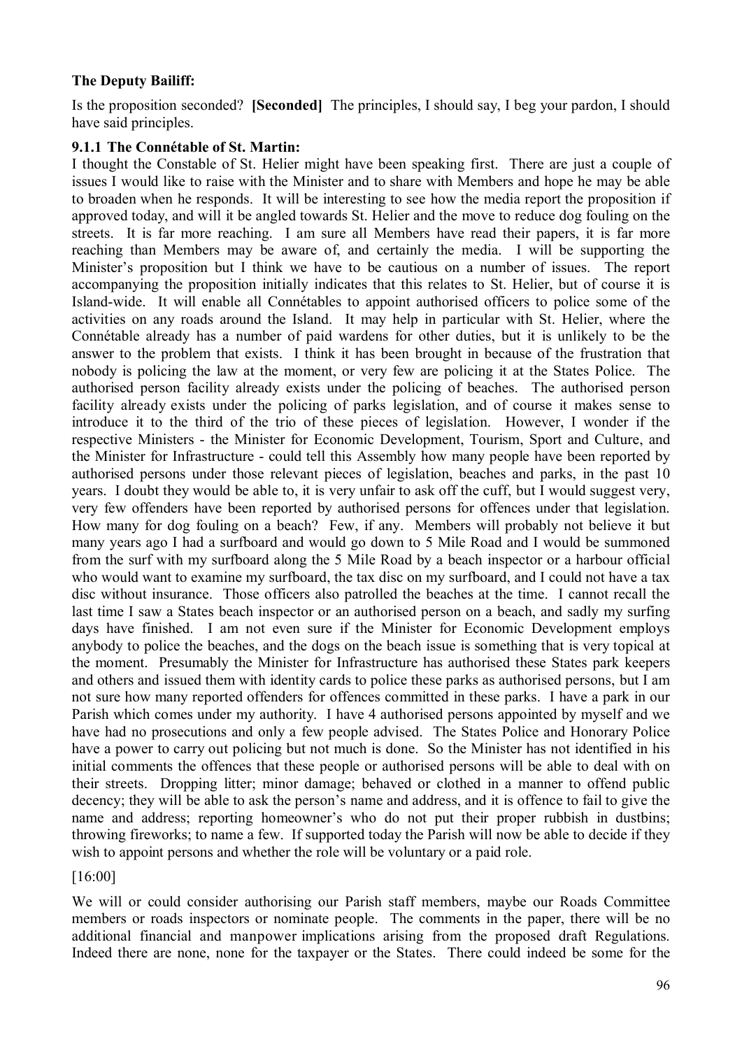## **The Deputy Bailiff:**

Is the proposition seconded? **[Seconded]** The principles, I should say, I beg your pardon, I should have said principles.

### **9.1.1 The Connétable of St. Martin:**

I thought the Constable of St. Helier might have been speaking first. There are just a couple of issues I would like to raise with the Minister and to share with Members and hope he may be able to broaden when he responds. It will be interesting to see how the media report the proposition if approved today, and will it be angled towards St. Helier and the move to reduce dog fouling on the streets. It is far more reaching. I am sure all Members have read their papers, it is far more reaching than Members may be aware of, and certainly the media. I will be supporting the Minister's proposition but I think we have to be cautious on a number of issues. The report accompanying the proposition initially indicates that this relates to St. Helier, but of course it is Island-wide. It will enable all Connétables to appoint authorised officers to police some of the activities on any roads around the Island. It may help in particular with St. Helier, where the Connétable already has a number of paid wardens for other duties, but it is unlikely to be the answer to the problem that exists. I think it has been brought in because of the frustration that nobody is policing the law at the moment, or very few are policing it at the States Police. The authorised person facility already exists under the policing of beaches. The authorised person facility already exists under the policing of parks legislation, and of course it makes sense to introduce it to the third of the trio of these pieces of legislation. However, I wonder if the respective Ministers - the Minister for Economic Development, Tourism, Sport and Culture, and the Minister for Infrastructure - could tell this Assembly how many people have been reported by authorised persons under those relevant pieces of legislation, beaches and parks, in the past 10 years. I doubt they would be able to, it is very unfair to ask off the cuff, but I would suggest very, very few offenders have been reported by authorised persons for offences under that legislation. How many for dog fouling on a beach? Few, if any. Members will probably not believe it but many years ago I had a surfboard and would go down to 5 Mile Road and I would be summoned from the surf with my surfboard along the 5 Mile Road by a beach inspector or a harbour official who would want to examine my surfboard, the tax disc on my surfboard, and I could not have a tax disc without insurance. Those officers also patrolled the beaches at the time. I cannot recall the last time I saw a States beach inspector or an authorised person on a beach, and sadly my surfing days have finished. I am not even sure if the Minister for Economic Development employs anybody to police the beaches, and the dogs on the beach issue is something that is very topical at the moment. Presumably the Minister for Infrastructure has authorised these States park keepers and others and issued them with identity cards to police these parks as authorised persons, but I am not sure how many reported offenders for offences committed in these parks. I have a park in our Parish which comes under my authority. I have 4 authorised persons appointed by myself and we have had no prosecutions and only a few people advised. The States Police and Honorary Police have a power to carry out policing but not much is done. So the Minister has not identified in his initial comments the offences that these people or authorised persons will be able to deal with on their streets. Dropping litter; minor damage; behaved or clothed in a manner to offend public decency; they will be able to ask the person's name and address, and it is offence to fail to give the name and address; reporting homeowner's who do not put their proper rubbish in dustbins; throwing fireworks; to name a few. If supported today the Parish will now be able to decide if they wish to appoint persons and whether the role will be voluntary or a paid role.

### [16:00]

We will or could consider authorising our Parish staff members, maybe our Roads Committee members or roads inspectors or nominate people. The comments in the paper, there will be no additional financial and manpower implications arising from the proposed draft Regulations. Indeed there are none, none for the taxpayer or the States. There could indeed be some for the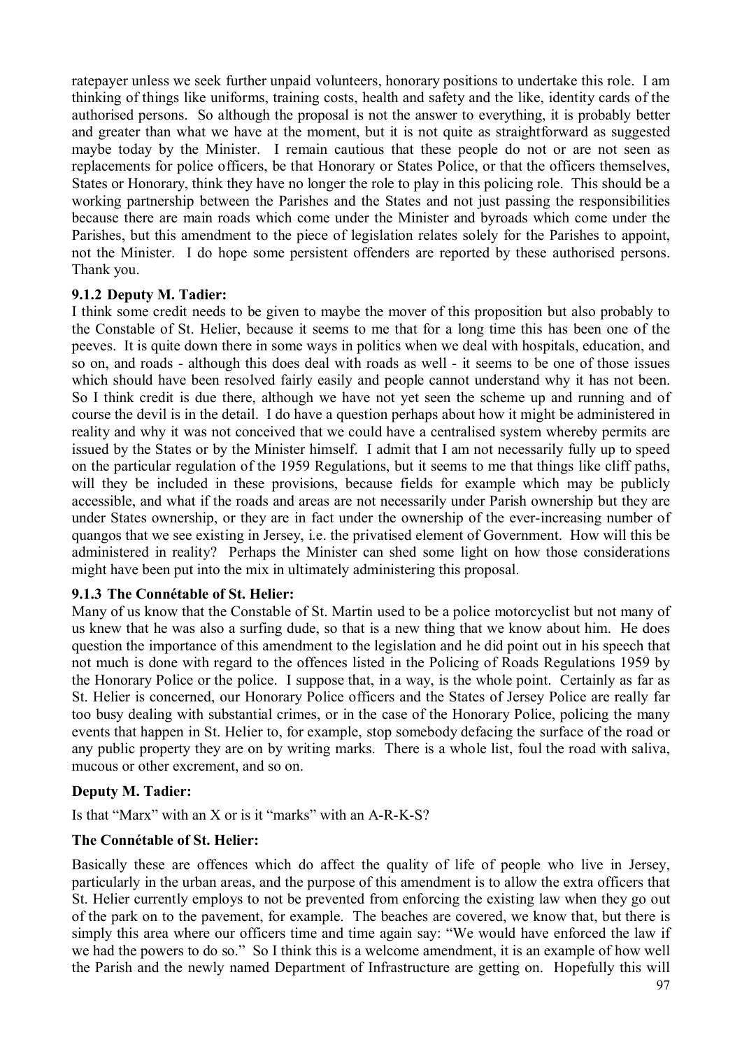ratepayer unless we seek further unpaid volunteers, honorary positions to undertake this role. I am thinking of things like uniforms, training costs, health and safety and the like, identity cards of the authorised persons. So although the proposal is not the answer to everything, it is probably better and greater than what we have at the moment, but it is not quite as straightforward as suggested maybe today by the Minister. I remain cautious that these people do not or are not seen as replacements for police officers, be that Honorary or States Police, or that the officers themselves, States or Honorary, think they have no longer the role to play in this policing role. This should be a working partnership between the Parishes and the States and not just passing the responsibilities because there are main roads which come under the Minister and byroads which come under the Parishes, but this amendment to the piece of legislation relates solely for the Parishes to appoint, not the Minister. I do hope some persistent offenders are reported by these authorised persons. Thank you.

### **9.1.2 Deputy M. Tadier:**

I think some credit needs to be given to maybe the mover of this proposition but also probably to the Constable of St. Helier, because it seems to me that for a long time this has been one of the peeves. It is quite down there in some ways in politics when we deal with hospitals, education, and so on, and roads - although this does deal with roads as well - it seems to be one of those issues which should have been resolved fairly easily and people cannot understand why it has not been. So I think credit is due there, although we have not yet seen the scheme up and running and of course the devil is in the detail. I do have a question perhaps about how it might be administered in reality and why it was not conceived that we could have a centralised system whereby permits are issued by the States or by the Minister himself. I admit that I am not necessarily fully up to speed on the particular regulation of the 1959 Regulations, but it seems to me that things like cliff paths, will they be included in these provisions, because fields for example which may be publicly accessible, and what if the roads and areas are not necessarily under Parish ownership but they are under States ownership, or they are in fact under the ownership of the ever-increasing number of quangos that we see existing in Jersey, i.e. the privatised element of Government. How will this be administered in reality? Perhaps the Minister can shed some light on how those considerations might have been put into the mix in ultimately administering this proposal.

### **9.1.3 The Connétable of St. Helier:**

Many of us know that the Constable of St. Martin used to be a police motorcyclist but not many of us knew that he was also a surfing dude, so that is a new thing that we know about him. He does question the importance of this amendment to the legislation and he did point out in his speech that not much is done with regard to the offences listed in the Policing of Roads Regulations 1959 by the Honorary Police or the police. I suppose that, in a way, is the whole point. Certainly as far as St. Helier is concerned, our Honorary Police officers and the States of Jersey Police are really far too busy dealing with substantial crimes, or in the case of the Honorary Police, policing the many events that happen in St. Helier to, for example, stop somebody defacing the surface of the road or any public property they are on by writing marks. There is a whole list, foul the road with saliva, mucous or other excrement, and so on.

### **Deputy M. Tadier:**

Is that "Marx" with an X or is it "marks" with an A-R-K-S?

### **The Connétable of St. Helier:**

Basically these are offences which do affect the quality of life of people who live in Jersey, particularly in the urban areas, and the purpose of this amendment is to allow the extra officers that St. Helier currently employs to not be prevented from enforcing the existing law when they go out of the park on to the pavement, for example. The beaches are covered, we know that, but there is simply this area where our officers time and time again say: "We would have enforced the law if we had the powers to do so." So I think this is a welcome amendment, it is an example of how well the Parish and the newly named Department of Infrastructure are getting on. Hopefully this will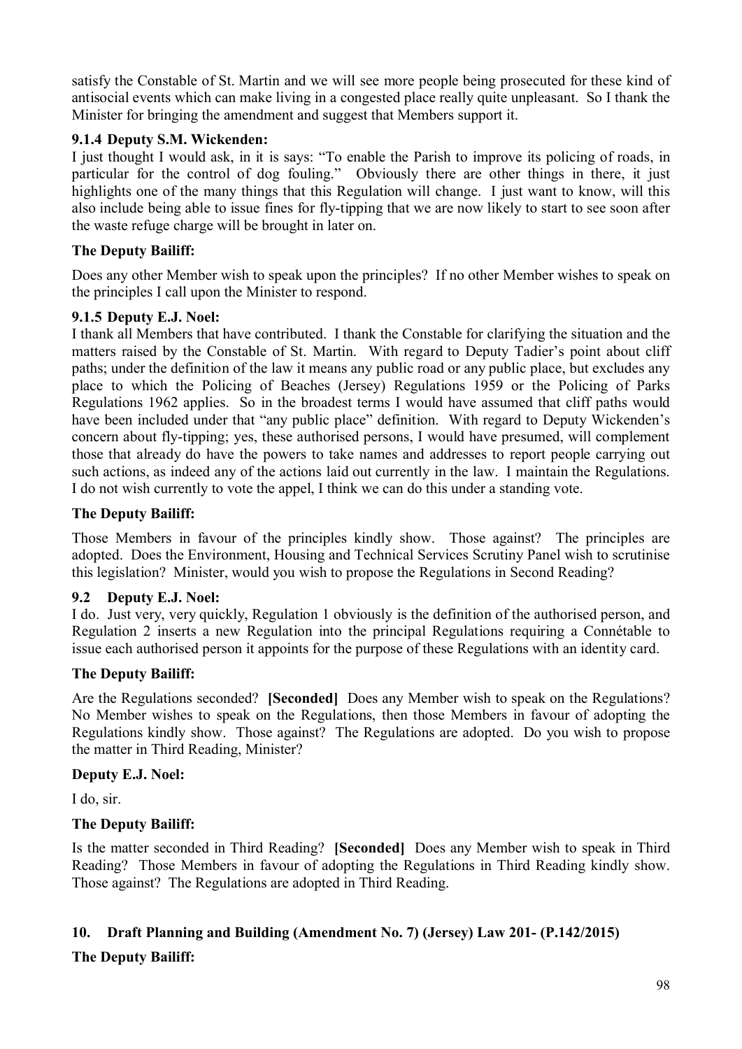satisfy the Constable of St. Martin and we will see more people being prosecuted for these kind of antisocial events which can make living in a congested place really quite unpleasant. So I thank the Minister for bringing the amendment and suggest that Members support it.

## **9.1.4 Deputy S.M. Wickenden:**

I just thought I would ask, in it is says: "To enable the Parish to improve its policing of roads, in particular for the control of dog fouling." Obviously there are other things in there, it just highlights one of the many things that this Regulation will change. I just want to know, will this also include being able to issue fines for fly-tipping that we are now likely to start to see soon after the waste refuge charge will be brought in later on.

# **The Deputy Bailiff:**

Does any other Member wish to speak upon the principles? If no other Member wishes to speak on the principles I call upon the Minister to respond.

### **9.1.5 Deputy E.J. Noel:**

I thank all Members that have contributed. I thank the Constable for clarifying the situation and the matters raised by the Constable of St. Martin. With regard to Deputy Tadier's point about cliff paths; under the definition of the law it means any public road or any public place, but excludes any place to which the Policing of Beaches (Jersey) Regulations 1959 or the Policing of Parks Regulations 1962 applies. So in the broadest terms I would have assumed that cliff paths would have been included under that "any public place" definition. With regard to Deputy Wickenden's concern about fly-tipping; yes, these authorised persons, I would have presumed, will complement those that already do have the powers to take names and addresses to report people carrying out such actions, as indeed any of the actions laid out currently in the law. I maintain the Regulations. I do not wish currently to vote the appel, I think we can do this under a standing vote.

### **The Deputy Bailiff:**

Those Members in favour of the principles kindly show. Those against? The principles are adopted. Does the Environment, Housing and Technical Services Scrutiny Panel wish to scrutinise this legislation? Minister, would you wish to propose the Regulations in Second Reading?

### **9.2 Deputy E.J. Noel:**

I do. Just very, very quickly, Regulation 1 obviously is the definition of the authorised person, and Regulation 2 inserts a new Regulation into the principal Regulations requiring a Connétable to issue each authorised person it appoints for the purpose of these Regulations with an identity card.

### **The Deputy Bailiff:**

Are the Regulations seconded? **[Seconded]** Does any Member wish to speak on the Regulations? No Member wishes to speak on the Regulations, then those Members in favour of adopting the Regulations kindly show. Those against? The Regulations are adopted. Do you wish to propose the matter in Third Reading, Minister?

### **Deputy E.J. Noel:**

I do, sir.

# **The Deputy Bailiff:**

Is the matter seconded in Third Reading? **[Seconded]** Does any Member wish to speak in Third Reading? Those Members in favour of adopting the Regulations in Third Reading kindly show. Those against? The Regulations are adopted in Third Reading.

### **10. Draft Planning and Building (Amendment No. 7) (Jersey) Law 201- (P.142/2015)**

### **The Deputy Bailiff:**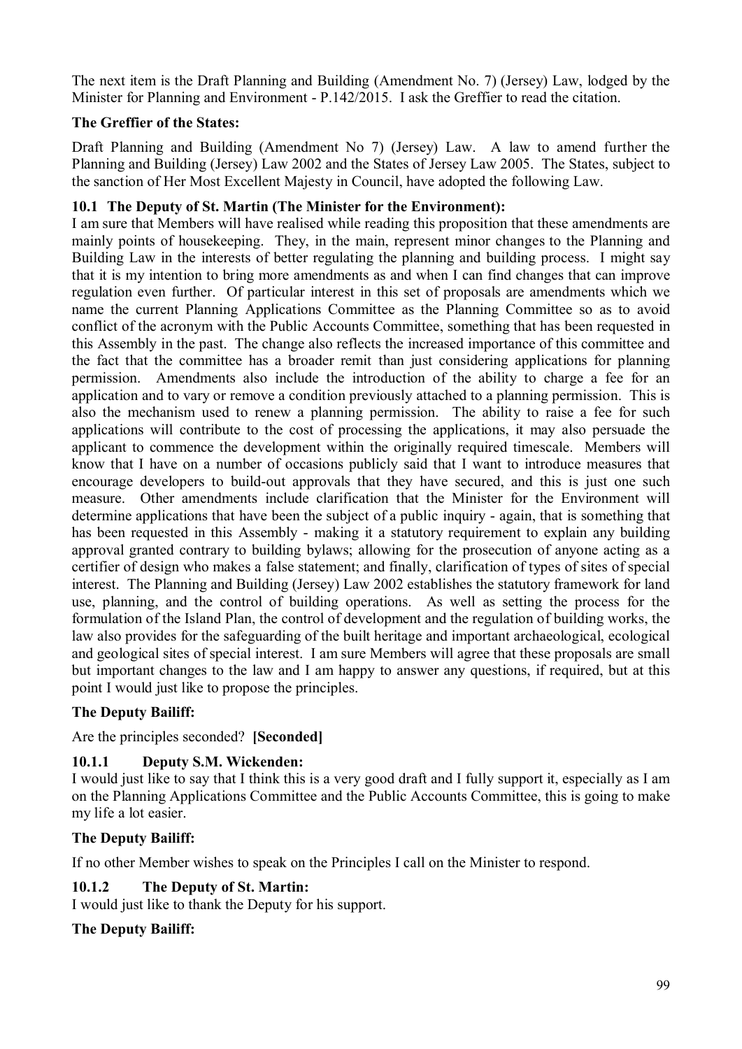The next item is the Draft Planning and Building (Amendment No. 7) (Jersey) Law, lodged by the Minister for Planning and Environment - P.142/2015. I ask the Greffier to read the citation.

# **The Greffier of the States:**

Draft Planning and Building (Amendment No 7) (Jersey) Law. A law to amend further the Planning and Building (Jersey) Law 2002 and the States of Jersey Law 2005. The States, subject to the sanction of Her Most Excellent Majesty in Council, have adopted the following Law.

## **10.1 The Deputy of St. Martin (The Minister for the Environment):**

I am sure that Members will have realised while reading this proposition that these amendments are mainly points of housekeeping. They, in the main, represent minor changes to the Planning and Building Law in the interests of better regulating the planning and building process. I might say that it is my intention to bring more amendments as and when I can find changes that can improve regulation even further. Of particular interest in this set of proposals are amendments which we name the current Planning Applications Committee as the Planning Committee so as to avoid conflict of the acronym with the Public Accounts Committee, something that has been requested in this Assembly in the past. The change also reflects the increased importance of this committee and the fact that the committee has a broader remit than just considering applications for planning permission. Amendments also include the introduction of the ability to charge a fee for an application and to vary or remove a condition previously attached to a planning permission. This is also the mechanism used to renew a planning permission. The ability to raise a fee for such applications will contribute to the cost of processing the applications, it may also persuade the applicant to commence the development within the originally required timescale. Members will know that I have on a number of occasions publicly said that I want to introduce measures that encourage developers to build-out approvals that they have secured, and this is just one such measure. Other amendments include clarification that the Minister for the Environment will determine applications that have been the subject of a public inquiry - again, that is something that has been requested in this Assembly - making it a statutory requirement to explain any building approval granted contrary to building bylaws; allowing for the prosecution of anyone acting as a certifier of design who makes a false statement; and finally, clarification of types of sites of special interest. The Planning and Building (Jersey) Law 2002 establishes the statutory framework for land use, planning, and the control of building operations. As well as setting the process for the formulation of the Island Plan, the control of development and the regulation of building works, the law also provides for the safeguarding of the built heritage and important archaeological, ecological and geological sites of special interest. I am sure Members will agree that these proposals are small but important changes to the law and I am happy to answer any questions, if required, but at this point I would just like to propose the principles.

### **The Deputy Bailiff:**

Are the principles seconded? **[Seconded]** 

# **10.1.1 Deputy S.M. Wickenden:**

I would just like to say that I think this is a very good draft and I fully support it, especially as I am on the Planning Applications Committee and the Public Accounts Committee, this is going to make my life a lot easier.

### **The Deputy Bailiff:**

If no other Member wishes to speak on the Principles I call on the Minister to respond.

### **10.1.2 The Deputy of St. Martin:**

I would just like to thank the Deputy for his support.

### **The Deputy Bailiff:**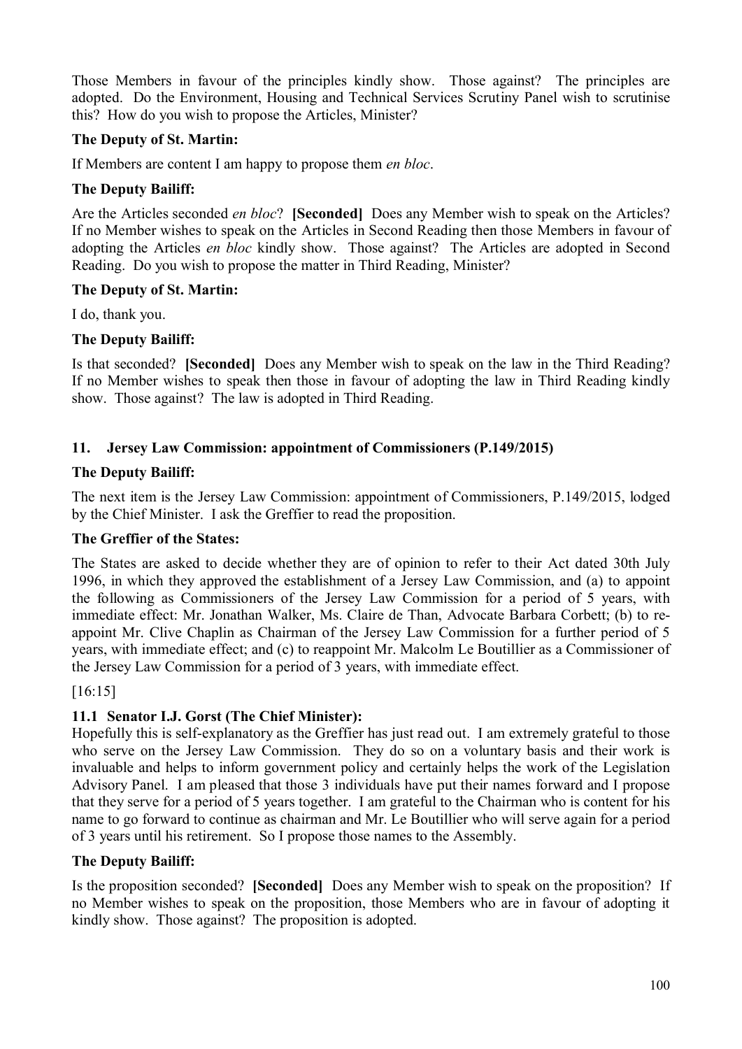Those Members in favour of the principles kindly show. Those against? The principles are adopted. Do the Environment, Housing and Technical Services Scrutiny Panel wish to scrutinise this? How do you wish to propose the Articles, Minister?

## **The Deputy of St. Martin:**

If Members are content I am happy to propose them *en bloc*.

### **The Deputy Bailiff:**

Are the Articles seconded *en bloc*? **[Seconded]** Does any Member wish to speak on the Articles? If no Member wishes to speak on the Articles in Second Reading then those Members in favour of adopting the Articles *en bloc* kindly show. Those against? The Articles are adopted in Second Reading. Do you wish to propose the matter in Third Reading, Minister?

### **The Deputy of St. Martin:**

I do, thank you.

### **The Deputy Bailiff:**

Is that seconded? **[Seconded]** Does any Member wish to speak on the law in the Third Reading? If no Member wishes to speak then those in favour of adopting the law in Third Reading kindly show. Those against? The law is adopted in Third Reading.

### **11. Jersey Law Commission: appointment of Commissioners (P.149/2015)**

### **The Deputy Bailiff:**

The next item is the Jersey Law Commission: appointment of Commissioners, P.149/2015, lodged by the Chief Minister. I ask the Greffier to read the proposition.

### **The Greffier of the States:**

The States are asked to decide whether they are of opinion to refer to their Act dated 30th July 1996, in which they approved the establishment of a Jersey Law Commission, and (a) to appoint the following as Commissioners of the Jersey Law Commission for a period of 5 years, with immediate effect: Mr. Jonathan Walker, Ms. Claire de Than, Advocate Barbara Corbett; (b) to reappoint Mr. Clive Chaplin as Chairman of the Jersey Law Commission for a further period of 5 years, with immediate effect; and (c) to reappoint Mr. Malcolm Le Boutillier as a Commissioner of the Jersey Law Commission for a period of 3 years, with immediate effect.

### [16:15]

### **11.1 Senator I.J. Gorst (The Chief Minister):**

Hopefully this is self-explanatory as the Greffier has just read out. I am extremely grateful to those who serve on the Jersey Law Commission. They do so on a voluntary basis and their work is invaluable and helps to inform government policy and certainly helps the work of the Legislation Advisory Panel. I am pleased that those 3 individuals have put their names forward and I propose that they serve for a period of 5 years together. I am grateful to the Chairman who is content for his name to go forward to continue as chairman and Mr. Le Boutillier who will serve again for a period of 3 years until his retirement. So I propose those names to the Assembly.

### **The Deputy Bailiff:**

Is the proposition seconded? **[Seconded]** Does any Member wish to speak on the proposition? If no Member wishes to speak on the proposition, those Members who are in favour of adopting it kindly show. Those against? The proposition is adopted.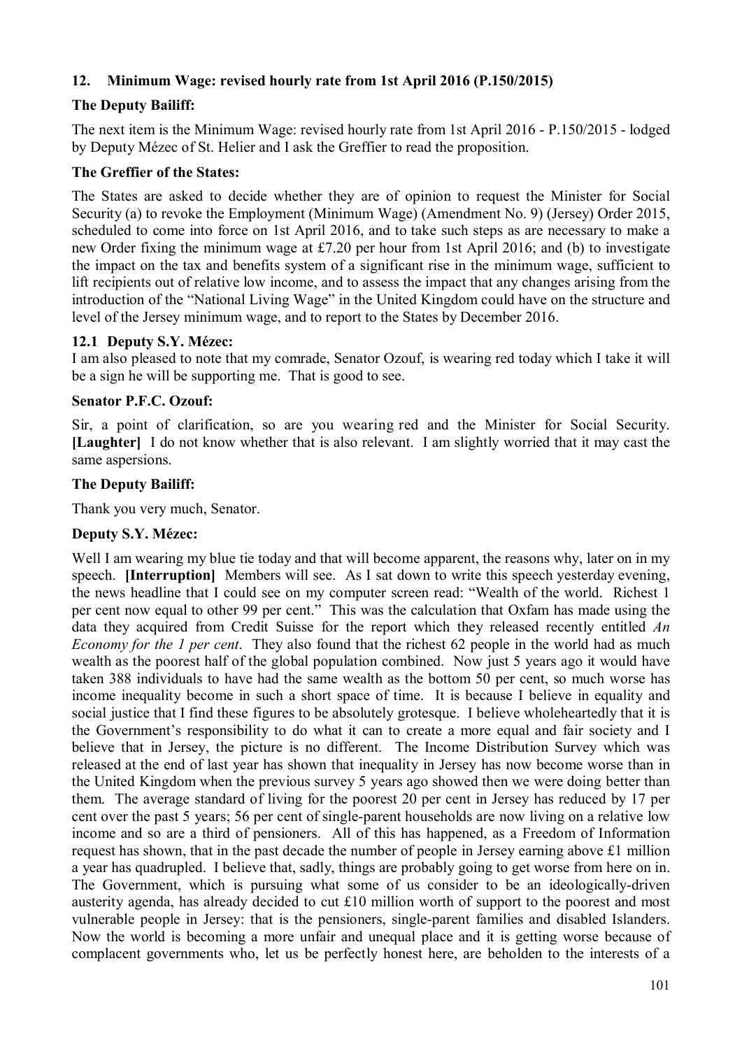# **12. Minimum Wage: revised hourly rate from 1st April 2016 (P.150/2015)**

# **The Deputy Bailiff:**

The next item is the Minimum Wage: revised hourly rate from 1st April 2016 - P.150/2015 - lodged by Deputy Mézec of St. Helier and I ask the Greffier to read the proposition.

### **The Greffier of the States:**

The States are asked to decide whether they are of opinion to request the Minister for Social Security (a) to revoke the Employment (Minimum Wage) (Amendment No. 9) (Jersey) Order 2015, scheduled to come into force on 1st April 2016, and to take such steps as are necessary to make a new Order fixing the minimum wage at £7.20 per hour from 1st April 2016; and (b) to investigate the impact on the tax and benefits system of a significant rise in the minimum wage, sufficient to lift recipients out of relative low income, and to assess the impact that any changes arising from the introduction of the "National Living Wage" in the United Kingdom could have on the structure and level of the Jersey minimum wage, and to report to the States by December 2016.

### **12.1 Deputy S.Y. Mézec:**

I am also pleased to note that my comrade, Senator Ozouf, is wearing red today which I take it will be a sign he will be supporting me. That is good to see.

### **Senator P.F.C. Ozouf:**

Sir, a point of clarification, so are you wearing red and the Minister for Social Security. **[Laughter]** I do not know whether that is also relevant. I am slightly worried that it may cast the same aspersions.

### **The Deputy Bailiff:**

Thank you very much, Senator.

### **Deputy S.Y. Mézec:**

Well I am wearing my blue tie today and that will become apparent, the reasons why, later on in my speech. **[Interruption]** Members will see. As I sat down to write this speech yesterday evening, the news headline that I could see on my computer screen read: "Wealth of the world. Richest 1 per cent now equal to other 99 per cent." This was the calculation that Oxfam has made using the data they acquired from Credit Suisse for the report which they released recently entitled *An Economy for the 1 per cent*. They also found that the richest 62 people in the world had as much wealth as the poorest half of the global population combined. Now just 5 years ago it would have taken 388 individuals to have had the same wealth as the bottom 50 per cent, so much worse has income inequality become in such a short space of time. It is because I believe in equality and social justice that I find these figures to be absolutely grotesque. I believe wholeheartedly that it is the Government's responsibility to do what it can to create a more equal and fair society and I believe that in Jersey, the picture is no different. The Income Distribution Survey which was released at the end of last year has shown that inequality in Jersey has now become worse than in the United Kingdom when the previous survey 5 years ago showed then we were doing better than them. The average standard of living for the poorest 20 per cent in Jersey has reduced by 17 per cent over the past 5 years; 56 per cent of single-parent households are now living on a relative low income and so are a third of pensioners. All of this has happened, as a Freedom of Information request has shown, that in the past decade the number of people in Jersey earning above £1 million a year has quadrupled. I believe that, sadly, things are probably going to get worse from here on in. The Government, which is pursuing what some of us consider to be an ideologically-driven austerity agenda, has already decided to cut £10 million worth of support to the poorest and most vulnerable people in Jersey: that is the pensioners, single-parent families and disabled Islanders. Now the world is becoming a more unfair and unequal place and it is getting worse because of complacent governments who, let us be perfectly honest here, are beholden to the interests of a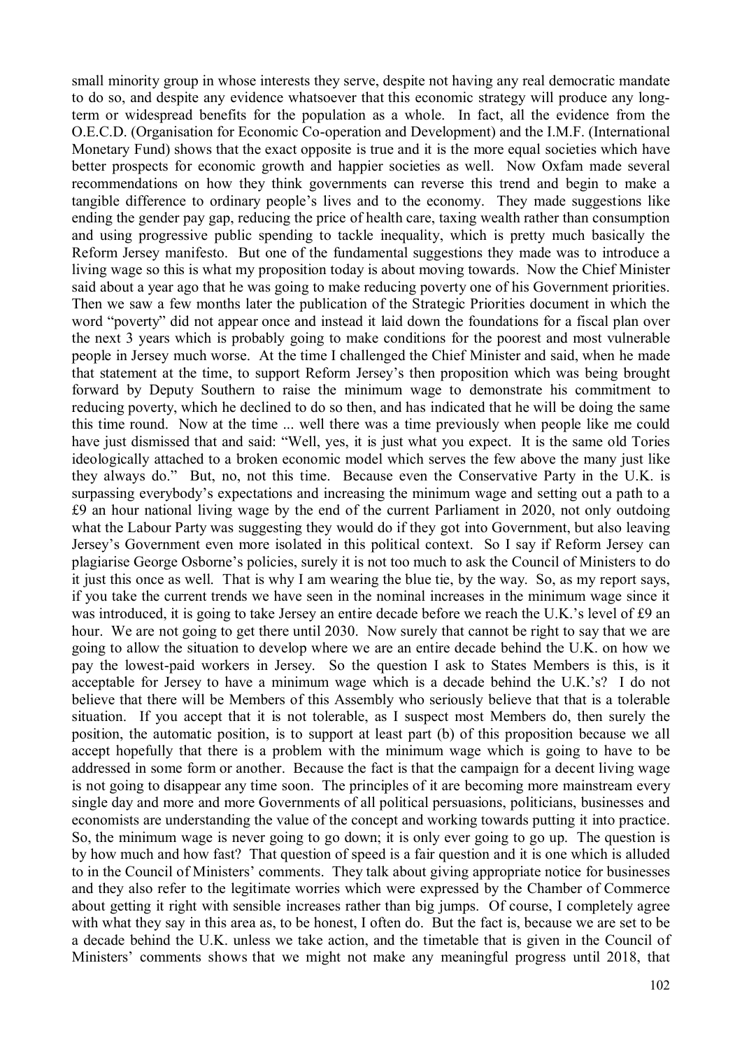small minority group in whose interests they serve, despite not having any real democratic mandate to do so, and despite any evidence whatsoever that this economic strategy will produce any longterm or widespread benefits for the population as a whole. In fact, all the evidence from the O.E.C.D. (Organisation for Economic Co-operation and Development) and the I.M.F. (International Monetary Fund) shows that the exact opposite is true and it is the more equal societies which have better prospects for economic growth and happier societies as well. Now Oxfam made several recommendations on how they think governments can reverse this trend and begin to make a tangible difference to ordinary people's lives and to the economy. They made suggestions like ending the gender pay gap, reducing the price of health care, taxing wealth rather than consumption and using progressive public spending to tackle inequality, which is pretty much basically the Reform Jersey manifesto. But one of the fundamental suggestions they made was to introduce a living wage so this is what my proposition today is about moving towards. Now the Chief Minister said about a year ago that he was going to make reducing poverty one of his Government priorities. Then we saw a few months later the publication of the Strategic Priorities document in which the word "poverty" did not appear once and instead it laid down the foundations for a fiscal plan over the next 3 years which is probably going to make conditions for the poorest and most vulnerable people in Jersey much worse. At the time I challenged the Chief Minister and said, when he made that statement at the time, to support Reform Jersey's then proposition which was being brought forward by Deputy Southern to raise the minimum wage to demonstrate his commitment to reducing poverty, which he declined to do so then, and has indicated that he will be doing the same this time round. Now at the time ... well there was a time previously when people like me could have just dismissed that and said: "Well, yes, it is just what you expect. It is the same old Tories ideologically attached to a broken economic model which serves the few above the many just like they always do." But, no, not this time. Because even the Conservative Party in the U.K. is surpassing everybody's expectations and increasing the minimum wage and setting out a path to a £9 an hour national living wage by the end of the current Parliament in 2020, not only outdoing what the Labour Party was suggesting they would do if they got into Government, but also leaving Jersey's Government even more isolated in this political context. So I say if Reform Jersey can plagiarise George Osborne's policies, surely it is not too much to ask the Council of Ministers to do it just this once as well. That is why I am wearing the blue tie, by the way. So, as my report says, if you take the current trends we have seen in the nominal increases in the minimum wage since it was introduced, it is going to take Jersey an entire decade before we reach the U.K.'s level of £9 an hour. We are not going to get there until 2030. Now surely that cannot be right to say that we are going to allow the situation to develop where we are an entire decade behind the U.K. on how we pay the lowest-paid workers in Jersey. So the question I ask to States Members is this, is it acceptable for Jersey to have a minimum wage which is a decade behind the U.K.'s? I do not believe that there will be Members of this Assembly who seriously believe that that is a tolerable situation. If you accept that it is not tolerable, as I suspect most Members do, then surely the position, the automatic position, is to support at least part (b) of this proposition because we all accept hopefully that there is a problem with the minimum wage which is going to have to be addressed in some form or another. Because the fact is that the campaign for a decent living wage is not going to disappear any time soon. The principles of it are becoming more mainstream every single day and more and more Governments of all political persuasions, politicians, businesses and economists are understanding the value of the concept and working towards putting it into practice. So, the minimum wage is never going to go down; it is only ever going to go up. The question is by how much and how fast? That question of speed is a fair question and it is one which is alluded to in the Council of Ministers' comments. They talk about giving appropriate notice for businesses and they also refer to the legitimate worries which were expressed by the Chamber of Commerce about getting it right with sensible increases rather than big jumps. Of course, I completely agree with what they say in this area as, to be honest, I often do. But the fact is, because we are set to be a decade behind the U.K. unless we take action, and the timetable that is given in the Council of Ministers' comments shows that we might not make any meaningful progress until 2018, that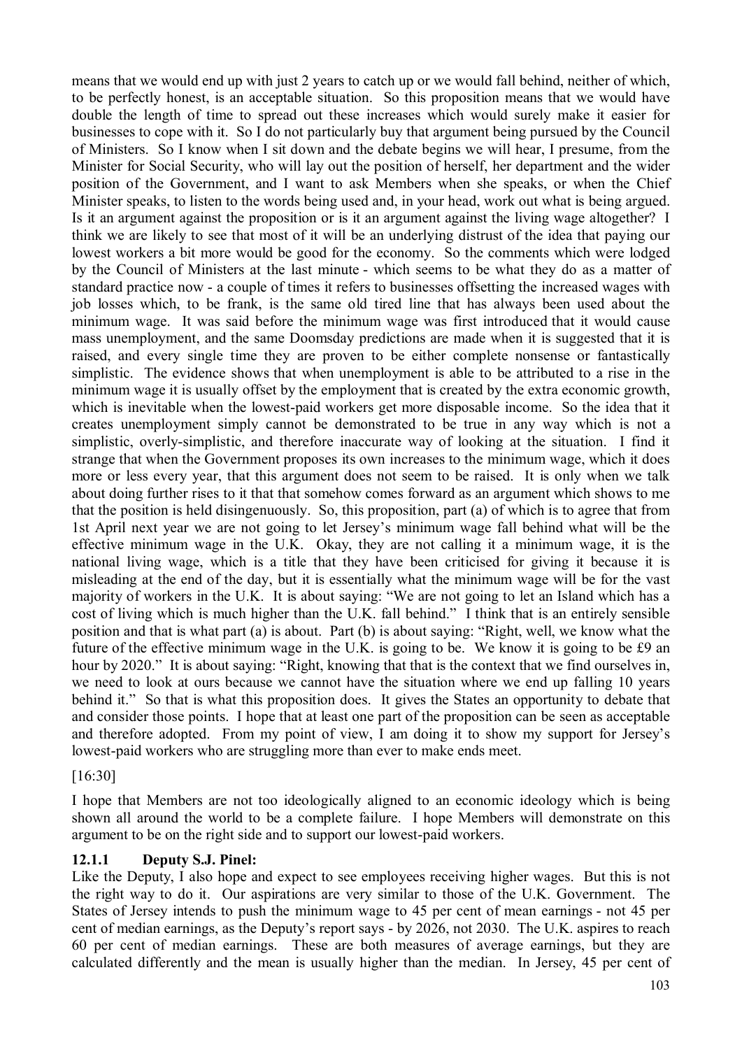means that we would end up with just 2 years to catch up or we would fall behind, neither of which, to be perfectly honest, is an acceptable situation. So this proposition means that we would have double the length of time to spread out these increases which would surely make it easier for businesses to cope with it. So I do not particularly buy that argument being pursued by the Council of Ministers. So I know when I sit down and the debate begins we will hear, I presume, from the Minister for Social Security, who will lay out the position of herself, her department and the wider position of the Government, and I want to ask Members when she speaks, or when the Chief Minister speaks, to listen to the words being used and, in your head, work out what is being argued. Is it an argument against the proposition or is it an argument against the living wage altogether? I think we are likely to see that most of it will be an underlying distrust of the idea that paying our lowest workers a bit more would be good for the economy. So the comments which were lodged by the Council of Ministers at the last minute - which seems to be what they do as a matter of standard practice now - a couple of times it refers to businesses offsetting the increased wages with job losses which, to be frank, is the same old tired line that has always been used about the minimum wage. It was said before the minimum wage was first introduced that it would cause mass unemployment, and the same Doomsday predictions are made when it is suggested that it is raised, and every single time they are proven to be either complete nonsense or fantastically simplistic. The evidence shows that when unemployment is able to be attributed to a rise in the minimum wage it is usually offset by the employment that is created by the extra economic growth, which is inevitable when the lowest-paid workers get more disposable income. So the idea that it creates unemployment simply cannot be demonstrated to be true in any way which is not a simplistic, overly-simplistic, and therefore inaccurate way of looking at the situation. I find it strange that when the Government proposes its own increases to the minimum wage, which it does more or less every year, that this argument does not seem to be raised. It is only when we talk about doing further rises to it that that somehow comes forward as an argument which shows to me that the position is held disingenuously. So, this proposition, part (a) of which is to agree that from 1st April next year we are not going to let Jersey's minimum wage fall behind what will be the effective minimum wage in the U.K. Okay, they are not calling it a minimum wage, it is the national living wage, which is a title that they have been criticised for giving it because it is misleading at the end of the day, but it is essentially what the minimum wage will be for the vast majority of workers in the U.K. It is about saying: "We are not going to let an Island which has a cost of living which is much higher than the U.K. fall behind." I think that is an entirely sensible position and that is what part (a) is about. Part (b) is about saying: "Right, well, we know what the future of the effective minimum wage in the U.K. is going to be. We know it is going to be £9 an hour by 2020." It is about saying: "Right, knowing that that is the context that we find ourselves in, we need to look at ours because we cannot have the situation where we end up falling 10 years behind it." So that is what this proposition does. It gives the States an opportunity to debate that and consider those points. I hope that at least one part of the proposition can be seen as acceptable and therefore adopted. From my point of view, I am doing it to show my support for Jersey's lowest-paid workers who are struggling more than ever to make ends meet.

### [16:30]

I hope that Members are not too ideologically aligned to an economic ideology which is being shown all around the world to be a complete failure. I hope Members will demonstrate on this argument to be on the right side and to support our lowest-paid workers.

### **12.1.1 Deputy S.J. Pinel:**

Like the Deputy, I also hope and expect to see employees receiving higher wages. But this is not the right way to do it. Our aspirations are very similar to those of the U.K. Government. The States of Jersey intends to push the minimum wage to 45 per cent of mean earnings - not 45 per cent of median earnings, as the Deputy's report says - by 2026, not 2030. The U.K. aspires to reach 60 per cent of median earnings. These are both measures of average earnings, but they are calculated differently and the mean is usually higher than the median. In Jersey, 45 per cent of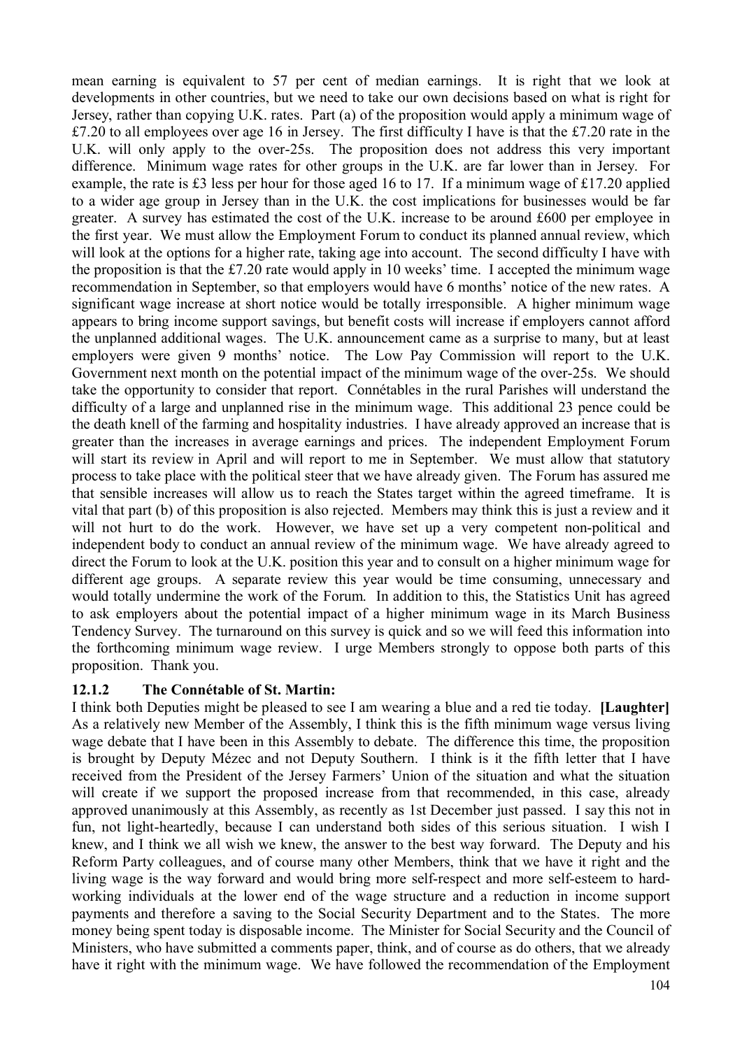mean earning is equivalent to 57 per cent of median earnings. It is right that we look at developments in other countries, but we need to take our own decisions based on what is right for Jersey, rather than copying U.K. rates. Part (a) of the proposition would apply a minimum wage of £7.20 to all employees over age 16 in Jersey. The first difficulty I have is that the £7.20 rate in the U.K. will only apply to the over-25s. The proposition does not address this very important difference. Minimum wage rates for other groups in the U.K. are far lower than in Jersey. For example, the rate is £3 less per hour for those aged 16 to 17. If a minimum wage of £17.20 applied to a wider age group in Jersey than in the U.K. the cost implications for businesses would be far greater. A survey has estimated the cost of the U.K. increase to be around £600 per employee in the first year. We must allow the Employment Forum to conduct its planned annual review, which will look at the options for a higher rate, taking age into account. The second difficulty I have with the proposition is that the £7.20 rate would apply in 10 weeks' time. I accepted the minimum wage recommendation in September, so that employers would have 6 months' notice of the new rates. A significant wage increase at short notice would be totally irresponsible. A higher minimum wage appears to bring income support savings, but benefit costs will increase if employers cannot afford the unplanned additional wages. The U.K. announcement came as a surprise to many, but at least employers were given 9 months' notice. The Low Pay Commission will report to the U.K. Government next month on the potential impact of the minimum wage of the over-25s. We should take the opportunity to consider that report. Connétables in the rural Parishes will understand the difficulty of a large and unplanned rise in the minimum wage. This additional 23 pence could be the death knell of the farming and hospitality industries. I have already approved an increase that is greater than the increases in average earnings and prices. The independent Employment Forum will start its review in April and will report to me in September. We must allow that statutory process to take place with the political steer that we have already given. The Forum has assured me that sensible increases will allow us to reach the States target within the agreed timeframe. It is vital that part (b) of this proposition is also rejected. Members may think this is just a review and it will not hurt to do the work. However, we have set up a very competent non-political and independent body to conduct an annual review of the minimum wage. We have already agreed to direct the Forum to look at the U.K. position this year and to consult on a higher minimum wage for different age groups. A separate review this year would be time consuming, unnecessary and would totally undermine the work of the Forum. In addition to this, the Statistics Unit has agreed to ask employers about the potential impact of a higher minimum wage in its March Business Tendency Survey. The turnaround on this survey is quick and so we will feed this information into the forthcoming minimum wage review. I urge Members strongly to oppose both parts of this proposition. Thank you.

### **12.1.2 The Connétable of St. Martin:**

I think both Deputies might be pleased to see I am wearing a blue and a red tie today. **[Laughter]** As a relatively new Member of the Assembly, I think this is the fifth minimum wage versus living wage debate that I have been in this Assembly to debate. The difference this time, the proposition is brought by Deputy Mézec and not Deputy Southern. I think is it the fifth letter that I have received from the President of the Jersey Farmers' Union of the situation and what the situation will create if we support the proposed increase from that recommended, in this case, already approved unanimously at this Assembly, as recently as 1st December just passed. I say this not in fun, not light-heartedly, because I can understand both sides of this serious situation. I wish I knew, and I think we all wish we knew, the answer to the best way forward. The Deputy and his Reform Party colleagues, and of course many other Members, think that we have it right and the living wage is the way forward and would bring more self-respect and more self-esteem to hardworking individuals at the lower end of the wage structure and a reduction in income support payments and therefore a saving to the Social Security Department and to the States. The more money being spent today is disposable income. The Minister for Social Security and the Council of Ministers, who have submitted a comments paper, think, and of course as do others, that we already have it right with the minimum wage. We have followed the recommendation of the Employment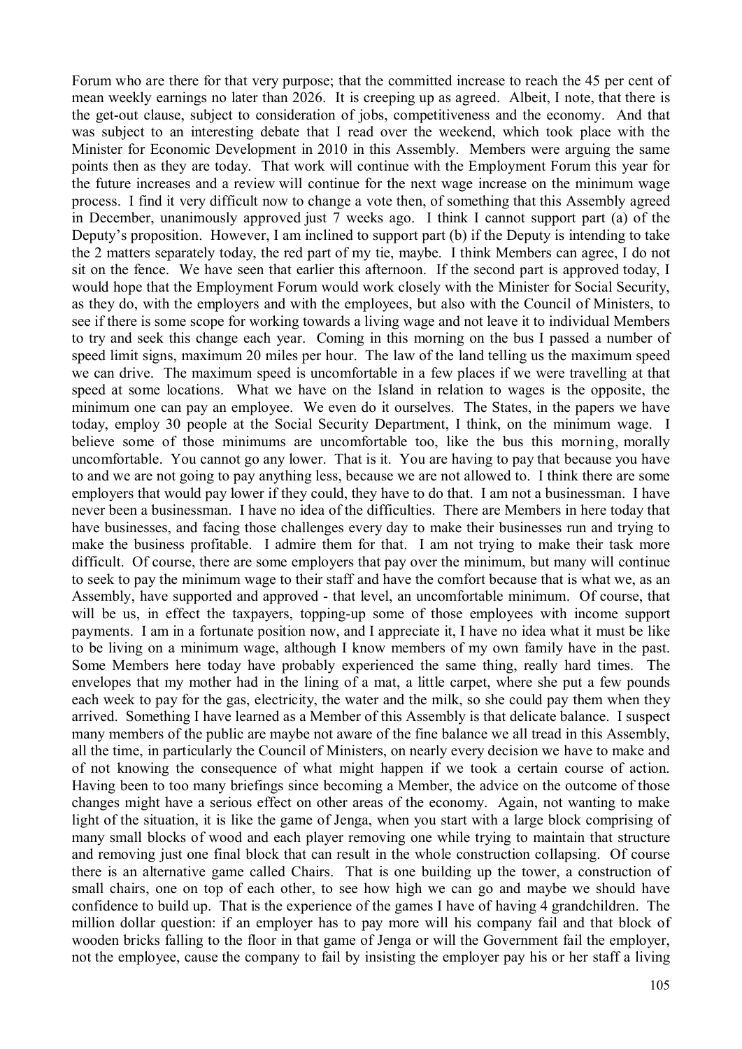Forum who are there for that very purpose; that the committed increase to reach the 45 per cent of mean weekly earnings no later than 2026. It is creeping up as agreed. Albeit, I note, that there is the get-out clause, subject to consideration of jobs, competitiveness and the economy. And that was subject to an interesting debate that I read over the weekend, which took place with the Minister for Economic Development in 2010 in this Assembly. Members were arguing the same points then as they are today. That work will continue with the Employment Forum this year for the future increases and a review will continue for the next wage increase on the minimum wage process. I find it very difficult now to change a vote then, of something that this Assembly agreed in December, unanimously approved just 7 weeks ago. I think I cannot support part (a) of the Deputy's proposition. However, I am inclined to support part (b) if the Deputy is intending to take the 2 matters separately today, the red part of my tie, maybe. I think Members can agree, I do not sit on the fence. We have seen that earlier this afternoon. If the second part is approved today, I would hope that the Employment Forum would work closely with the Minister for Social Security, as they do, with the employers and with the employees, but also with the Council of Ministers, to see if there is some scope for working towards a living wage and not leave it to individual Members to try and seek this change each year. Coming in this morning on the bus I passed a number of speed limit signs, maximum 20 miles per hour. The law of the land telling us the maximum speed we can drive. The maximum speed is uncomfortable in a few places if we were travelling at that speed at some locations. What we have on the Island in relation to wages is the opposite, the minimum one can pay an employee. We even do it ourselves. The States, in the papers we have today, employ 30 people at the Social Security Department, I think, on the minimum wage. I believe some of those minimums are uncomfortable too, like the bus this morning, morally uncomfortable. You cannot go any lower. That is it. You are having to pay that because you have to and we are not going to pay anything less, because we are not allowed to. I think there are some employers that would pay lower if they could, they have to do that. I am not a businessman. I have never been a businessman. I have no idea of the difficulties. There are Members in here today that have businesses, and facing those challenges every day to make their businesses run and trying to make the business profitable. I admire them for that. I am not trying to make their task more difficult. Of course, there are some employers that pay over the minimum, but many will continue to seek to pay the minimum wage to their staff and have the comfort because that is what we, as an Assembly, have supported and approved - that level, an uncomfortable minimum. Of course, that will be us, in effect the taxpayers, topping-up some of those employees with income support payments. I am in a fortunate position now, and I appreciate it, I have no idea what it must be like to be living on a minimum wage, although I know members of my own family have in the past. Some Members here today have probably experienced the same thing, really hard times. The envelopes that my mother had in the lining of a mat, a little carpet, where she put a few pounds each week to pay for the gas, electricity, the water and the milk, so she could pay them when they arrived. Something I have learned as a Member of this Assembly is that delicate balance. I suspect many members of the public are maybe not aware of the fine balance we all tread in this Assembly, all the time, in particularly the Council of Ministers, on nearly every decision we have to make and of not knowing the consequence of what might happen if we took a certain course of action. Having been to too many briefings since becoming a Member, the advice on the outcome of those changes might have a serious effect on other areas of the economy. Again, not wanting to make light of the situation, it is like the game of Jenga, when you start with a large block comprising of many small blocks of wood and each player removing one while trying to maintain that structure and removing just one final block that can result in the whole construction collapsing. Of course there is an alternative game called Chairs. That is one building up the tower, a construction of small chairs, one on top of each other, to see how high we can go and maybe we should have confidence to build up. That is the experience of the games I have of having 4 grandchildren. The million dollar question: if an employer has to pay more will his company fail and that block of wooden bricks falling to the floor in that game of Jenga or will the Government fail the employer, not the employee, cause the company to fail by insisting the employer pay his or her staff a living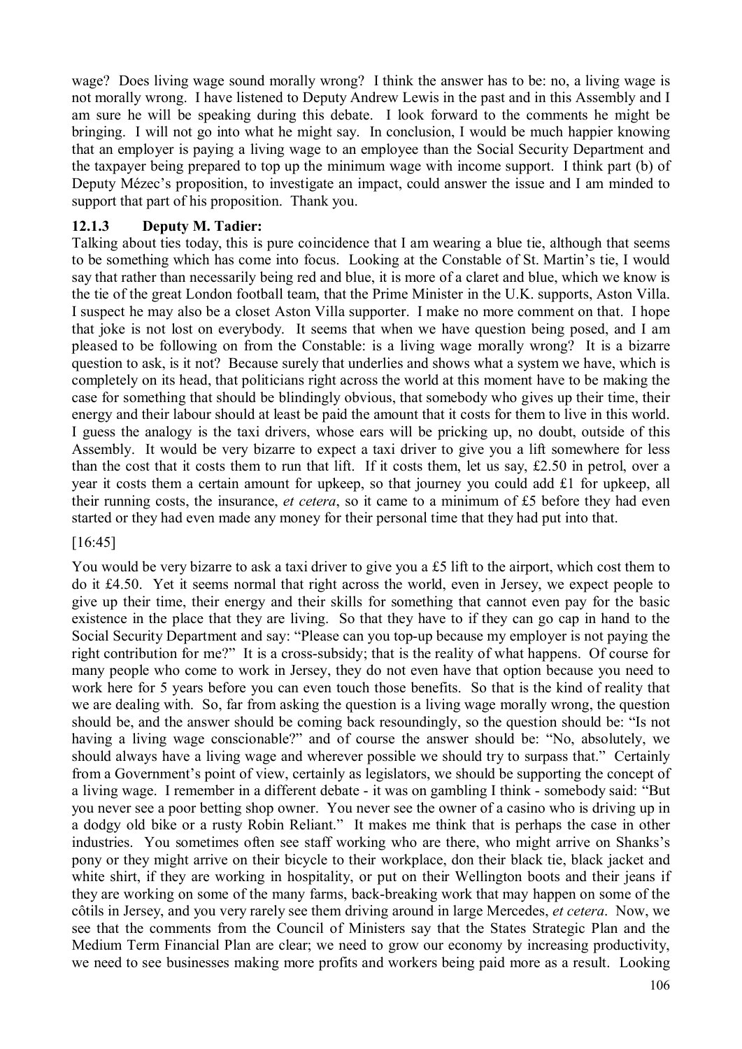wage? Does living wage sound morally wrong? I think the answer has to be: no, a living wage is not morally wrong. I have listened to Deputy Andrew Lewis in the past and in this Assembly and I am sure he will be speaking during this debate. I look forward to the comments he might be bringing. I will not go into what he might say. In conclusion, I would be much happier knowing that an employer is paying a living wage to an employee than the Social Security Department and the taxpayer being prepared to top up the minimum wage with income support. I think part (b) of Deputy Mézec's proposition, to investigate an impact, could answer the issue and I am minded to support that part of his proposition. Thank you.

# **12.1.3 Deputy M. Tadier:**

Talking about ties today, this is pure coincidence that I am wearing a blue tie, although that seems to be something which has come into focus. Looking at the Constable of St. Martin's tie, I would say that rather than necessarily being red and blue, it is more of a claret and blue, which we know is the tie of the great London football team, that the Prime Minister in the U.K. supports, Aston Villa. I suspect he may also be a closet Aston Villa supporter. I make no more comment on that. I hope that joke is not lost on everybody. It seems that when we have question being posed, and I am pleased to be following on from the Constable: is a living wage morally wrong? It is a bizarre question to ask, is it not? Because surely that underlies and shows what a system we have, which is completely on its head, that politicians right across the world at this moment have to be making the case for something that should be blindingly obvious, that somebody who gives up their time, their energy and their labour should at least be paid the amount that it costs for them to live in this world. I guess the analogy is the taxi drivers, whose ears will be pricking up, no doubt, outside of this Assembly. It would be very bizarre to expect a taxi driver to give you a lift somewhere for less than the cost that it costs them to run that lift. If it costs them, let us say, £2.50 in petrol, over a year it costs them a certain amount for upkeep, so that journey you could add £1 for upkeep, all their running costs, the insurance, *et cetera*, so it came to a minimum of £5 before they had even started or they had even made any money for their personal time that they had put into that.

### [16:45]

You would be very bizarre to ask a taxi driver to give you a £5 lift to the airport, which cost them to do it £4.50. Yet it seems normal that right across the world, even in Jersey, we expect people to give up their time, their energy and their skills for something that cannot even pay for the basic existence in the place that they are living. So that they have to if they can go cap in hand to the Social Security Department and say: "Please can you top-up because my employer is not paying the right contribution for me?" It is a cross-subsidy; that is the reality of what happens. Of course for many people who come to work in Jersey, they do not even have that option because you need to work here for 5 years before you can even touch those benefits. So that is the kind of reality that we are dealing with. So, far from asking the question is a living wage morally wrong, the question should be, and the answer should be coming back resoundingly, so the question should be: "Is not having a living wage conscionable?" and of course the answer should be: "No, absolutely, we should always have a living wage and wherever possible we should try to surpass that." Certainly from a Government's point of view, certainly as legislators, we should be supporting the concept of a living wage. I remember in a different debate - it was on gambling I think - somebody said: "But you never see a poor betting shop owner. You never see the owner of a casino who is driving up in a dodgy old bike or a rusty Robin Reliant." It makes me think that is perhaps the case in other industries. You sometimes often see staff working who are there, who might arrive on Shanks's pony or they might arrive on their bicycle to their workplace, don their black tie, black jacket and white shirt, if they are working in hospitality, or put on their Wellington boots and their jeans if they are working on some of the many farms, back-breaking work that may happen on some of the côtils in Jersey, and you very rarely see them driving around in large Mercedes, *et cetera*. Now, we see that the comments from the Council of Ministers say that the States Strategic Plan and the Medium Term Financial Plan are clear; we need to grow our economy by increasing productivity, we need to see businesses making more profits and workers being paid more as a result. Looking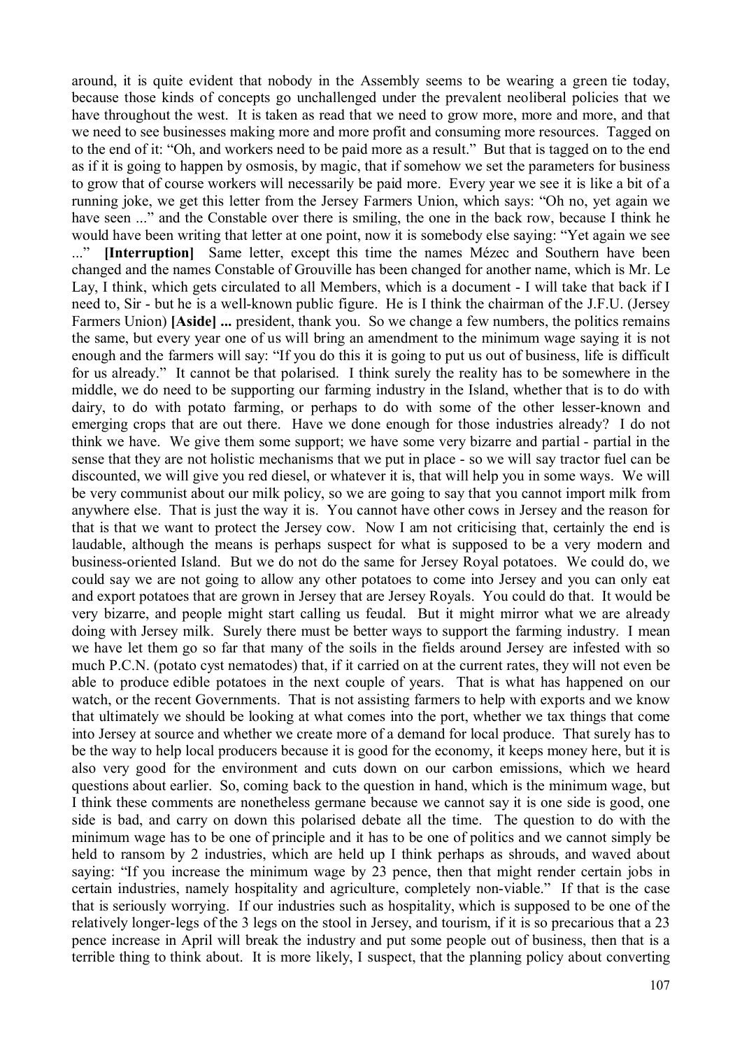around, it is quite evident that nobody in the Assembly seems to be wearing a green tie today, because those kinds of concepts go unchallenged under the prevalent neoliberal policies that we have throughout the west. It is taken as read that we need to grow more, more and more, and that we need to see businesses making more and more profit and consuming more resources. Tagged on to the end of it: "Oh, and workers need to be paid more as a result." But that is tagged on to the end as if it is going to happen by osmosis, by magic, that if somehow we set the parameters for business to grow that of course workers will necessarily be paid more. Every year we see it is like a bit of a running joke, we get this letter from the Jersey Farmers Union, which says: "Oh no, yet again we have seen ..." and the Constable over there is smiling, the one in the back row, because I think he would have been writing that letter at one point, now it is somebody else saying: "Yet again we see ..." **[Interruption]** Same letter, except this time the names Mézec and Southern have been changed and the names Constable of Grouville has been changed for another name, which is Mr. Le Lay, I think, which gets circulated to all Members, which is a document - I will take that back if I need to, Sir - but he is a well-known public figure. He is I think the chairman of the J.F.U. (Jersey Farmers Union) **[Aside]** ... president, thank you. So we change a few numbers, the politics remains the same, but every year one of us will bring an amendment to the minimum wage saying it is not enough and the farmers will say: "If you do this it is going to put us out of business, life is difficult for us already." It cannot be that polarised. I think surely the reality has to be somewhere in the middle, we do need to be supporting our farming industry in the Island, whether that is to do with dairy, to do with potato farming, or perhaps to do with some of the other lesser-known and emerging crops that are out there. Have we done enough for those industries already? I do not think we have. We give them some support; we have some very bizarre and partial - partial in the sense that they are not holistic mechanisms that we put in place - so we will say tractor fuel can be discounted, we will give you red diesel, or whatever it is, that will help you in some ways. We will be very communist about our milk policy, so we are going to say that you cannot import milk from anywhere else. That is just the way it is. You cannot have other cows in Jersey and the reason for that is that we want to protect the Jersey cow. Now I am not criticising that, certainly the end is laudable, although the means is perhaps suspect for what is supposed to be a very modern and business-oriented Island. But we do not do the same for Jersey Royal potatoes. We could do, we could say we are not going to allow any other potatoes to come into Jersey and you can only eat and export potatoes that are grown in Jersey that are Jersey Royals. You could do that. It would be very bizarre, and people might start calling us feudal. But it might mirror what we are already doing with Jersey milk. Surely there must be better ways to support the farming industry. I mean we have let them go so far that many of the soils in the fields around Jersey are infested with so much P.C.N. (potato cyst nematodes) that, if it carried on at the current rates, they will not even be able to produce edible potatoes in the next couple of years. That is what has happened on our watch, or the recent Governments. That is not assisting farmers to help with exports and we know that ultimately we should be looking at what comes into the port, whether we tax things that come into Jersey at source and whether we create more of a demand for local produce. That surely has to be the way to help local producers because it is good for the economy, it keeps money here, but it is also very good for the environment and cuts down on our carbon emissions, which we heard questions about earlier. So, coming back to the question in hand, which is the minimum wage, but I think these comments are nonetheless germane because we cannot say it is one side is good, one side is bad, and carry on down this polarised debate all the time. The question to do with the minimum wage has to be one of principle and it has to be one of politics and we cannot simply be held to ransom by 2 industries, which are held up I think perhaps as shrouds, and waved about saying: "If you increase the minimum wage by 23 pence, then that might render certain jobs in certain industries, namely hospitality and agriculture, completely non-viable." If that is the case that is seriously worrying. If our industries such as hospitality, which is supposed to be one of the relatively longer-legs of the 3 legs on the stool in Jersey, and tourism, if it is so precarious that a 23 pence increase in April will break the industry and put some people out of business, then that is a terrible thing to think about. It is more likely, I suspect, that the planning policy about converting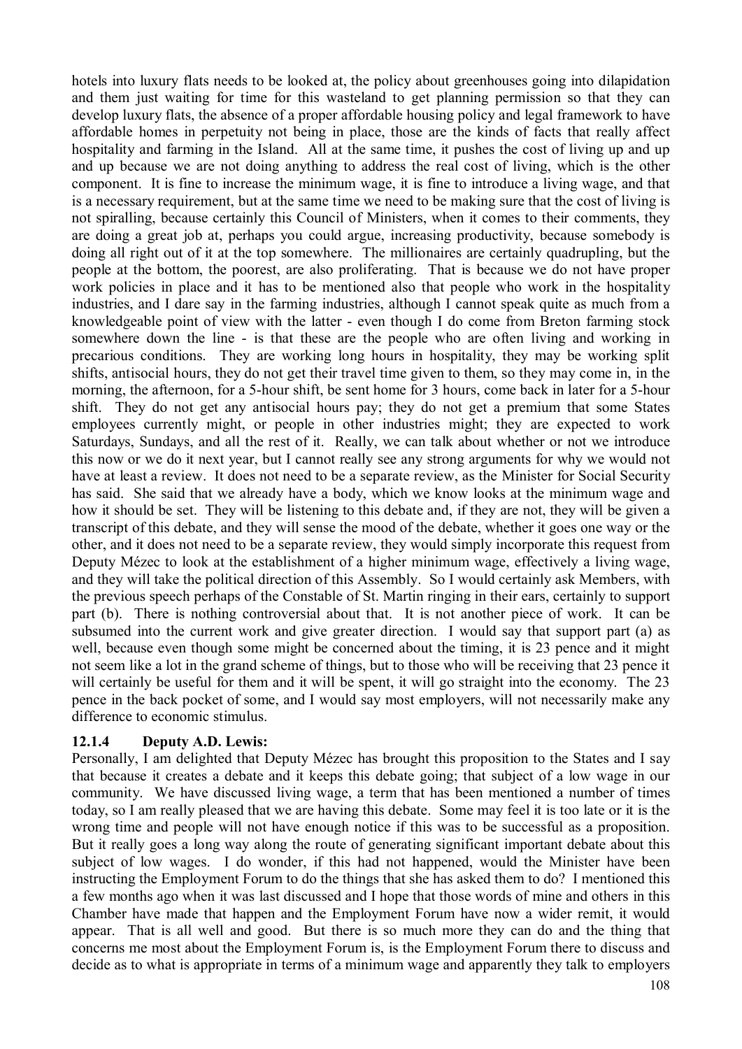hotels into luxury flats needs to be looked at, the policy about greenhouses going into dilapidation and them just waiting for time for this wasteland to get planning permission so that they can develop luxury flats, the absence of a proper affordable housing policy and legal framework to have affordable homes in perpetuity not being in place, those are the kinds of facts that really affect hospitality and farming in the Island. All at the same time, it pushes the cost of living up and up and up because we are not doing anything to address the real cost of living, which is the other component. It is fine to increase the minimum wage, it is fine to introduce a living wage, and that is a necessary requirement, but at the same time we need to be making sure that the cost of living is not spiralling, because certainly this Council of Ministers, when it comes to their comments, they are doing a great job at, perhaps you could argue, increasing productivity, because somebody is doing all right out of it at the top somewhere. The millionaires are certainly quadrupling, but the people at the bottom, the poorest, are also proliferating. That is because we do not have proper work policies in place and it has to be mentioned also that people who work in the hospitality industries, and I dare say in the farming industries, although I cannot speak quite as much from a knowledgeable point of view with the latter - even though I do come from Breton farming stock somewhere down the line - is that these are the people who are often living and working in precarious conditions. They are working long hours in hospitality, they may be working split shifts, antisocial hours, they do not get their travel time given to them, so they may come in, in the morning, the afternoon, for a 5-hour shift, be sent home for 3 hours, come back in later for a 5-hour shift. They do not get any antisocial hours pay; they do not get a premium that some States employees currently might, or people in other industries might; they are expected to work Saturdays, Sundays, and all the rest of it. Really, we can talk about whether or not we introduce this now or we do it next year, but I cannot really see any strong arguments for why we would not have at least a review. It does not need to be a separate review, as the Minister for Social Security has said. She said that we already have a body, which we know looks at the minimum wage and how it should be set. They will be listening to this debate and, if they are not, they will be given a transcript of this debate, and they will sense the mood of the debate, whether it goes one way or the other, and it does not need to be a separate review, they would simply incorporate this request from Deputy Mézec to look at the establishment of a higher minimum wage, effectively a living wage, and they will take the political direction of this Assembly. So I would certainly ask Members, with the previous speech perhaps of the Constable of St. Martin ringing in their ears, certainly to support part (b). There is nothing controversial about that. It is not another piece of work. It can be subsumed into the current work and give greater direction. I would say that support part (a) as well, because even though some might be concerned about the timing, it is 23 pence and it might not seem like a lot in the grand scheme of things, but to those who will be receiving that 23 pence it will certainly be useful for them and it will be spent, it will go straight into the economy. The 23 pence in the back pocket of some, and I would say most employers, will not necessarily make any difference to economic stimulus.

### **12.1.4 Deputy A.D. Lewis:**

Personally, I am delighted that Deputy Mézec has brought this proposition to the States and I say that because it creates a debate and it keeps this debate going; that subject of a low wage in our community. We have discussed living wage, a term that has been mentioned a number of times today, so I am really pleased that we are having this debate. Some may feel it is too late or it is the wrong time and people will not have enough notice if this was to be successful as a proposition. But it really goes a long way along the route of generating significant important debate about this subject of low wages. I do wonder, if this had not happened, would the Minister have been instructing the Employment Forum to do the things that she has asked them to do? I mentioned this a few months ago when it was last discussed and I hope that those words of mine and others in this Chamber have made that happen and the Employment Forum have now a wider remit, it would appear. That is all well and good. But there is so much more they can do and the thing that concerns me most about the Employment Forum is, is the Employment Forum there to discuss and decide as to what is appropriate in terms of a minimum wage and apparently they talk to employers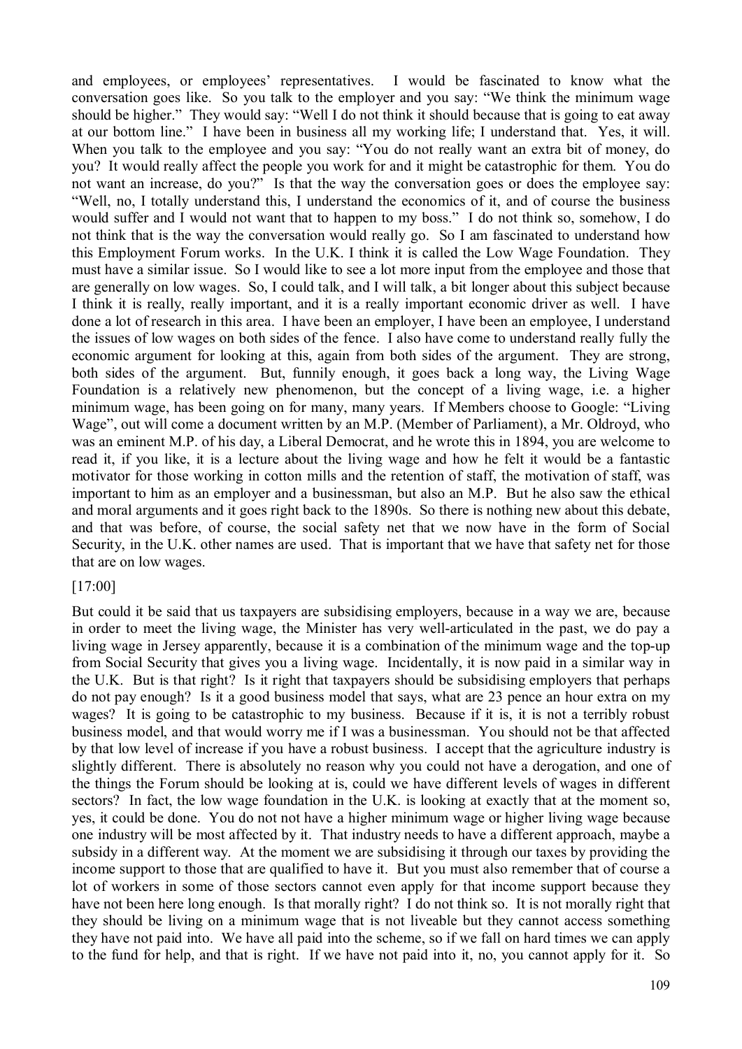and employees, or employees' representatives. I would be fascinated to know what the conversation goes like. So you talk to the employer and you say: "We think the minimum wage should be higher." They would say: "Well I do not think it should because that is going to eat away at our bottom line." I have been in business all my working life; I understand that. Yes, it will. When you talk to the employee and you say: "You do not really want an extra bit of money, do you? It would really affect the people you work for and it might be catastrophic for them. You do not want an increase, do you?" Is that the way the conversation goes or does the employee say: "Well, no, I totally understand this, I understand the economics of it, and of course the business would suffer and I would not want that to happen to my boss." I do not think so, somehow, I do not think that is the way the conversation would really go. So I am fascinated to understand how this Employment Forum works. In the U.K. I think it is called the Low Wage Foundation. They must have a similar issue. So I would like to see a lot more input from the employee and those that are generally on low wages. So, I could talk, and I will talk, a bit longer about this subject because I think it is really, really important, and it is a really important economic driver as well. I have done a lot of research in this area. I have been an employer, I have been an employee, I understand the issues of low wages on both sides of the fence. I also have come to understand really fully the economic argument for looking at this, again from both sides of the argument. They are strong, both sides of the argument. But, funnily enough, it goes back a long way, the Living Wage Foundation is a relatively new phenomenon, but the concept of a living wage, i.e. a higher minimum wage, has been going on for many, many years. If Members choose to Google: "Living Wage", out will come a document written by an M.P. (Member of Parliament), a Mr. Oldroyd, who was an eminent M.P. of his day, a Liberal Democrat, and he wrote this in 1894, you are welcome to read it, if you like, it is a lecture about the living wage and how he felt it would be a fantastic motivator for those working in cotton mills and the retention of staff, the motivation of staff, was important to him as an employer and a businessman, but also an M.P. But he also saw the ethical and moral arguments and it goes right back to the 1890s. So there is nothing new about this debate, and that was before, of course, the social safety net that we now have in the form of Social Security, in the U.K. other names are used. That is important that we have that safety net for those that are on low wages.

#### [17:00]

But could it be said that us taxpayers are subsidising employers, because in a way we are, because in order to meet the living wage, the Minister has very well-articulated in the past, we do pay a living wage in Jersey apparently, because it is a combination of the minimum wage and the top-up from Social Security that gives you a living wage. Incidentally, it is now paid in a similar way in the U.K. But is that right? Is it right that taxpayers should be subsidising employers that perhaps do not pay enough? Is it a good business model that says, what are 23 pence an hour extra on my wages? It is going to be catastrophic to my business. Because if it is, it is not a terribly robust business model, and that would worry me if I was a businessman. You should not be that affected by that low level of increase if you have a robust business. I accept that the agriculture industry is slightly different. There is absolutely no reason why you could not have a derogation, and one of the things the Forum should be looking at is, could we have different levels of wages in different sectors? In fact, the low wage foundation in the U.K. is looking at exactly that at the moment so, yes, it could be done. You do not not have a higher minimum wage or higher living wage because one industry will be most affected by it. That industry needs to have a different approach, maybe a subsidy in a different way. At the moment we are subsidising it through our taxes by providing the income support to those that are qualified to have it. But you must also remember that of course a lot of workers in some of those sectors cannot even apply for that income support because they have not been here long enough. Is that morally right? I do not think so. It is not morally right that they should be living on a minimum wage that is not liveable but they cannot access something they have not paid into. We have all paid into the scheme, so if we fall on hard times we can apply to the fund for help, and that is right. If we have not paid into it, no, you cannot apply for it. So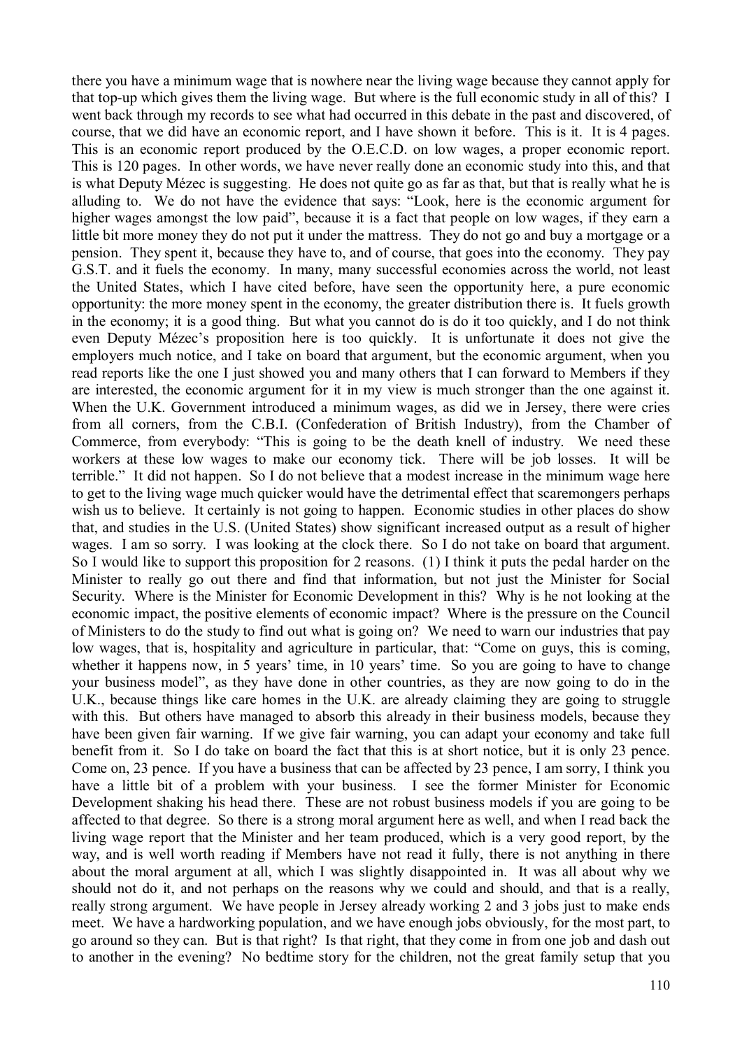there you have a minimum wage that is nowhere near the living wage because they cannot apply for that top-up which gives them the living wage. But where is the full economic study in all of this? I went back through my records to see what had occurred in this debate in the past and discovered, of course, that we did have an economic report, and I have shown it before. This is it. It is 4 pages. This is an economic report produced by the O.E.C.D. on low wages, a proper economic report. This is 120 pages. In other words, we have never really done an economic study into this, and that is what Deputy Mézec is suggesting. He does not quite go as far as that, but that is really what he is alluding to. We do not have the evidence that says: "Look, here is the economic argument for higher wages amongst the low paid", because it is a fact that people on low wages, if they earn a little bit more money they do not put it under the mattress. They do not go and buy a mortgage or a pension. They spent it, because they have to, and of course, that goes into the economy. They pay G.S.T. and it fuels the economy. In many, many successful economies across the world, not least the United States, which I have cited before, have seen the opportunity here, a pure economic opportunity: the more money spent in the economy, the greater distribution there is. It fuels growth in the economy; it is a good thing. But what you cannot do is do it too quickly, and I do not think even Deputy Mézec's proposition here is too quickly. It is unfortunate it does not give the employers much notice, and I take on board that argument, but the economic argument, when you read reports like the one I just showed you and many others that I can forward to Members if they are interested, the economic argument for it in my view is much stronger than the one against it. When the U.K. Government introduced a minimum wages, as did we in Jersey, there were cries from all corners, from the C.B.I. (Confederation of British Industry), from the Chamber of Commerce, from everybody: "This is going to be the death knell of industry. We need these workers at these low wages to make our economy tick. There will be job losses. It will be terrible." It did not happen. So I do not believe that a modest increase in the minimum wage here to get to the living wage much quicker would have the detrimental effect that scaremongers perhaps wish us to believe. It certainly is not going to happen. Economic studies in other places do show that, and studies in the U.S. (United States) show significant increased output as a result of higher wages. I am so sorry. I was looking at the clock there. So I do not take on board that argument. So I would like to support this proposition for 2 reasons. (1) I think it puts the pedal harder on the Minister to really go out there and find that information, but not just the Minister for Social Security. Where is the Minister for Economic Development in this? Why is he not looking at the economic impact, the positive elements of economic impact? Where is the pressure on the Council of Ministers to do the study to find out what is going on? We need to warn our industries that pay low wages, that is, hospitality and agriculture in particular, that: "Come on guys, this is coming, whether it happens now, in 5 years' time, in 10 years' time. So you are going to have to change your business model", as they have done in other countries, as they are now going to do in the U.K., because things like care homes in the U.K. are already claiming they are going to struggle with this. But others have managed to absorb this already in their business models, because they have been given fair warning. If we give fair warning, you can adapt your economy and take full benefit from it. So I do take on board the fact that this is at short notice, but it is only 23 pence. Come on, 23 pence. If you have a business that can be affected by 23 pence, I am sorry, I think you have a little bit of a problem with your business. I see the former Minister for Economic Development shaking his head there. These are not robust business models if you are going to be affected to that degree. So there is a strong moral argument here as well, and when I read back the living wage report that the Minister and her team produced, which is a very good report, by the way, and is well worth reading if Members have not read it fully, there is not anything in there about the moral argument at all, which I was slightly disappointed in. It was all about why we should not do it, and not perhaps on the reasons why we could and should, and that is a really, really strong argument. We have people in Jersey already working 2 and 3 jobs just to make ends meet. We have a hardworking population, and we have enough jobs obviously, for the most part, to go around so they can. But is that right? Is that right, that they come in from one job and dash out to another in the evening? No bedtime story for the children, not the great family setup that you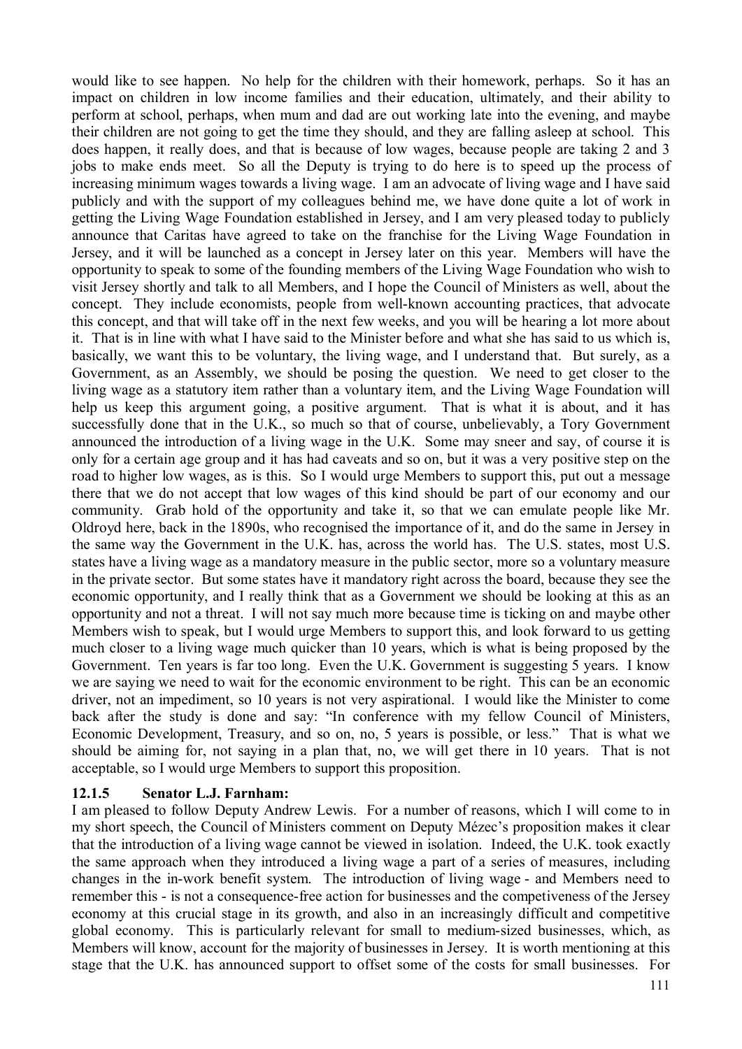would like to see happen. No help for the children with their homework, perhaps. So it has an impact on children in low income families and their education, ultimately, and their ability to perform at school, perhaps, when mum and dad are out working late into the evening, and maybe their children are not going to get the time they should, and they are falling asleep at school. This does happen, it really does, and that is because of low wages, because people are taking 2 and 3 jobs to make ends meet. So all the Deputy is trying to do here is to speed up the process of increasing minimum wages towards a living wage. I am an advocate of living wage and I have said publicly and with the support of my colleagues behind me, we have done quite a lot of work in getting the Living Wage Foundation established in Jersey, and I am very pleased today to publicly announce that Caritas have agreed to take on the franchise for the Living Wage Foundation in Jersey, and it will be launched as a concept in Jersey later on this year. Members will have the opportunity to speak to some of the founding members of the Living Wage Foundation who wish to visit Jersey shortly and talk to all Members, and I hope the Council of Ministers as well, about the concept. They include economists, people from well-known accounting practices, that advocate this concept, and that will take off in the next few weeks, and you will be hearing a lot more about it. That is in line with what I have said to the Minister before and what she has said to us which is, basically, we want this to be voluntary, the living wage, and I understand that. But surely, as a Government, as an Assembly, we should be posing the question. We need to get closer to the living wage as a statutory item rather than a voluntary item, and the Living Wage Foundation will help us keep this argument going, a positive argument. That is what it is about, and it has successfully done that in the U.K., so much so that of course, unbelievably, a Tory Government announced the introduction of a living wage in the U.K. Some may sneer and say, of course it is only for a certain age group and it has had caveats and so on, but it was a very positive step on the road to higher low wages, as is this. So I would urge Members to support this, put out a message there that we do not accept that low wages of this kind should be part of our economy and our community. Grab hold of the opportunity and take it, so that we can emulate people like Mr. Oldroyd here, back in the 1890s, who recognised the importance of it, and do the same in Jersey in the same way the Government in the U.K. has, across the world has. The U.S. states, most U.S. states have a living wage as a mandatory measure in the public sector, more so a voluntary measure in the private sector. But some states have it mandatory right across the board, because they see the economic opportunity, and I really think that as a Government we should be looking at this as an opportunity and not a threat. I will not say much more because time is ticking on and maybe other Members wish to speak, but I would urge Members to support this, and look forward to us getting much closer to a living wage much quicker than 10 years, which is what is being proposed by the Government. Ten years is far too long. Even the U.K. Government is suggesting 5 years. I know we are saying we need to wait for the economic environment to be right. This can be an economic driver, not an impediment, so 10 years is not very aspirational. I would like the Minister to come back after the study is done and say: "In conference with my fellow Council of Ministers, Economic Development, Treasury, and so on, no, 5 years is possible, or less." That is what we should be aiming for, not saying in a plan that, no, we will get there in 10 years. That is not acceptable, so I would urge Members to support this proposition.

# **12.1.5 Senator L.J. Farnham:**

I am pleased to follow Deputy Andrew Lewis. For a number of reasons, which I will come to in my short speech, the Council of Ministers comment on Deputy Mézec's proposition makes it clear that the introduction of a living wage cannot be viewed in isolation. Indeed, the U.K. took exactly the same approach when they introduced a living wage a part of a series of measures, including changes in the in-work benefit system. The introduction of living wage - and Members need to remember this - is not a consequence-free action for businesses and the competiveness of the Jersey economy at this crucial stage in its growth, and also in an increasingly difficult and competitive global economy. This is particularly relevant for small to medium-sized businesses, which, as Members will know, account for the majority of businesses in Jersey. It is worth mentioning at this stage that the U.K. has announced support to offset some of the costs for small businesses. For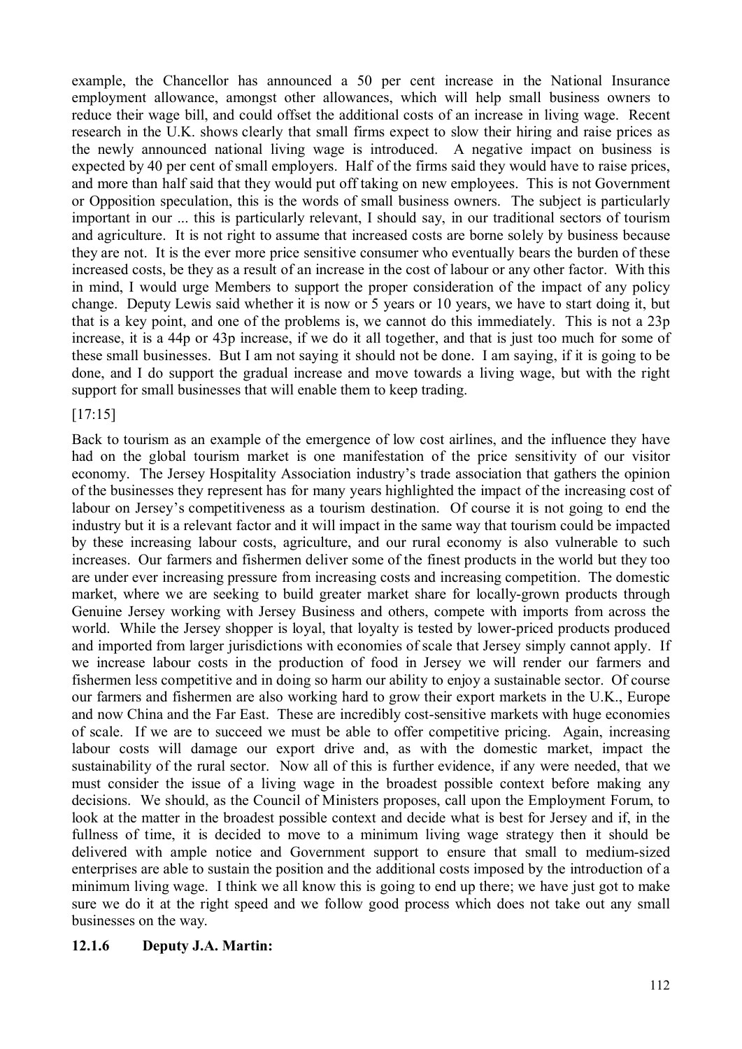example, the Chancellor has announced a 50 per cent increase in the National Insurance employment allowance, amongst other allowances, which will help small business owners to reduce their wage bill, and could offset the additional costs of an increase in living wage. Recent research in the U.K. shows clearly that small firms expect to slow their hiring and raise prices as the newly announced national living wage is introduced. A negative impact on business is expected by 40 per cent of small employers. Half of the firms said they would have to raise prices, and more than half said that they would put off taking on new employees. This is not Government or Opposition speculation, this is the words of small business owners. The subject is particularly important in our ... this is particularly relevant, I should say, in our traditional sectors of tourism and agriculture. It is not right to assume that increased costs are borne solely by business because they are not. It is the ever more price sensitive consumer who eventually bears the burden of these increased costs, be they as a result of an increase in the cost of labour or any other factor. With this in mind, I would urge Members to support the proper consideration of the impact of any policy change. Deputy Lewis said whether it is now or 5 years or 10 years, we have to start doing it, but that is a key point, and one of the problems is, we cannot do this immediately. This is not a 23p increase, it is a 44p or 43p increase, if we do it all together, and that is just too much for some of these small businesses. But I am not saying it should not be done. I am saying, if it is going to be done, and I do support the gradual increase and move towards a living wage, but with the right support for small businesses that will enable them to keep trading.

## [17:15]

Back to tourism as an example of the emergence of low cost airlines, and the influence they have had on the global tourism market is one manifestation of the price sensitivity of our visitor economy. The Jersey Hospitality Association industry's trade association that gathers the opinion of the businesses they represent has for many years highlighted the impact of the increasing cost of labour on Jersey's competitiveness as a tourism destination. Of course it is not going to end the industry but it is a relevant factor and it will impact in the same way that tourism could be impacted by these increasing labour costs, agriculture, and our rural economy is also vulnerable to such increases. Our farmers and fishermen deliver some of the finest products in the world but they too are under ever increasing pressure from increasing costs and increasing competition. The domestic market, where we are seeking to build greater market share for locally-grown products through Genuine Jersey working with Jersey Business and others, compete with imports from across the world. While the Jersey shopper is loyal, that loyalty is tested by lower-priced products produced and imported from larger jurisdictions with economies of scale that Jersey simply cannot apply. If we increase labour costs in the production of food in Jersey we will render our farmers and fishermen less competitive and in doing so harm our ability to enjoy a sustainable sector. Of course our farmers and fishermen are also working hard to grow their export markets in the U.K., Europe and now China and the Far East. These are incredibly cost-sensitive markets with huge economies of scale. If we are to succeed we must be able to offer competitive pricing. Again, increasing labour costs will damage our export drive and, as with the domestic market, impact the sustainability of the rural sector. Now all of this is further evidence, if any were needed, that we must consider the issue of a living wage in the broadest possible context before making any decisions. We should, as the Council of Ministers proposes, call upon the Employment Forum, to look at the matter in the broadest possible context and decide what is best for Jersey and if, in the fullness of time, it is decided to move to a minimum living wage strategy then it should be delivered with ample notice and Government support to ensure that small to medium-sized enterprises are able to sustain the position and the additional costs imposed by the introduction of a minimum living wage. I think we all know this is going to end up there; we have just got to make sure we do it at the right speed and we follow good process which does not take out any small businesses on the way.

#### **12.1.6 Deputy J.A. Martin:**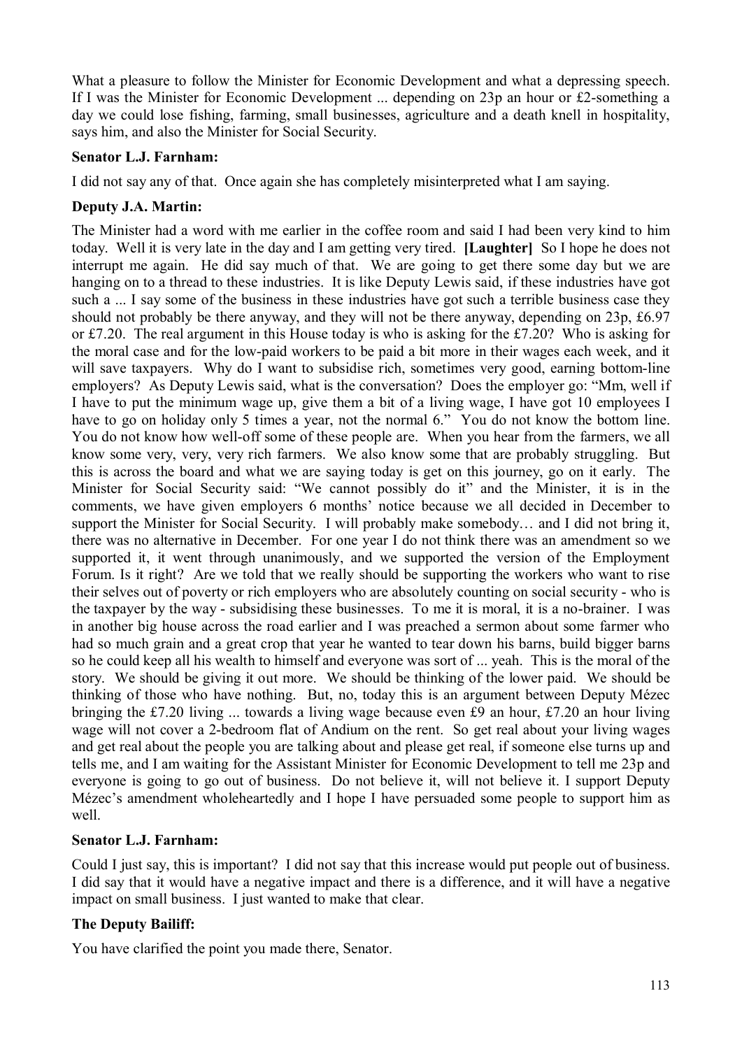What a pleasure to follow the Minister for Economic Development and what a depressing speech. If I was the Minister for Economic Development ... depending on 23p an hour or £2-something a day we could lose fishing, farming, small businesses, agriculture and a death knell in hospitality, says him, and also the Minister for Social Security.

# **Senator L.J. Farnham:**

I did not say any of that. Once again she has completely misinterpreted what I am saying.

# **Deputy J.A. Martin:**

The Minister had a word with me earlier in the coffee room and said I had been very kind to him today. Well it is very late in the day and I am getting very tired. **[Laughter]** So I hope he does not interrupt me again. He did say much of that. We are going to get there some day but we are hanging on to a thread to these industries. It is like Deputy Lewis said, if these industries have got such a ... I say some of the business in these industries have got such a terrible business case they should not probably be there anyway, and they will not be there anyway, depending on 23p, £6.97 or £7.20. The real argument in this House today is who is asking for the £7.20? Who is asking for the moral case and for the low-paid workers to be paid a bit more in their wages each week, and it will save taxpayers. Why do I want to subsidise rich, sometimes very good, earning bottom-line employers? As Deputy Lewis said, what is the conversation? Does the employer go: "Mm, well if I have to put the minimum wage up, give them a bit of a living wage, I have got 10 employees I have to go on holiday only 5 times a year, not the normal 6." You do not know the bottom line. You do not know how well-off some of these people are. When you hear from the farmers, we all know some very, very, very rich farmers. We also know some that are probably struggling. But this is across the board and what we are saying today is get on this journey, go on it early. The Minister for Social Security said: "We cannot possibly do it" and the Minister, it is in the comments, we have given employers 6 months' notice because we all decided in December to support the Minister for Social Security. I will probably make somebody… and I did not bring it, there was no alternative in December. For one year I do not think there was an amendment so we supported it, it went through unanimously, and we supported the version of the Employment Forum. Is it right? Are we told that we really should be supporting the workers who want to rise their selves out of poverty or rich employers who are absolutely counting on social security - who is the taxpayer by the way - subsidising these businesses. To me it is moral, it is a no-brainer. I was in another big house across the road earlier and I was preached a sermon about some farmer who had so much grain and a great crop that year he wanted to tear down his barns, build bigger barns so he could keep all his wealth to himself and everyone was sort of ... yeah. This is the moral of the story. We should be giving it out more. We should be thinking of the lower paid. We should be thinking of those who have nothing. But, no, today this is an argument between Deputy Mézec bringing the £7.20 living ... towards a living wage because even £9 an hour, £7.20 an hour living wage will not cover a 2-bedroom flat of Andium on the rent. So get real about your living wages and get real about the people you are talking about and please get real, if someone else turns up and tells me, and I am waiting for the Assistant Minister for Economic Development to tell me 23p and everyone is going to go out of business. Do not believe it, will not believe it. I support Deputy Mézec's amendment wholeheartedly and I hope I have persuaded some people to support him as well.

# **Senator L.J. Farnham:**

Could I just say, this is important? I did not say that this increase would put people out of business. I did say that it would have a negative impact and there is a difference, and it will have a negative impact on small business. I just wanted to make that clear.

# **The Deputy Bailiff:**

You have clarified the point you made there, Senator.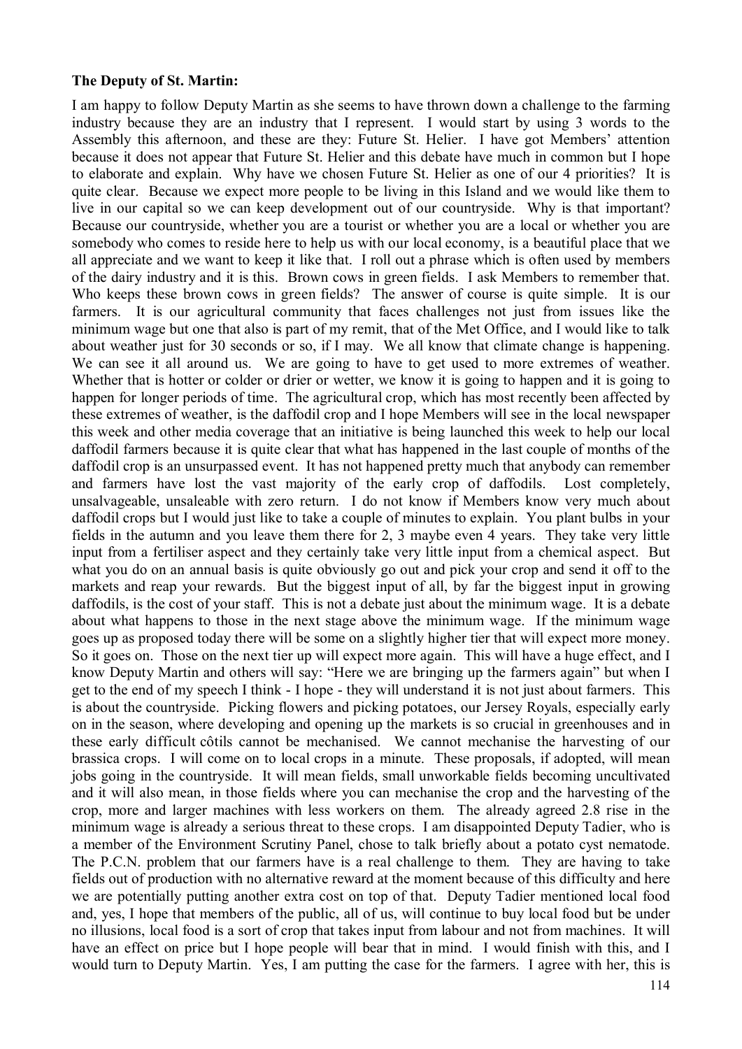#### **The Deputy of St. Martin:**

I am happy to follow Deputy Martin as she seems to have thrown down a challenge to the farming industry because they are an industry that I represent. I would start by using 3 words to the Assembly this afternoon, and these are they: Future St. Helier. I have got Members' attention because it does not appear that Future St. Helier and this debate have much in common but I hope to elaborate and explain. Why have we chosen Future St. Helier as one of our 4 priorities? It is quite clear. Because we expect more people to be living in this Island and we would like them to live in our capital so we can keep development out of our countryside. Why is that important? Because our countryside, whether you are a tourist or whether you are a local or whether you are somebody who comes to reside here to help us with our local economy, is a beautiful place that we all appreciate and we want to keep it like that. I roll out a phrase which is often used by members of the dairy industry and it is this. Brown cows in green fields. I ask Members to remember that. Who keeps these brown cows in green fields? The answer of course is quite simple. It is our farmers. It is our agricultural community that faces challenges not just from issues like the minimum wage but one that also is part of my remit, that of the Met Office, and I would like to talk about weather just for 30 seconds or so, if I may. We all know that climate change is happening. We can see it all around us. We are going to have to get used to more extremes of weather. Whether that is hotter or colder or drier or wetter, we know it is going to happen and it is going to happen for longer periods of time. The agricultural crop, which has most recently been affected by these extremes of weather, is the daffodil crop and I hope Members will see in the local newspaper this week and other media coverage that an initiative is being launched this week to help our local daffodil farmers because it is quite clear that what has happened in the last couple of months of the daffodil crop is an unsurpassed event. It has not happened pretty much that anybody can remember and farmers have lost the vast majority of the early crop of daffodils. Lost completely, unsalvageable, unsaleable with zero return. I do not know if Members know very much about daffodil crops but I would just like to take a couple of minutes to explain. You plant bulbs in your fields in the autumn and you leave them there for 2, 3 maybe even 4 years. They take very little input from a fertiliser aspect and they certainly take very little input from a chemical aspect. But what you do on an annual basis is quite obviously go out and pick your crop and send it off to the markets and reap your rewards. But the biggest input of all, by far the biggest input in growing daffodils, is the cost of your staff. This is not a debate just about the minimum wage. It is a debate about what happens to those in the next stage above the minimum wage. If the minimum wage goes up as proposed today there will be some on a slightly higher tier that will expect more money. So it goes on. Those on the next tier up will expect more again. This will have a huge effect, and I know Deputy Martin and others will say: "Here we are bringing up the farmers again" but when I get to the end of my speech I think - I hope - they will understand it is not just about farmers. This is about the countryside. Picking flowers and picking potatoes, our Jersey Royals, especially early on in the season, where developing and opening up the markets is so crucial in greenhouses and in these early difficult côtils cannot be mechanised. We cannot mechanise the harvesting of our brassica crops. I will come on to local crops in a minute. These proposals, if adopted, will mean jobs going in the countryside. It will mean fields, small unworkable fields becoming uncultivated and it will also mean, in those fields where you can mechanise the crop and the harvesting of the crop, more and larger machines with less workers on them. The already agreed 2.8 rise in the minimum wage is already a serious threat to these crops. I am disappointed Deputy Tadier, who is a member of the Environment Scrutiny Panel, chose to talk briefly about a potato cyst nematode. The P.C.N. problem that our farmers have is a real challenge to them. They are having to take fields out of production with no alternative reward at the moment because of this difficulty and here we are potentially putting another extra cost on top of that. Deputy Tadier mentioned local food and, yes, I hope that members of the public, all of us, will continue to buy local food but be under no illusions, local food is a sort of crop that takes input from labour and not from machines. It will have an effect on price but I hope people will bear that in mind. I would finish with this, and I would turn to Deputy Martin. Yes, I am putting the case for the farmers. I agree with her, this is